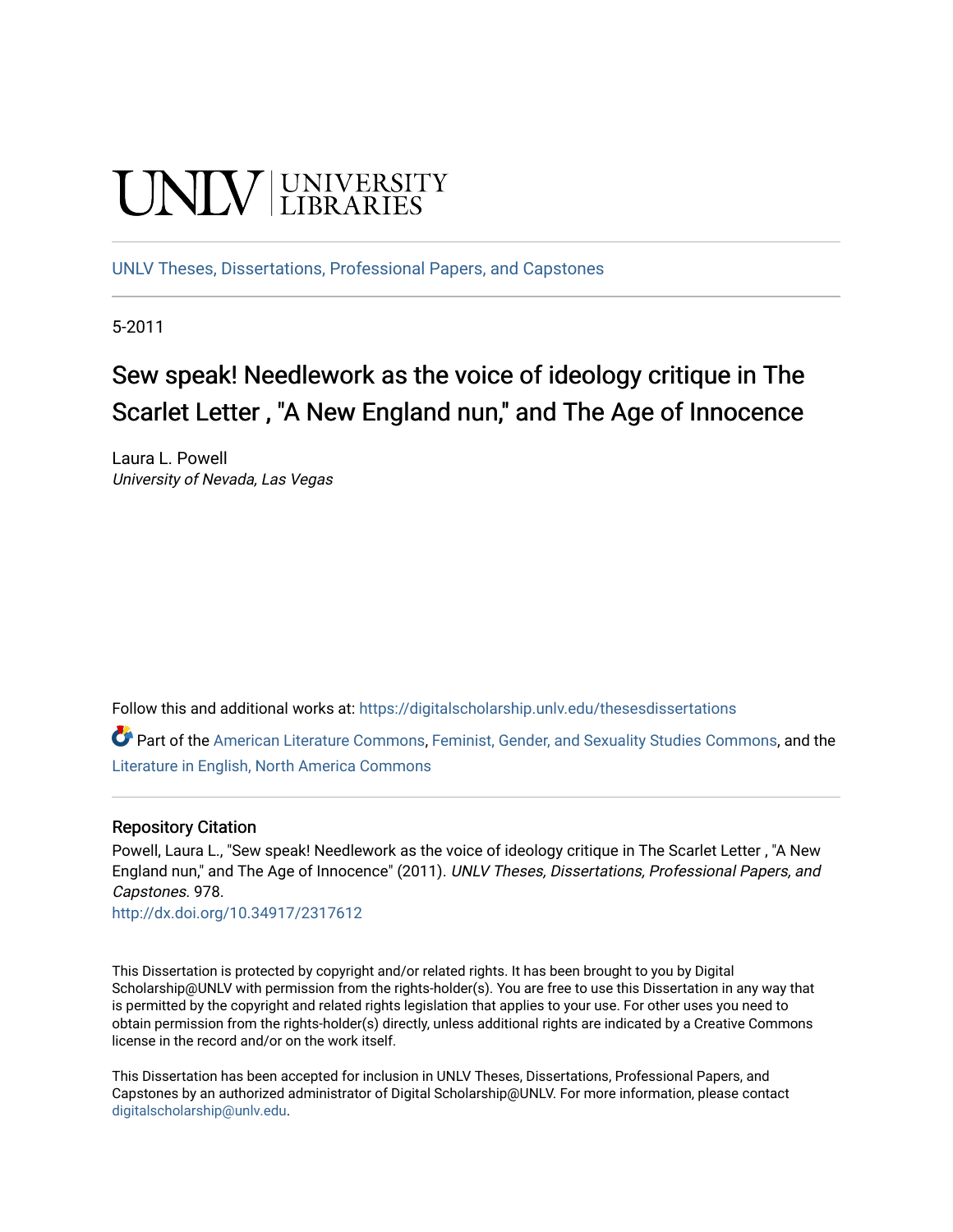# **CINITY** UNIVERSITY

[UNLV Theses, Dissertations, Professional Papers, and Capstones](https://digitalscholarship.unlv.edu/thesesdissertations)

5-2011

# Sew speak! Needlework as the voice of ideology critique in The Scarlet Letter , "A New England nun," and The Age of Innocence

Laura L. Powell University of Nevada, Las Vegas

Follow this and additional works at: [https://digitalscholarship.unlv.edu/thesesdissertations](https://digitalscholarship.unlv.edu/thesesdissertations?utm_source=digitalscholarship.unlv.edu%2Fthesesdissertations%2F978&utm_medium=PDF&utm_campaign=PDFCoverPages)

Part of the [American Literature Commons](http://network.bepress.com/hgg/discipline/441?utm_source=digitalscholarship.unlv.edu%2Fthesesdissertations%2F978&utm_medium=PDF&utm_campaign=PDFCoverPages), [Feminist, Gender, and Sexuality Studies Commons,](http://network.bepress.com/hgg/discipline/559?utm_source=digitalscholarship.unlv.edu%2Fthesesdissertations%2F978&utm_medium=PDF&utm_campaign=PDFCoverPages) and the [Literature in English, North America Commons](http://network.bepress.com/hgg/discipline/458?utm_source=digitalscholarship.unlv.edu%2Fthesesdissertations%2F978&utm_medium=PDF&utm_campaign=PDFCoverPages)

#### Repository Citation

Powell, Laura L., "Sew speak! Needlework as the voice of ideology critique in The Scarlet Letter , "A New England nun," and The Age of Innocence" (2011). UNLV Theses, Dissertations, Professional Papers, and Capstones. 978.

<http://dx.doi.org/10.34917/2317612>

This Dissertation is protected by copyright and/or related rights. It has been brought to you by Digital Scholarship@UNLV with permission from the rights-holder(s). You are free to use this Dissertation in any way that is permitted by the copyright and related rights legislation that applies to your use. For other uses you need to obtain permission from the rights-holder(s) directly, unless additional rights are indicated by a Creative Commons license in the record and/or on the work itself.

This Dissertation has been accepted for inclusion in UNLV Theses, Dissertations, Professional Papers, and Capstones by an authorized administrator of Digital Scholarship@UNLV. For more information, please contact [digitalscholarship@unlv.edu](mailto:digitalscholarship@unlv.edu).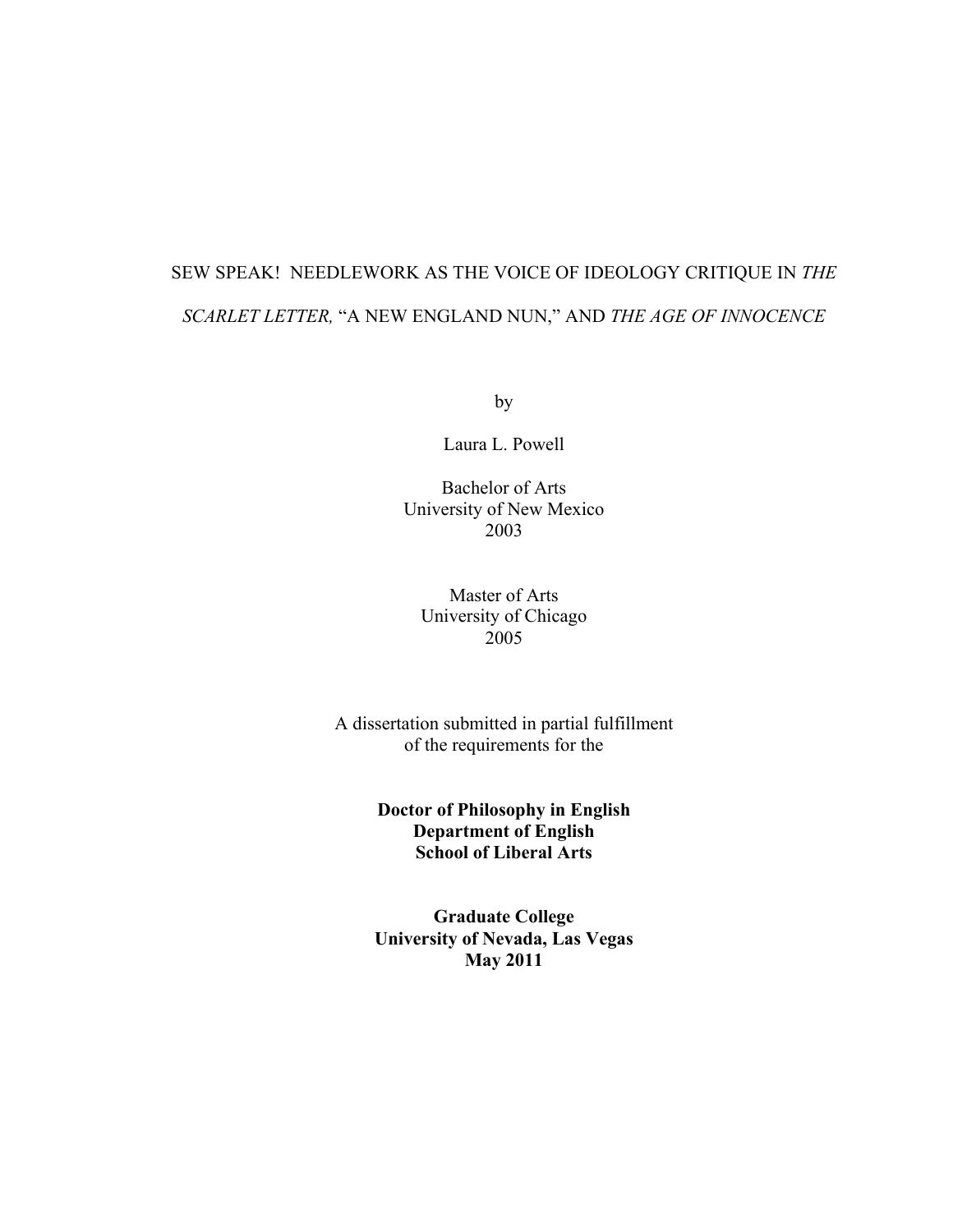# SEW SPEAK! NEEDLEWORK AS THE VOICE OF IDEOLOGY CRITIQUE IN *THE SCARLET LETTER,* "A NEW ENGLAND NUN," AND *THE AGE OF INNOCENCE*

by

Laura L. Powell

Bachelor of Arts University of New Mexico 2003

Master of Arts University of Chicago 2005

A dissertation submitted in partial fulfillment of the requirements for the

> **Doctor of Philosophy in English Department of English School of Liberal Arts**

**Graduate College University of Nevada, Las Vegas May 2011**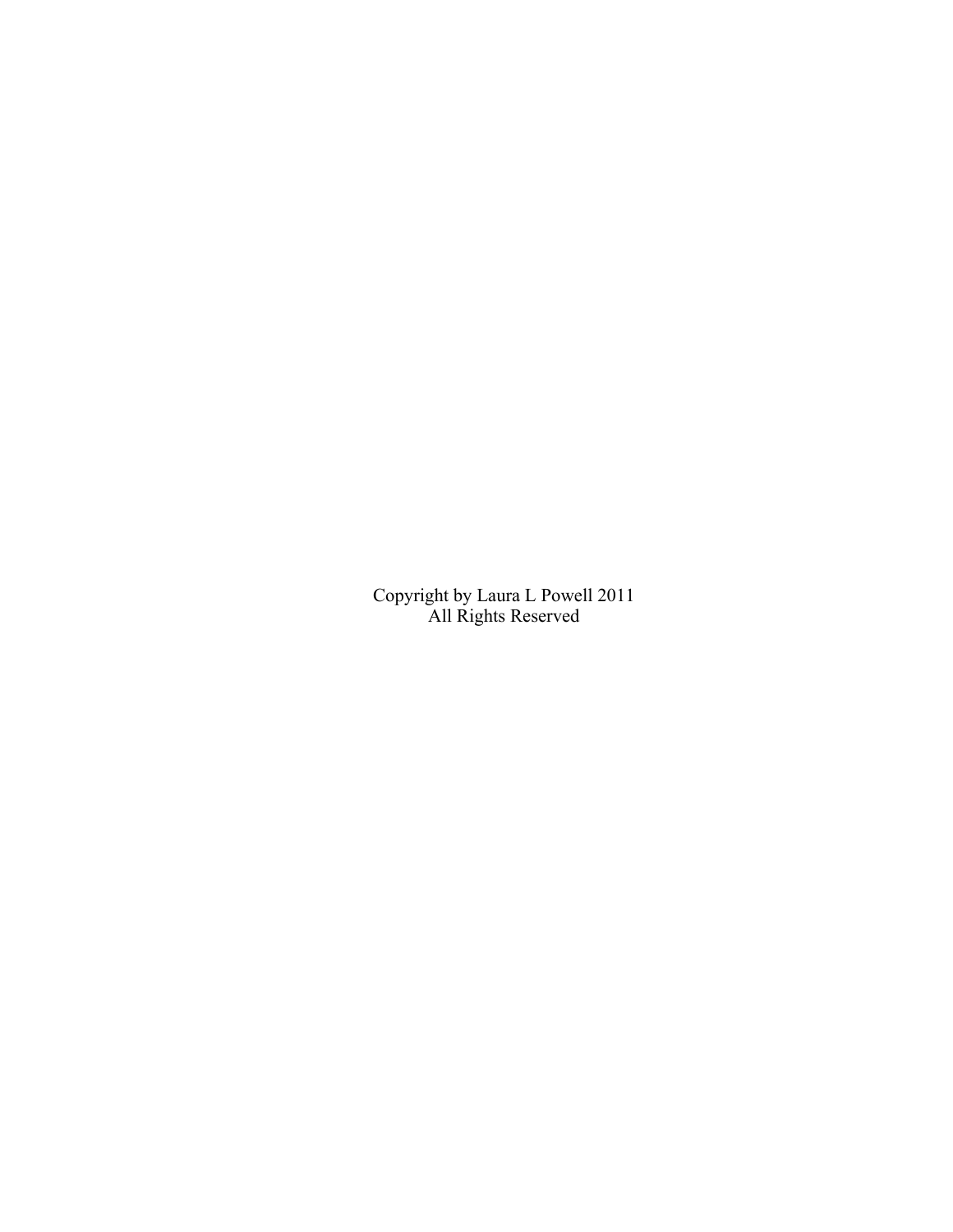Copyright by Laura L Powell 2011 All Rights Reserved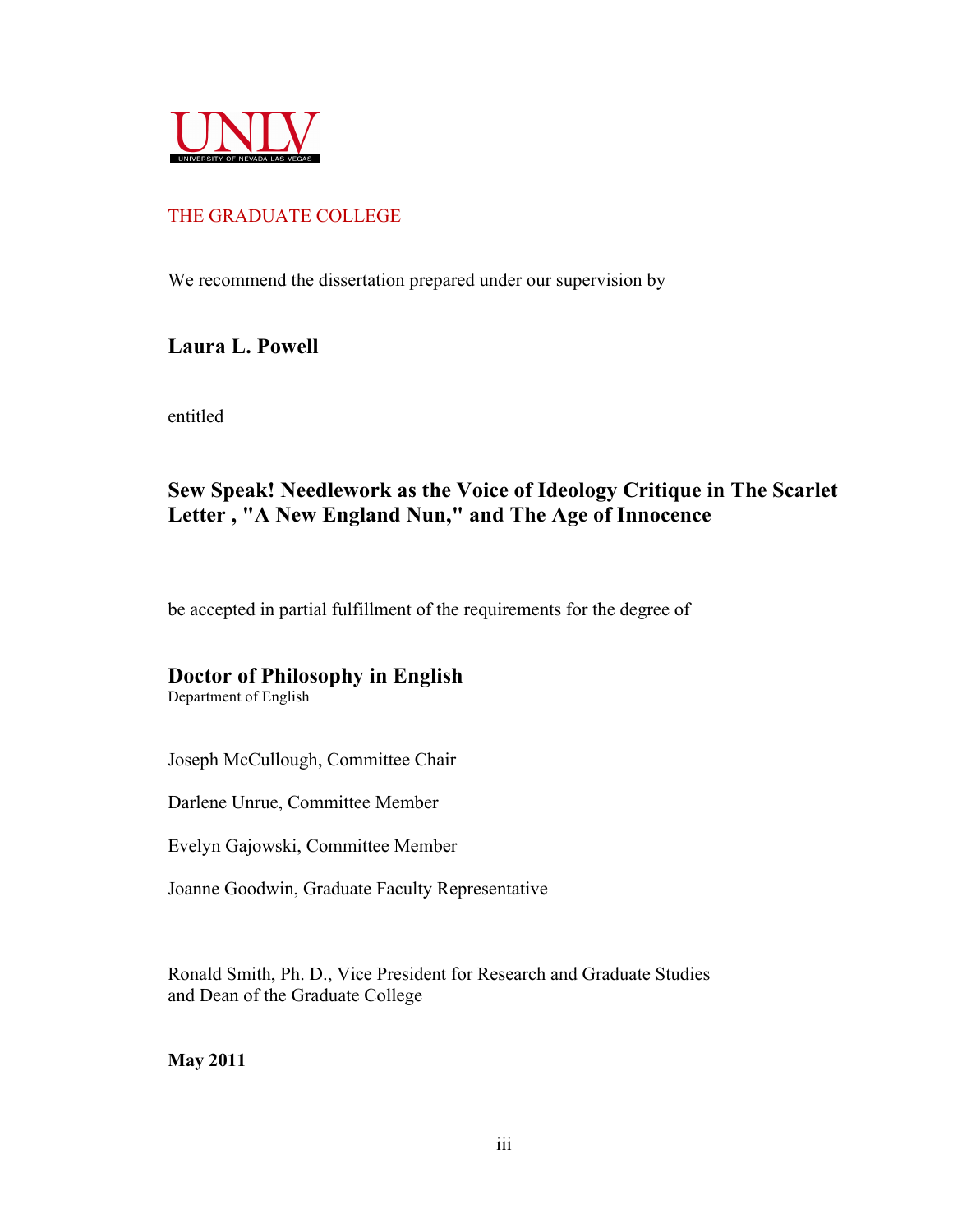

### THE GRADUATE COLLEGE

We recommend the dissertation prepared under our supervision by

## **Laura L. Powell**

entitled

## **Sew Speak! Needlework as the Voice of Ideology Critique in The Scarlet Letter , "A New England Nun," and The Age of Innocence**

be accepted in partial fulfillment of the requirements for the degree of

## **Doctor of Philosophy in English**

Department of English

Joseph McCullough, Committee Chair

Darlene Unrue, Committee Member

Evelyn Gajowski, Committee Member

Joanne Goodwin, Graduate Faculty Representative

Ronald Smith, Ph. D., Vice President for Research and Graduate Studies and Dean of the Graduate College

**May 2011**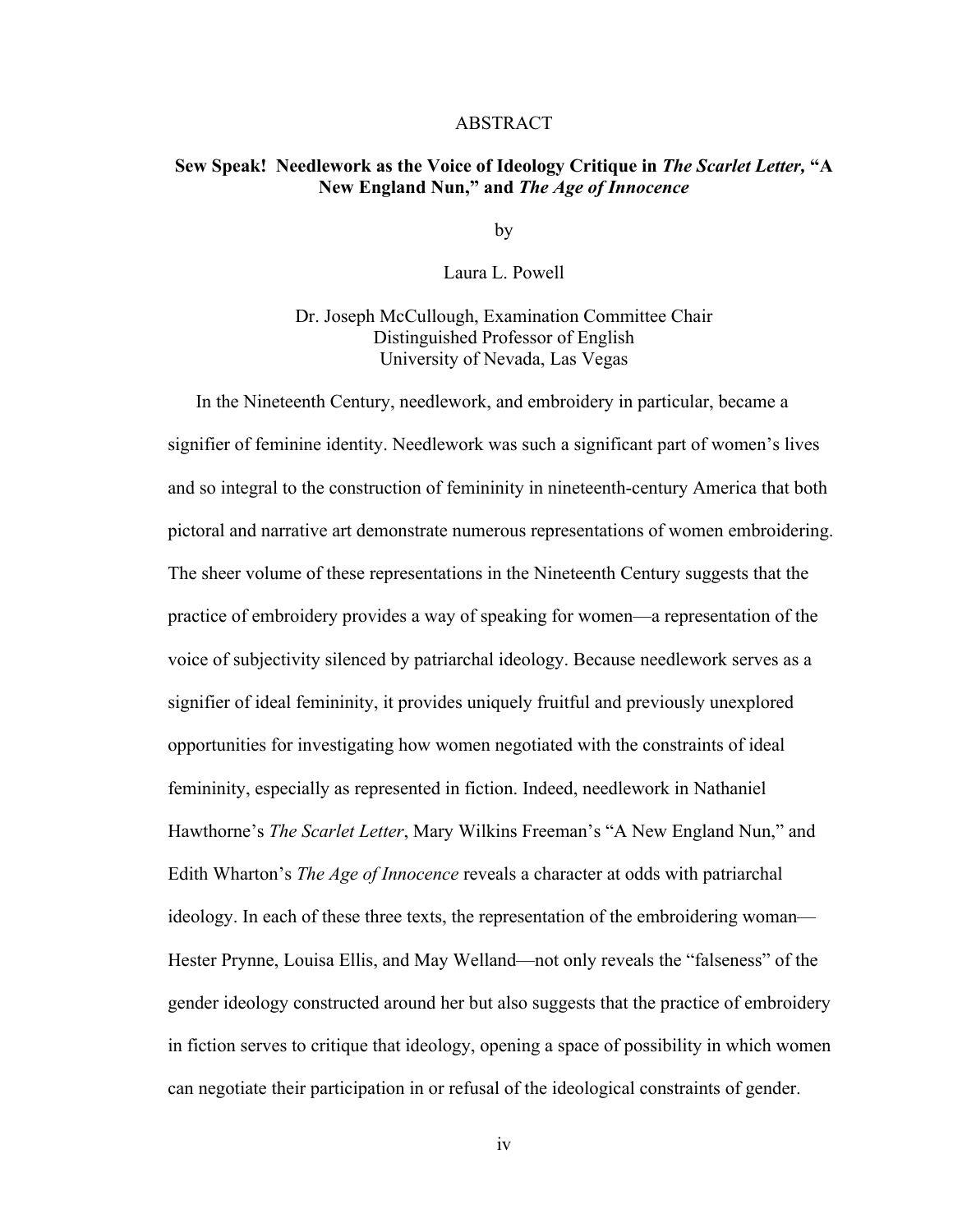#### ABSTRACT

#### **Sew Speak! Needlework as the Voice of Ideology Critique in** *The Scarlet Letter,* **"A New England Nun," and** *The Age of Innocence*

by

Laura L. Powell

Dr. Joseph McCullough, Examination Committee Chair Distinguished Professor of English University of Nevada, Las Vegas

In the Nineteenth Century, needlework, and embroidery in particular, became a signifier of feminine identity. Needlework was such a significant part of women's lives and so integral to the construction of femininity in nineteenth-century America that both pictoral and narrative art demonstrate numerous representations of women embroidering. The sheer volume of these representations in the Nineteenth Century suggests that the practice of embroidery provides a way of speaking for women—a representation of the voice of subjectivity silenced by patriarchal ideology. Because needlework serves as a signifier of ideal femininity, it provides uniquely fruitful and previously unexplored opportunities for investigating how women negotiated with the constraints of ideal femininity, especially as represented in fiction. Indeed, needlework in Nathaniel Hawthorne's *The Scarlet Letter*, Mary Wilkins Freeman's "A New England Nun," and Edith Wharton's *The Age of Innocence* reveals a character at odds with patriarchal ideology. In each of these three texts, the representation of the embroidering woman— Hester Prynne, Louisa Ellis, and May Welland—not only reveals the "falseness" of the gender ideology constructed around her but also suggests that the practice of embroidery in fiction serves to critique that ideology, opening a space of possibility in which women can negotiate their participation in or refusal of the ideological constraints of gender.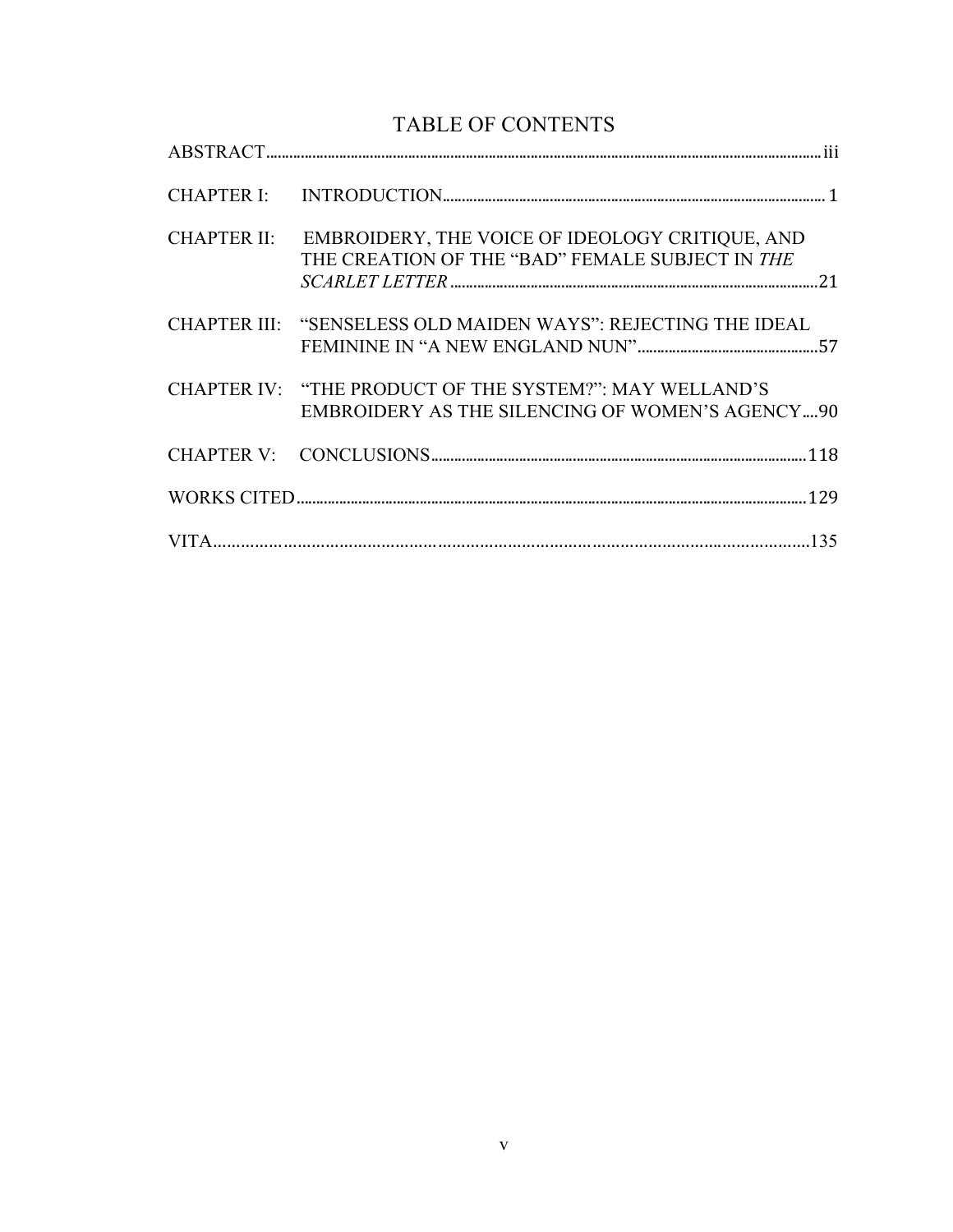# TABLE OF CONTENTS

|  | CHAPTER II: EMBROIDERY, THE VOICE OF IDEOLOGY CRITIQUE, AND<br>THE CREATION OF THE "BAD" FEMALE SUBJECT IN THE    |  |
|--|-------------------------------------------------------------------------------------------------------------------|--|
|  | CHAPTER III: "SENSELESS OLD MAIDEN WAYS": REJECTING THE IDEAL                                                     |  |
|  | CHAPTER IV: "THE PRODUCT OF THE SYSTEM?": MAY WELLAND'S<br><b>EMBROIDERY AS THE SILENCING OF WOMEN'S AGENCY90</b> |  |
|  |                                                                                                                   |  |
|  |                                                                                                                   |  |
|  |                                                                                                                   |  |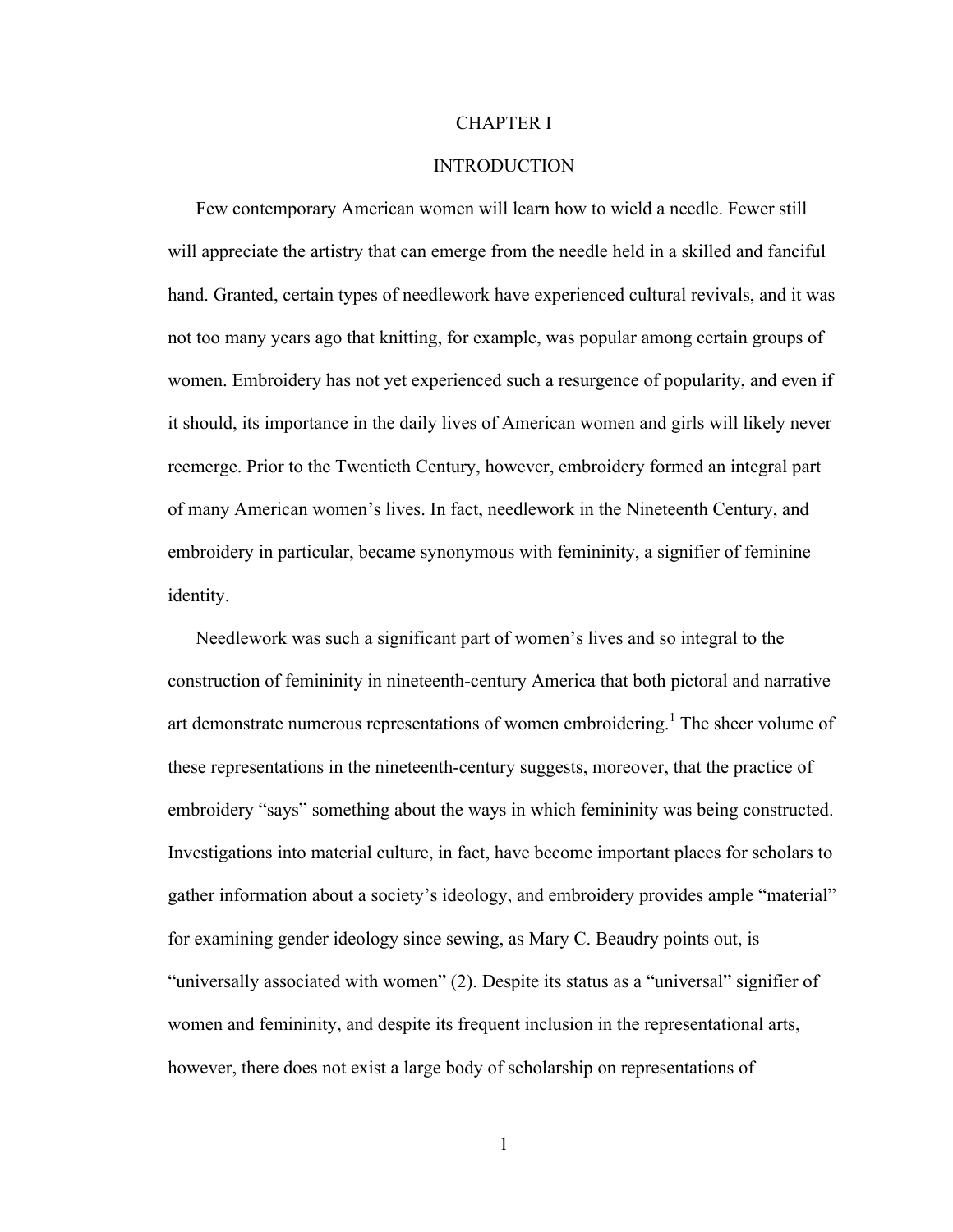#### CHAPTER I

#### **INTRODUCTION**

Few contemporary American women will learn how to wield a needle. Fewer still will appreciate the artistry that can emerge from the needle held in a skilled and fanciful hand. Granted, certain types of needlework have experienced cultural revivals, and it was not too many years ago that knitting, for example, was popular among certain groups of women. Embroidery has not yet experienced such a resurgence of popularity, and even if it should, its importance in the daily lives of American women and girls will likely never reemerge. Prior to the Twentieth Century, however, embroidery formed an integral part of many American women's lives. In fact, needlework in the Nineteenth Century, and embroidery in particular, became synonymous with femininity, a signifier of feminine identity.

Needlework was such a significant part of women's lives and so integral to the construction of femininity in nineteenth-century America that both pictoral and narrative art demonstrate numerous representations of women embroidering.<sup>1</sup> The sheer volume of these representations in the nineteenth-century suggests, moreover, that the practice of embroidery "says" something about the ways in which femininity was being constructed. Investigations into material culture, in fact, have become important places for scholars to gather information about a society's ideology, and embroidery provides ample "material" for examining gender ideology since sewing, as Mary C. Beaudry points out, is "universally associated with women" (2). Despite its status as a "universal" signifier of women and femininity, and despite its frequent inclusion in the representational arts, however, there does not exist a large body of scholarship on representations of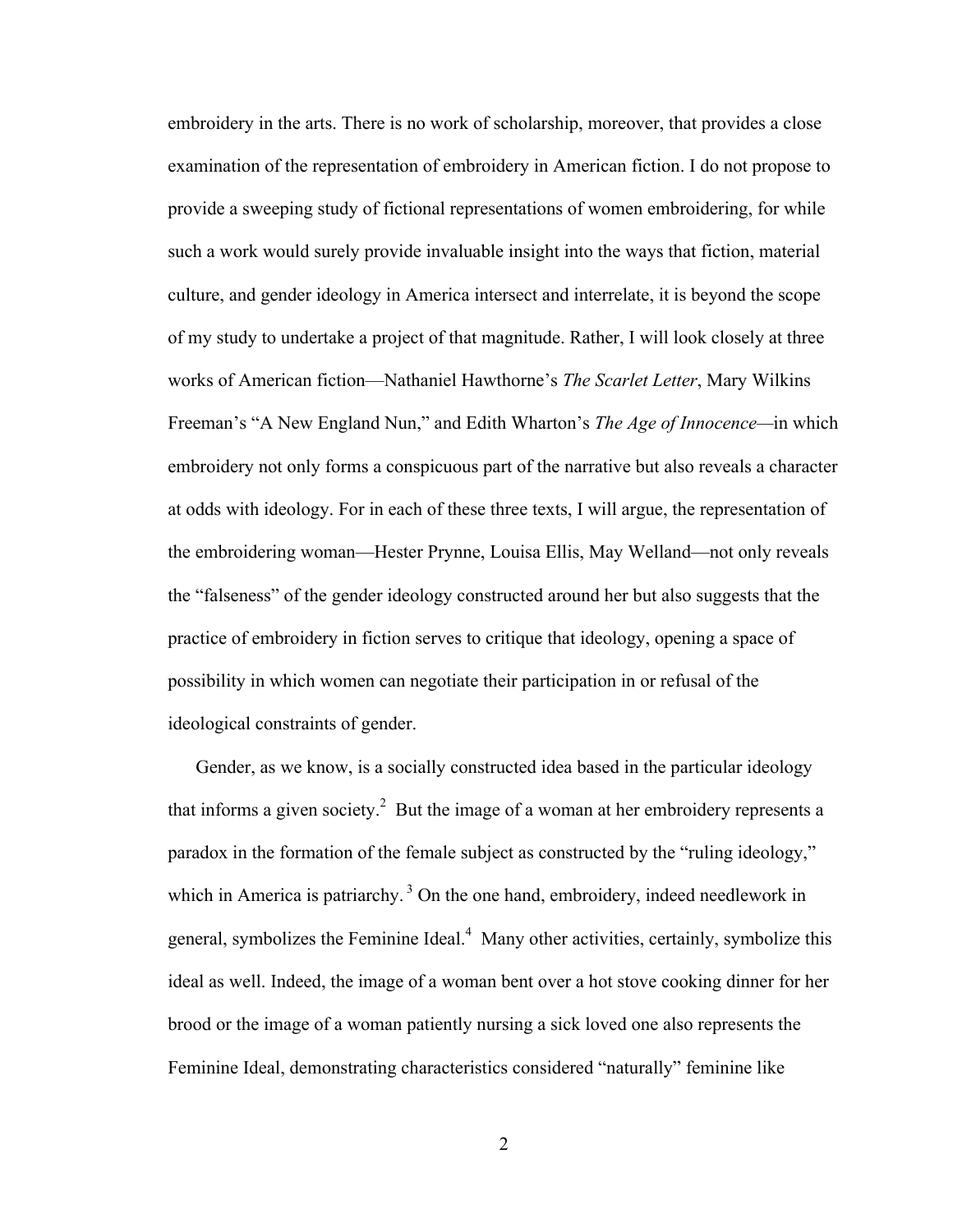embroidery in the arts. There is no work of scholarship, moreover, that provides a close examination of the representation of embroidery in American fiction. I do not propose to provide a sweeping study of fictional representations of women embroidering, for while such a work would surely provide invaluable insight into the ways that fiction, material culture, and gender ideology in America intersect and interrelate, it is beyond the scope of my study to undertake a project of that magnitude. Rather, I will look closely at three works of American fiction—Nathaniel Hawthorne's *The Scarlet Letter*, Mary Wilkins Freeman's "A New England Nun," and Edith Wharton's *The Age of Innocence—*in which embroidery not only forms a conspicuous part of the narrative but also reveals a character at odds with ideology. For in each of these three texts, I will argue, the representation of the embroidering woman—Hester Prynne, Louisa Ellis, May Welland—not only reveals the "falseness" of the gender ideology constructed around her but also suggests that the practice of embroidery in fiction serves to critique that ideology, opening a space of possibility in which women can negotiate their participation in or refusal of the ideological constraints of gender.

Gender, as we know, is a socially constructed idea based in the particular ideology that informs a given society.<sup>2</sup> But the image of a woman at her embroidery represents a paradox in the formation of the female subject as constructed by the "ruling ideology," which in America is patriarchy.<sup>3</sup> On the one hand, embroidery, indeed needlework in general, symbolizes the Feminine Ideal. $<sup>4</sup>$  Many other activities, certainly, symbolize this</sup> ideal as well. Indeed, the image of a woman bent over a hot stove cooking dinner for her brood or the image of a woman patiently nursing a sick loved one also represents the Feminine Ideal, demonstrating characteristics considered "naturally" feminine like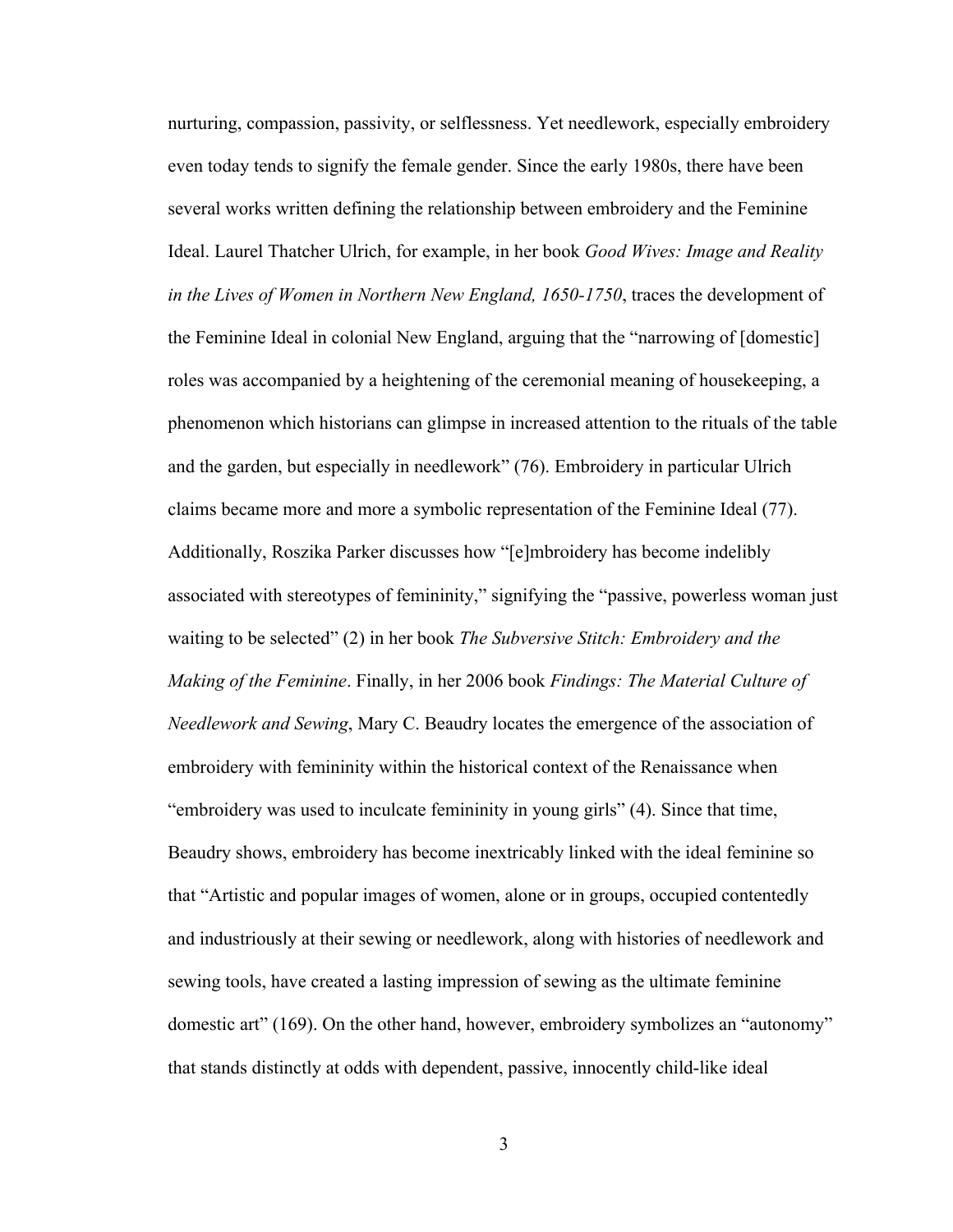nurturing, compassion, passivity, or selflessness. Yet needlework, especially embroidery even today tends to signify the female gender. Since the early 1980s, there have been several works written defining the relationship between embroidery and the Feminine Ideal. Laurel Thatcher Ulrich, for example, in her book *Good Wives: Image and Reality in the Lives of Women in Northern New England, 1650-1750*, traces the development of the Feminine Ideal in colonial New England, arguing that the "narrowing of [domestic] roles was accompanied by a heightening of the ceremonial meaning of housekeeping, a phenomenon which historians can glimpse in increased attention to the rituals of the table and the garden, but especially in needlework" (76). Embroidery in particular Ulrich claims became more and more a symbolic representation of the Feminine Ideal (77). Additionally, Roszika Parker discusses how "[e]mbroidery has become indelibly associated with stereotypes of femininity," signifying the "passive, powerless woman just waiting to be selected" (2) in her book *The Subversive Stitch: Embroidery and the Making of the Feminine*. Finally, in her 2006 book *Findings: The Material Culture of Needlework and Sewing*, Mary C. Beaudry locates the emergence of the association of embroidery with femininity within the historical context of the Renaissance when "embroidery was used to inculcate femininity in young girls" (4). Since that time, Beaudry shows, embroidery has become inextricably linked with the ideal feminine so that "Artistic and popular images of women, alone or in groups, occupied contentedly and industriously at their sewing or needlework, along with histories of needlework and sewing tools, have created a lasting impression of sewing as the ultimate feminine domestic art" (169). On the other hand, however, embroidery symbolizes an "autonomy" that stands distinctly at odds with dependent, passive, innocently child-like ideal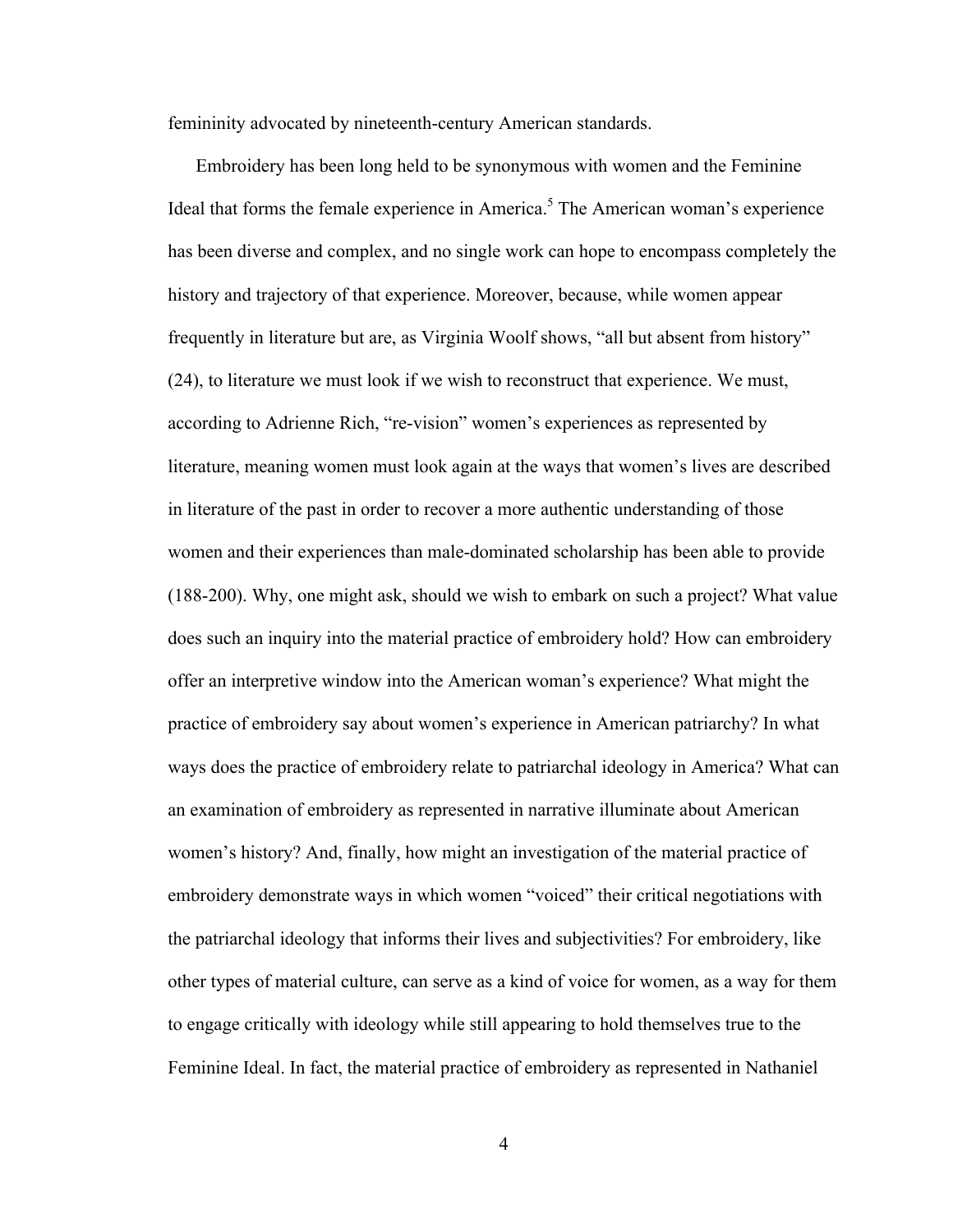femininity advocated by nineteenth-century American standards.

Embroidery has been long held to be synonymous with women and the Feminine Ideal that forms the female experience in America. <sup>5</sup> The American woman's experience has been diverse and complex, and no single work can hope to encompass completely the history and trajectory of that experience. Moreover, because, while women appear frequently in literature but are, as Virginia Woolf shows, "all but absent from history" (24), to literature we must look if we wish to reconstruct that experience. We must, according to Adrienne Rich, "re-vision" women's experiences as represented by literature, meaning women must look again at the ways that women's lives are described in literature of the past in order to recover a more authentic understanding of those women and their experiences than male-dominated scholarship has been able to provide (188-200). Why, one might ask, should we wish to embark on such a project? What value does such an inquiry into the material practice of embroidery hold? How can embroidery offer an interpretive window into the American woman's experience? What might the practice of embroidery say about women's experience in American patriarchy? In what ways does the practice of embroidery relate to patriarchal ideology in America? What can an examination of embroidery as represented in narrative illuminate about American women's history? And, finally, how might an investigation of the material practice of embroidery demonstrate ways in which women "voiced" their critical negotiations with the patriarchal ideology that informs their lives and subjectivities? For embroidery, like other types of material culture, can serve as a kind of voice for women, as a way for them to engage critically with ideology while still appearing to hold themselves true to the Feminine Ideal. In fact, the material practice of embroidery as represented in Nathaniel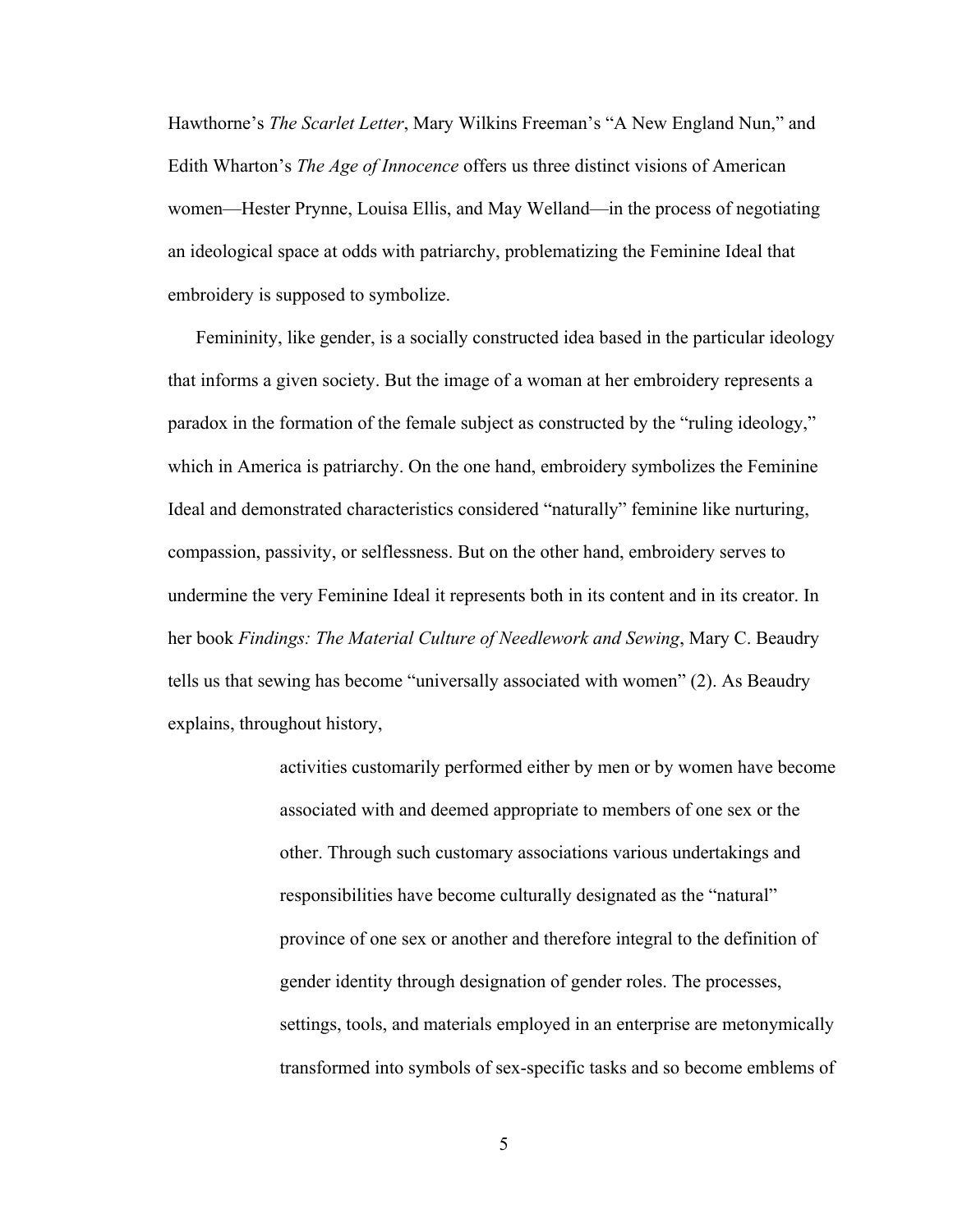Hawthorne's *The Scarlet Letter*, Mary Wilkins Freeman's "A New England Nun," and Edith Wharton's *The Age of Innocence* offers us three distinct visions of American women—Hester Prynne, Louisa Ellis, and May Welland—in the process of negotiating an ideological space at odds with patriarchy, problematizing the Feminine Ideal that embroidery is supposed to symbolize.

Femininity, like gender, is a socially constructed idea based in the particular ideology that informs a given society. But the image of a woman at her embroidery represents a paradox in the formation of the female subject as constructed by the "ruling ideology," which in America is patriarchy. On the one hand, embroidery symbolizes the Feminine Ideal and demonstrated characteristics considered "naturally" feminine like nurturing, compassion, passivity, or selflessness. But on the other hand, embroidery serves to undermine the very Feminine Ideal it represents both in its content and in its creator. In her book *Findings: The Material Culture of Needlework and Sewing*, Mary C. Beaudry tells us that sewing has become "universally associated with women" (2). As Beaudry explains, throughout history,

> activities customarily performed either by men or by women have become associated with and deemed appropriate to members of one sex or the other. Through such customary associations various undertakings and responsibilities have become culturally designated as the "natural" province of one sex or another and therefore integral to the definition of gender identity through designation of gender roles. The processes, settings, tools, and materials employed in an enterprise are metonymically transformed into symbols of sex-specific tasks and so become emblems of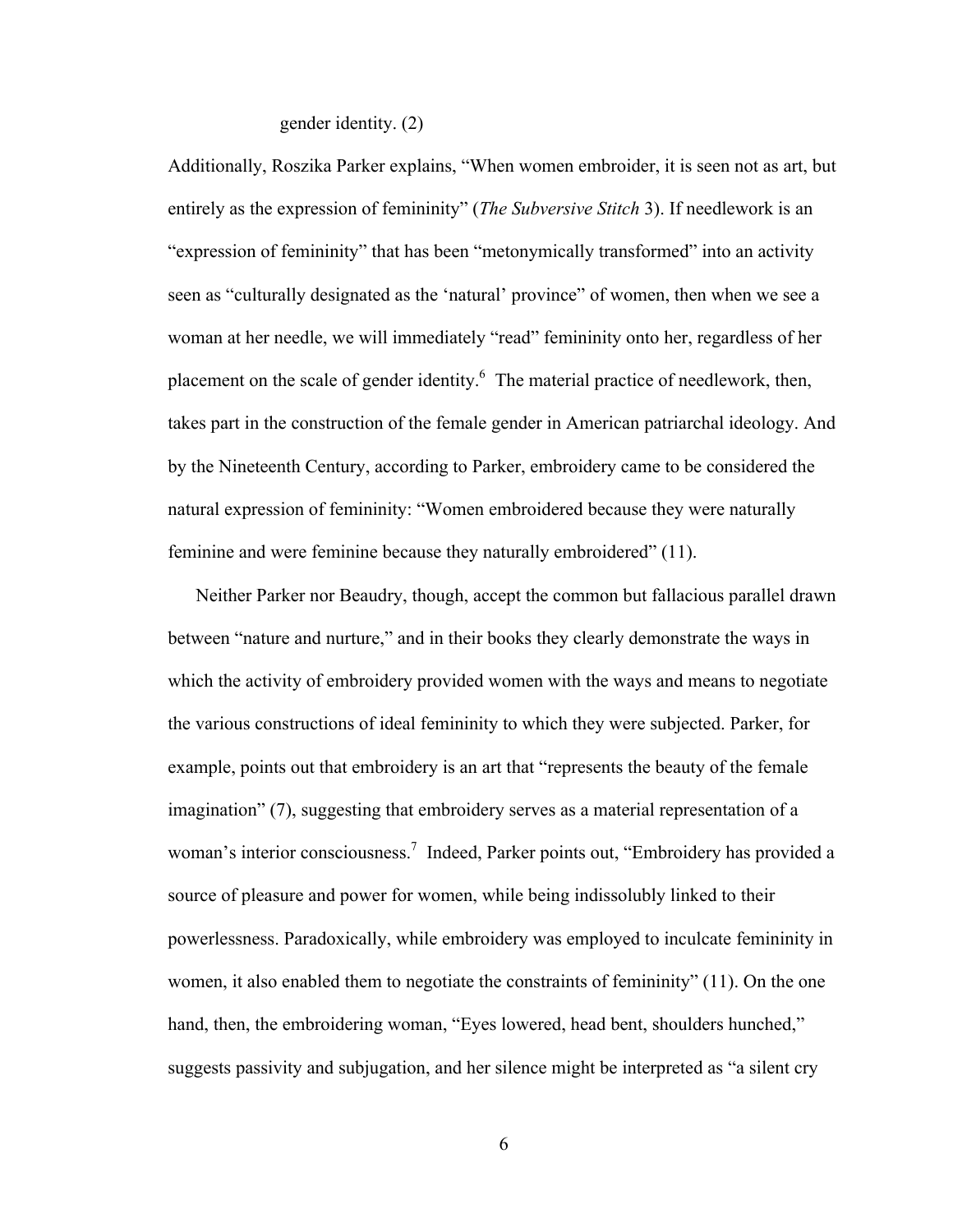gender identity. (2)

Additionally, Roszika Parker explains, "When women embroider, it is seen not as art, but entirely as the expression of femininity" (*The Subversive Stitch* 3). If needlework is an "expression of femininity" that has been "metonymically transformed" into an activity seen as "culturally designated as the 'natural' province" of women, then when we see a woman at her needle, we will immediately "read" femininity onto her, regardless of her placement on the scale of gender identity.<sup>6</sup> The material practice of needlework, then, takes part in the construction of the female gender in American patriarchal ideology. And by the Nineteenth Century, according to Parker, embroidery came to be considered the natural expression of femininity: "Women embroidered because they were naturally feminine and were feminine because they naturally embroidered" (11).

Neither Parker nor Beaudry, though, accept the common but fallacious parallel drawn between "nature and nurture," and in their books they clearly demonstrate the ways in which the activity of embroidery provided women with the ways and means to negotiate the various constructions of ideal femininity to which they were subjected. Parker, for example, points out that embroidery is an art that "represents the beauty of the female imagination" (7), suggesting that embroidery serves as a material representation of a woman's interior consciousness.<sup>7</sup> Indeed, Parker points out, "Embroidery has provided a source of pleasure and power for women, while being indissolubly linked to their powerlessness. Paradoxically, while embroidery was employed to inculcate femininity in women, it also enabled them to negotiate the constraints of femininity" (11). On the one hand, then, the embroidering woman, "Eyes lowered, head bent, shoulders hunched," suggests passivity and subjugation, and her silence might be interpreted as "a silent cry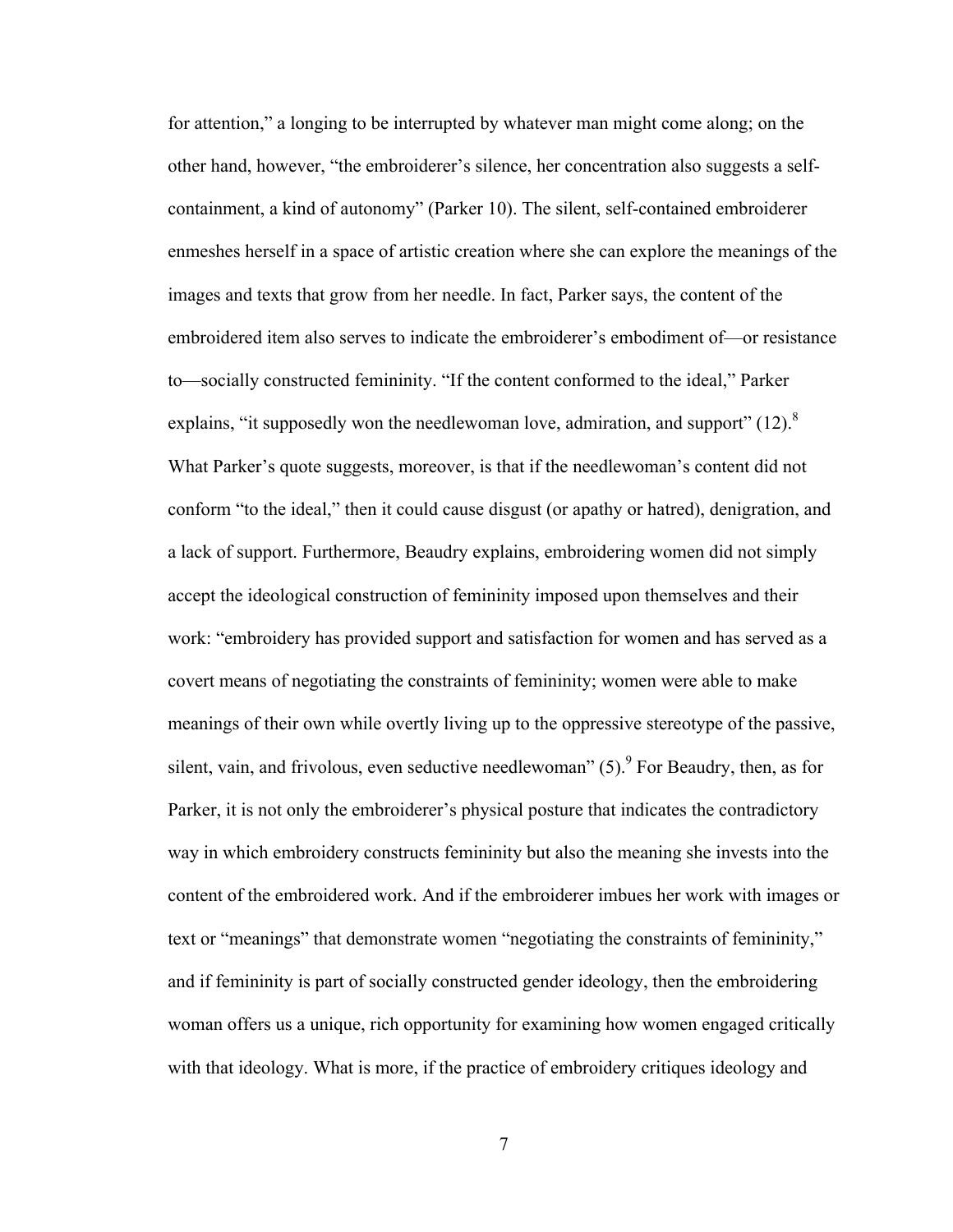for attention," a longing to be interrupted by whatever man might come along; on the other hand, however, "the embroiderer's silence, her concentration also suggests a selfcontainment, a kind of autonomy" (Parker 10). The silent, self-contained embroiderer enmeshes herself in a space of artistic creation where she can explore the meanings of the images and texts that grow from her needle. In fact, Parker says, the content of the embroidered item also serves to indicate the embroiderer's embodiment of—or resistance to—socially constructed femininity. "If the content conformed to the ideal," Parker explains, "it supposedly won the needlewoman love, admiration, and support"  $(12)^8$ . What Parker's quote suggests, moreover, is that if the needlewoman's content did not conform "to the ideal," then it could cause disgust (or apathy or hatred), denigration, and a lack of support. Furthermore, Beaudry explains, embroidering women did not simply accept the ideological construction of femininity imposed upon themselves and their work: "embroidery has provided support and satisfaction for women and has served as a covert means of negotiating the constraints of femininity; women were able to make meanings of their own while overtly living up to the oppressive stereotype of the passive, silent, vain, and frivolous, even seductive needlewoman"  $(5)$ <sup>9</sup>. For Beaudry, then, as for Parker, it is not only the embroiderer's physical posture that indicates the contradictory way in which embroidery constructs femininity but also the meaning she invests into the content of the embroidered work. And if the embroiderer imbues her work with images or text or "meanings" that demonstrate women "negotiating the constraints of femininity," and if femininity is part of socially constructed gender ideology, then the embroidering woman offers us a unique, rich opportunity for examining how women engaged critically with that ideology. What is more, if the practice of embroidery critiques ideology and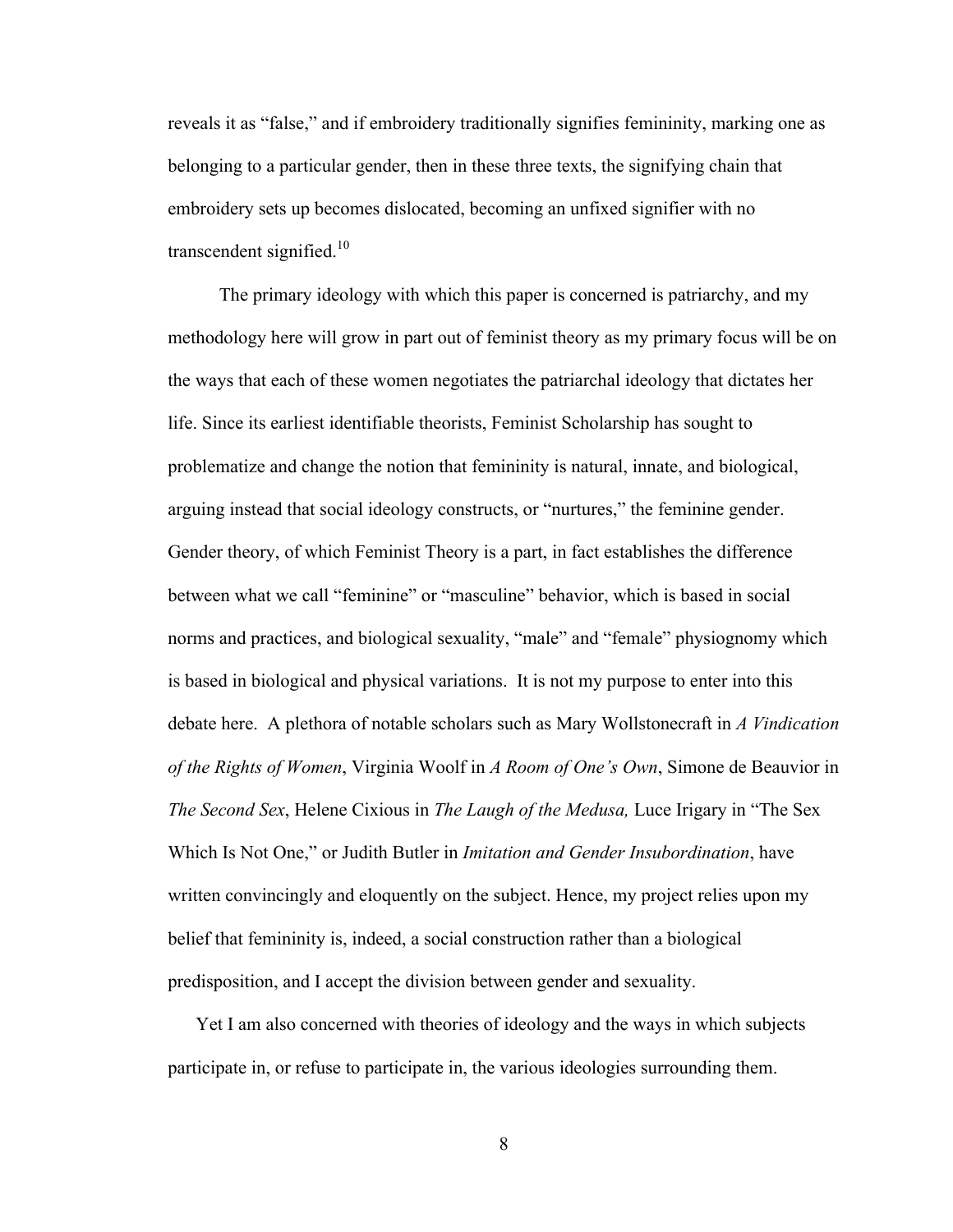reveals it as "false," and if embroidery traditionally signifies femininity, marking one as belonging to a particular gender, then in these three texts, the signifying chain that embroidery sets up becomes dislocated, becoming an unfixed signifier with no transcendent signified.<sup>10</sup>

 The primary ideology with which this paper is concerned is patriarchy, and my methodology here will grow in part out of feminist theory as my primary focus will be on the ways that each of these women negotiates the patriarchal ideology that dictates her life. Since its earliest identifiable theorists, Feminist Scholarship has sought to problematize and change the notion that femininity is natural, innate, and biological, arguing instead that social ideology constructs, or "nurtures," the feminine gender. Gender theory, of which Feminist Theory is a part, in fact establishes the difference between what we call "feminine" or "masculine" behavior, which is based in social norms and practices, and biological sexuality, "male" and "female" physiognomy which is based in biological and physical variations. It is not my purpose to enter into this debate here. A plethora of notable scholars such as Mary Wollstonecraft in *A Vindication of the Rights of Women*, Virginia Woolf in *A Room of One's Own*, Simone de Beauvior in *The Second Sex*, Helene Cixious in *The Laugh of the Medusa,* Luce Irigary in "The Sex Which Is Not One," or Judith Butler in *Imitation and Gender Insubordination*, have written convincingly and eloquently on the subject. Hence, my project relies upon my belief that femininity is, indeed, a social construction rather than a biological predisposition, and I accept the division between gender and sexuality.

Yet I am also concerned with theories of ideology and the ways in which subjects participate in, or refuse to participate in, the various ideologies surrounding them.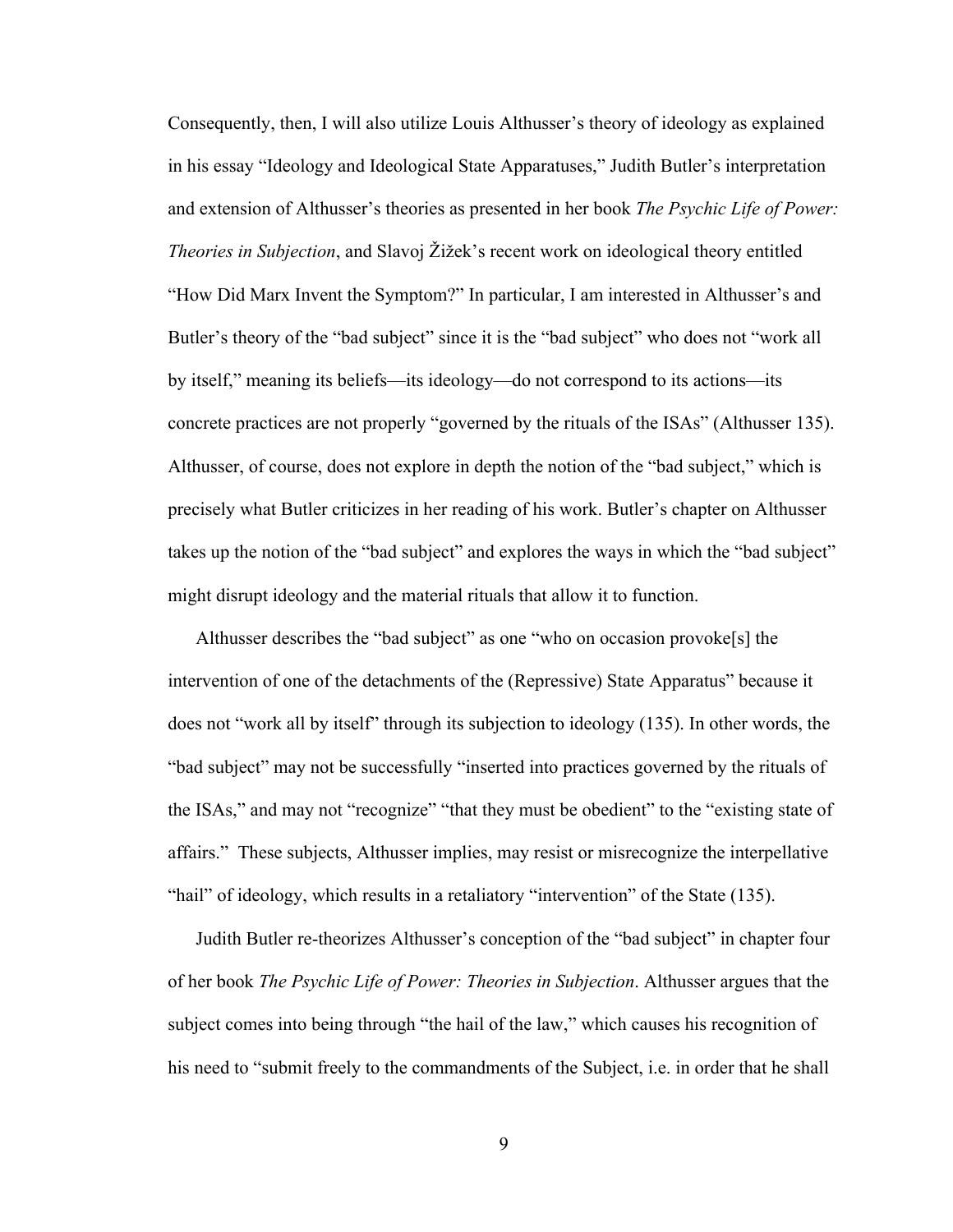Consequently, then, I will also utilize Louis Althusser's theory of ideology as explained in his essay "Ideology and Ideological State Apparatuses," Judith Butler's interpretation and extension of Althusser's theories as presented in her book *The Psychic Life of Power: Theories in Subjection*, and Slavoj Žižek's recent work on ideological theory entitled "How Did Marx Invent the Symptom?" In particular, I am interested in Althusser's and Butler's theory of the "bad subject" since it is the "bad subject" who does not "work all by itself," meaning its beliefs—its ideology—do not correspond to its actions—its concrete practices are not properly "governed by the rituals of the ISAs" (Althusser 135). Althusser, of course, does not explore in depth the notion of the "bad subject," which is precisely what Butler criticizes in her reading of his work. Butler's chapter on Althusser takes up the notion of the "bad subject" and explores the ways in which the "bad subject" might disrupt ideology and the material rituals that allow it to function.

Althusser describes the "bad subject" as one "who on occasion provoke[s] the intervention of one of the detachments of the (Repressive) State Apparatus" because it does not "work all by itself" through its subjection to ideology (135). In other words, the "bad subject" may not be successfully "inserted into practices governed by the rituals of the ISAs," and may not "recognize" "that they must be obedient" to the "existing state of affairs." These subjects, Althusser implies, may resist or misrecognize the interpellative "hail" of ideology, which results in a retaliatory "intervention" of the State (135).

Judith Butler re-theorizes Althusser's conception of the "bad subject" in chapter four of her book *The Psychic Life of Power: Theories in Subjection*. Althusser argues that the subject comes into being through "the hail of the law," which causes his recognition of his need to "submit freely to the commandments of the Subject, i.e. in order that he shall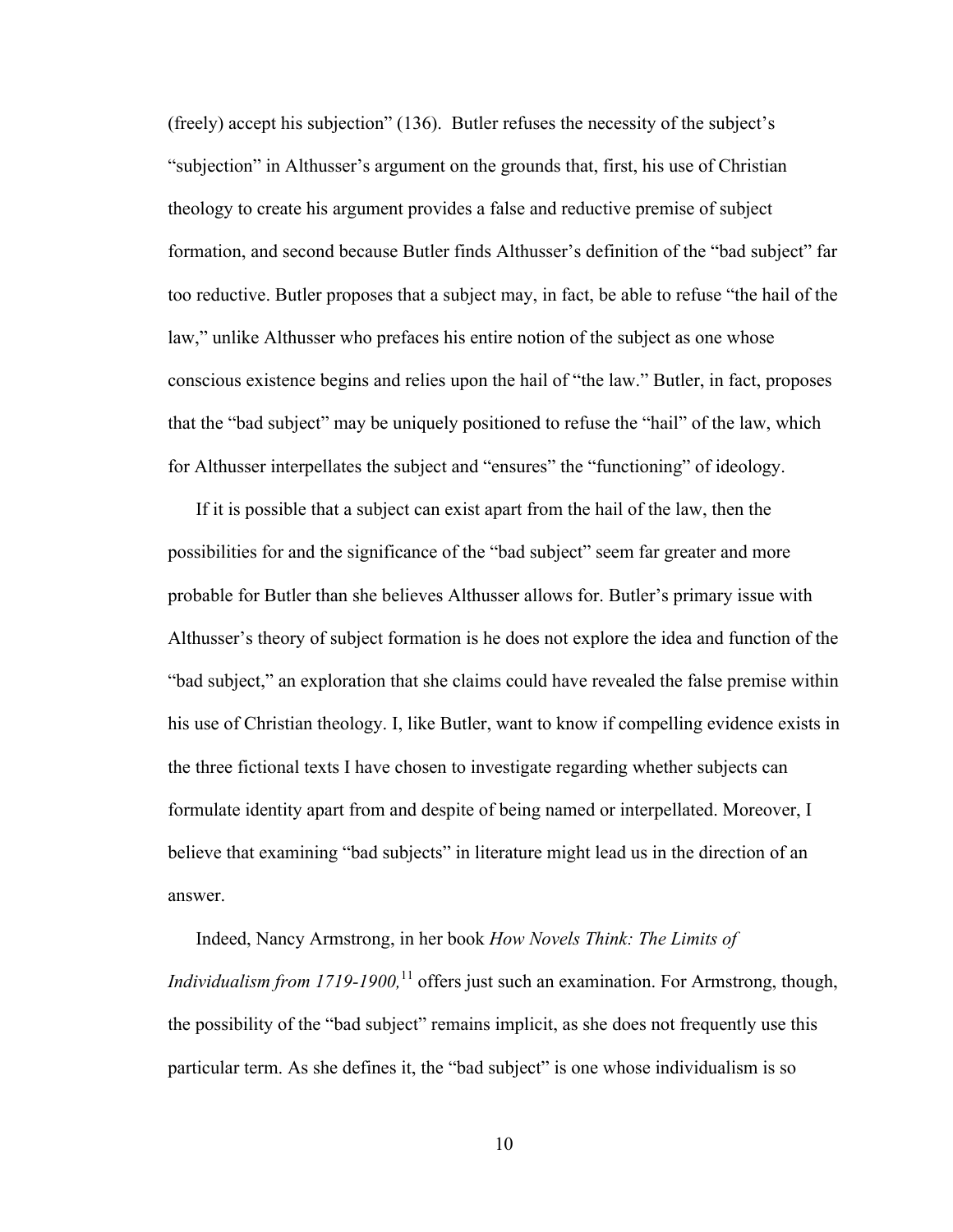(freely) accept his subjection" (136). Butler refuses the necessity of the subject's "subjection" in Althusser's argument on the grounds that, first, his use of Christian theology to create his argument provides a false and reductive premise of subject formation, and second because Butler finds Althusser's definition of the "bad subject" far too reductive. Butler proposes that a subject may, in fact, be able to refuse "the hail of the law," unlike Althusser who prefaces his entire notion of the subject as one whose conscious existence begins and relies upon the hail of "the law." Butler, in fact, proposes that the "bad subject" may be uniquely positioned to refuse the "hail" of the law, which for Althusser interpellates the subject and "ensures" the "functioning" of ideology.

If it is possible that a subject can exist apart from the hail of the law, then the possibilities for and the significance of the "bad subject" seem far greater and more probable for Butler than she believes Althusser allows for. Butler's primary issue with Althusser's theory of subject formation is he does not explore the idea and function of the "bad subject," an exploration that she claims could have revealed the false premise within his use of Christian theology. I, like Butler, want to know if compelling evidence exists in the three fictional texts I have chosen to investigate regarding whether subjects can formulate identity apart from and despite of being named or interpellated. Moreover, I believe that examining "bad subjects" in literature might lead us in the direction of an answer.

Indeed, Nancy Armstrong, in her book *How Novels Think: The Limits of Individualism from 1719-1900*,<sup>11</sup> offers just such an examination. For Armstrong, though, the possibility of the "bad subject" remains implicit, as she does not frequently use this particular term. As she defines it, the "bad subject" is one whose individualism is so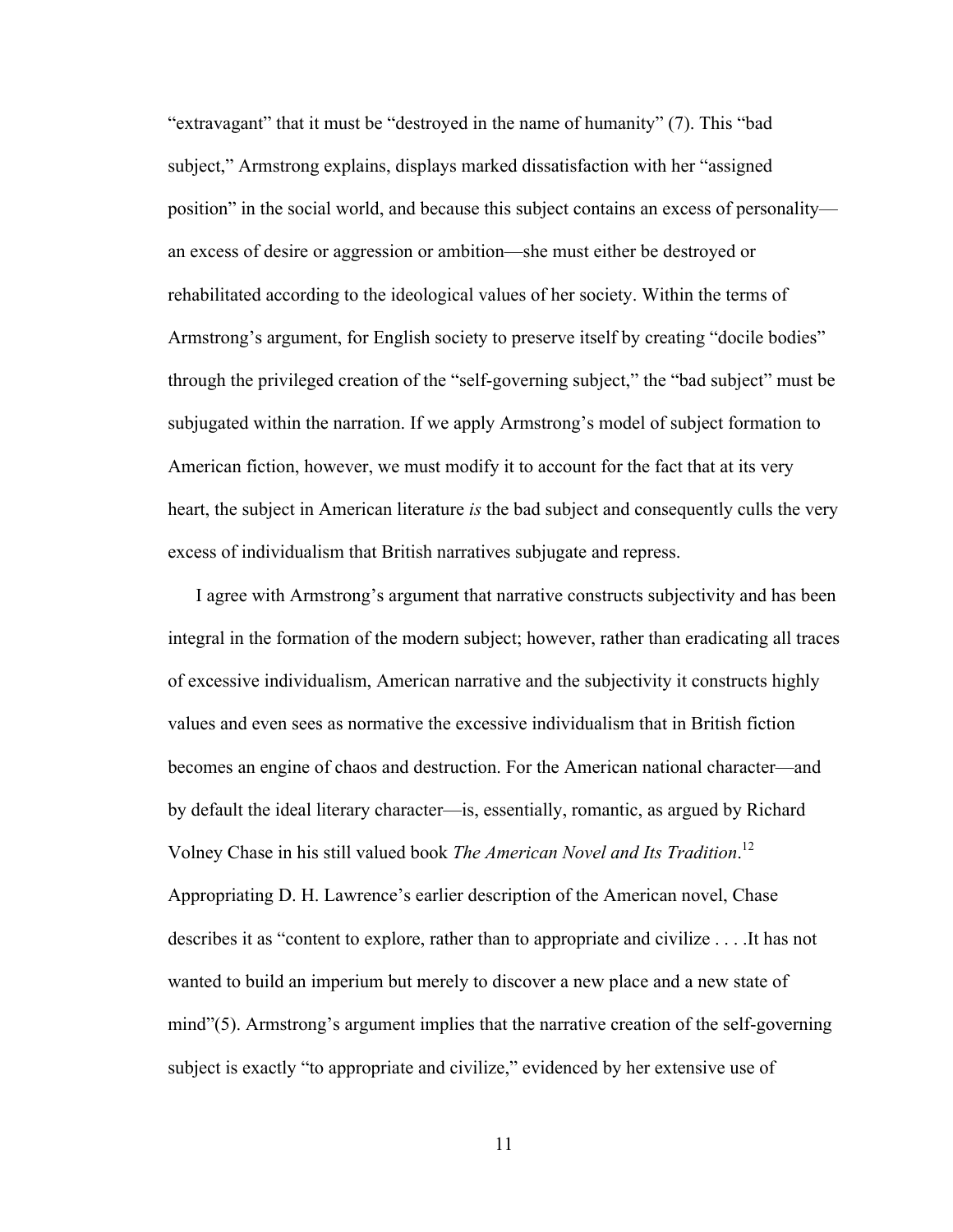"extravagant" that it must be "destroyed in the name of humanity" (7). This "bad subject," Armstrong explains, displays marked dissatisfaction with her "assigned position" in the social world, and because this subject contains an excess of personality an excess of desire or aggression or ambition—she must either be destroyed or rehabilitated according to the ideological values of her society. Within the terms of Armstrong's argument, for English society to preserve itself by creating "docile bodies" through the privileged creation of the "self-governing subject," the "bad subject" must be subjugated within the narration. If we apply Armstrong's model of subject formation to American fiction, however, we must modify it to account for the fact that at its very heart, the subject in American literature *is* the bad subject and consequently culls the very excess of individualism that British narratives subjugate and repress.

I agree with Armstrong's argument that narrative constructs subjectivity and has been integral in the formation of the modern subject; however, rather than eradicating all traces of excessive individualism, American narrative and the subjectivity it constructs highly values and even sees as normative the excessive individualism that in British fiction becomes an engine of chaos and destruction. For the American national character—and by default the ideal literary character—is, essentially, romantic, as argued by Richard Volney Chase in his still valued book *The American Novel and Its Tradition*. 12 Appropriating D. H. Lawrence's earlier description of the American novel, Chase describes it as "content to explore, rather than to appropriate and civilize . . . .It has not wanted to build an imperium but merely to discover a new place and a new state of mind"(5). Armstrong's argument implies that the narrative creation of the self-governing subject is exactly "to appropriate and civilize," evidenced by her extensive use of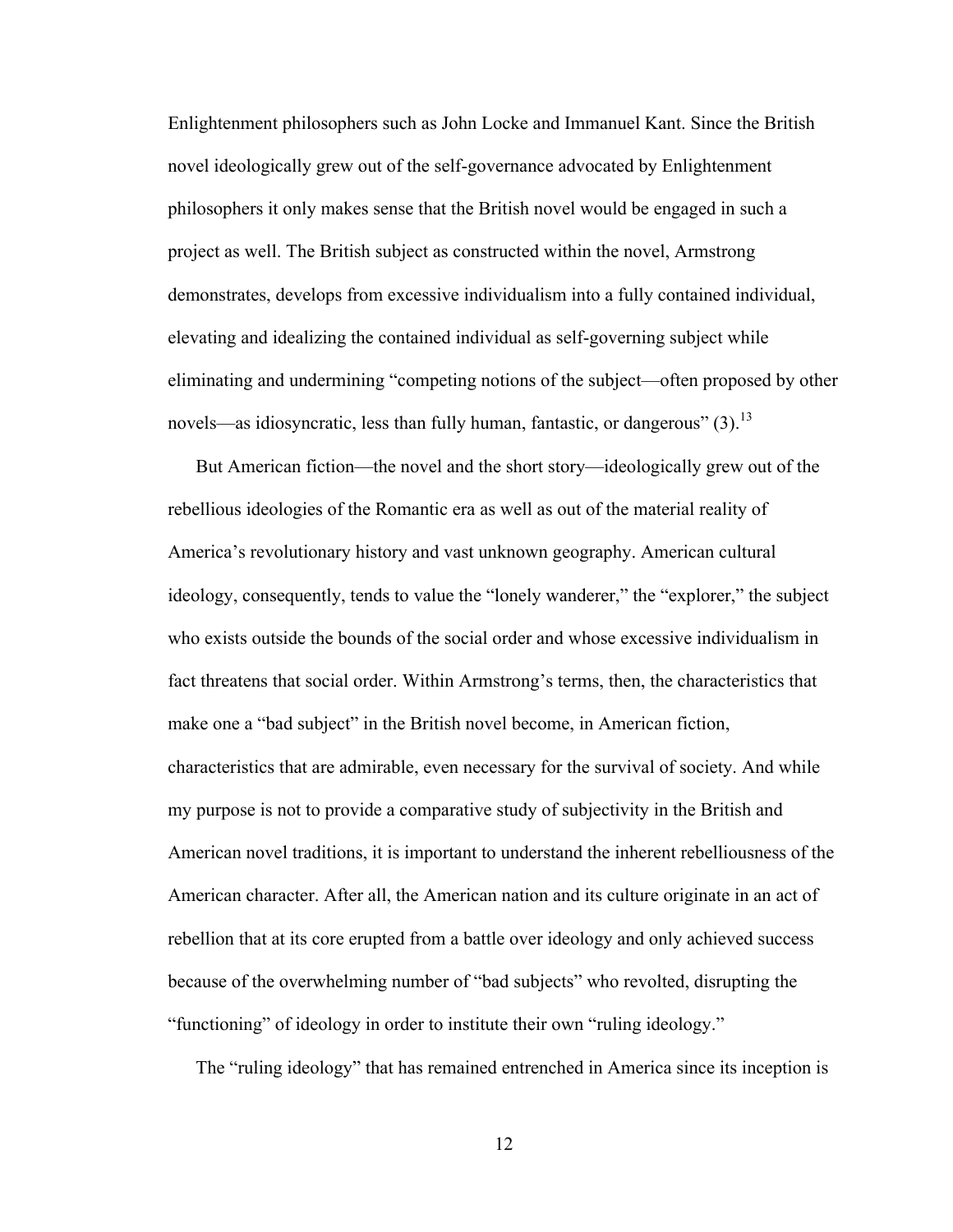Enlightenment philosophers such as John Locke and Immanuel Kant. Since the British novel ideologically grew out of the self-governance advocated by Enlightenment philosophers it only makes sense that the British novel would be engaged in such a project as well. The British subject as constructed within the novel, Armstrong demonstrates, develops from excessive individualism into a fully contained individual, elevating and idealizing the contained individual as self-governing subject while eliminating and undermining "competing notions of the subject—often proposed by other novels—as idiosyncratic, less than fully human, fantastic, or dangerous"  $(3)$ .<sup>13</sup>

But American fiction—the novel and the short story—ideologically grew out of the rebellious ideologies of the Romantic era as well as out of the material reality of America's revolutionary history and vast unknown geography. American cultural ideology, consequently, tends to value the "lonely wanderer," the "explorer," the subject who exists outside the bounds of the social order and whose excessive individualism in fact threatens that social order. Within Armstrong's terms, then, the characteristics that make one a "bad subject" in the British novel become, in American fiction, characteristics that are admirable, even necessary for the survival of society. And while my purpose is not to provide a comparative study of subjectivity in the British and American novel traditions, it is important to understand the inherent rebelliousness of the American character. After all, the American nation and its culture originate in an act of rebellion that at its core erupted from a battle over ideology and only achieved success because of the overwhelming number of "bad subjects" who revolted, disrupting the "functioning" of ideology in order to institute their own "ruling ideology."

The "ruling ideology" that has remained entrenched in America since its inception is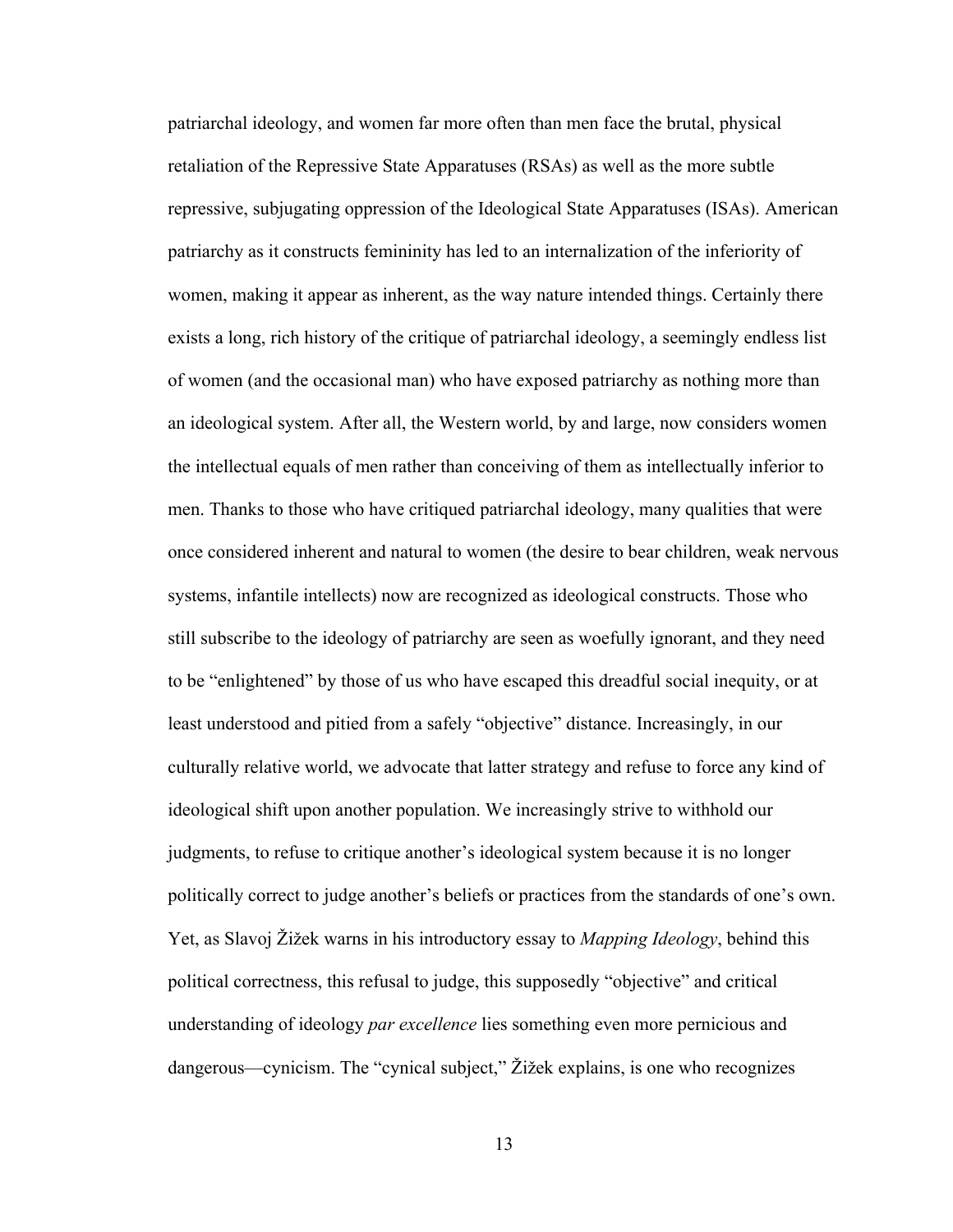patriarchal ideology, and women far more often than men face the brutal, physical retaliation of the Repressive State Apparatuses (RSAs) as well as the more subtle repressive, subjugating oppression of the Ideological State Apparatuses (ISAs). American patriarchy as it constructs femininity has led to an internalization of the inferiority of women, making it appear as inherent, as the way nature intended things. Certainly there exists a long, rich history of the critique of patriarchal ideology, a seemingly endless list of women (and the occasional man) who have exposed patriarchy as nothing more than an ideological system. After all, the Western world, by and large, now considers women the intellectual equals of men rather than conceiving of them as intellectually inferior to men. Thanks to those who have critiqued patriarchal ideology, many qualities that were once considered inherent and natural to women (the desire to bear children, weak nervous systems, infantile intellects) now are recognized as ideological constructs. Those who still subscribe to the ideology of patriarchy are seen as woefully ignorant, and they need to be "enlightened" by those of us who have escaped this dreadful social inequity, or at least understood and pitied from a safely "objective" distance. Increasingly, in our culturally relative world, we advocate that latter strategy and refuse to force any kind of ideological shift upon another population. We increasingly strive to withhold our judgments, to refuse to critique another's ideological system because it is no longer politically correct to judge another's beliefs or practices from the standards of one's own. Yet, as Slavoj Žižek warns in his introductory essay to *Mapping Ideology*, behind this political correctness, this refusal to judge, this supposedly "objective" and critical understanding of ideology *par excellence* lies something even more pernicious and dangerous—cynicism. The "cynical subject," Žižek explains, is one who recognizes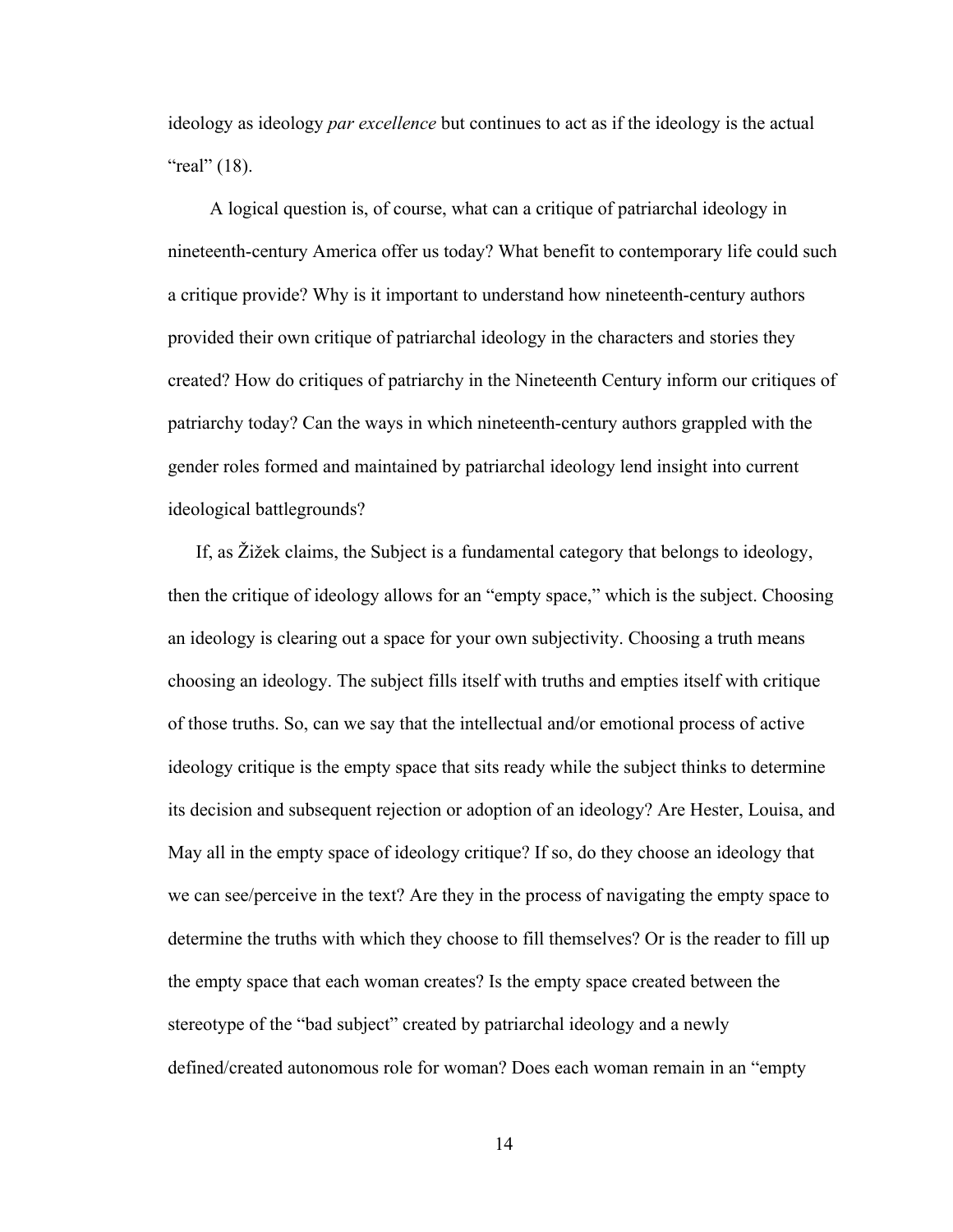ideology as ideology *par excellence* but continues to act as if the ideology is the actual "real"  $(18)$ .

 A logical question is, of course, what can a critique of patriarchal ideology in nineteenth-century America offer us today? What benefit to contemporary life could such a critique provide? Why is it important to understand how nineteenth-century authors provided their own critique of patriarchal ideology in the characters and stories they created? How do critiques of patriarchy in the Nineteenth Century inform our critiques of patriarchy today? Can the ways in which nineteenth-century authors grappled with the gender roles formed and maintained by patriarchal ideology lend insight into current ideological battlegrounds?

If, as Žižek claims, the Subject is a fundamental category that belongs to ideology, then the critique of ideology allows for an "empty space," which is the subject. Choosing an ideology is clearing out a space for your own subjectivity. Choosing a truth means choosing an ideology. The subject fills itself with truths and empties itself with critique of those truths. So, can we say that the intellectual and/or emotional process of active ideology critique is the empty space that sits ready while the subject thinks to determine its decision and subsequent rejection or adoption of an ideology? Are Hester, Louisa, and May all in the empty space of ideology critique? If so, do they choose an ideology that we can see/perceive in the text? Are they in the process of navigating the empty space to determine the truths with which they choose to fill themselves? Or is the reader to fill up the empty space that each woman creates? Is the empty space created between the stereotype of the "bad subject" created by patriarchal ideology and a newly defined/created autonomous role for woman? Does each woman remain in an "empty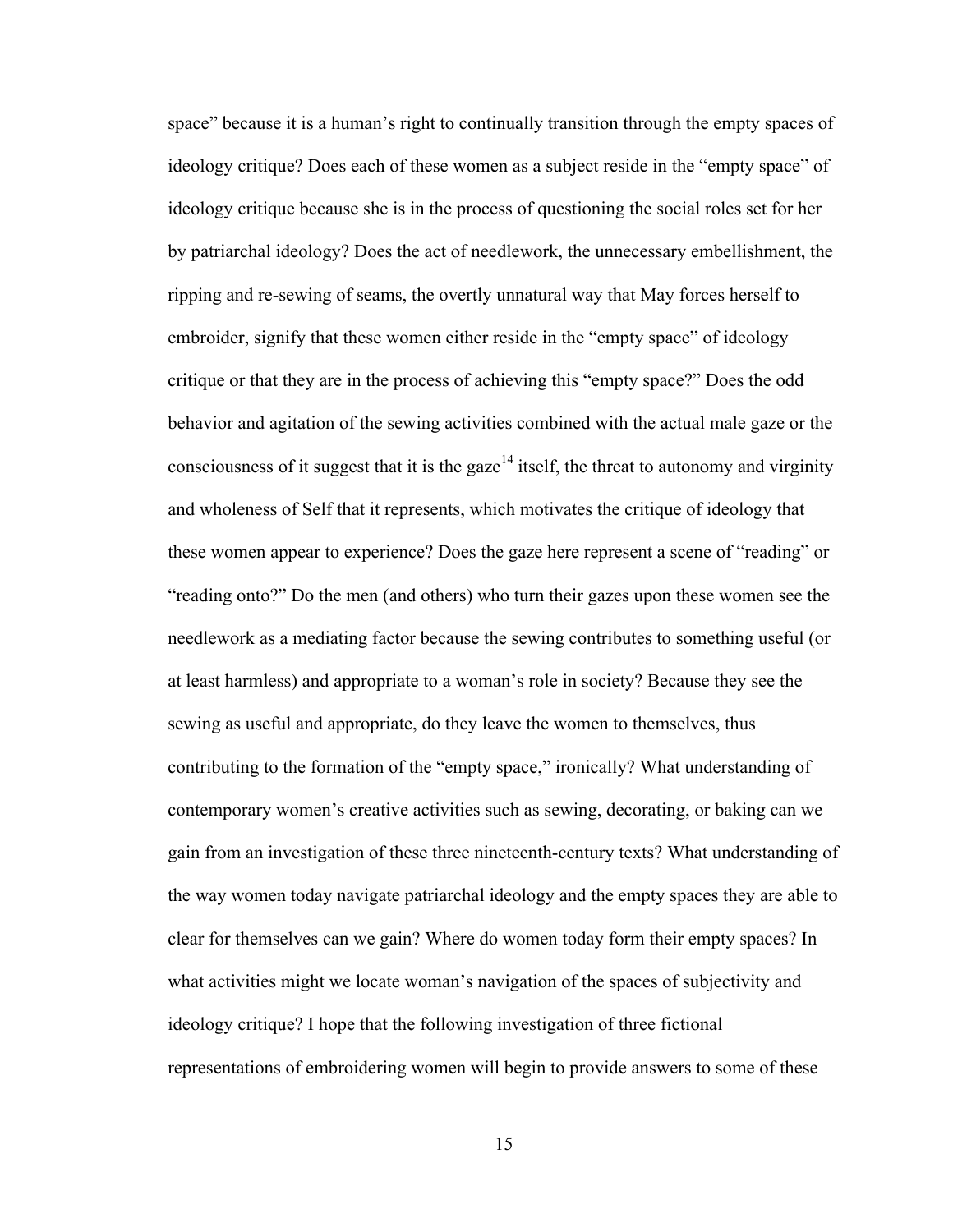space" because it is a human's right to continually transition through the empty spaces of ideology critique? Does each of these women as a subject reside in the "empty space" of ideology critique because she is in the process of questioning the social roles set for her by patriarchal ideology? Does the act of needlework, the unnecessary embellishment, the ripping and re-sewing of seams, the overtly unnatural way that May forces herself to embroider, signify that these women either reside in the "empty space" of ideology critique or that they are in the process of achieving this "empty space?" Does the odd behavior and agitation of the sewing activities combined with the actual male gaze or the consciousness of it suggest that it is the gaze<sup> $14$ </sup> itself, the threat to autonomy and virginity and wholeness of Self that it represents, which motivates the critique of ideology that these women appear to experience? Does the gaze here represent a scene of "reading" or "reading onto?" Do the men (and others) who turn their gazes upon these women see the needlework as a mediating factor because the sewing contributes to something useful (or at least harmless) and appropriate to a woman's role in society? Because they see the sewing as useful and appropriate, do they leave the women to themselves, thus contributing to the formation of the "empty space," ironically? What understanding of contemporary women's creative activities such as sewing, decorating, or baking can we gain from an investigation of these three nineteenth-century texts? What understanding of the way women today navigate patriarchal ideology and the empty spaces they are able to clear for themselves can we gain? Where do women today form their empty spaces? In what activities might we locate woman's navigation of the spaces of subjectivity and ideology critique? I hope that the following investigation of three fictional representations of embroidering women will begin to provide answers to some of these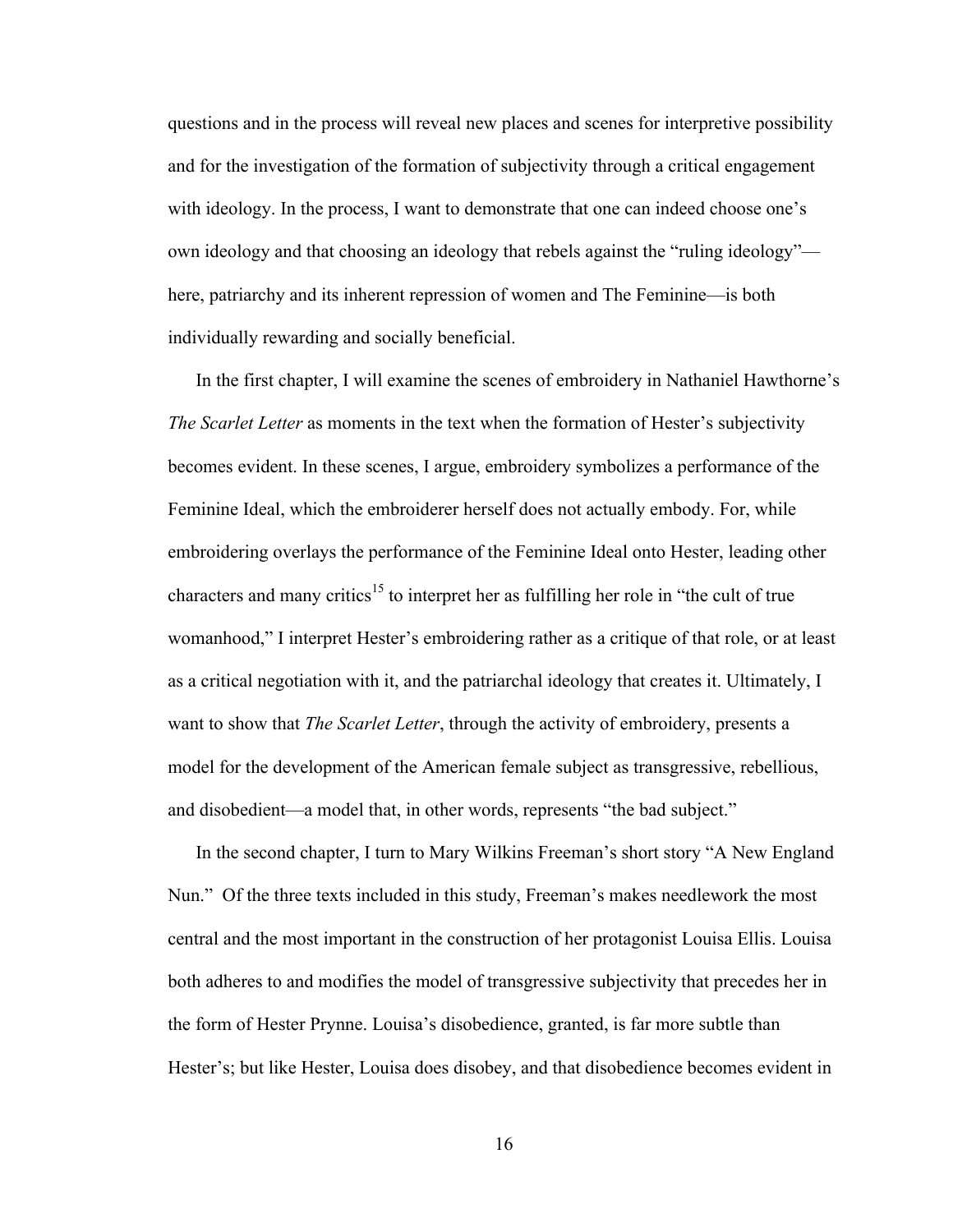questions and in the process will reveal new places and scenes for interpretive possibility and for the investigation of the formation of subjectivity through a critical engagement with ideology. In the process, I want to demonstrate that one can indeed choose one's own ideology and that choosing an ideology that rebels against the "ruling ideology" here, patriarchy and its inherent repression of women and The Feminine—is both individually rewarding and socially beneficial.

In the first chapter, I will examine the scenes of embroidery in Nathaniel Hawthorne's *The Scarlet Letter* as moments in the text when the formation of Hester's subjectivity becomes evident. In these scenes, I argue, embroidery symbolizes a performance of the Feminine Ideal, which the embroiderer herself does not actually embody. For, while embroidering overlays the performance of the Feminine Ideal onto Hester, leading other characters and many critics<sup>15</sup> to interpret her as fulfilling her role in "the cult of true" womanhood," I interpret Hester's embroidering rather as a critique of that role, or at least as a critical negotiation with it, and the patriarchal ideology that creates it. Ultimately, I want to show that *The Scarlet Letter*, through the activity of embroidery, presents a model for the development of the American female subject as transgressive, rebellious, and disobedient—a model that, in other words, represents "the bad subject."

In the second chapter, I turn to Mary Wilkins Freeman's short story "A New England Nun." Of the three texts included in this study, Freeman's makes needlework the most central and the most important in the construction of her protagonist Louisa Ellis. Louisa both adheres to and modifies the model of transgressive subjectivity that precedes her in the form of Hester Prynne. Louisa's disobedience, granted, is far more subtle than Hester's; but like Hester, Louisa does disobey, and that disobedience becomes evident in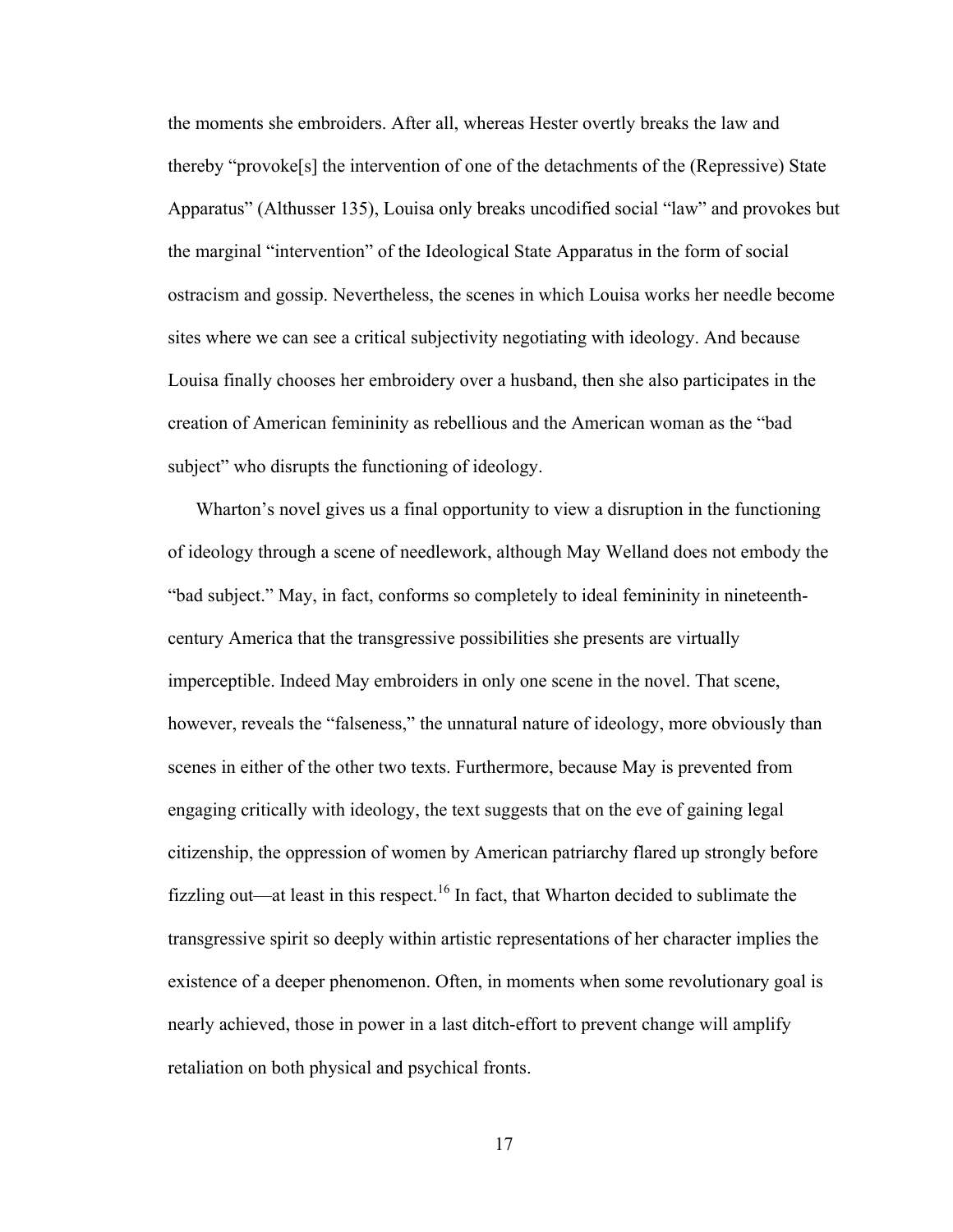the moments she embroiders. After all, whereas Hester overtly breaks the law and thereby "provoke[s] the intervention of one of the detachments of the (Repressive) State Apparatus" (Althusser 135), Louisa only breaks uncodified social "law" and provokes but the marginal "intervention" of the Ideological State Apparatus in the form of social ostracism and gossip. Nevertheless, the scenes in which Louisa works her needle become sites where we can see a critical subjectivity negotiating with ideology. And because Louisa finally chooses her embroidery over a husband, then she also participates in the creation of American femininity as rebellious and the American woman as the "bad subject" who disrupts the functioning of ideology.

Wharton's novel gives us a final opportunity to view a disruption in the functioning of ideology through a scene of needlework, although May Welland does not embody the "bad subject." May, in fact, conforms so completely to ideal femininity in nineteenthcentury America that the transgressive possibilities she presents are virtually imperceptible. Indeed May embroiders in only one scene in the novel. That scene, however, reveals the "falseness," the unnatural nature of ideology, more obviously than scenes in either of the other two texts. Furthermore, because May is prevented from engaging critically with ideology, the text suggests that on the eve of gaining legal citizenship, the oppression of women by American patriarchy flared up strongly before fizzling out—at least in this respect.<sup>16</sup> In fact, that Wharton decided to sublimate the transgressive spirit so deeply within artistic representations of her character implies the existence of a deeper phenomenon. Often, in moments when some revolutionary goal is nearly achieved, those in power in a last ditch-effort to prevent change will amplify retaliation on both physical and psychical fronts.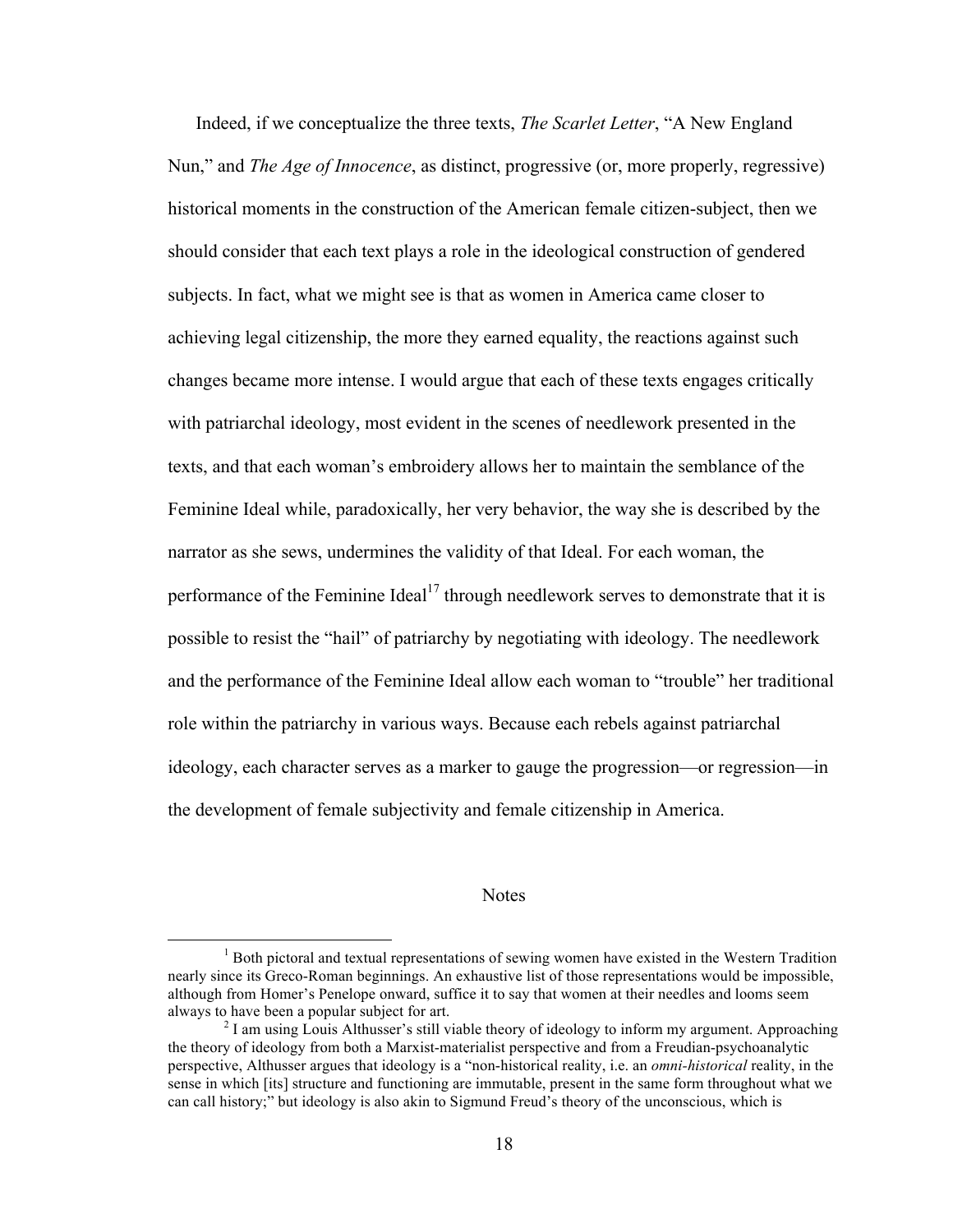Indeed, if we conceptualize the three texts, *The Scarlet Letter*, "A New England Nun," and *The Age of Innocence*, as distinct, progressive (or, more properly, regressive) historical moments in the construction of the American female citizen-subject, then we should consider that each text plays a role in the ideological construction of gendered subjects. In fact, what we might see is that as women in America came closer to achieving legal citizenship, the more they earned equality, the reactions against such changes became more intense. I would argue that each of these texts engages critically with patriarchal ideology, most evident in the scenes of needlework presented in the texts, and that each woman's embroidery allows her to maintain the semblance of the Feminine Ideal while, paradoxically, her very behavior, the way she is described by the narrator as she sews, undermines the validity of that Ideal. For each woman, the performance of the Feminine Ideal<sup>17</sup> through needlework serves to demonstrate that it is possible to resist the "hail" of patriarchy by negotiating with ideology. The needlework and the performance of the Feminine Ideal allow each woman to "trouble" her traditional role within the patriarchy in various ways. Because each rebels against patriarchal ideology, each character serves as a marker to gauge the progression—or regression—in the development of female subjectivity and female citizenship in America.

#### **Notes**

 $<sup>1</sup>$  Both pictoral and textual representations of sewing women have existed in the Western Tradition</sup> nearly since its Greco-Roman beginnings. An exhaustive list of those representations would be impossible, although from Homer's Penelope onward, suffice it to say that women at their needles and looms seem always to have been a popular subject for art.<br><sup>2</sup> I am using Louis Althusser's still viable theory of ideology to inform my argument. Approaching

the theory of ideology from both a Marxist-materialist perspective and from a Freudian-psychoanalytic perspective, Althusser argues that ideology is a "non-historical reality, i.e. an *omni-historical* reality, in the sense in which [its] structure and functioning are immutable, present in the same form throughout what we can call history;" but ideology is also akin to Sigmund Freud's theory of the unconscious, which is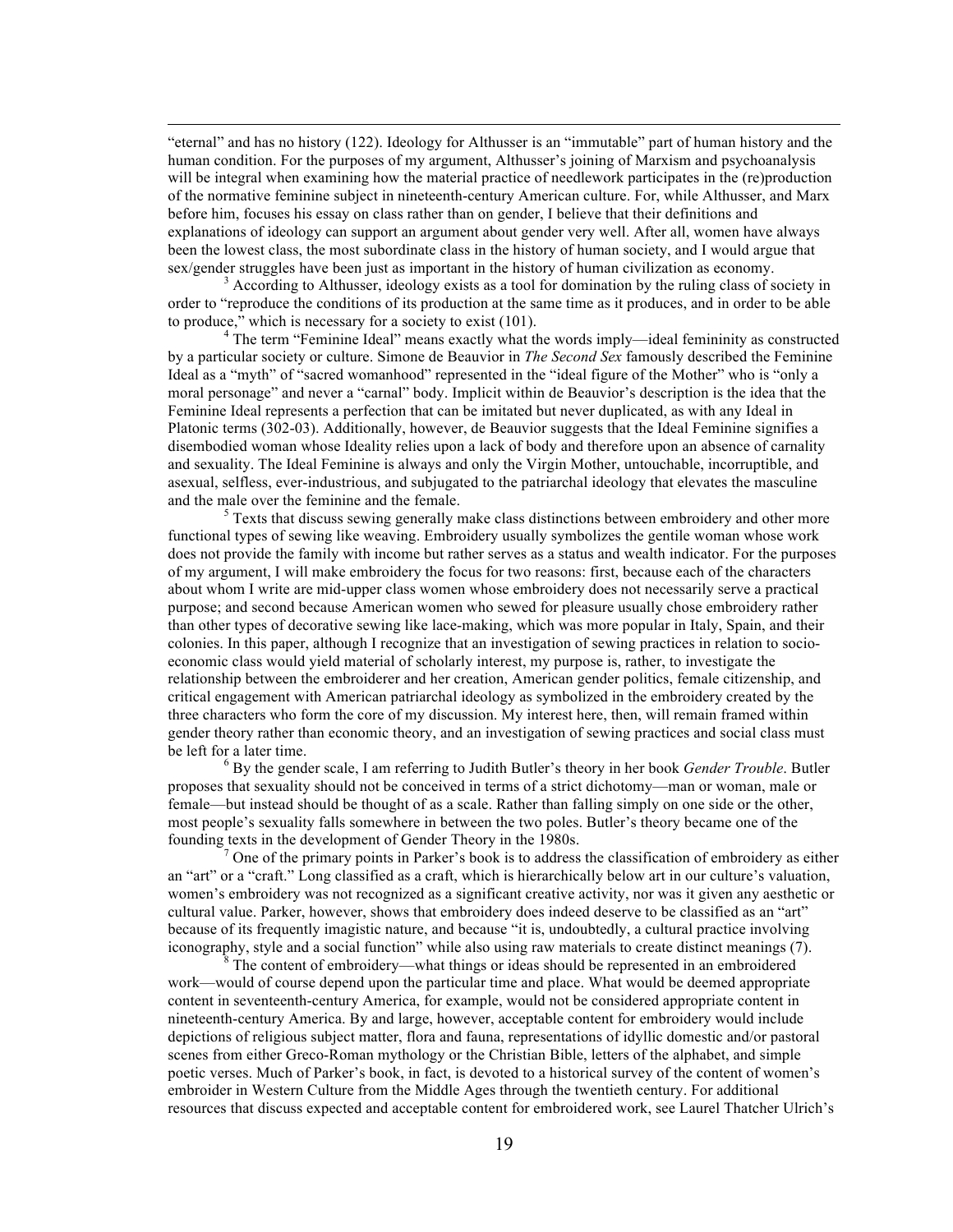"eternal" and has no history (122). Ideology for Althusser is an "immutable" part of human history and the human condition. For the purposes of my argument, Althusser's joining of Marxism and psychoanalysis will be integral when examining how the material practice of needlework participates in the (re)production of the normative feminine subject in nineteenth-century American culture. For, while Althusser, and Marx before him, focuses his essay on class rather than on gender, I believe that their definitions and explanations of ideology can support an argument about gender very well. After all, women have always been the lowest class, the most subordinate class in the history of human society, and I would argue that sex/gender struggles have been just as important in the history of human civilization as economy.<br><sup>3</sup> According to Althusser, ideology exists as a tool for domination by the ruling class of society in

order to "reproduce the conditions of its production at the same time as it produces, and in order to be able to produce," which is necessary for a society to exist (101).

 $t^4$  The term "Feminine Ideal" means exactly what the words imply—ideal femininity as constructed by a particular society or culture. Simone de Beauvior in *The Second Sex* famously described the Feminine Ideal as a "myth" of "sacred womanhood" represented in the "ideal figure of the Mother" who is "only a moral personage" and never a "carnal" body. Implicit within de Beauvior's description is the idea that the Feminine Ideal represents a perfection that can be imitated but never duplicated, as with any Ideal in Platonic terms (302-03). Additionally, however, de Beauvior suggests that the Ideal Feminine signifies a disembodied woman whose Ideality relies upon a lack of body and therefore upon an absence of carnality and sexuality. The Ideal Feminine is always and only the Virgin Mother, untouchable, incorruptible, and asexual, selfless, ever-industrious, and subjugated to the patriarchal ideology that elevates the masculine and the male over the feminine and the female.<br><sup>5</sup> Texts that discuss sewing generally make class distinctions between embroidery and other more

functional types of sewing like weaving. Embroidery usually symbolizes the gentile woman whose work does not provide the family with income but rather serves as a status and wealth indicator. For the purposes of my argument, I will make embroidery the focus for two reasons: first, because each of the characters about whom I write are mid-upper class women whose embroidery does not necessarily serve a practical purpose; and second because American women who sewed for pleasure usually chose embroidery rather than other types of decorative sewing like lace-making, which was more popular in Italy, Spain, and their colonies. In this paper, although I recognize that an investigation of sewing practices in relation to socioeconomic class would yield material of scholarly interest, my purpose is, rather, to investigate the relationship between the embroiderer and her creation, American gender politics, female citizenship, and critical engagement with American patriarchal ideology as symbolized in the embroidery created by the three characters who form the core of my discussion. My interest here, then, will remain framed within gender theory rather than economic theory, and an investigation of sewing practices and social class must be left for a later time.<br><sup>6</sup> By the gender scale, I am referring to Judith Butler's theory in her book *Gender Trouble*. Butler

proposes that sexuality should not be conceived in terms of a strict dichotomy—man or woman, male or female—but instead should be thought of as a scale. Rather than falling simply on one side or the other, most people's sexuality falls somewhere in between the two poles. Butler's theory became one of the founding texts in the development of Gender Theory in the 1980s.<br><sup>7</sup> One of the primary points in Parker's book is to address the classification of embroidery as either

an "art" or a "craft." Long classified as a craft, which is hierarchically below art in our culture's valuation, women's embroidery was not recognized as a significant creative activity, nor was it given any aesthetic or cultural value. Parker, however, shows that embroidery does indeed deserve to be classified as an "art" because of its frequently imagistic nature, and because "it is, undoubtedly, a cultural practice involving iconography, style and a social function" while also using raw materials to create distinct meanings (7).<br><sup>8</sup> The content of embroidery—what things or ideas should be represented in an embroidered

work—would of course depend upon the particular time and place. What would be deemed appropriate content in seventeenth-century America, for example, would not be considered appropriate content in nineteenth-century America. By and large, however, acceptable content for embroidery would include depictions of religious subject matter, flora and fauna, representations of idyllic domestic and/or pastoral scenes from either Greco-Roman mythology or the Christian Bible, letters of the alphabet, and simple poetic verses. Much of Parker's book, in fact, is devoted to a historical survey of the content of women's embroider in Western Culture from the Middle Ages through the twentieth century. For additional resources that discuss expected and acceptable content for embroidered work, see Laurel Thatcher Ulrich's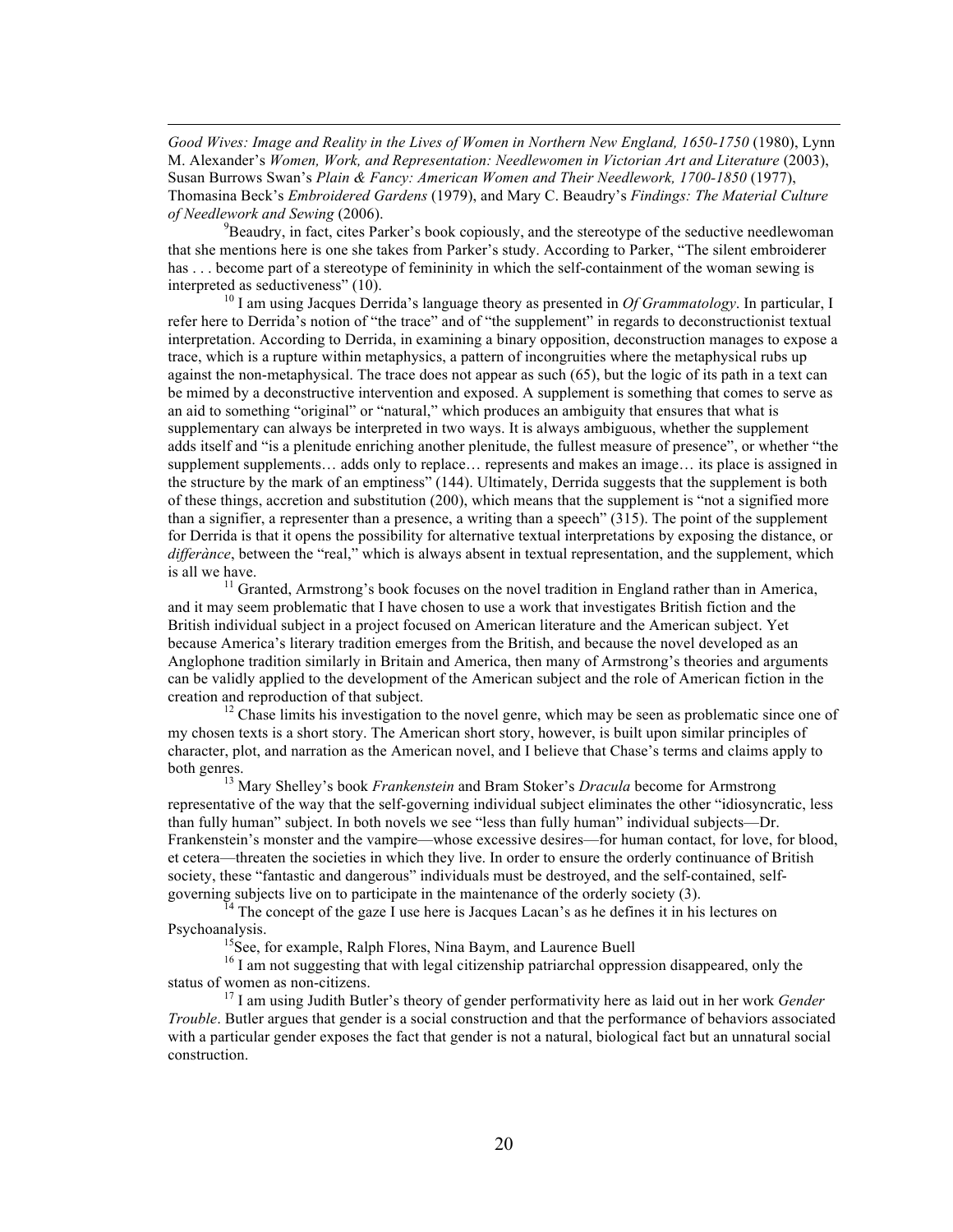*Good Wives: Image and Reality in the Lives of Women in Northern New England, 1650-1750* (1980), Lynn M. Alexander's *Women, Work, and Representation: Needlewomen in Victorian Art and Literature* (2003), Susan Burrows Swan's *Plain & Fancy: American Women and Their Needlework, 1700-1850* (1977), Thomasina Beck's *Embroidered Gardens* (1979), and Mary C. Beaudry's *Findings: The Material Culture of Needlework and Sewing* (2006).

<u>.</u>

 $^{9}$ Beaudry, in fact, cites Parker's book copiously, and the stereotype of the seductive needlewoman that she mentions here is one she takes from Parker's study. According to Parker, "The silent embroiderer has . . . become part of a stereotype of femininity in which the self-containment of the woman sewing is interpreted as seductiveness" (10).<br><sup>10</sup> I am using Jacques Derrida's language theory as presented in *Of Grammatology*. In particular, I

refer here to Derrida's notion of "the trace" and of "the supplement" in regards to deconstructionist textual interpretation. According to Derrida, in examining a binary opposition, deconstruction manages to expose a trace, which is a rupture within metaphysics, a pattern of incongruities where the metaphysical rubs up against the non-metaphysical. The trace does not appear as such (65), but the logic of its path in a text can be mimed by a deconstructive intervention and exposed. A supplement is something that comes to serve as an aid to something "original" or "natural," which produces an ambiguity that ensures that what is supplementary can always be interpreted in two ways. It is always ambiguous, whether the supplement adds itself and "is a plenitude enriching another plenitude, the fullest measure of presence", or whether "the supplement supplements… adds only to replace… represents and makes an image… its place is assigned in the structure by the mark of an emptiness" (144). Ultimately, Derrida suggests that the supplement is both of these things, accretion and substitution (200), which means that the supplement is "not a signified more than a signifier, a representer than a presence, a writing than a speech" (315). The point of the supplement for Derrida is that it opens the possibility for alternative textual interpretations by exposing the distance, or differance, between the "real," which is always absent in textual representation, and the supplement, which is all we have.

<sup>11</sup> Granted, Armstrong's book focuses on the novel tradition in England rather than in America, and it may seem problematic that I have chosen to use a work that investigates British fiction and the British individual subject in a project focused on American literature and the American subject. Yet because America's literary tradition emerges from the British, and because the novel developed as an Anglophone tradition similarly in Britain and America, then many of Armstrong's theories and arguments can be validly applied to the development of the American subject and the role of American fiction in the creation and reproduction of that subject.<br><sup>12</sup> Chase limits his investigation to the novel genre, which may be seen as problematic since one of

my chosen texts is a short story. The American short story, however, is built upon similar principles of character, plot, and narration as the American novel, and I believe that Chase's terms and claims apply to both genres. <sup>13</sup> Mary Shelley's book *Frankenstein* and Bram Stoker's *Dracula* become for Armstrong

representative of the way that the self-governing individual subject eliminates the other "idiosyncratic, less than fully human" subject. In both novels we see "less than fully human" individual subjects—Dr. Frankenstein's monster and the vampire—whose excessive desires—for human contact, for love, for blood, et cetera—threaten the societies in which they live. In order to ensure the orderly continuance of British society, these "fantastic and dangerous" individuals must be destroyed, and the self-contained, self-<br>governing subjects live on to participate in the maintenance of the orderly society (3).

 $\overline{I}^4$  The concept of the gaze I use here is Jacques Lacan's as he defines it in his lectures on Psychoanalysis.<br><sup>15</sup>See, for example, Ralph Flores, Nina Baym, and Laurence Buell

<sup>16</sup> I am not suggesting that with legal citizenship patriarchal oppression disappeared, only the status of women as non-citizens. <sup>17</sup> I am using Judith Butler's theory of gender performativity here as laid out in her work *Gender* 

*Trouble*. Butler argues that gender is a social construction and that the performance of behaviors associated with a particular gender exposes the fact that gender is not a natural, biological fact but an unnatural social construction.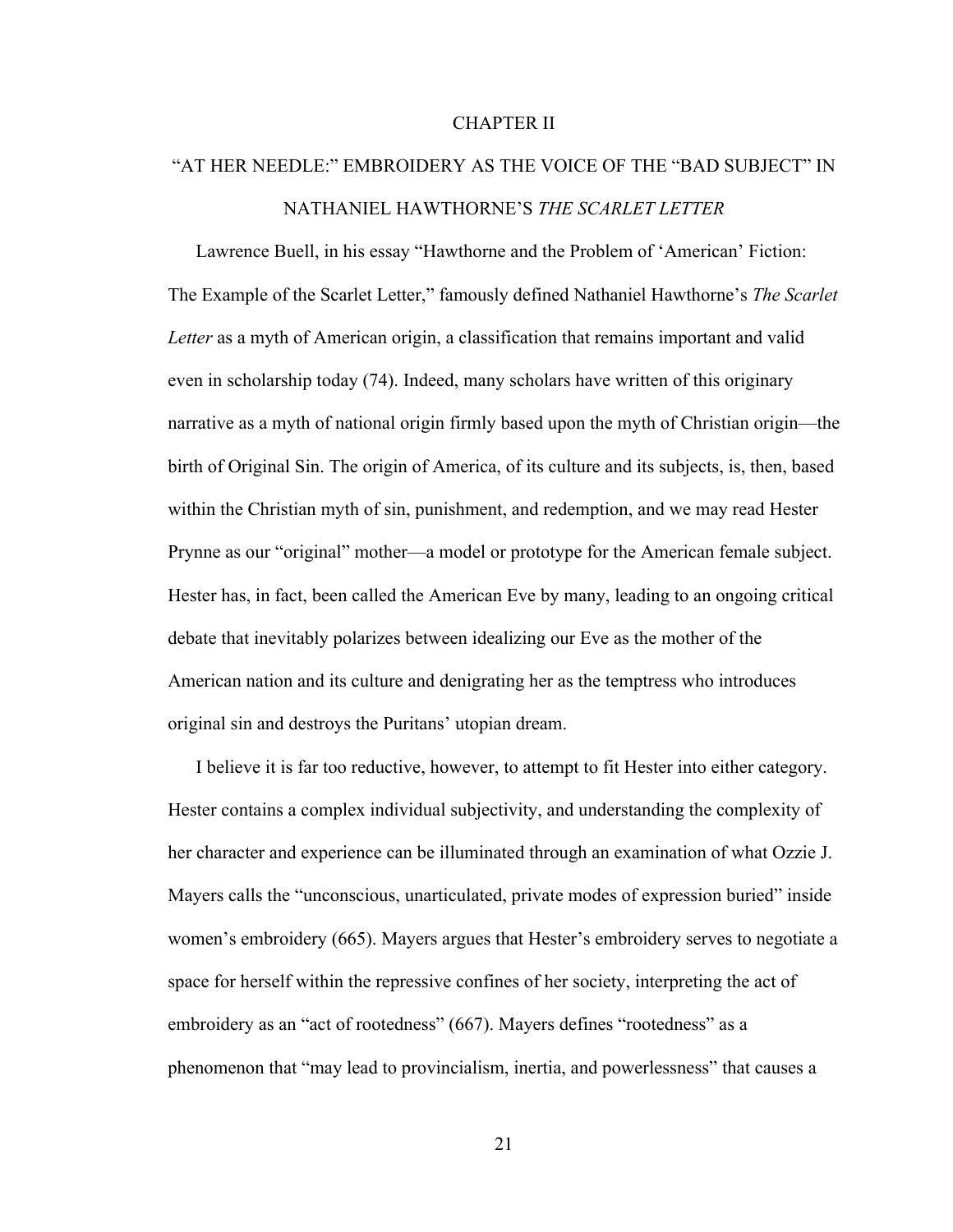#### CHAPTER II

# "AT HER NEEDLE:" EMBROIDERY AS THE VOICE OF THE "BAD SUBJECT" IN NATHANIEL HAWTHORNE'S *THE SCARLET LETTER*

Lawrence Buell, in his essay "Hawthorne and the Problem of 'American' Fiction: The Example of the Scarlet Letter," famously defined Nathaniel Hawthorne's *The Scarlet Letter* as a myth of American origin, a classification that remains important and valid even in scholarship today (74). Indeed, many scholars have written of this originary narrative as a myth of national origin firmly based upon the myth of Christian origin—the birth of Original Sin. The origin of America, of its culture and its subjects, is, then, based within the Christian myth of sin, punishment, and redemption, and we may read Hester Prynne as our "original" mother—a model or prototype for the American female subject. Hester has, in fact, been called the American Eve by many, leading to an ongoing critical debate that inevitably polarizes between idealizing our Eve as the mother of the American nation and its culture and denigrating her as the temptress who introduces original sin and destroys the Puritans' utopian dream.

I believe it is far too reductive, however, to attempt to fit Hester into either category. Hester contains a complex individual subjectivity, and understanding the complexity of her character and experience can be illuminated through an examination of what Ozzie J. Mayers calls the "unconscious, unarticulated, private modes of expression buried" inside women's embroidery (665). Mayers argues that Hester's embroidery serves to negotiate a space for herself within the repressive confines of her society, interpreting the act of embroidery as an "act of rootedness" (667). Mayers defines "rootedness" as a phenomenon that "may lead to provincialism, inertia, and powerlessness" that causes a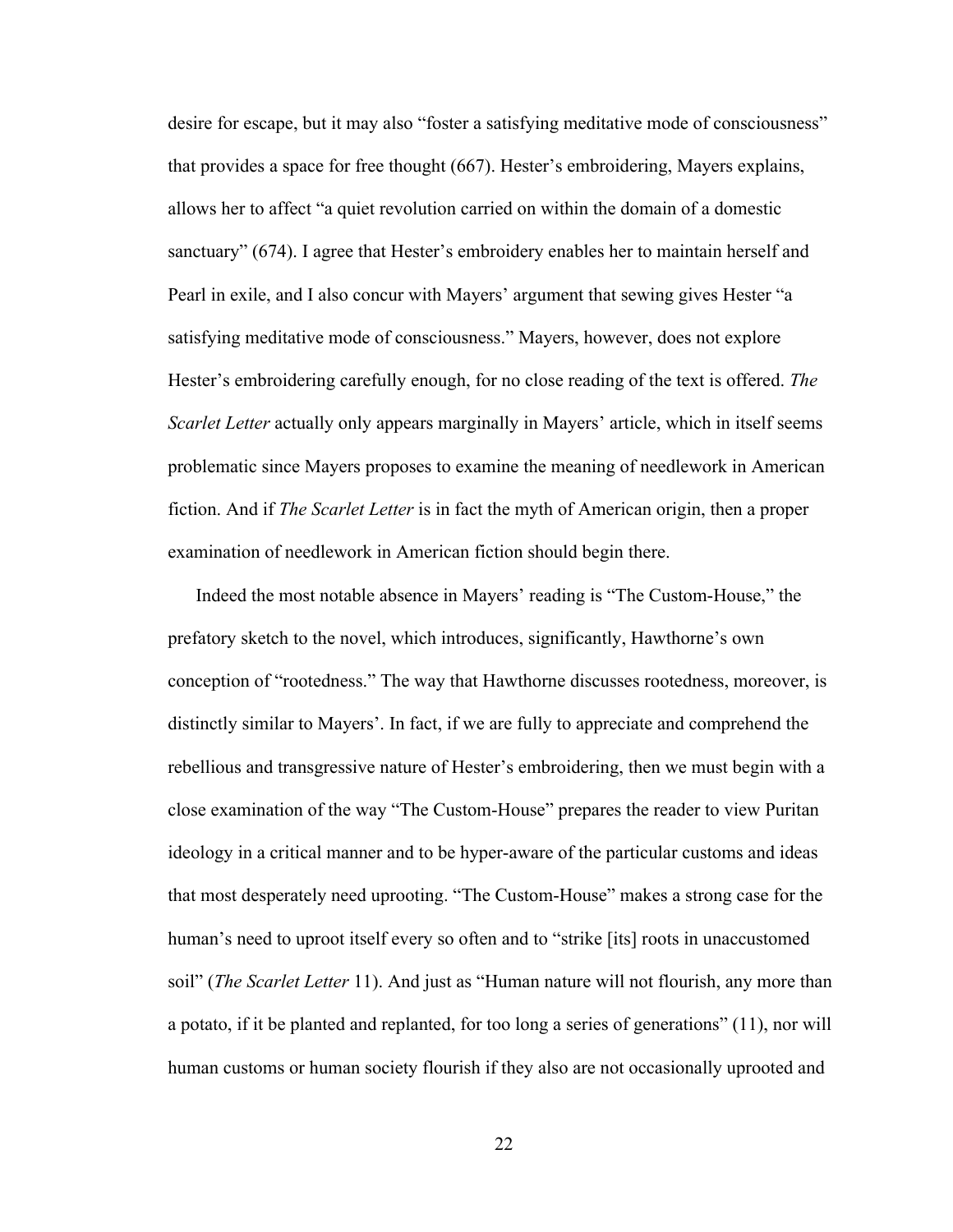desire for escape, but it may also "foster a satisfying meditative mode of consciousness" that provides a space for free thought (667). Hester's embroidering, Mayers explains, allows her to affect "a quiet revolution carried on within the domain of a domestic sanctuary" (674). I agree that Hester's embroidery enables her to maintain herself and Pearl in exile, and I also concur with Mayers' argument that sewing gives Hester "a satisfying meditative mode of consciousness." Mayers, however, does not explore Hester's embroidering carefully enough, for no close reading of the text is offered. *The Scarlet Letter* actually only appears marginally in Mayers' article, which in itself seems problematic since Mayers proposes to examine the meaning of needlework in American fiction. And if *The Scarlet Letter* is in fact the myth of American origin, then a proper examination of needlework in American fiction should begin there.

Indeed the most notable absence in Mayers' reading is "The Custom-House," the prefatory sketch to the novel, which introduces, significantly, Hawthorne's own conception of "rootedness." The way that Hawthorne discusses rootedness, moreover, is distinctly similar to Mayers'. In fact, if we are fully to appreciate and comprehend the rebellious and transgressive nature of Hester's embroidering, then we must begin with a close examination of the way "The Custom-House" prepares the reader to view Puritan ideology in a critical manner and to be hyper-aware of the particular customs and ideas that most desperately need uprooting. "The Custom-House" makes a strong case for the human's need to uproot itself every so often and to "strike [its] roots in unaccustomed soil" (*The Scarlet Letter* 11). And just as "Human nature will not flourish, any more than a potato, if it be planted and replanted, for too long a series of generations" (11), nor will human customs or human society flourish if they also are not occasionally uprooted and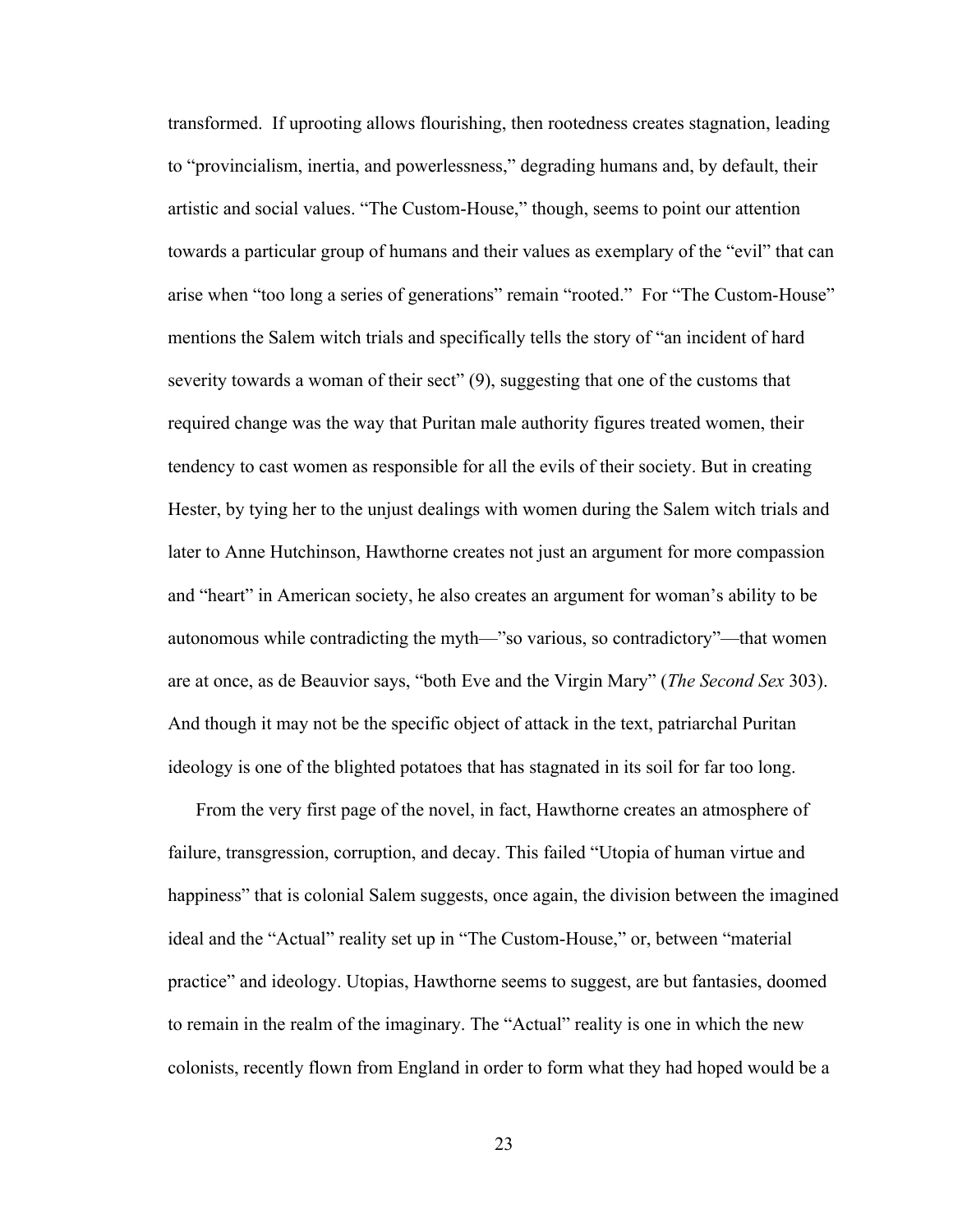transformed. If uprooting allows flourishing, then rootedness creates stagnation, leading to "provincialism, inertia, and powerlessness," degrading humans and, by default, their artistic and social values. "The Custom-House," though, seems to point our attention towards a particular group of humans and their values as exemplary of the "evil" that can arise when "too long a series of generations" remain "rooted." For "The Custom-House" mentions the Salem witch trials and specifically tells the story of "an incident of hard severity towards a woman of their sect" (9), suggesting that one of the customs that required change was the way that Puritan male authority figures treated women, their tendency to cast women as responsible for all the evils of their society. But in creating Hester, by tying her to the unjust dealings with women during the Salem witch trials and later to Anne Hutchinson, Hawthorne creates not just an argument for more compassion and "heart" in American society, he also creates an argument for woman's ability to be autonomous while contradicting the myth—"so various, so contradictory"—that women are at once, as de Beauvior says, "both Eve and the Virgin Mary" (*The Second Sex* 303). And though it may not be the specific object of attack in the text, patriarchal Puritan ideology is one of the blighted potatoes that has stagnated in its soil for far too long.

From the very first page of the novel, in fact, Hawthorne creates an atmosphere of failure, transgression, corruption, and decay. This failed "Utopia of human virtue and happiness" that is colonial Salem suggests, once again, the division between the imagined ideal and the "Actual" reality set up in "The Custom-House," or, between "material practice" and ideology. Utopias, Hawthorne seems to suggest, are but fantasies, doomed to remain in the realm of the imaginary. The "Actual" reality is one in which the new colonists, recently flown from England in order to form what they had hoped would be a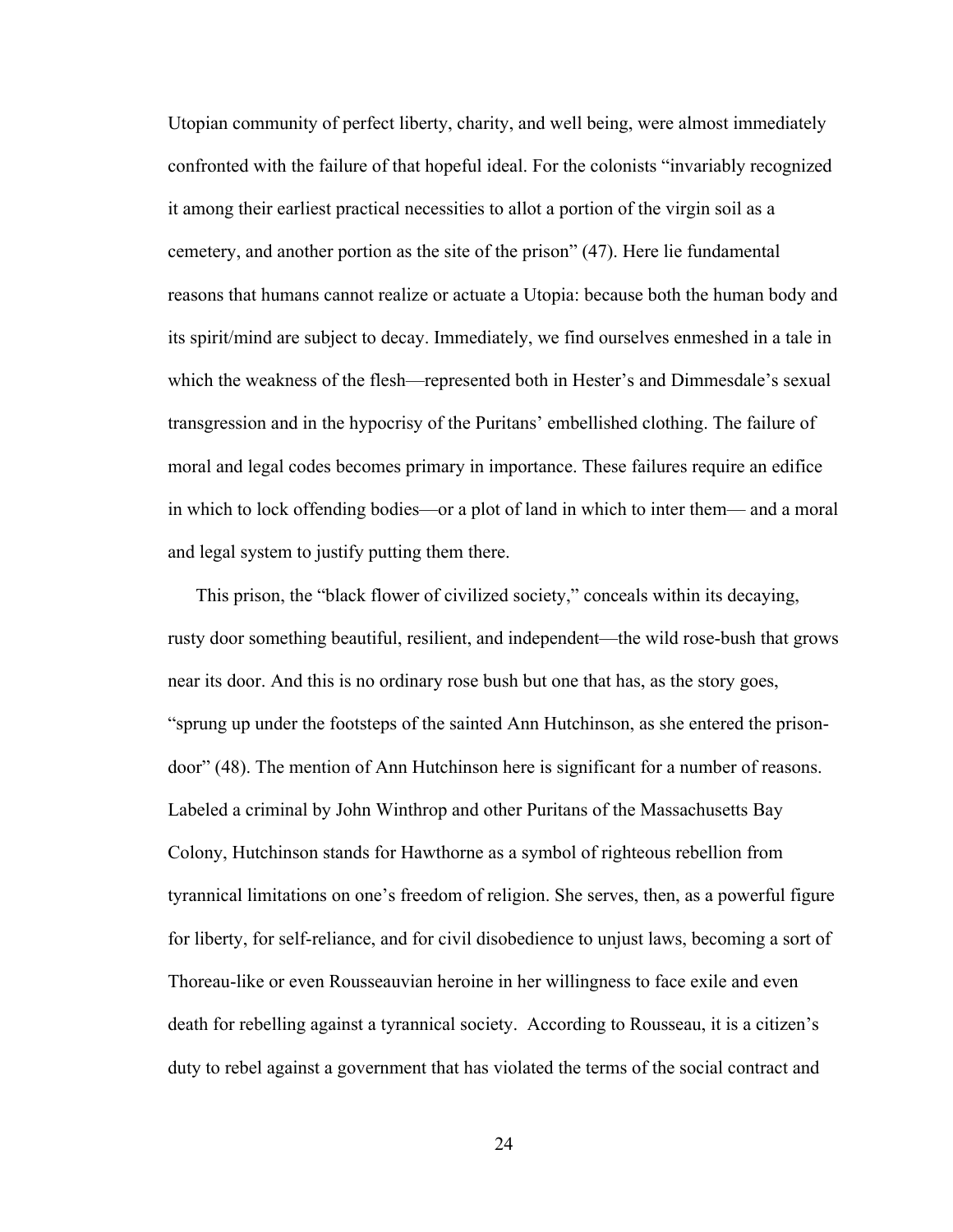Utopian community of perfect liberty, charity, and well being, were almost immediately confronted with the failure of that hopeful ideal. For the colonists "invariably recognized it among their earliest practical necessities to allot a portion of the virgin soil as a cemetery, and another portion as the site of the prison" (47). Here lie fundamental reasons that humans cannot realize or actuate a Utopia: because both the human body and its spirit/mind are subject to decay. Immediately, we find ourselves enmeshed in a tale in which the weakness of the flesh—represented both in Hester's and Dimmesdale's sexual transgression and in the hypocrisy of the Puritans' embellished clothing. The failure of moral and legal codes becomes primary in importance. These failures require an edifice in which to lock offending bodies—or a plot of land in which to inter them— and a moral and legal system to justify putting them there.

This prison, the "black flower of civilized society," conceals within its decaying, rusty door something beautiful, resilient, and independent—the wild rose-bush that grows near its door. And this is no ordinary rose bush but one that has, as the story goes, "sprung up under the footsteps of the sainted Ann Hutchinson, as she entered the prisondoor" (48). The mention of Ann Hutchinson here is significant for a number of reasons. Labeled a criminal by John Winthrop and other Puritans of the Massachusetts Bay Colony, Hutchinson stands for Hawthorne as a symbol of righteous rebellion from tyrannical limitations on one's freedom of religion. She serves, then, as a powerful figure for liberty, for self-reliance, and for civil disobedience to unjust laws, becoming a sort of Thoreau-like or even Rousseauvian heroine in her willingness to face exile and even death for rebelling against a tyrannical society. According to Rousseau, it is a citizen's duty to rebel against a government that has violated the terms of the social contract and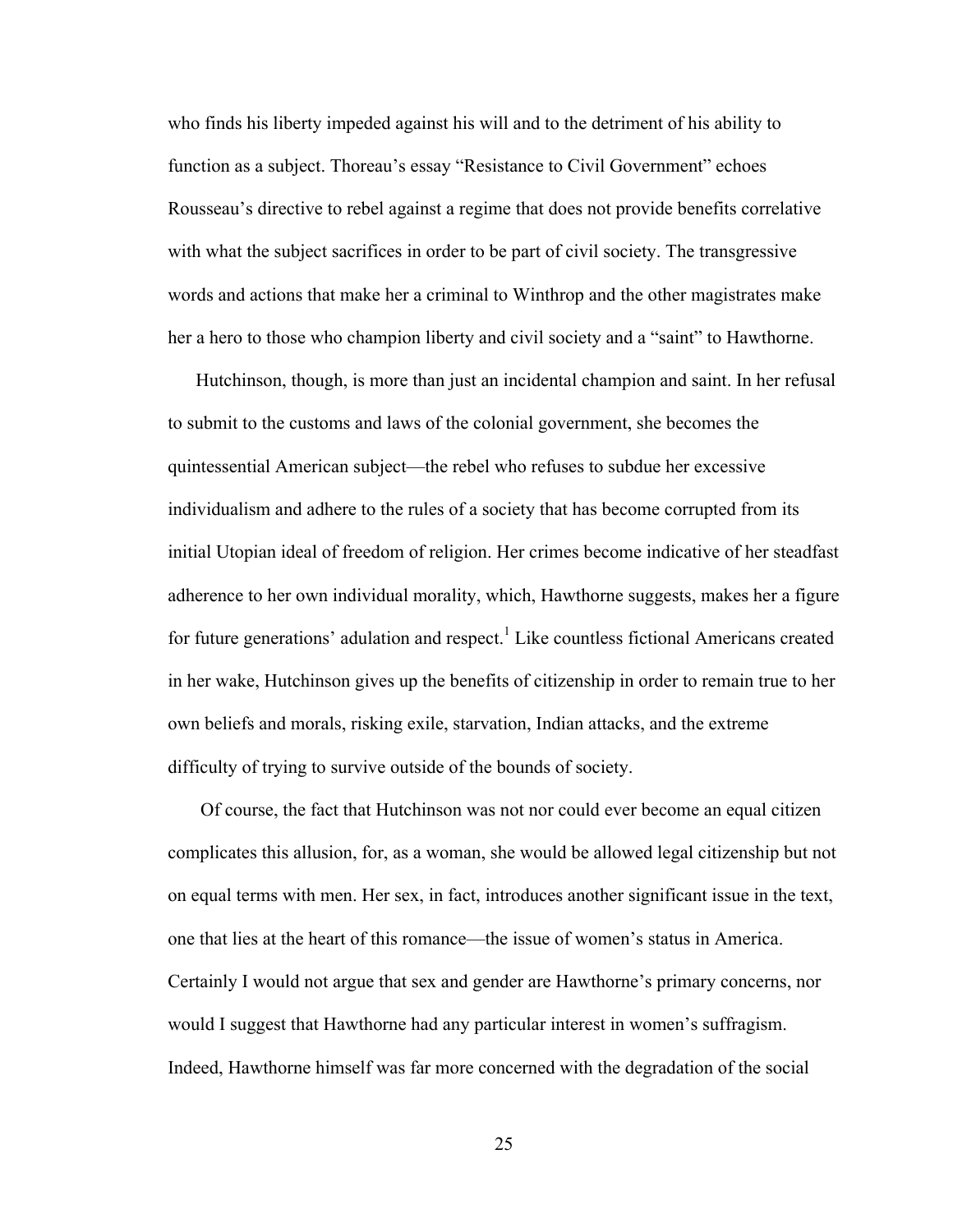who finds his liberty impeded against his will and to the detriment of his ability to function as a subject. Thoreau's essay "Resistance to Civil Government" echoes Rousseau's directive to rebel against a regime that does not provide benefits correlative with what the subject sacrifices in order to be part of civil society. The transgressive words and actions that make her a criminal to Winthrop and the other magistrates make her a hero to those who champion liberty and civil society and a "saint" to Hawthorne.

Hutchinson, though, is more than just an incidental champion and saint. In her refusal to submit to the customs and laws of the colonial government, she becomes the quintessential American subject—the rebel who refuses to subdue her excessive individualism and adhere to the rules of a society that has become corrupted from its initial Utopian ideal of freedom of religion. Her crimes become indicative of her steadfast adherence to her own individual morality, which, Hawthorne suggests, makes her a figure for future generations' adulation and respect.<sup>1</sup> Like countless fictional Americans created in her wake, Hutchinson gives up the benefits of citizenship in order to remain true to her own beliefs and morals, risking exile, starvation, Indian attacks, and the extreme difficulty of trying to survive outside of the bounds of society.

Of course, the fact that Hutchinson was not nor could ever become an equal citizen complicates this allusion, for, as a woman, she would be allowed legal citizenship but not on equal terms with men. Her sex, in fact, introduces another significant issue in the text, one that lies at the heart of this romance—the issue of women's status in America. Certainly I would not argue that sex and gender are Hawthorne's primary concerns, nor would I suggest that Hawthorne had any particular interest in women's suffragism. Indeed, Hawthorne himself was far more concerned with the degradation of the social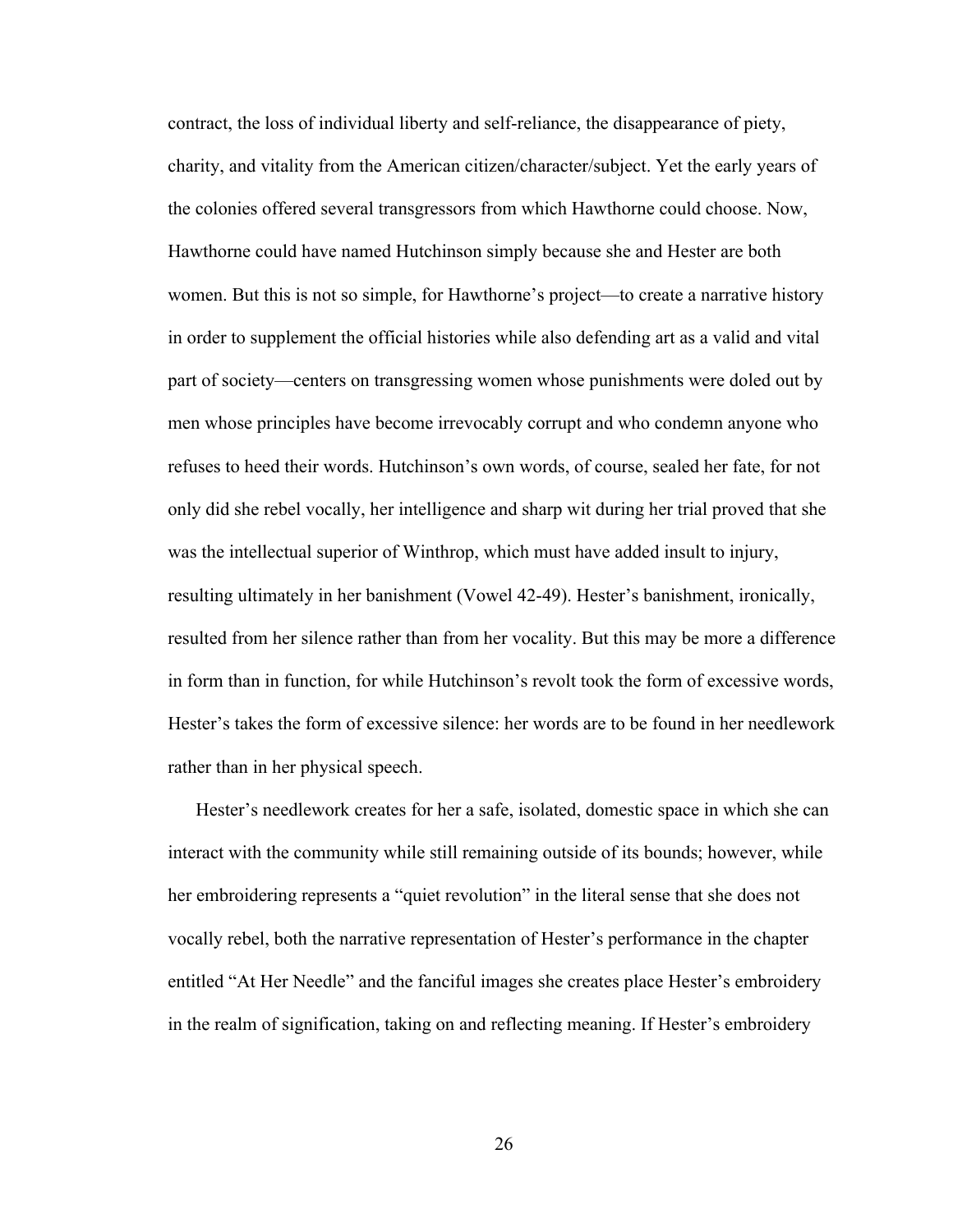contract, the loss of individual liberty and self-reliance, the disappearance of piety, charity, and vitality from the American citizen/character/subject. Yet the early years of the colonies offered several transgressors from which Hawthorne could choose. Now, Hawthorne could have named Hutchinson simply because she and Hester are both women. But this is not so simple, for Hawthorne's project—to create a narrative history in order to supplement the official histories while also defending art as a valid and vital part of society—centers on transgressing women whose punishments were doled out by men whose principles have become irrevocably corrupt and who condemn anyone who refuses to heed their words. Hutchinson's own words, of course, sealed her fate, for not only did she rebel vocally, her intelligence and sharp wit during her trial proved that she was the intellectual superior of Winthrop, which must have added insult to injury, resulting ultimately in her banishment (Vowel 42-49). Hester's banishment, ironically, resulted from her silence rather than from her vocality. But this may be more a difference in form than in function, for while Hutchinson's revolt took the form of excessive words, Hester's takes the form of excessive silence: her words are to be found in her needlework rather than in her physical speech.

Hester's needlework creates for her a safe, isolated, domestic space in which she can interact with the community while still remaining outside of its bounds; however, while her embroidering represents a "quiet revolution" in the literal sense that she does not vocally rebel, both the narrative representation of Hester's performance in the chapter entitled "At Her Needle" and the fanciful images she creates place Hester's embroidery in the realm of signification, taking on and reflecting meaning. If Hester's embroidery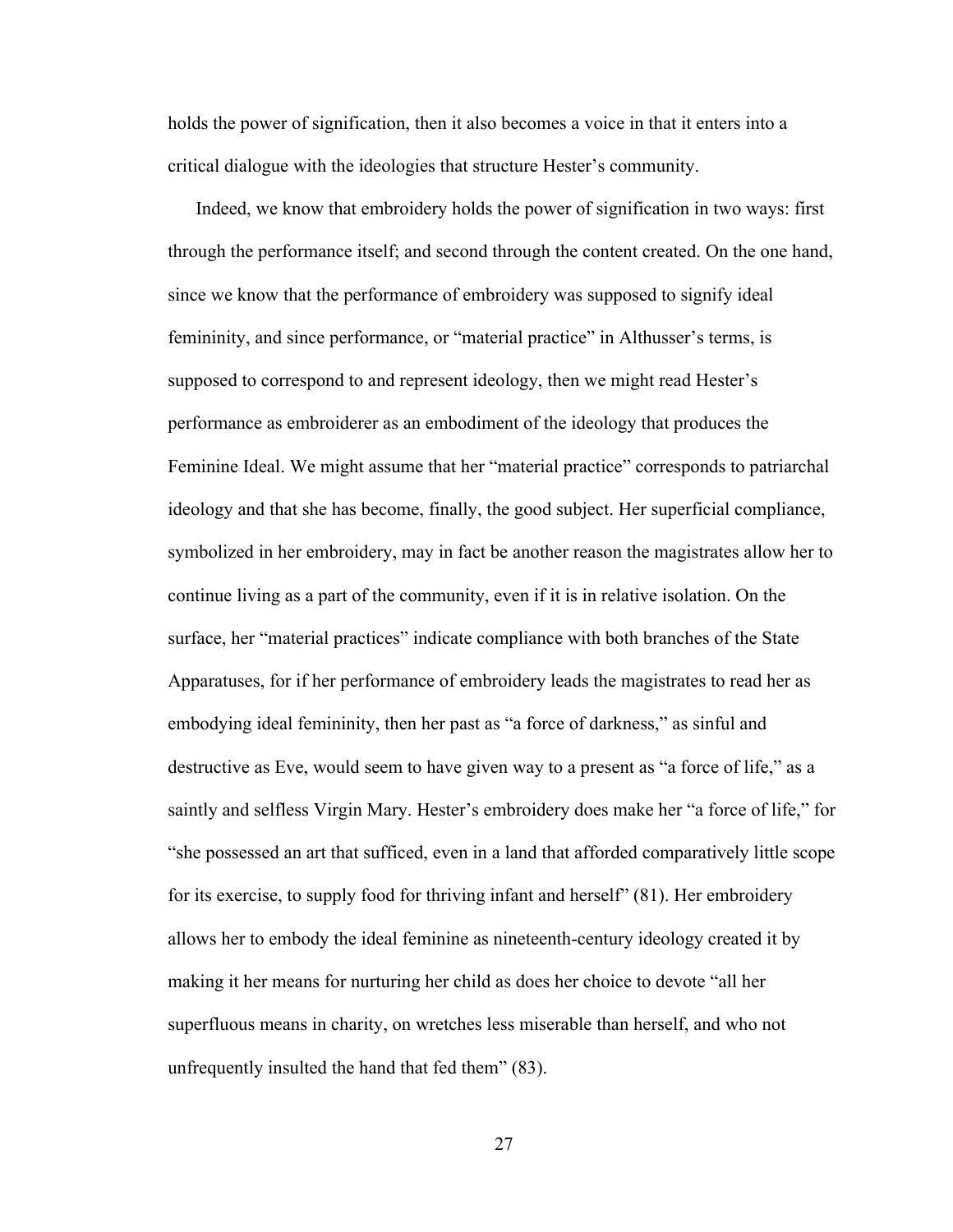holds the power of signification, then it also becomes a voice in that it enters into a critical dialogue with the ideologies that structure Hester's community.

Indeed, we know that embroidery holds the power of signification in two ways: first through the performance itself; and second through the content created. On the one hand, since we know that the performance of embroidery was supposed to signify ideal femininity, and since performance, or "material practice" in Althusser's terms, is supposed to correspond to and represent ideology, then we might read Hester's performance as embroiderer as an embodiment of the ideology that produces the Feminine Ideal. We might assume that her "material practice" corresponds to patriarchal ideology and that she has become, finally, the good subject. Her superficial compliance, symbolized in her embroidery, may in fact be another reason the magistrates allow her to continue living as a part of the community, even if it is in relative isolation. On the surface, her "material practices" indicate compliance with both branches of the State Apparatuses, for if her performance of embroidery leads the magistrates to read her as embodying ideal femininity, then her past as "a force of darkness," as sinful and destructive as Eve, would seem to have given way to a present as "a force of life," as a saintly and selfless Virgin Mary. Hester's embroidery does make her "a force of life," for "she possessed an art that sufficed, even in a land that afforded comparatively little scope for its exercise, to supply food for thriving infant and herself" (81). Her embroidery allows her to embody the ideal feminine as nineteenth-century ideology created it by making it her means for nurturing her child as does her choice to devote "all her superfluous means in charity, on wretches less miserable than herself, and who not unfrequently insulted the hand that fed them" (83).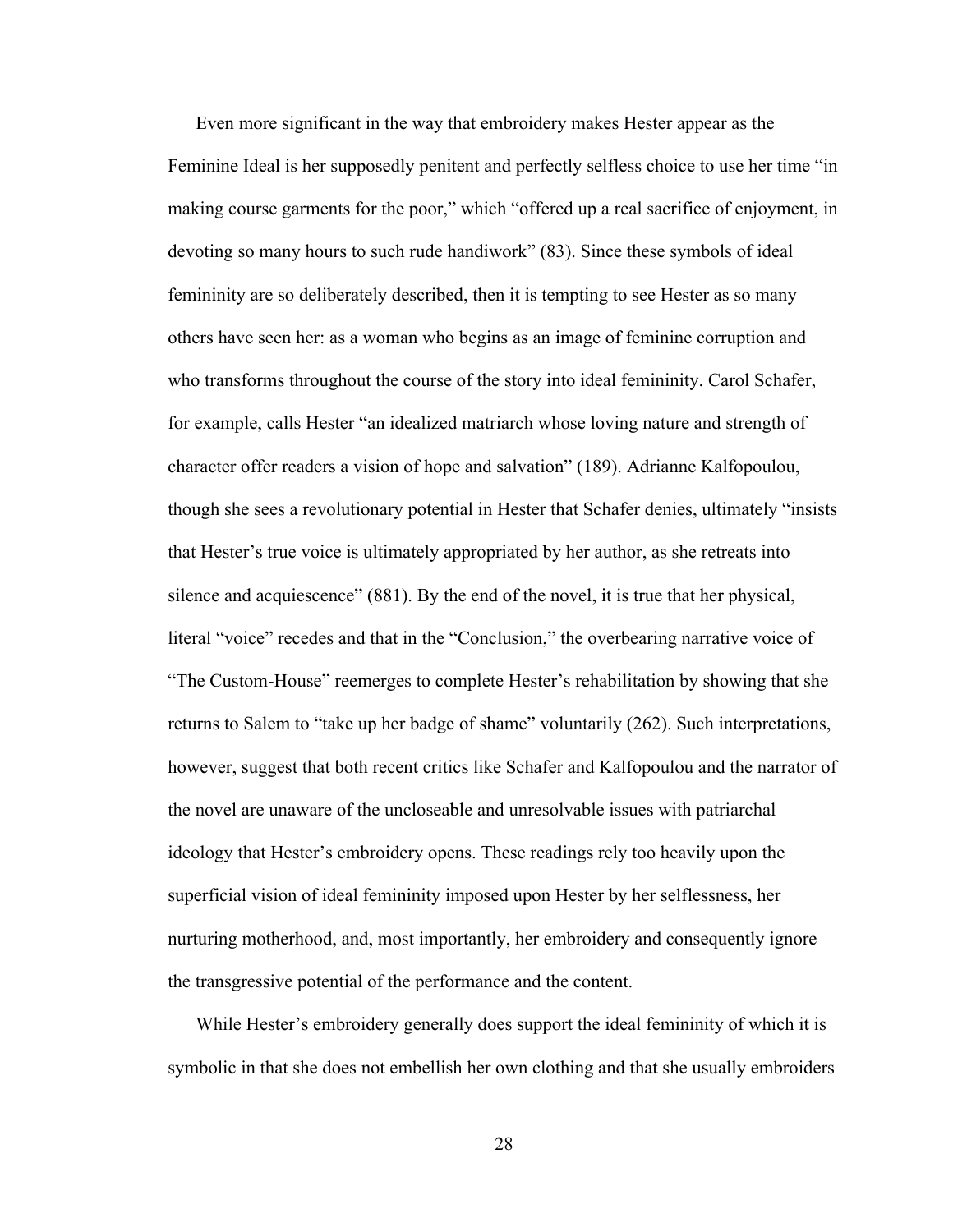Even more significant in the way that embroidery makes Hester appear as the Feminine Ideal is her supposedly penitent and perfectly selfless choice to use her time "in making course garments for the poor," which "offered up a real sacrifice of enjoyment, in devoting so many hours to such rude handiwork" (83). Since these symbols of ideal femininity are so deliberately described, then it is tempting to see Hester as so many others have seen her: as a woman who begins as an image of feminine corruption and who transforms throughout the course of the story into ideal femininity. Carol Schafer, for example, calls Hester "an idealized matriarch whose loving nature and strength of character offer readers a vision of hope and salvation" (189). Adrianne Kalfopoulou, though she sees a revolutionary potential in Hester that Schafer denies, ultimately "insists that Hester's true voice is ultimately appropriated by her author, as she retreats into silence and acquiescence" (881). By the end of the novel, it is true that her physical, literal "voice" recedes and that in the "Conclusion," the overbearing narrative voice of "The Custom-House" reemerges to complete Hester's rehabilitation by showing that she returns to Salem to "take up her badge of shame" voluntarily (262). Such interpretations, however, suggest that both recent critics like Schafer and Kalfopoulou and the narrator of the novel are unaware of the uncloseable and unresolvable issues with patriarchal ideology that Hester's embroidery opens. These readings rely too heavily upon the superficial vision of ideal femininity imposed upon Hester by her selflessness, her nurturing motherhood, and, most importantly, her embroidery and consequently ignore the transgressive potential of the performance and the content.

While Hester's embroidery generally does support the ideal femininity of which it is symbolic in that she does not embellish her own clothing and that she usually embroiders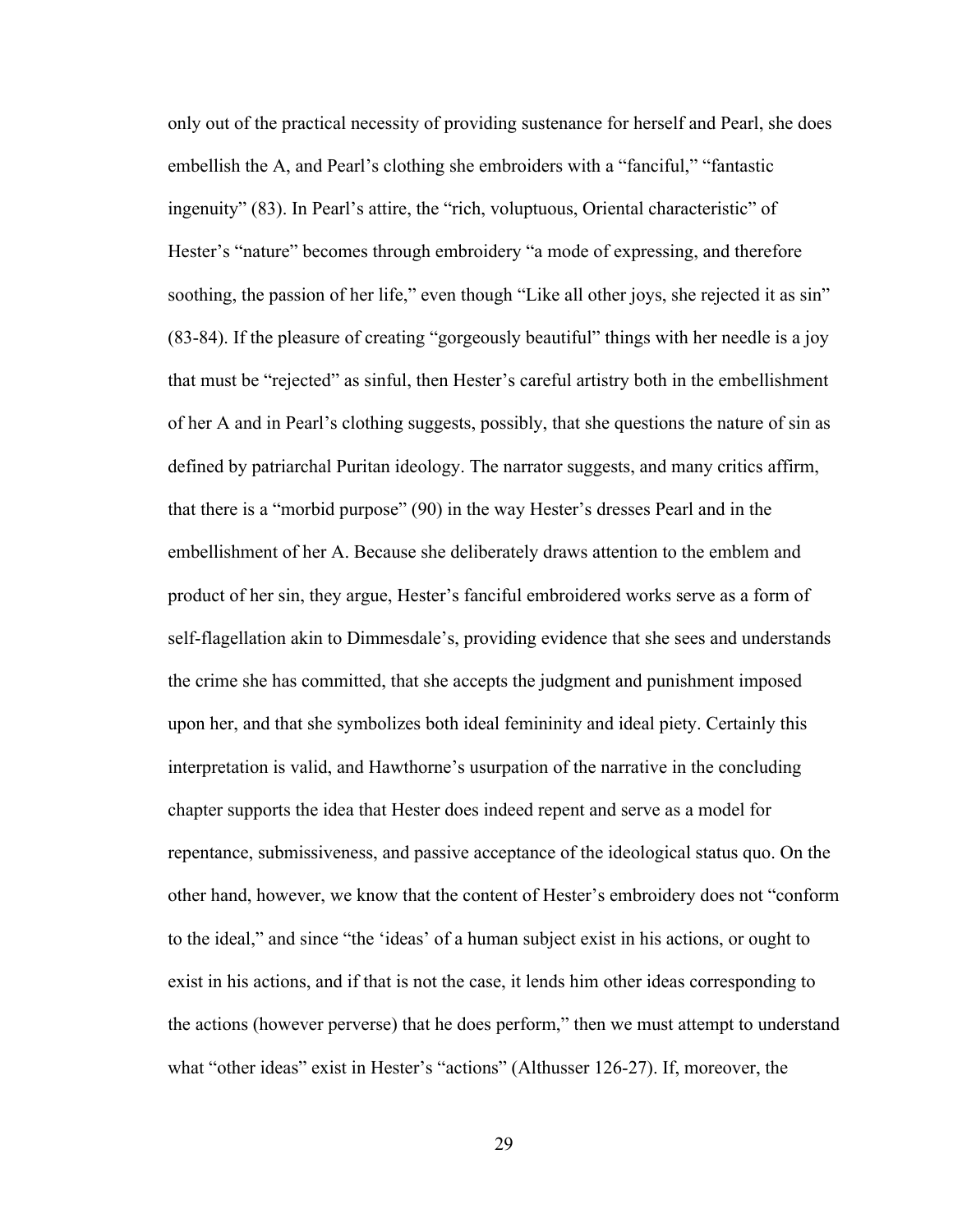only out of the practical necessity of providing sustenance for herself and Pearl, she does embellish the A, and Pearl's clothing she embroiders with a "fanciful," "fantastic ingenuity" (83). In Pearl's attire, the "rich, voluptuous, Oriental characteristic" of Hester's "nature" becomes through embroidery "a mode of expressing, and therefore soothing, the passion of her life," even though "Like all other joys, she rejected it as sin" (83-84). If the pleasure of creating "gorgeously beautiful" things with her needle is a joy that must be "rejected" as sinful, then Hester's careful artistry both in the embellishment of her A and in Pearl's clothing suggests, possibly, that she questions the nature of sin as defined by patriarchal Puritan ideology. The narrator suggests, and many critics affirm, that there is a "morbid purpose" (90) in the way Hester's dresses Pearl and in the embellishment of her A. Because she deliberately draws attention to the emblem and product of her sin, they argue, Hester's fanciful embroidered works serve as a form of self-flagellation akin to Dimmesdale's, providing evidence that she sees and understands the crime she has committed, that she accepts the judgment and punishment imposed upon her, and that she symbolizes both ideal femininity and ideal piety. Certainly this interpretation is valid, and Hawthorne's usurpation of the narrative in the concluding chapter supports the idea that Hester does indeed repent and serve as a model for repentance, submissiveness, and passive acceptance of the ideological status quo. On the other hand, however, we know that the content of Hester's embroidery does not "conform to the ideal," and since "the 'ideas' of a human subject exist in his actions, or ought to exist in his actions, and if that is not the case, it lends him other ideas corresponding to the actions (however perverse) that he does perform," then we must attempt to understand what "other ideas" exist in Hester's "actions" (Althusser 126-27). If, moreover, the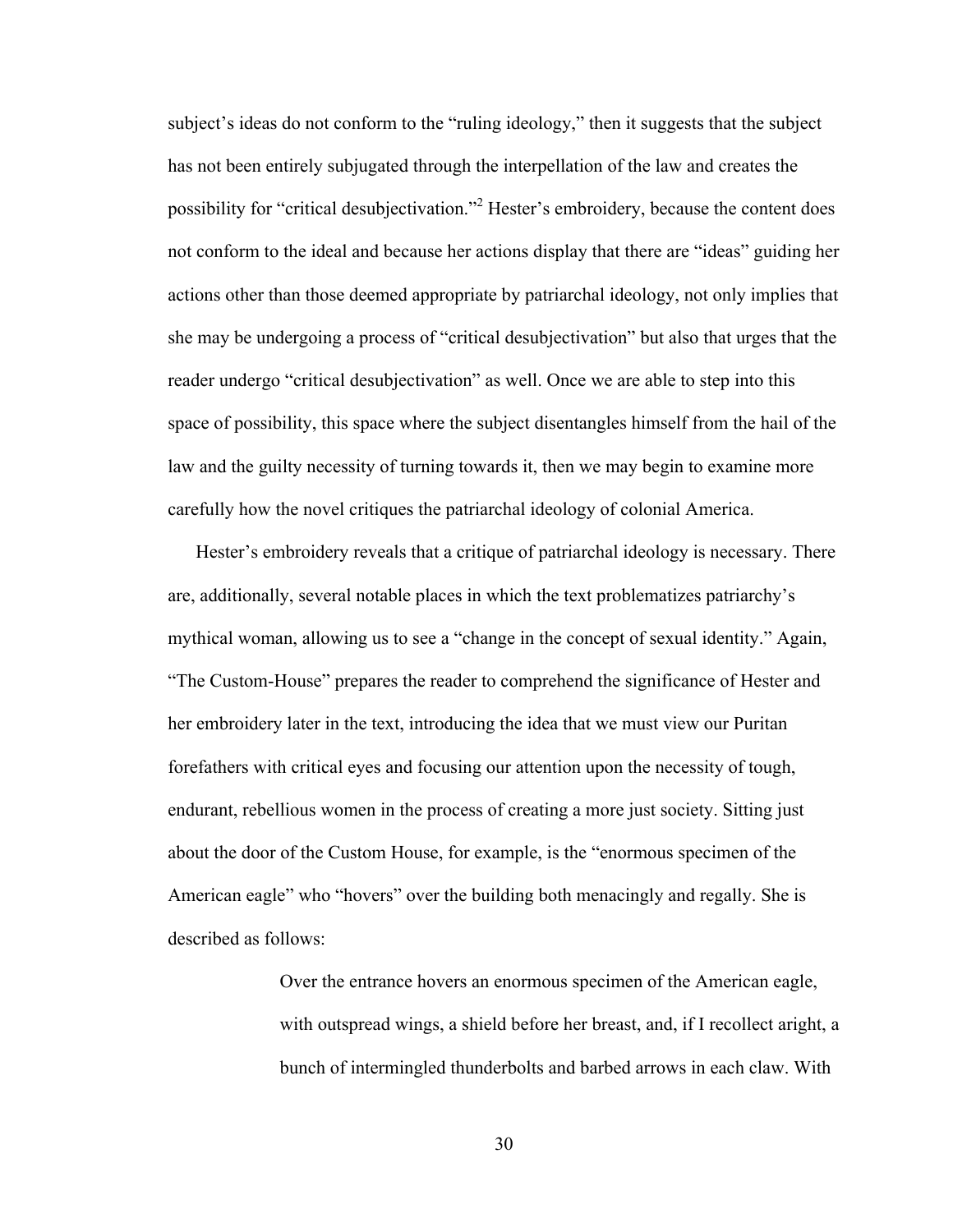subject's ideas do not conform to the "ruling ideology," then it suggests that the subject has not been entirely subjugated through the interpellation of the law and creates the possibility for "critical desubjectivation."<sup>2</sup> Hester's embroidery, because the content does not conform to the ideal and because her actions display that there are "ideas" guiding her actions other than those deemed appropriate by patriarchal ideology, not only implies that she may be undergoing a process of "critical desubjectivation" but also that urges that the reader undergo "critical desubjectivation" as well. Once we are able to step into this space of possibility, this space where the subject disentangles himself from the hail of the law and the guilty necessity of turning towards it, then we may begin to examine more carefully how the novel critiques the patriarchal ideology of colonial America.

Hester's embroidery reveals that a critique of patriarchal ideology is necessary. There are, additionally, several notable places in which the text problematizes patriarchy's mythical woman, allowing us to see a "change in the concept of sexual identity." Again, "The Custom-House" prepares the reader to comprehend the significance of Hester and her embroidery later in the text, introducing the idea that we must view our Puritan forefathers with critical eyes and focusing our attention upon the necessity of tough, endurant, rebellious women in the process of creating a more just society. Sitting just about the door of the Custom House, for example, is the "enormous specimen of the American eagle" who "hovers" over the building both menacingly and regally. She is described as follows:

> Over the entrance hovers an enormous specimen of the American eagle, with outspread wings, a shield before her breast, and, if I recollect aright, a bunch of intermingled thunderbolts and barbed arrows in each claw. With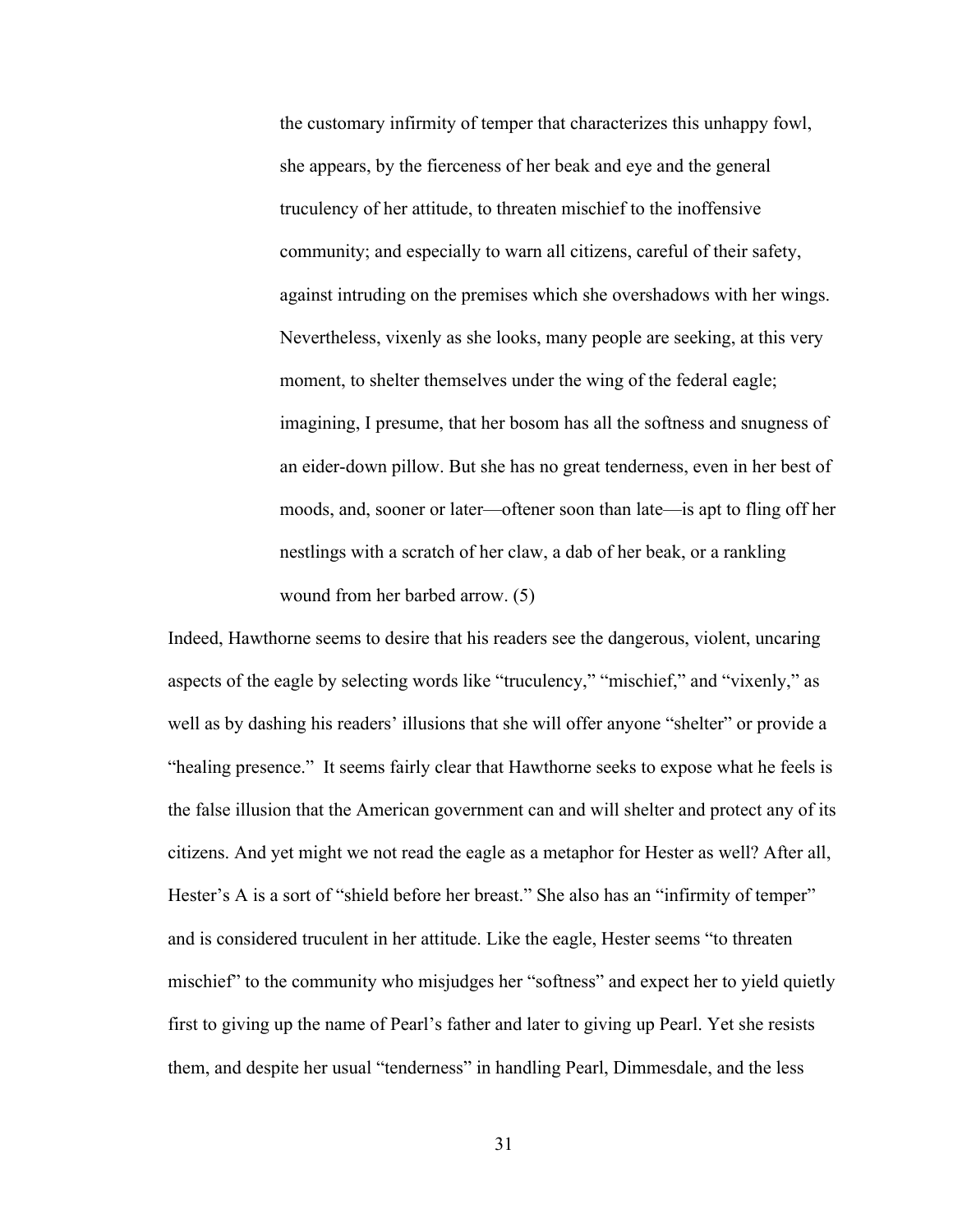the customary infirmity of temper that characterizes this unhappy fowl, she appears, by the fierceness of her beak and eye and the general truculency of her attitude, to threaten mischief to the inoffensive community; and especially to warn all citizens, careful of their safety, against intruding on the premises which she overshadows with her wings. Nevertheless, vixenly as she looks, many people are seeking, at this very moment, to shelter themselves under the wing of the federal eagle; imagining, I presume, that her bosom has all the softness and snugness of an eider-down pillow. But she has no great tenderness, even in her best of moods, and, sooner or later—oftener soon than late—is apt to fling off her nestlings with a scratch of her claw, a dab of her beak, or a rankling wound from her barbed arrow. (5)

Indeed, Hawthorne seems to desire that his readers see the dangerous, violent, uncaring aspects of the eagle by selecting words like "truculency," "mischief," and "vixenly," as well as by dashing his readers' illusions that she will offer anyone "shelter" or provide a "healing presence." It seems fairly clear that Hawthorne seeks to expose what he feels is the false illusion that the American government can and will shelter and protect any of its citizens. And yet might we not read the eagle as a metaphor for Hester as well? After all, Hester's A is a sort of "shield before her breast." She also has an "infirmity of temper" and is considered truculent in her attitude. Like the eagle, Hester seems "to threaten mischief" to the community who misjudges her "softness" and expect her to yield quietly first to giving up the name of Pearl's father and later to giving up Pearl. Yet she resists them, and despite her usual "tenderness" in handling Pearl, Dimmesdale, and the less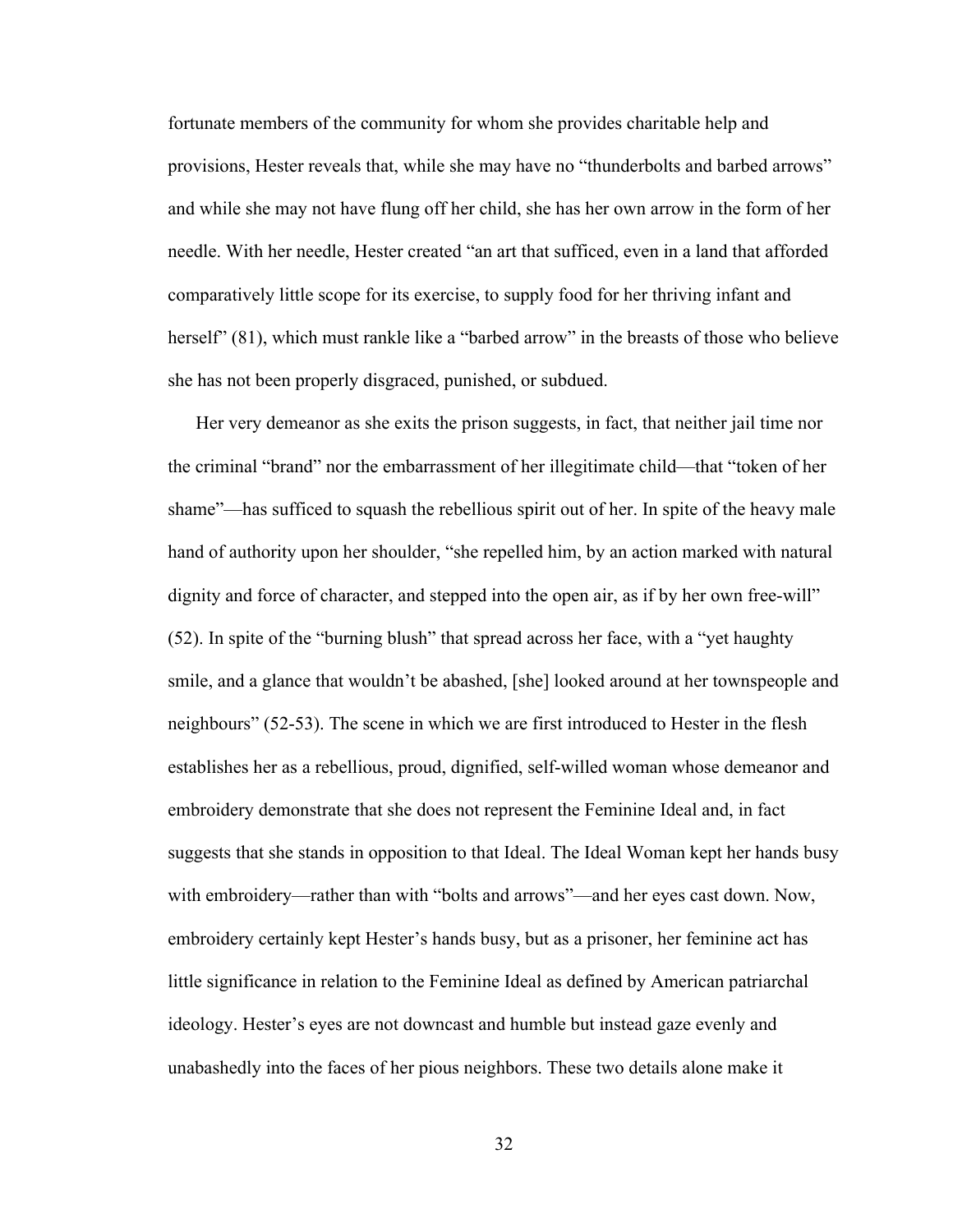fortunate members of the community for whom she provides charitable help and provisions, Hester reveals that, while she may have no "thunderbolts and barbed arrows" and while she may not have flung off her child, she has her own arrow in the form of her needle. With her needle, Hester created "an art that sufficed, even in a land that afforded comparatively little scope for its exercise, to supply food for her thriving infant and herself" (81), which must rankle like a "barbed arrow" in the breasts of those who believe she has not been properly disgraced, punished, or subdued.

Her very demeanor as she exits the prison suggests, in fact, that neither jail time nor the criminal "brand" nor the embarrassment of her illegitimate child—that "token of her shame"—has sufficed to squash the rebellious spirit out of her. In spite of the heavy male hand of authority upon her shoulder, "she repelled him, by an action marked with natural dignity and force of character, and stepped into the open air, as if by her own free-will" (52). In spite of the "burning blush" that spread across her face, with a "yet haughty smile, and a glance that wouldn't be abashed, [she] looked around at her townspeople and neighbours" (52-53). The scene in which we are first introduced to Hester in the flesh establishes her as a rebellious, proud, dignified, self-willed woman whose demeanor and embroidery demonstrate that she does not represent the Feminine Ideal and, in fact suggests that she stands in opposition to that Ideal. The Ideal Woman kept her hands busy with embroidery—rather than with "bolts and arrows"—and her eyes cast down. Now, embroidery certainly kept Hester's hands busy, but as a prisoner, her feminine act has little significance in relation to the Feminine Ideal as defined by American patriarchal ideology. Hester's eyes are not downcast and humble but instead gaze evenly and unabashedly into the faces of her pious neighbors. These two details alone make it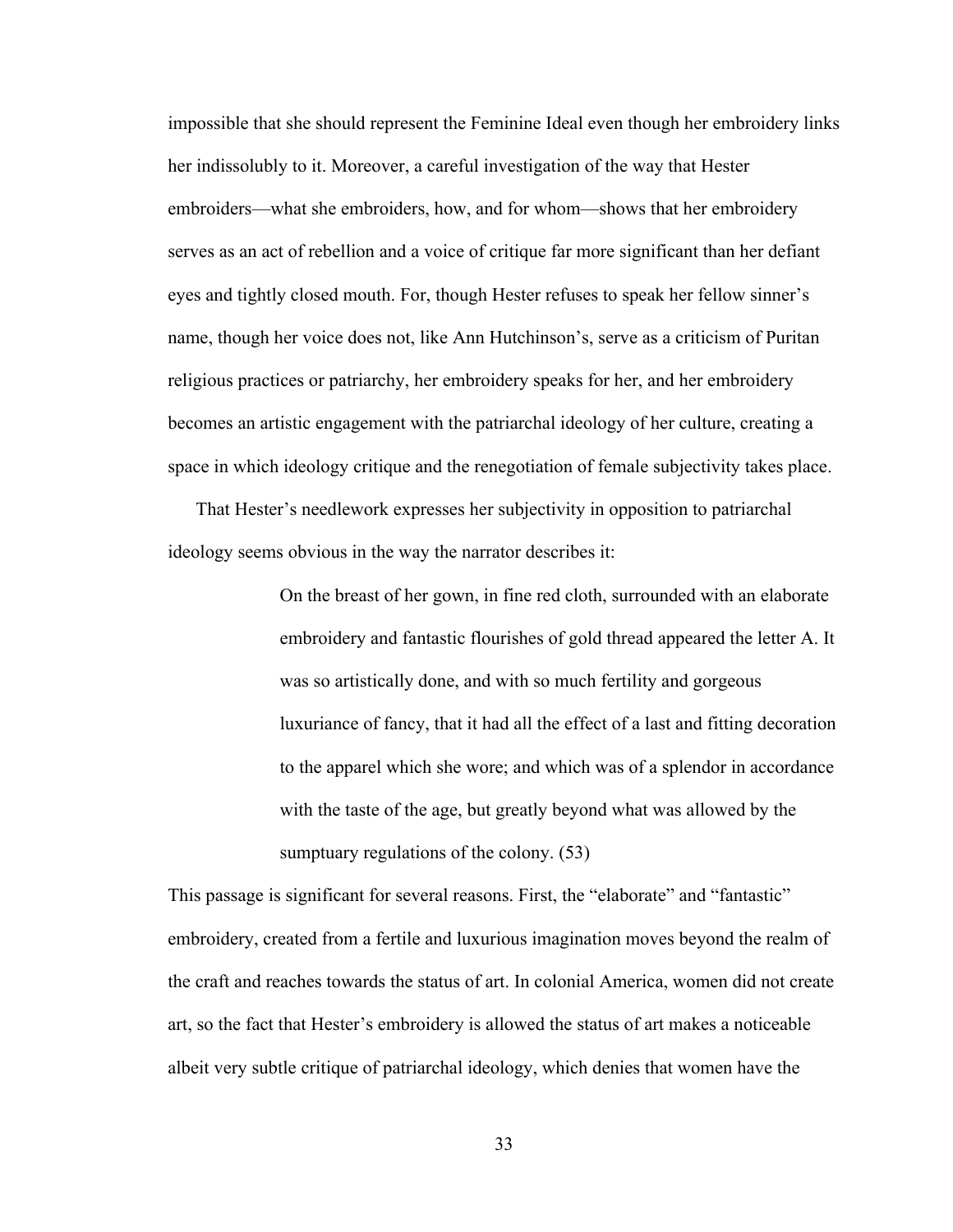impossible that she should represent the Feminine Ideal even though her embroidery links her indissolubly to it. Moreover, a careful investigation of the way that Hester embroiders—what she embroiders, how, and for whom—shows that her embroidery serves as an act of rebellion and a voice of critique far more significant than her defiant eyes and tightly closed mouth. For, though Hester refuses to speak her fellow sinner's name, though her voice does not, like Ann Hutchinson's, serve as a criticism of Puritan religious practices or patriarchy, her embroidery speaks for her, and her embroidery becomes an artistic engagement with the patriarchal ideology of her culture, creating a space in which ideology critique and the renegotiation of female subjectivity takes place.

That Hester's needlework expresses her subjectivity in opposition to patriarchal ideology seems obvious in the way the narrator describes it:

> On the breast of her gown, in fine red cloth, surrounded with an elaborate embroidery and fantastic flourishes of gold thread appeared the letter A. It was so artistically done, and with so much fertility and gorgeous luxuriance of fancy, that it had all the effect of a last and fitting decoration to the apparel which she wore; and which was of a splendor in accordance with the taste of the age, but greatly beyond what was allowed by the sumptuary regulations of the colony. (53)

This passage is significant for several reasons. First, the "elaborate" and "fantastic" embroidery, created from a fertile and luxurious imagination moves beyond the realm of the craft and reaches towards the status of art. In colonial America, women did not create art, so the fact that Hester's embroidery is allowed the status of art makes a noticeable albeit very subtle critique of patriarchal ideology, which denies that women have the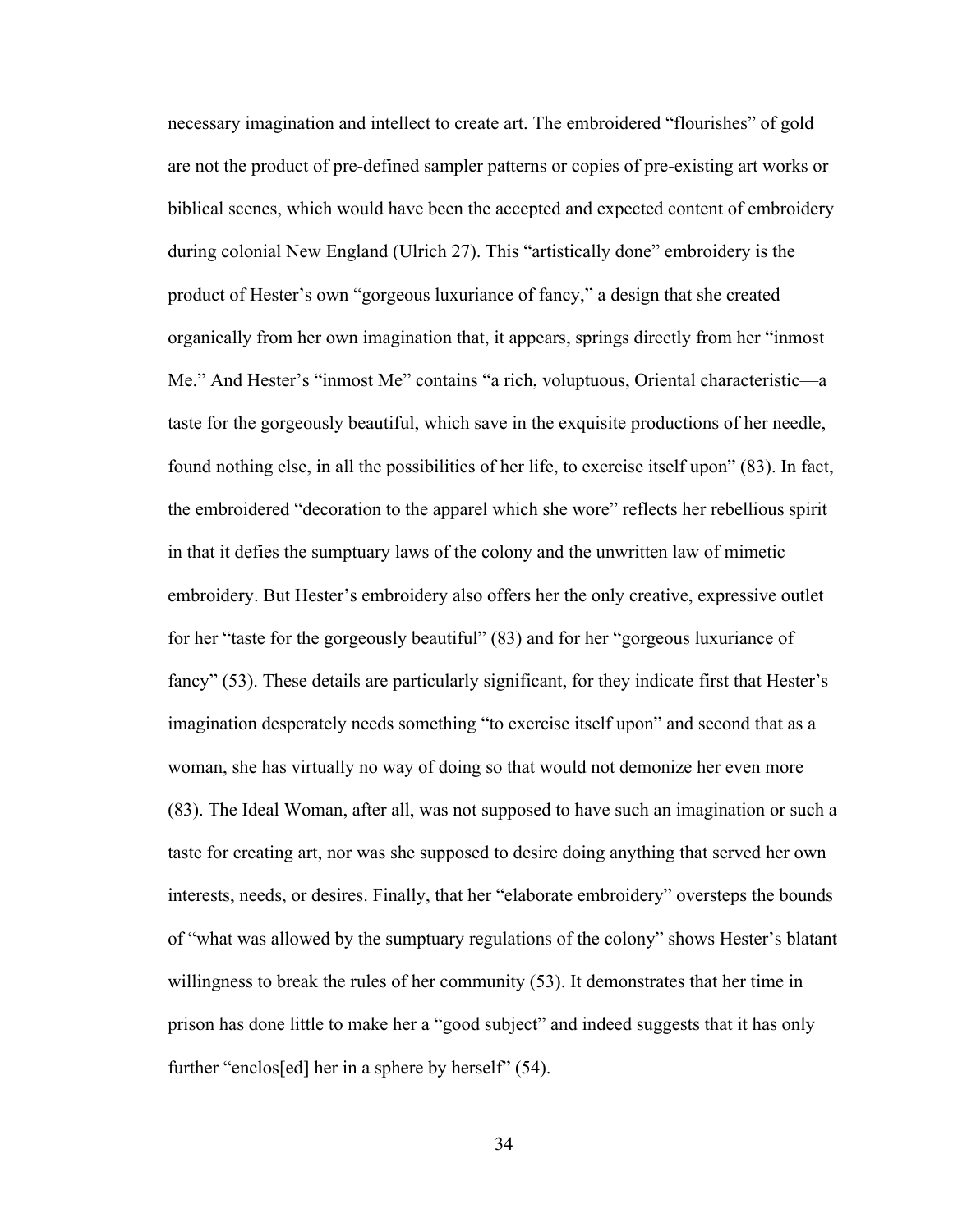necessary imagination and intellect to create art. The embroidered "flourishes" of gold are not the product of pre-defined sampler patterns or copies of pre-existing art works or biblical scenes, which would have been the accepted and expected content of embroidery during colonial New England (Ulrich 27). This "artistically done" embroidery is the product of Hester's own "gorgeous luxuriance of fancy," a design that she created organically from her own imagination that, it appears, springs directly from her "inmost Me." And Hester's "inmost Me" contains "a rich, voluptuous, Oriental characteristic—a taste for the gorgeously beautiful, which save in the exquisite productions of her needle, found nothing else, in all the possibilities of her life, to exercise itself upon" (83). In fact, the embroidered "decoration to the apparel which she wore" reflects her rebellious spirit in that it defies the sumptuary laws of the colony and the unwritten law of mimetic embroidery. But Hester's embroidery also offers her the only creative, expressive outlet for her "taste for the gorgeously beautiful" (83) and for her "gorgeous luxuriance of fancy" (53). These details are particularly significant, for they indicate first that Hester's imagination desperately needs something "to exercise itself upon" and second that as a woman, she has virtually no way of doing so that would not demonize her even more (83). The Ideal Woman, after all, was not supposed to have such an imagination or such a taste for creating art, nor was she supposed to desire doing anything that served her own interests, needs, or desires. Finally, that her "elaborate embroidery" oversteps the bounds of "what was allowed by the sumptuary regulations of the colony" shows Hester's blatant willingness to break the rules of her community (53). It demonstrates that her time in prison has done little to make her a "good subject" and indeed suggests that it has only further "enclos[ed] her in a sphere by herself" (54).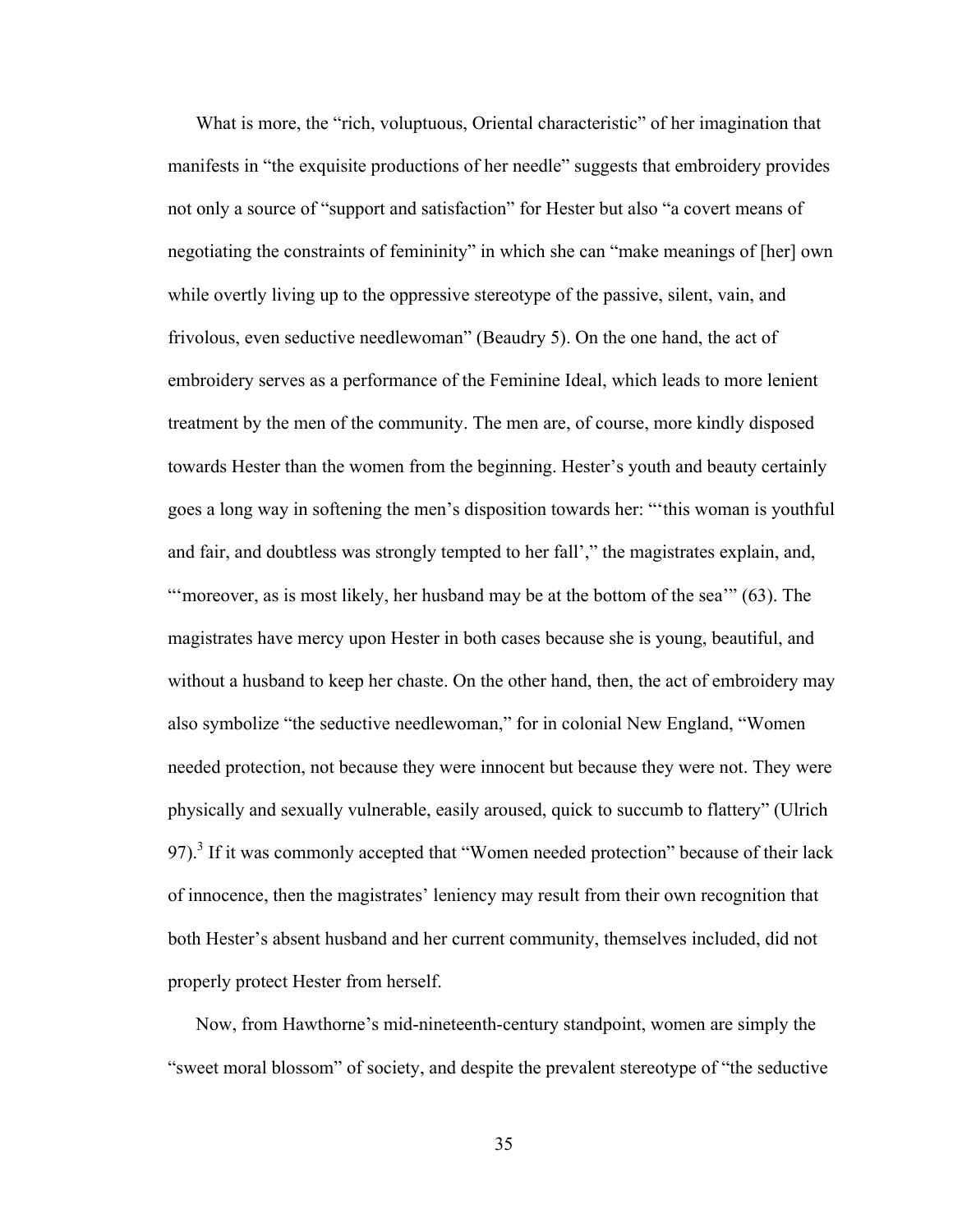What is more, the "rich, voluptuous, Oriental characteristic" of her imagination that manifests in "the exquisite productions of her needle" suggests that embroidery provides not only a source of "support and satisfaction" for Hester but also "a covert means of negotiating the constraints of femininity" in which she can "make meanings of [her] own while overtly living up to the oppressive stereotype of the passive, silent, vain, and frivolous, even seductive needlewoman" (Beaudry 5). On the one hand, the act of embroidery serves as a performance of the Feminine Ideal, which leads to more lenient treatment by the men of the community. The men are, of course, more kindly disposed towards Hester than the women from the beginning. Hester's youth and beauty certainly goes a long way in softening the men's disposition towards her: "'this woman is youthful and fair, and doubtless was strongly tempted to her fall'," the magistrates explain, and, "'moreover, as is most likely, her husband may be at the bottom of the sea'" (63). The magistrates have mercy upon Hester in both cases because she is young, beautiful, and without a husband to keep her chaste. On the other hand, then, the act of embroidery may also symbolize "the seductive needlewoman," for in colonial New England, "Women needed protection, not because they were innocent but because they were not. They were physically and sexually vulnerable, easily aroused, quick to succumb to flattery" (Ulrich 97).<sup>3</sup> If it was commonly accepted that "Women needed protection" because of their lack of innocence, then the magistrates' leniency may result from their own recognition that both Hester's absent husband and her current community, themselves included, did not properly protect Hester from herself.

Now, from Hawthorne's mid-nineteenth-century standpoint, women are simply the "sweet moral blossom" of society, and despite the prevalent stereotype of "the seductive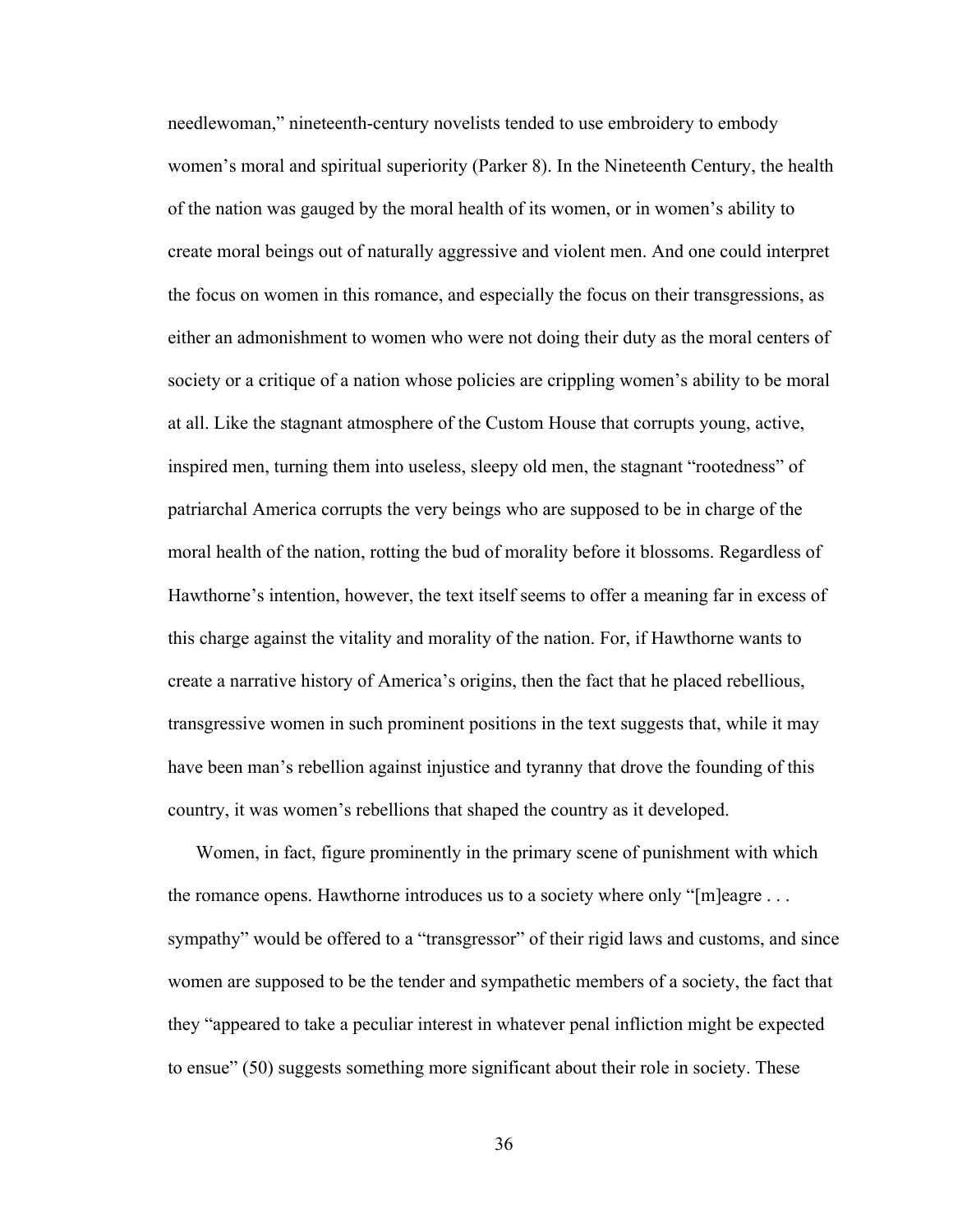needlewoman," nineteenth-century novelists tended to use embroidery to embody women's moral and spiritual superiority (Parker 8). In the Nineteenth Century, the health of the nation was gauged by the moral health of its women, or in women's ability to create moral beings out of naturally aggressive and violent men. And one could interpret the focus on women in this romance, and especially the focus on their transgressions, as either an admonishment to women who were not doing their duty as the moral centers of society or a critique of a nation whose policies are crippling women's ability to be moral at all. Like the stagnant atmosphere of the Custom House that corrupts young, active, inspired men, turning them into useless, sleepy old men, the stagnant "rootedness" of patriarchal America corrupts the very beings who are supposed to be in charge of the moral health of the nation, rotting the bud of morality before it blossoms. Regardless of Hawthorne's intention, however, the text itself seems to offer a meaning far in excess of this charge against the vitality and morality of the nation. For, if Hawthorne wants to create a narrative history of America's origins, then the fact that he placed rebellious, transgressive women in such prominent positions in the text suggests that, while it may have been man's rebellion against injustice and tyranny that drove the founding of this country, it was women's rebellions that shaped the country as it developed.

Women, in fact, figure prominently in the primary scene of punishment with which the romance opens. Hawthorne introduces us to a society where only "[m]eagre . . . sympathy" would be offered to a "transgressor" of their rigid laws and customs, and since women are supposed to be the tender and sympathetic members of a society, the fact that they "appeared to take a peculiar interest in whatever penal infliction might be expected to ensue" (50) suggests something more significant about their role in society. These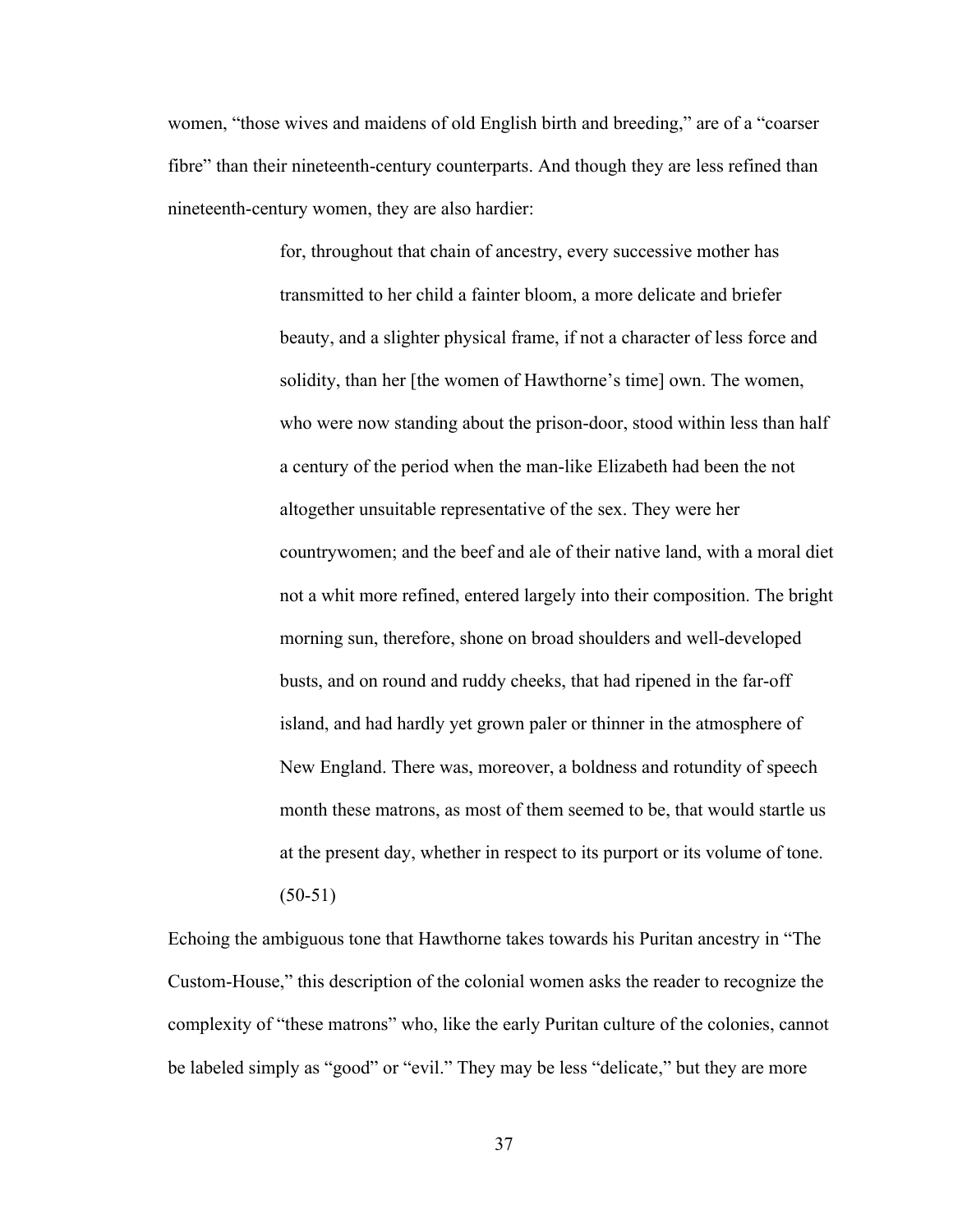women, "those wives and maidens of old English birth and breeding," are of a "coarser fibre" than their nineteenth-century counterparts. And though they are less refined than nineteenth-century women, they are also hardier:

> for, throughout that chain of ancestry, every successive mother has transmitted to her child a fainter bloom, a more delicate and briefer beauty, and a slighter physical frame, if not a character of less force and solidity, than her [the women of Hawthorne's time] own. The women, who were now standing about the prison-door, stood within less than half a century of the period when the man-like Elizabeth had been the not altogether unsuitable representative of the sex. They were her countrywomen; and the beef and ale of their native land, with a moral diet not a whit more refined, entered largely into their composition. The bright morning sun, therefore, shone on broad shoulders and well-developed busts, and on round and ruddy cheeks, that had ripened in the far-off island, and had hardly yet grown paler or thinner in the atmosphere of New England. There was, moreover, a boldness and rotundity of speech month these matrons, as most of them seemed to be, that would startle us at the present day, whether in respect to its purport or its volume of tone. (50-51)

Echoing the ambiguous tone that Hawthorne takes towards his Puritan ancestry in "The Custom-House," this description of the colonial women asks the reader to recognize the complexity of "these matrons" who, like the early Puritan culture of the colonies, cannot be labeled simply as "good" or "evil." They may be less "delicate," but they are more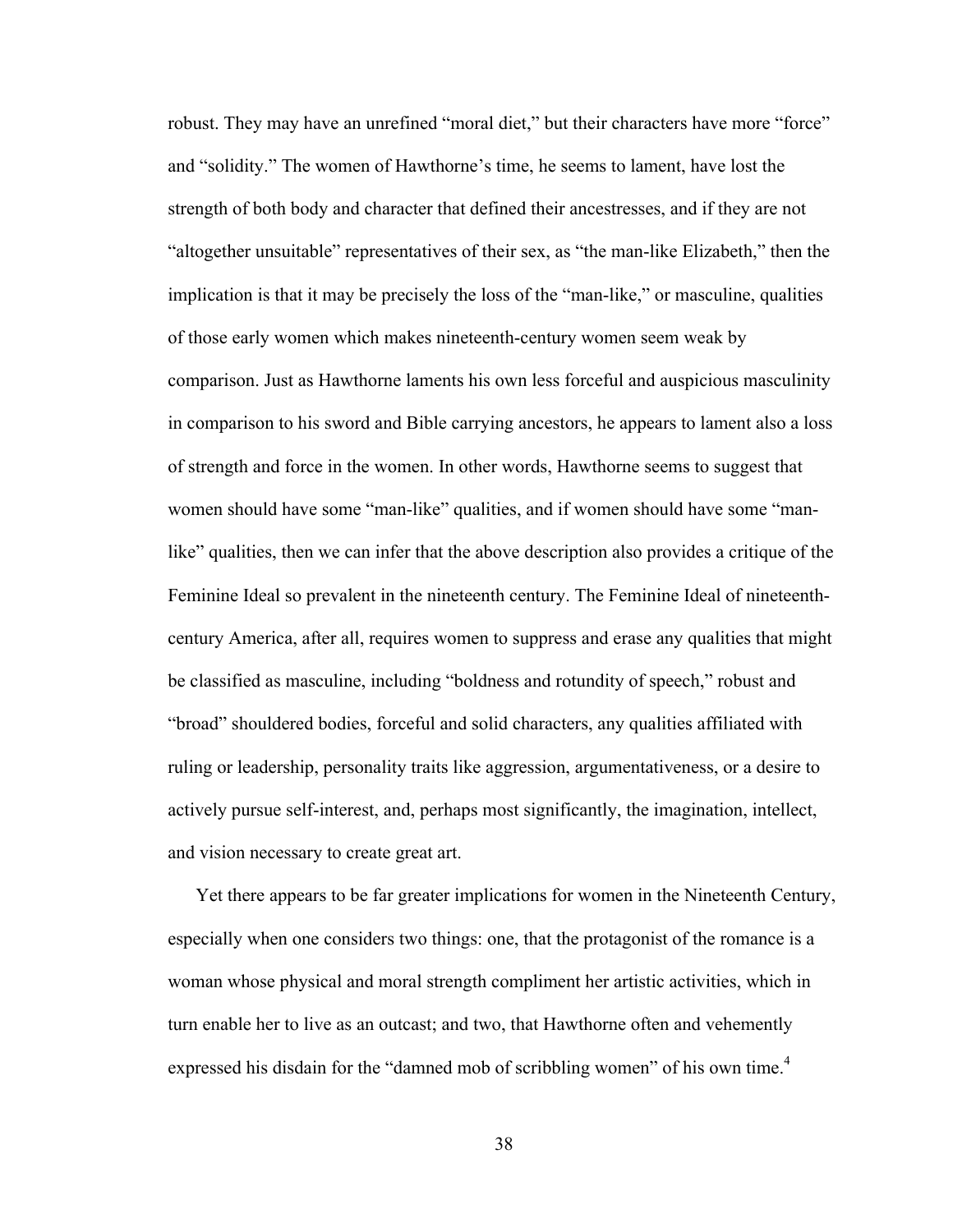robust. They may have an unrefined "moral diet," but their characters have more "force" and "solidity." The women of Hawthorne's time, he seems to lament, have lost the strength of both body and character that defined their ancestresses, and if they are not "altogether unsuitable" representatives of their sex, as "the man-like Elizabeth," then the implication is that it may be precisely the loss of the "man-like," or masculine, qualities of those early women which makes nineteenth-century women seem weak by comparison. Just as Hawthorne laments his own less forceful and auspicious masculinity in comparison to his sword and Bible carrying ancestors, he appears to lament also a loss of strength and force in the women. In other words, Hawthorne seems to suggest that women should have some "man-like" qualities, and if women should have some "manlike" qualities, then we can infer that the above description also provides a critique of the Feminine Ideal so prevalent in the nineteenth century. The Feminine Ideal of nineteenthcentury America, after all, requires women to suppress and erase any qualities that might be classified as masculine, including "boldness and rotundity of speech," robust and "broad" shouldered bodies, forceful and solid characters, any qualities affiliated with ruling or leadership, personality traits like aggression, argumentativeness, or a desire to actively pursue self-interest, and, perhaps most significantly, the imagination, intellect, and vision necessary to create great art.

Yet there appears to be far greater implications for women in the Nineteenth Century, especially when one considers two things: one, that the protagonist of the romance is a woman whose physical and moral strength compliment her artistic activities, which in turn enable her to live as an outcast; and two, that Hawthorne often and vehemently expressed his disdain for the "damned mob of scribbling women" of his own time.<sup>4</sup>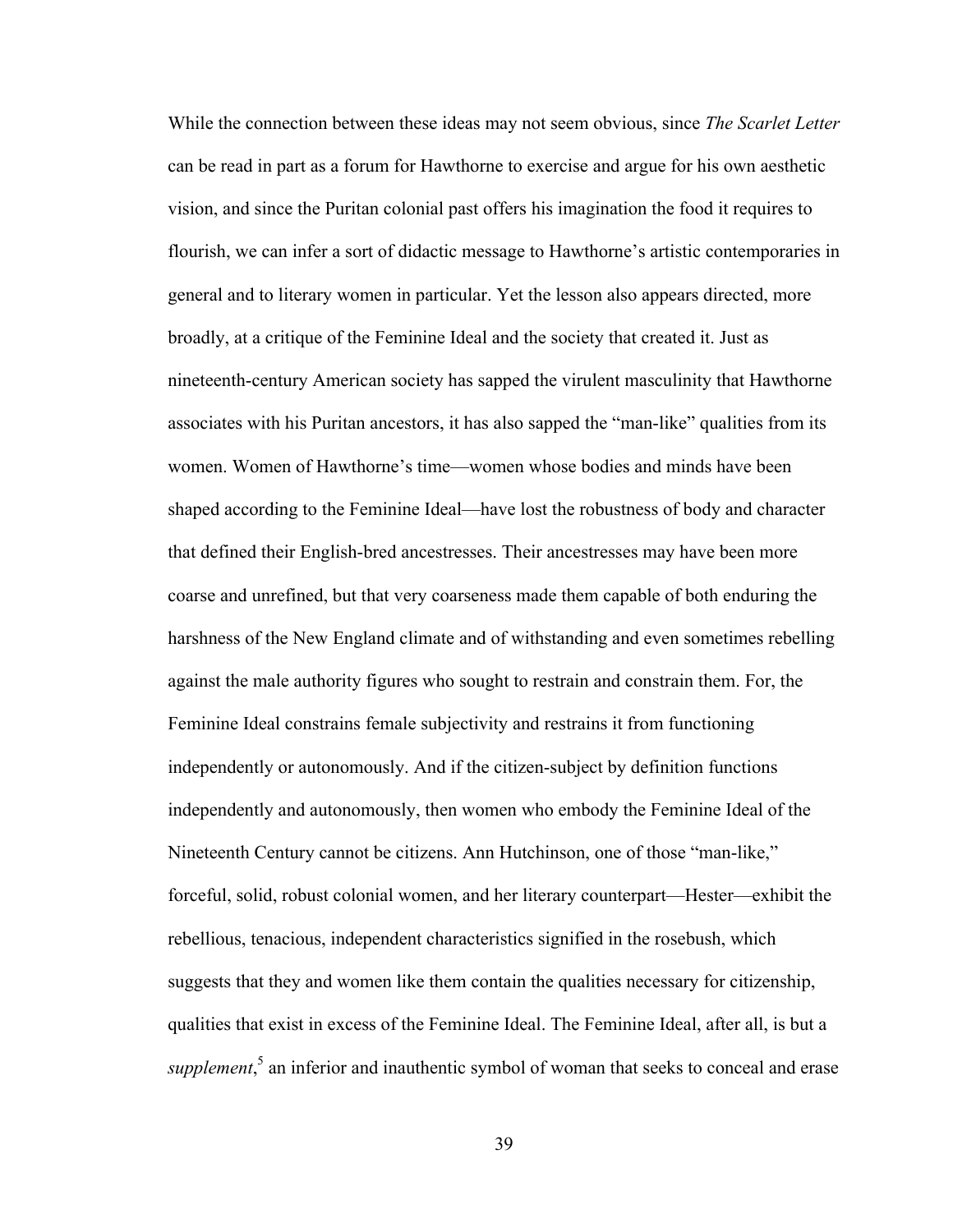While the connection between these ideas may not seem obvious, since *The Scarlet Letter* can be read in part as a forum for Hawthorne to exercise and argue for his own aesthetic vision, and since the Puritan colonial past offers his imagination the food it requires to flourish, we can infer a sort of didactic message to Hawthorne's artistic contemporaries in general and to literary women in particular. Yet the lesson also appears directed, more broadly, at a critique of the Feminine Ideal and the society that created it. Just as nineteenth-century American society has sapped the virulent masculinity that Hawthorne associates with his Puritan ancestors, it has also sapped the "man-like" qualities from its women. Women of Hawthorne's time—women whose bodies and minds have been shaped according to the Feminine Ideal—have lost the robustness of body and character that defined their English-bred ancestresses. Their ancestresses may have been more coarse and unrefined, but that very coarseness made them capable of both enduring the harshness of the New England climate and of withstanding and even sometimes rebelling against the male authority figures who sought to restrain and constrain them. For, the Feminine Ideal constrains female subjectivity and restrains it from functioning independently or autonomously. And if the citizen-subject by definition functions independently and autonomously, then women who embody the Feminine Ideal of the Nineteenth Century cannot be citizens. Ann Hutchinson, one of those "man-like," forceful, solid, robust colonial women, and her literary counterpart—Hester—exhibit the rebellious, tenacious, independent characteristics signified in the rosebush, which suggests that they and women like them contain the qualities necessary for citizenship, qualities that exist in excess of the Feminine Ideal. The Feminine Ideal, after all, is but a *supplement*, <sup>5</sup> an inferior and inauthentic symbol of woman that seeks to conceal and erase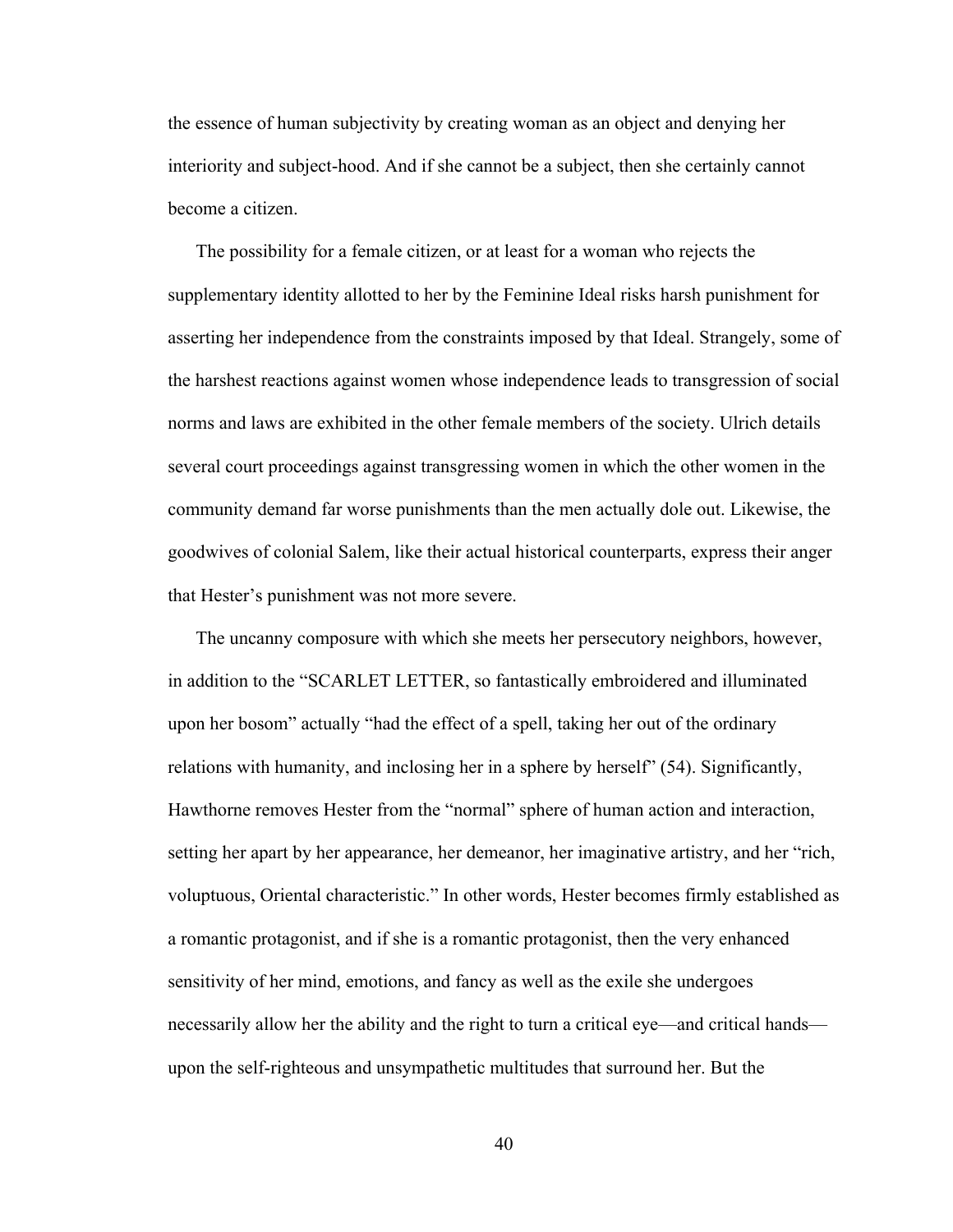the essence of human subjectivity by creating woman as an object and denying her interiority and subject-hood. And if she cannot be a subject, then she certainly cannot become a citizen.

The possibility for a female citizen, or at least for a woman who rejects the supplementary identity allotted to her by the Feminine Ideal risks harsh punishment for asserting her independence from the constraints imposed by that Ideal. Strangely, some of the harshest reactions against women whose independence leads to transgression of social norms and laws are exhibited in the other female members of the society. Ulrich details several court proceedings against transgressing women in which the other women in the community demand far worse punishments than the men actually dole out. Likewise, the goodwives of colonial Salem, like their actual historical counterparts, express their anger that Hester's punishment was not more severe.

The uncanny composure with which she meets her persecutory neighbors, however, in addition to the "SCARLET LETTER, so fantastically embroidered and illuminated upon her bosom" actually "had the effect of a spell, taking her out of the ordinary relations with humanity, and inclosing her in a sphere by herself" (54). Significantly, Hawthorne removes Hester from the "normal" sphere of human action and interaction, setting her apart by her appearance, her demeanor, her imaginative artistry, and her "rich, voluptuous, Oriental characteristic." In other words, Hester becomes firmly established as a romantic protagonist, and if she is a romantic protagonist, then the very enhanced sensitivity of her mind, emotions, and fancy as well as the exile she undergoes necessarily allow her the ability and the right to turn a critical eye—and critical hands upon the self-righteous and unsympathetic multitudes that surround her. But the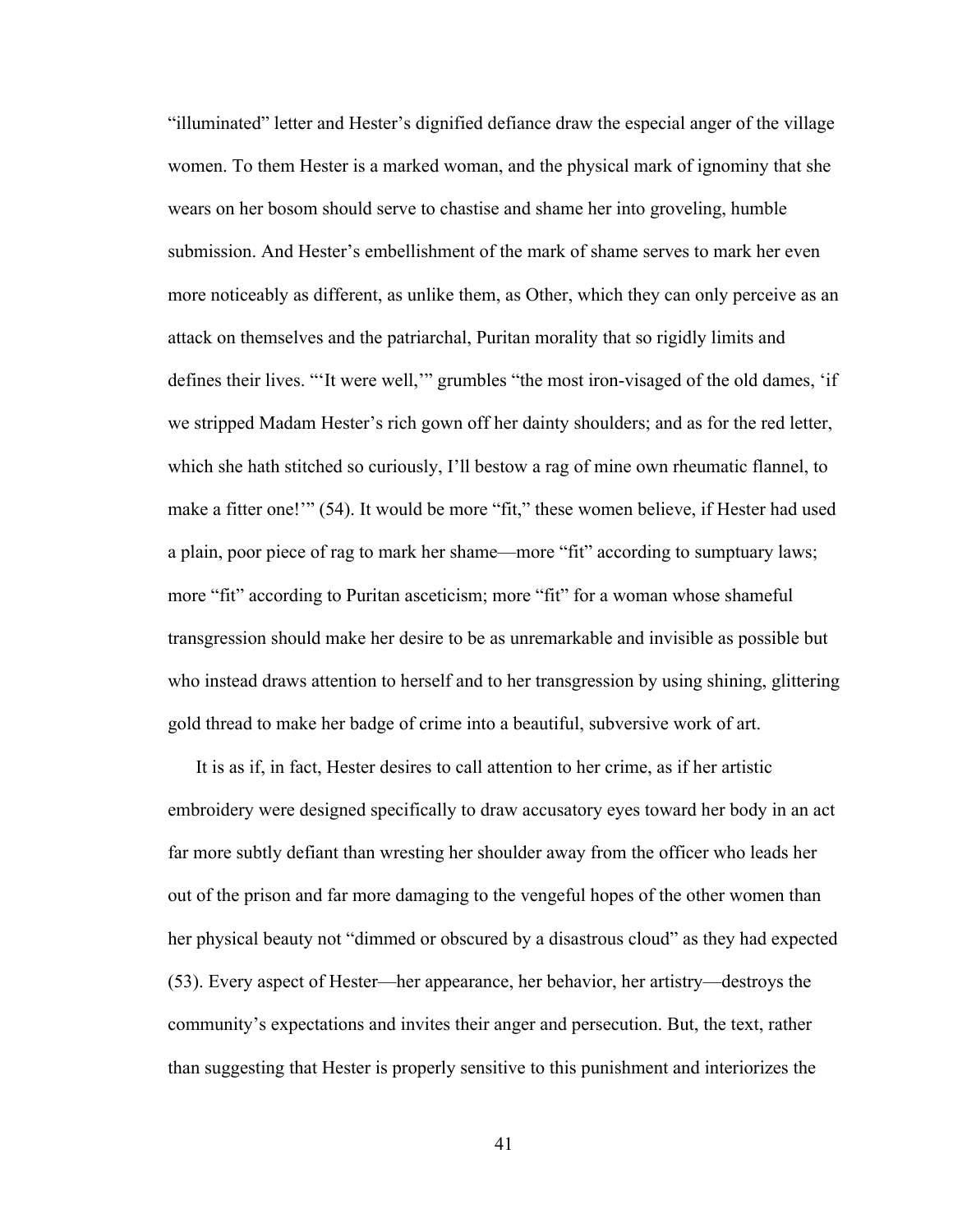"illuminated" letter and Hester's dignified defiance draw the especial anger of the village women. To them Hester is a marked woman, and the physical mark of ignominy that she wears on her bosom should serve to chastise and shame her into groveling, humble submission. And Hester's embellishment of the mark of shame serves to mark her even more noticeably as different, as unlike them, as Other, which they can only perceive as an attack on themselves and the patriarchal, Puritan morality that so rigidly limits and defines their lives. "'It were well,'" grumbles "the most iron-visaged of the old dames, 'if we stripped Madam Hester's rich gown off her dainty shoulders; and as for the red letter, which she hath stitched so curiously, I'll bestow a rag of mine own rheumatic flannel, to make a fitter one!"" (54). It would be more "fit," these women believe, if Hester had used a plain, poor piece of rag to mark her shame—more "fit" according to sumptuary laws; more "fit" according to Puritan asceticism; more "fit" for a woman whose shameful transgression should make her desire to be as unremarkable and invisible as possible but who instead draws attention to herself and to her transgression by using shining, glittering gold thread to make her badge of crime into a beautiful, subversive work of art.

It is as if, in fact, Hester desires to call attention to her crime, as if her artistic embroidery were designed specifically to draw accusatory eyes toward her body in an act far more subtly defiant than wresting her shoulder away from the officer who leads her out of the prison and far more damaging to the vengeful hopes of the other women than her physical beauty not "dimmed or obscured by a disastrous cloud" as they had expected (53). Every aspect of Hester—her appearance, her behavior, her artistry—destroys the community's expectations and invites their anger and persecution. But, the text, rather than suggesting that Hester is properly sensitive to this punishment and interiorizes the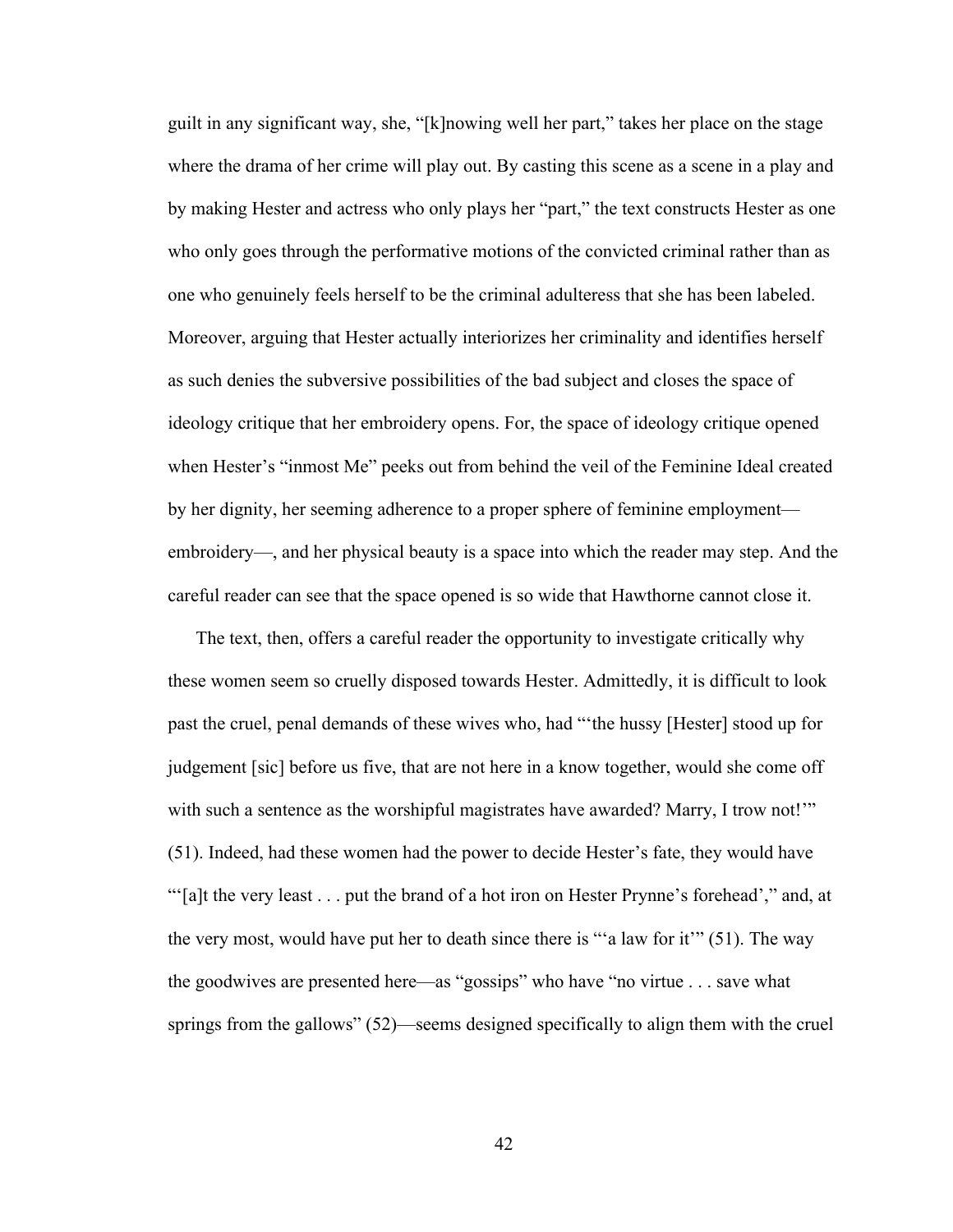guilt in any significant way, she, "[k]nowing well her part," takes her place on the stage where the drama of her crime will play out. By casting this scene as a scene in a play and by making Hester and actress who only plays her "part," the text constructs Hester as one who only goes through the performative motions of the convicted criminal rather than as one who genuinely feels herself to be the criminal adulteress that she has been labeled. Moreover, arguing that Hester actually interiorizes her criminality and identifies herself as such denies the subversive possibilities of the bad subject and closes the space of ideology critique that her embroidery opens. For, the space of ideology critique opened when Hester's "inmost Me" peeks out from behind the veil of the Feminine Ideal created by her dignity, her seeming adherence to a proper sphere of feminine employment embroidery—, and her physical beauty is a space into which the reader may step. And the careful reader can see that the space opened is so wide that Hawthorne cannot close it.

The text, then, offers a careful reader the opportunity to investigate critically why these women seem so cruelly disposed towards Hester. Admittedly, it is difficult to look past the cruel, penal demands of these wives who, had "'the hussy [Hester] stood up for judgement [sic] before us five, that are not here in a know together, would she come off with such a sentence as the worshipful magistrates have awarded? Marry, I trow not!" (51). Indeed, had these women had the power to decide Hester's fate, they would have "'[a]t the very least . . . put the brand of a hot iron on Hester Prynne's forehead'," and, at the very most, would have put her to death since there is "'a law for it'" (51). The way the goodwives are presented here—as "gossips" who have "no virtue . . . save what springs from the gallows" (52)—seems designed specifically to align them with the cruel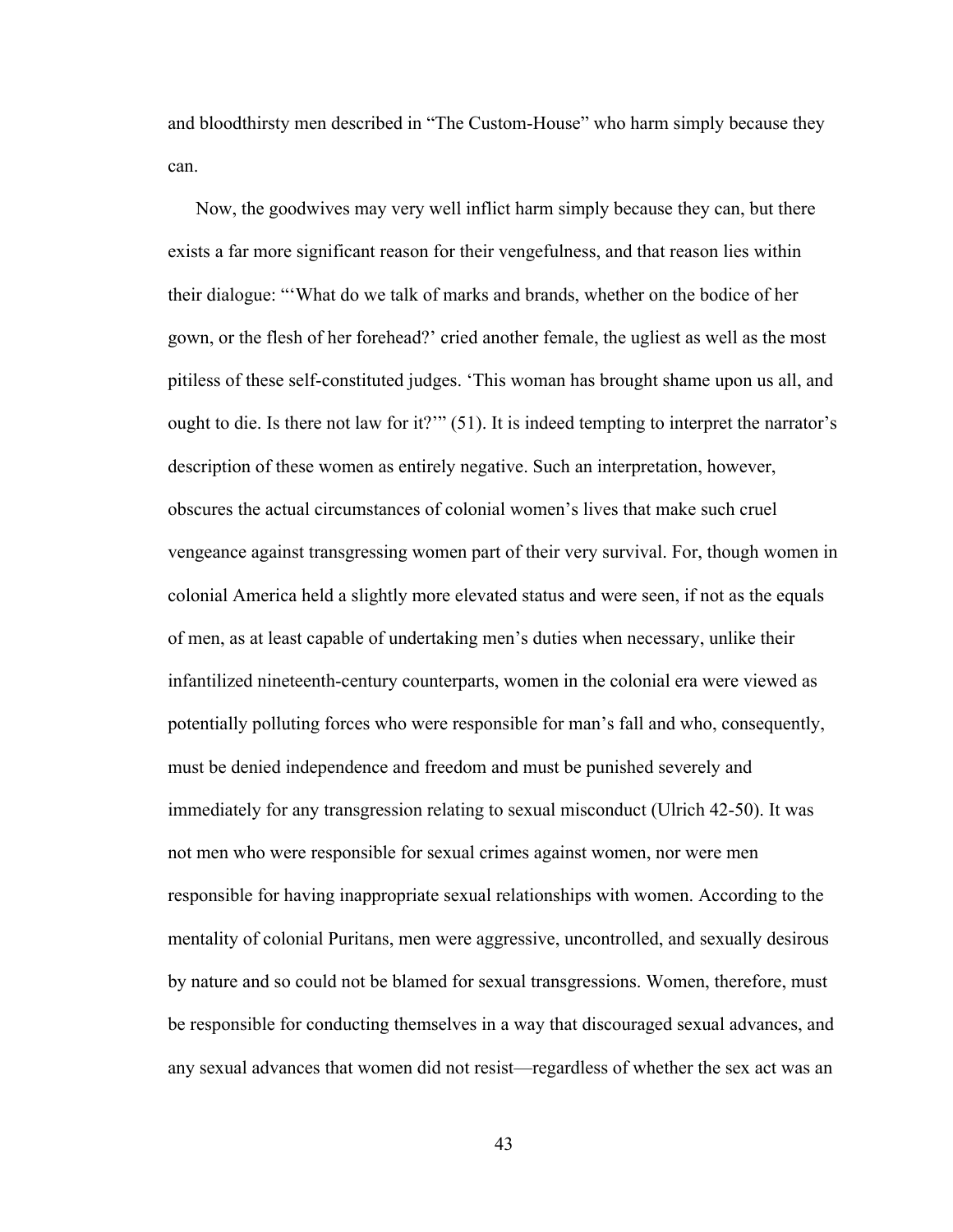and bloodthirsty men described in "The Custom-House" who harm simply because they can.

Now, the goodwives may very well inflict harm simply because they can, but there exists a far more significant reason for their vengefulness, and that reason lies within their dialogue: "'What do we talk of marks and brands, whether on the bodice of her gown, or the flesh of her forehead?' cried another female, the ugliest as well as the most pitiless of these self-constituted judges. 'This woman has brought shame upon us all, and ought to die. Is there not law for it?'" (51). It is indeed tempting to interpret the narrator's description of these women as entirely negative. Such an interpretation, however, obscures the actual circumstances of colonial women's lives that make such cruel vengeance against transgressing women part of their very survival. For, though women in colonial America held a slightly more elevated status and were seen, if not as the equals of men, as at least capable of undertaking men's duties when necessary, unlike their infantilized nineteenth-century counterparts, women in the colonial era were viewed as potentially polluting forces who were responsible for man's fall and who, consequently, must be denied independence and freedom and must be punished severely and immediately for any transgression relating to sexual misconduct (Ulrich 42-50). It was not men who were responsible for sexual crimes against women, nor were men responsible for having inappropriate sexual relationships with women. According to the mentality of colonial Puritans, men were aggressive, uncontrolled, and sexually desirous by nature and so could not be blamed for sexual transgressions. Women, therefore, must be responsible for conducting themselves in a way that discouraged sexual advances, and any sexual advances that women did not resist—regardless of whether the sex act was an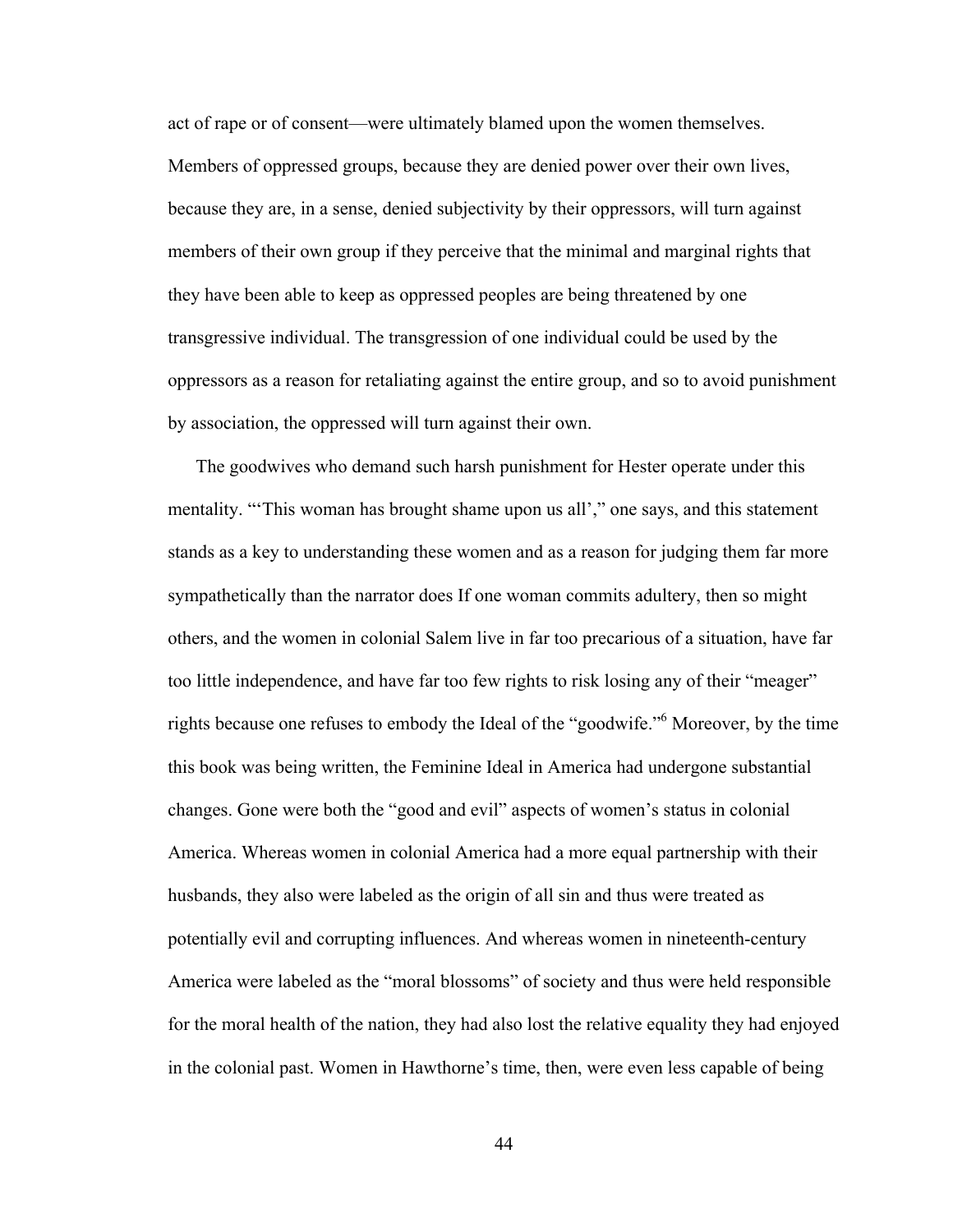act of rape or of consent—were ultimately blamed upon the women themselves. Members of oppressed groups, because they are denied power over their own lives, because they are, in a sense, denied subjectivity by their oppressors, will turn against members of their own group if they perceive that the minimal and marginal rights that they have been able to keep as oppressed peoples are being threatened by one transgressive individual. The transgression of one individual could be used by the oppressors as a reason for retaliating against the entire group, and so to avoid punishment by association, the oppressed will turn against their own.

The goodwives who demand such harsh punishment for Hester operate under this mentality. "'This woman has brought shame upon us all'," one says, and this statement stands as a key to understanding these women and as a reason for judging them far more sympathetically than the narrator does If one woman commits adultery, then so might others, and the women in colonial Salem live in far too precarious of a situation, have far too little independence, and have far too few rights to risk losing any of their "meager" rights because one refuses to embody the Ideal of the "goodwife." <sup>6</sup> Moreover, by the time this book was being written, the Feminine Ideal in America had undergone substantial changes. Gone were both the "good and evil" aspects of women's status in colonial America. Whereas women in colonial America had a more equal partnership with their husbands, they also were labeled as the origin of all sin and thus were treated as potentially evil and corrupting influences. And whereas women in nineteenth-century America were labeled as the "moral blossoms" of society and thus were held responsible for the moral health of the nation, they had also lost the relative equality they had enjoyed in the colonial past. Women in Hawthorne's time, then, were even less capable of being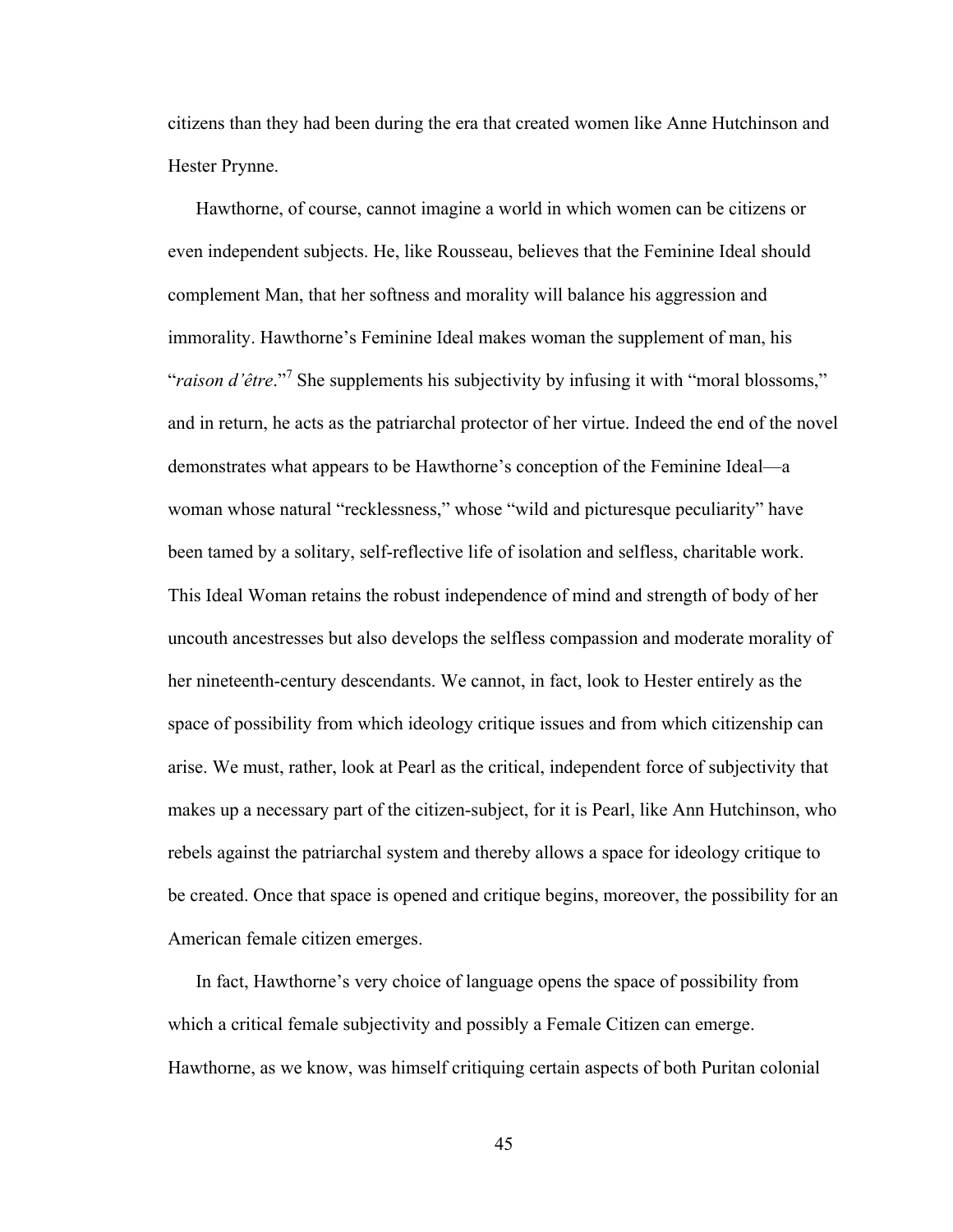citizens than they had been during the era that created women like Anne Hutchinson and Hester Prynne.

Hawthorne, of course, cannot imagine a world in which women can be citizens or even independent subjects. He, like Rousseau, believes that the Feminine Ideal should complement Man, that her softness and morality will balance his aggression and immorality. Hawthorne's Feminine Ideal makes woman the supplement of man, his "*raison d'être*." <sup>7</sup> She supplements his subjectivity by infusing it with "moral blossoms," and in return, he acts as the patriarchal protector of her virtue. Indeed the end of the novel demonstrates what appears to be Hawthorne's conception of the Feminine Ideal—a woman whose natural "recklessness," whose "wild and picturesque peculiarity" have been tamed by a solitary, self-reflective life of isolation and selfless, charitable work. This Ideal Woman retains the robust independence of mind and strength of body of her uncouth ancestresses but also develops the selfless compassion and moderate morality of her nineteenth-century descendants. We cannot, in fact, look to Hester entirely as the space of possibility from which ideology critique issues and from which citizenship can arise. We must, rather, look at Pearl as the critical, independent force of subjectivity that makes up a necessary part of the citizen-subject, for it is Pearl, like Ann Hutchinson, who rebels against the patriarchal system and thereby allows a space for ideology critique to be created. Once that space is opened and critique begins, moreover, the possibility for an American female citizen emerges.

In fact, Hawthorne's very choice of language opens the space of possibility from which a critical female subjectivity and possibly a Female Citizen can emerge. Hawthorne, as we know, was himself critiquing certain aspects of both Puritan colonial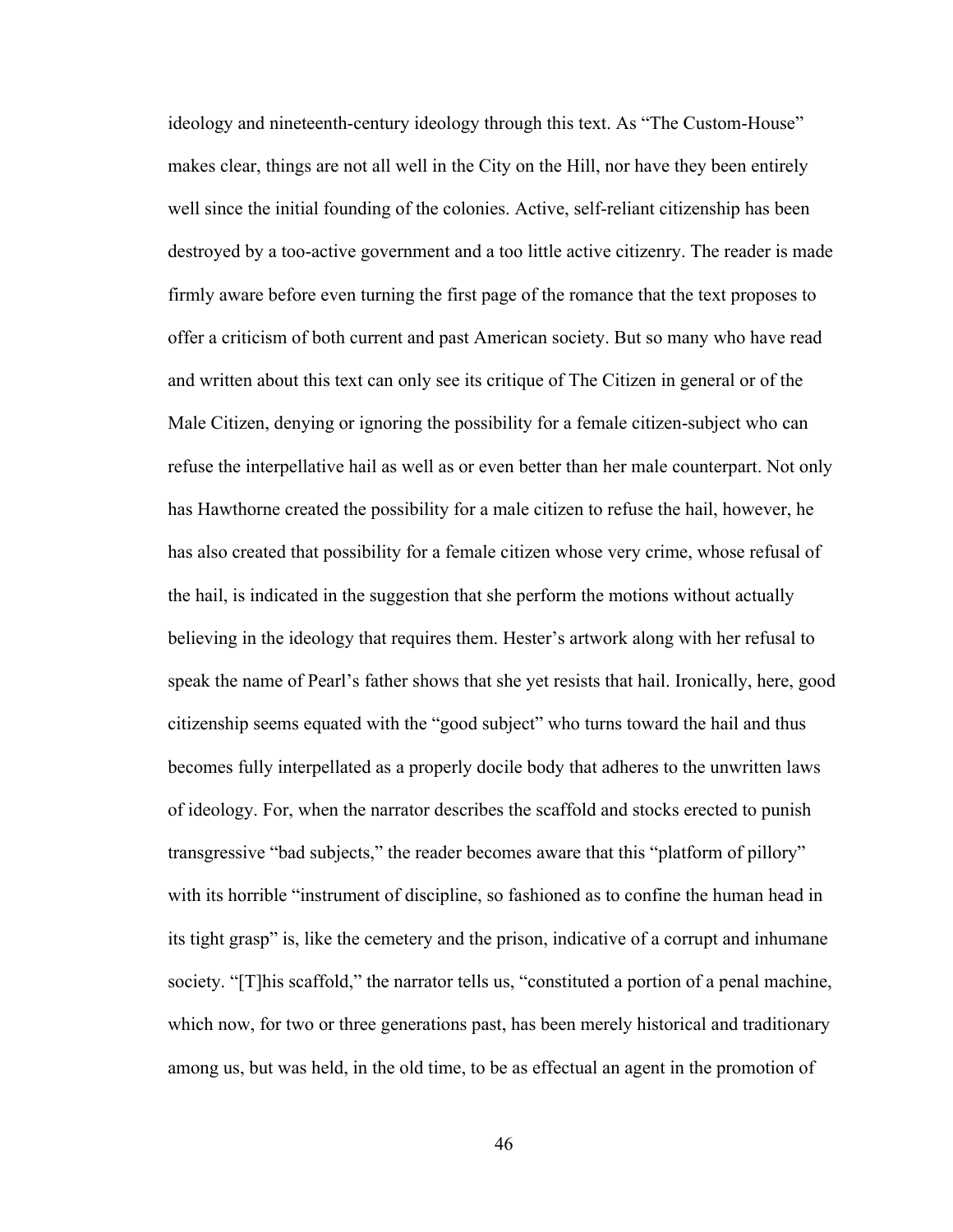ideology and nineteenth-century ideology through this text. As "The Custom-House" makes clear, things are not all well in the City on the Hill, nor have they been entirely well since the initial founding of the colonies. Active, self-reliant citizenship has been destroyed by a too-active government and a too little active citizenry. The reader is made firmly aware before even turning the first page of the romance that the text proposes to offer a criticism of both current and past American society. But so many who have read and written about this text can only see its critique of The Citizen in general or of the Male Citizen, denying or ignoring the possibility for a female citizen-subject who can refuse the interpellative hail as well as or even better than her male counterpart. Not only has Hawthorne created the possibility for a male citizen to refuse the hail, however, he has also created that possibility for a female citizen whose very crime, whose refusal of the hail, is indicated in the suggestion that she perform the motions without actually believing in the ideology that requires them. Hester's artwork along with her refusal to speak the name of Pearl's father shows that she yet resists that hail. Ironically, here, good citizenship seems equated with the "good subject" who turns toward the hail and thus becomes fully interpellated as a properly docile body that adheres to the unwritten laws of ideology. For, when the narrator describes the scaffold and stocks erected to punish transgressive "bad subjects," the reader becomes aware that this "platform of pillory" with its horrible "instrument of discipline, so fashioned as to confine the human head in its tight grasp" is, like the cemetery and the prison, indicative of a corrupt and inhumane society. "[T]his scaffold," the narrator tells us, "constituted a portion of a penal machine, which now, for two or three generations past, has been merely historical and traditionary among us, but was held, in the old time, to be as effectual an agent in the promotion of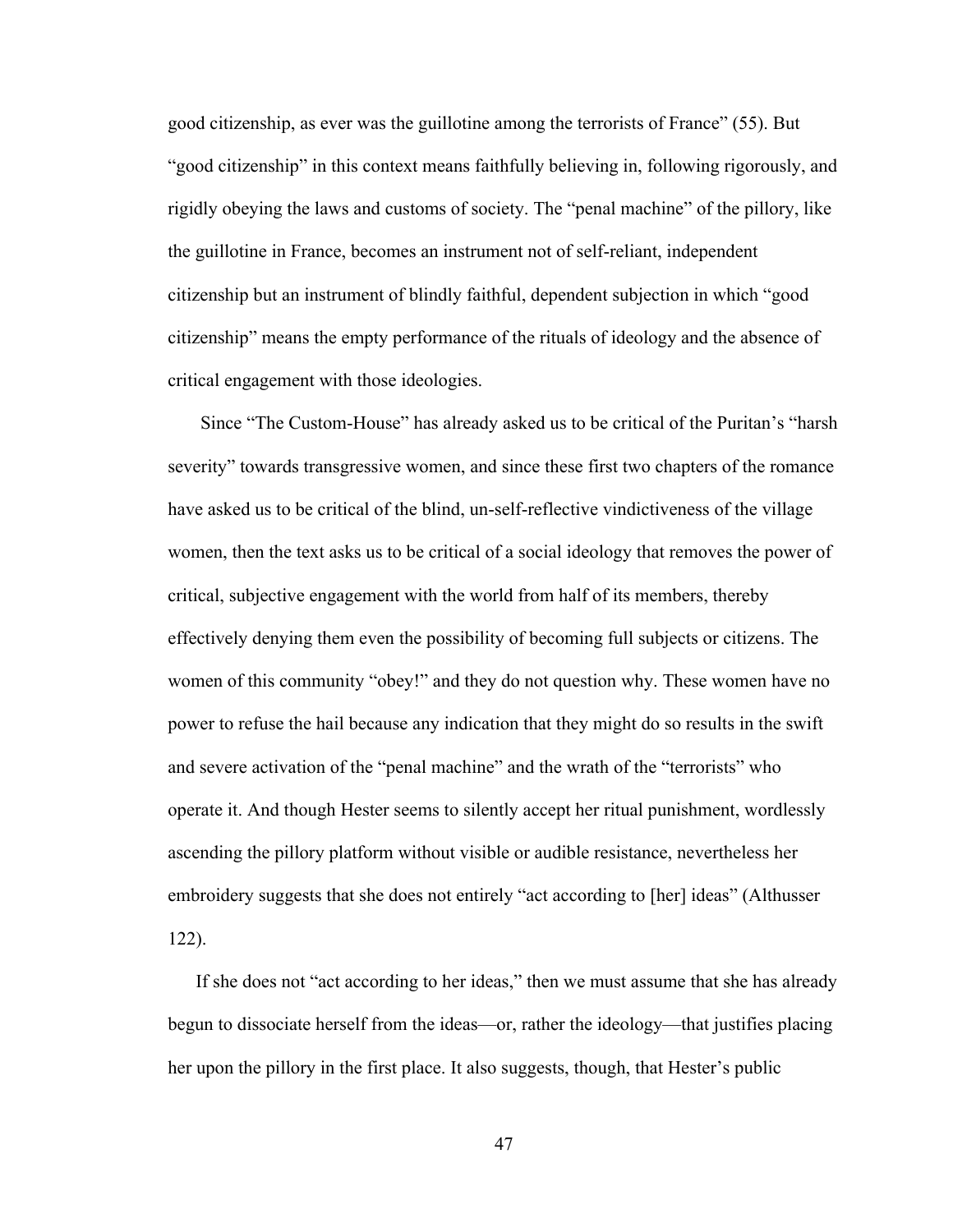good citizenship, as ever was the guillotine among the terrorists of France" (55). But "good citizenship" in this context means faithfully believing in, following rigorously, and rigidly obeying the laws and customs of society. The "penal machine" of the pillory, like the guillotine in France, becomes an instrument not of self-reliant, independent citizenship but an instrument of blindly faithful, dependent subjection in which "good citizenship" means the empty performance of the rituals of ideology and the absence of critical engagement with those ideologies.

Since "The Custom-House" has already asked us to be critical of the Puritan's "harsh severity" towards transgressive women, and since these first two chapters of the romance have asked us to be critical of the blind, un-self-reflective vindictiveness of the village women, then the text asks us to be critical of a social ideology that removes the power of critical, subjective engagement with the world from half of its members, thereby effectively denying them even the possibility of becoming full subjects or citizens. The women of this community "obey!" and they do not question why. These women have no power to refuse the hail because any indication that they might do so results in the swift and severe activation of the "penal machine" and the wrath of the "terrorists" who operate it. And though Hester seems to silently accept her ritual punishment, wordlessly ascending the pillory platform without visible or audible resistance, nevertheless her embroidery suggests that she does not entirely "act according to [her] ideas" (Althusser 122).

If she does not "act according to her ideas," then we must assume that she has already begun to dissociate herself from the ideas—or, rather the ideology—that justifies placing her upon the pillory in the first place. It also suggests, though, that Hester's public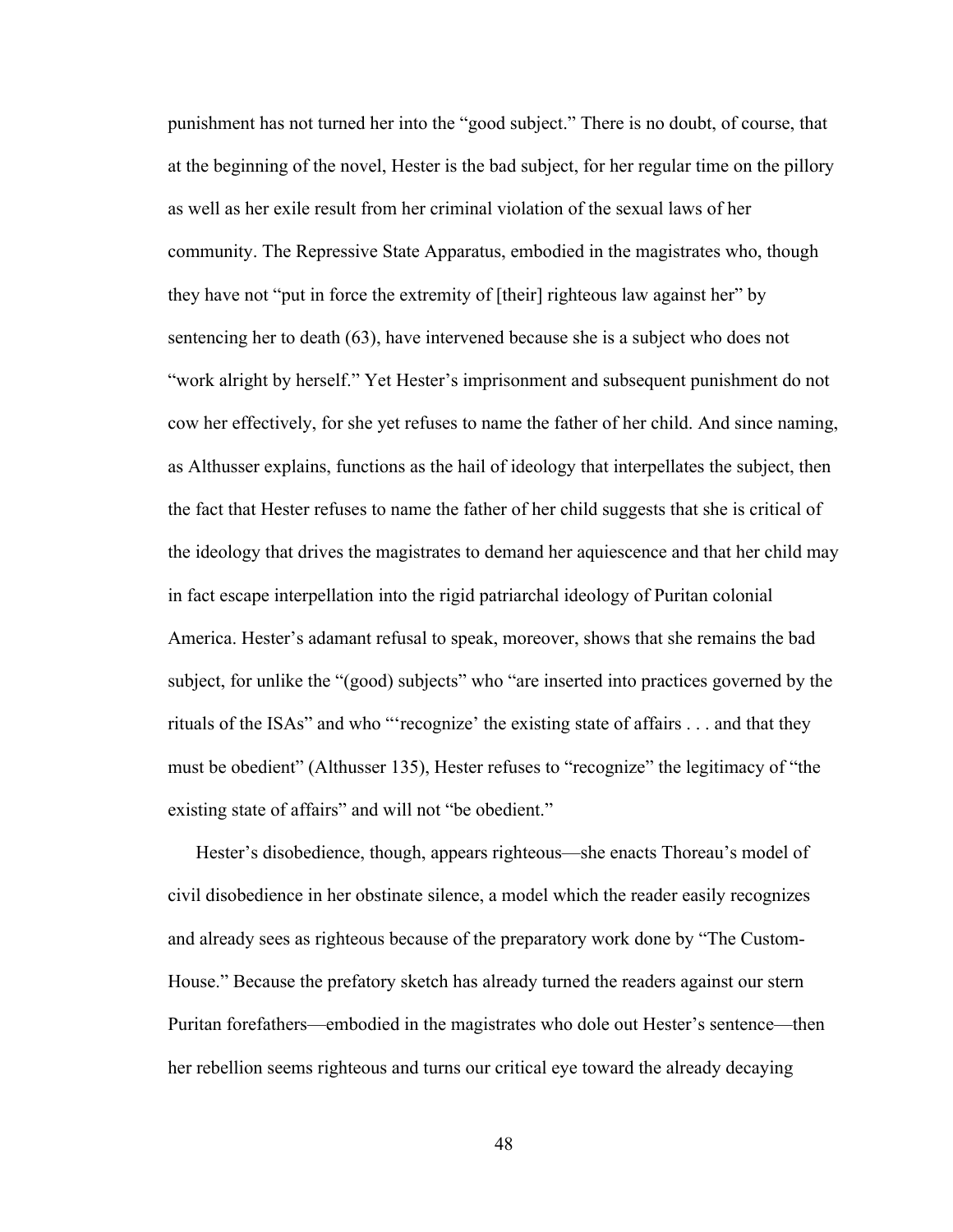punishment has not turned her into the "good subject." There is no doubt, of course, that at the beginning of the novel, Hester is the bad subject, for her regular time on the pillory as well as her exile result from her criminal violation of the sexual laws of her community. The Repressive State Apparatus, embodied in the magistrates who, though they have not "put in force the extremity of [their] righteous law against her" by sentencing her to death (63), have intervened because she is a subject who does not "work alright by herself." Yet Hester's imprisonment and subsequent punishment do not cow her effectively, for she yet refuses to name the father of her child. And since naming, as Althusser explains, functions as the hail of ideology that interpellates the subject, then the fact that Hester refuses to name the father of her child suggests that she is critical of the ideology that drives the magistrates to demand her aquiescence and that her child may in fact escape interpellation into the rigid patriarchal ideology of Puritan colonial America. Hester's adamant refusal to speak, moreover, shows that she remains the bad subject, for unlike the "(good) subjects" who "are inserted into practices governed by the rituals of the ISAs" and who "'recognize' the existing state of affairs . . . and that they must be obedient" (Althusser 135), Hester refuses to "recognize" the legitimacy of "the existing state of affairs" and will not "be obedient."

Hester's disobedience, though, appears righteous—she enacts Thoreau's model of civil disobedience in her obstinate silence, a model which the reader easily recognizes and already sees as righteous because of the preparatory work done by "The Custom-House." Because the prefatory sketch has already turned the readers against our stern Puritan forefathers—embodied in the magistrates who dole out Hester's sentence—then her rebellion seems righteous and turns our critical eye toward the already decaying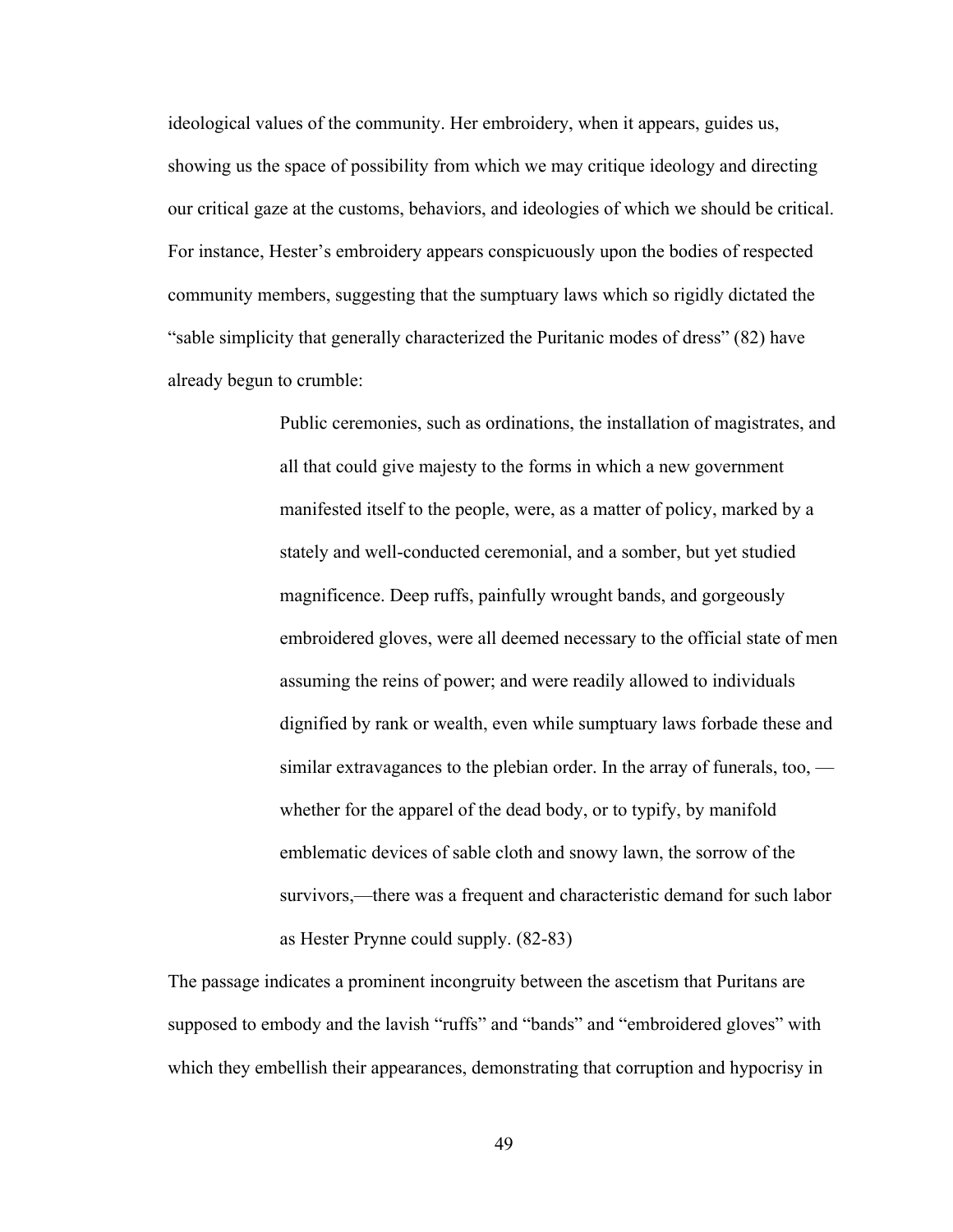ideological values of the community. Her embroidery, when it appears, guides us, showing us the space of possibility from which we may critique ideology and directing our critical gaze at the customs, behaviors, and ideologies of which we should be critical. For instance, Hester's embroidery appears conspicuously upon the bodies of respected community members, suggesting that the sumptuary laws which so rigidly dictated the "sable simplicity that generally characterized the Puritanic modes of dress" (82) have already begun to crumble:

> Public ceremonies, such as ordinations, the installation of magistrates, and all that could give majesty to the forms in which a new government manifested itself to the people, were, as a matter of policy, marked by a stately and well-conducted ceremonial, and a somber, but yet studied magnificence. Deep ruffs, painfully wrought bands, and gorgeously embroidered gloves, were all deemed necessary to the official state of men assuming the reins of power; and were readily allowed to individuals dignified by rank or wealth, even while sumptuary laws forbade these and similar extravagances to the plebian order. In the array of funerals, too, whether for the apparel of the dead body, or to typify, by manifold emblematic devices of sable cloth and snowy lawn, the sorrow of the survivors,—there was a frequent and characteristic demand for such labor as Hester Prynne could supply. (82-83)

The passage indicates a prominent incongruity between the ascetism that Puritans are supposed to embody and the lavish "ruffs" and "bands" and "embroidered gloves" with which they embellish their appearances, demonstrating that corruption and hypocrisy in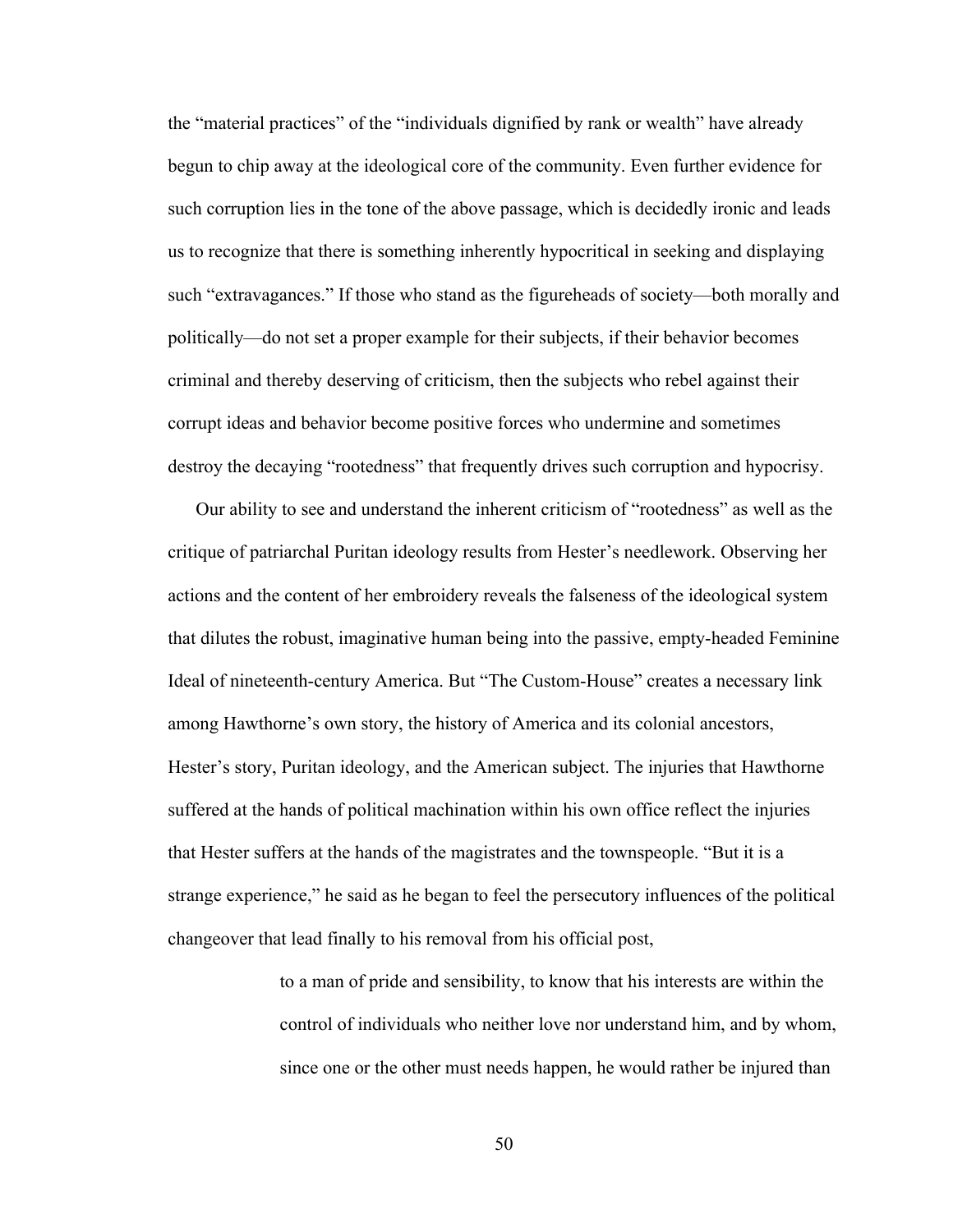the "material practices" of the "individuals dignified by rank or wealth" have already begun to chip away at the ideological core of the community. Even further evidence for such corruption lies in the tone of the above passage, which is decidedly ironic and leads us to recognize that there is something inherently hypocritical in seeking and displaying such "extravagances." If those who stand as the figureheads of society—both morally and politically—do not set a proper example for their subjects, if their behavior becomes criminal and thereby deserving of criticism, then the subjects who rebel against their corrupt ideas and behavior become positive forces who undermine and sometimes destroy the decaying "rootedness" that frequently drives such corruption and hypocrisy.

Our ability to see and understand the inherent criticism of "rootedness" as well as the critique of patriarchal Puritan ideology results from Hester's needlework. Observing her actions and the content of her embroidery reveals the falseness of the ideological system that dilutes the robust, imaginative human being into the passive, empty-headed Feminine Ideal of nineteenth-century America. But "The Custom-House" creates a necessary link among Hawthorne's own story, the history of America and its colonial ancestors, Hester's story, Puritan ideology, and the American subject. The injuries that Hawthorne suffered at the hands of political machination within his own office reflect the injuries that Hester suffers at the hands of the magistrates and the townspeople. "But it is a strange experience," he said as he began to feel the persecutory influences of the political changeover that lead finally to his removal from his official post,

> to a man of pride and sensibility, to know that his interests are within the control of individuals who neither love nor understand him, and by whom, since one or the other must needs happen, he would rather be injured than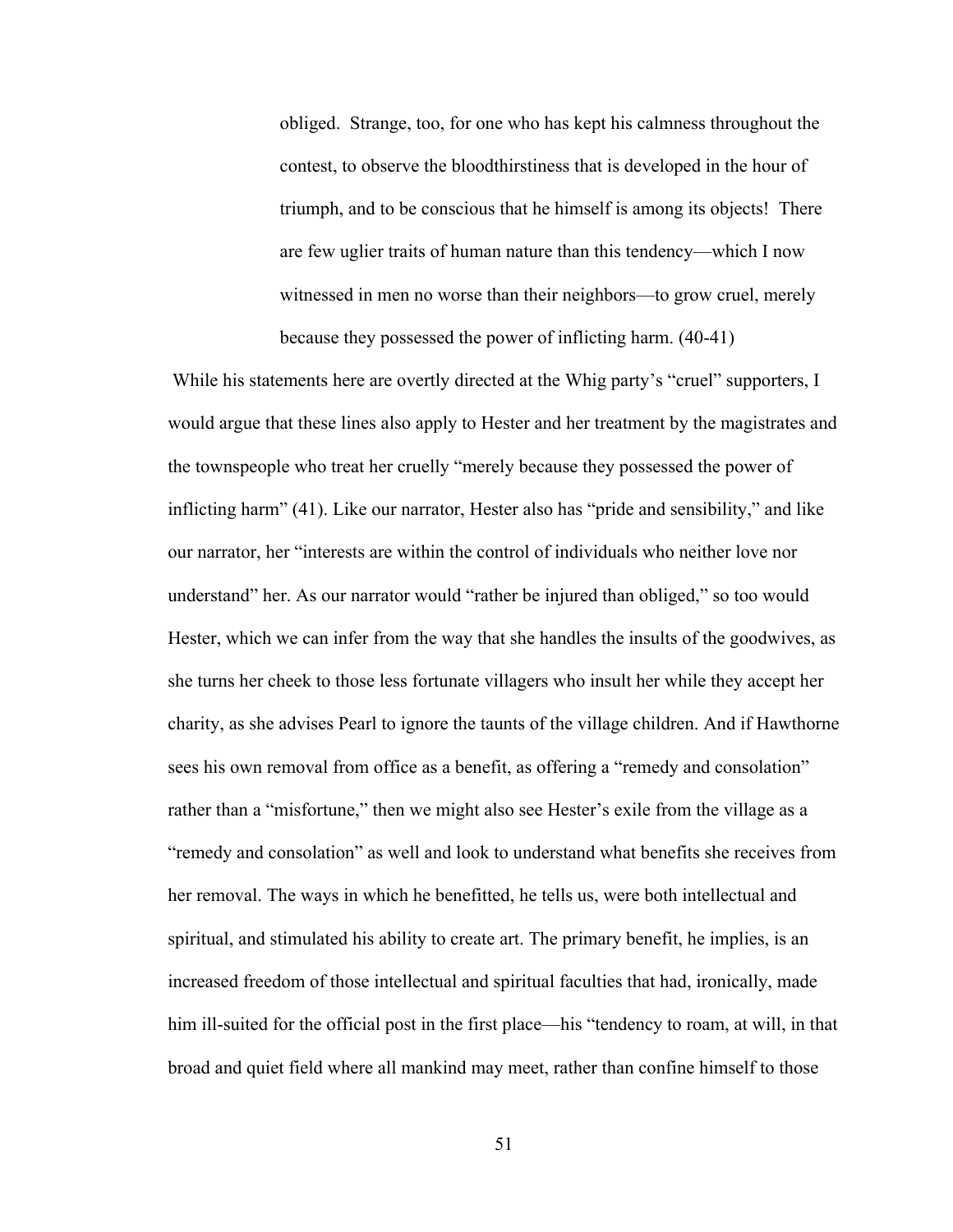obliged. Strange, too, for one who has kept his calmness throughout the contest, to observe the bloodthirstiness that is developed in the hour of triumph, and to be conscious that he himself is among its objects! There are few uglier traits of human nature than this tendency—which I now witnessed in men no worse than their neighbors—to grow cruel, merely because they possessed the power of inflicting harm. (40-41)

While his statements here are overtly directed at the Whig party's "cruel" supporters, I would argue that these lines also apply to Hester and her treatment by the magistrates and the townspeople who treat her cruelly "merely because they possessed the power of inflicting harm" (41). Like our narrator, Hester also has "pride and sensibility," and like our narrator, her "interests are within the control of individuals who neither love nor understand" her. As our narrator would "rather be injured than obliged," so too would Hester, which we can infer from the way that she handles the insults of the goodwives, as she turns her cheek to those less fortunate villagers who insult her while they accept her charity, as she advises Pearl to ignore the taunts of the village children. And if Hawthorne sees his own removal from office as a benefit, as offering a "remedy and consolation" rather than a "misfortune," then we might also see Hester's exile from the village as a "remedy and consolation" as well and look to understand what benefits she receives from her removal. The ways in which he benefitted, he tells us, were both intellectual and spiritual, and stimulated his ability to create art. The primary benefit, he implies, is an increased freedom of those intellectual and spiritual faculties that had, ironically, made him ill-suited for the official post in the first place—his "tendency to roam, at will, in that broad and quiet field where all mankind may meet, rather than confine himself to those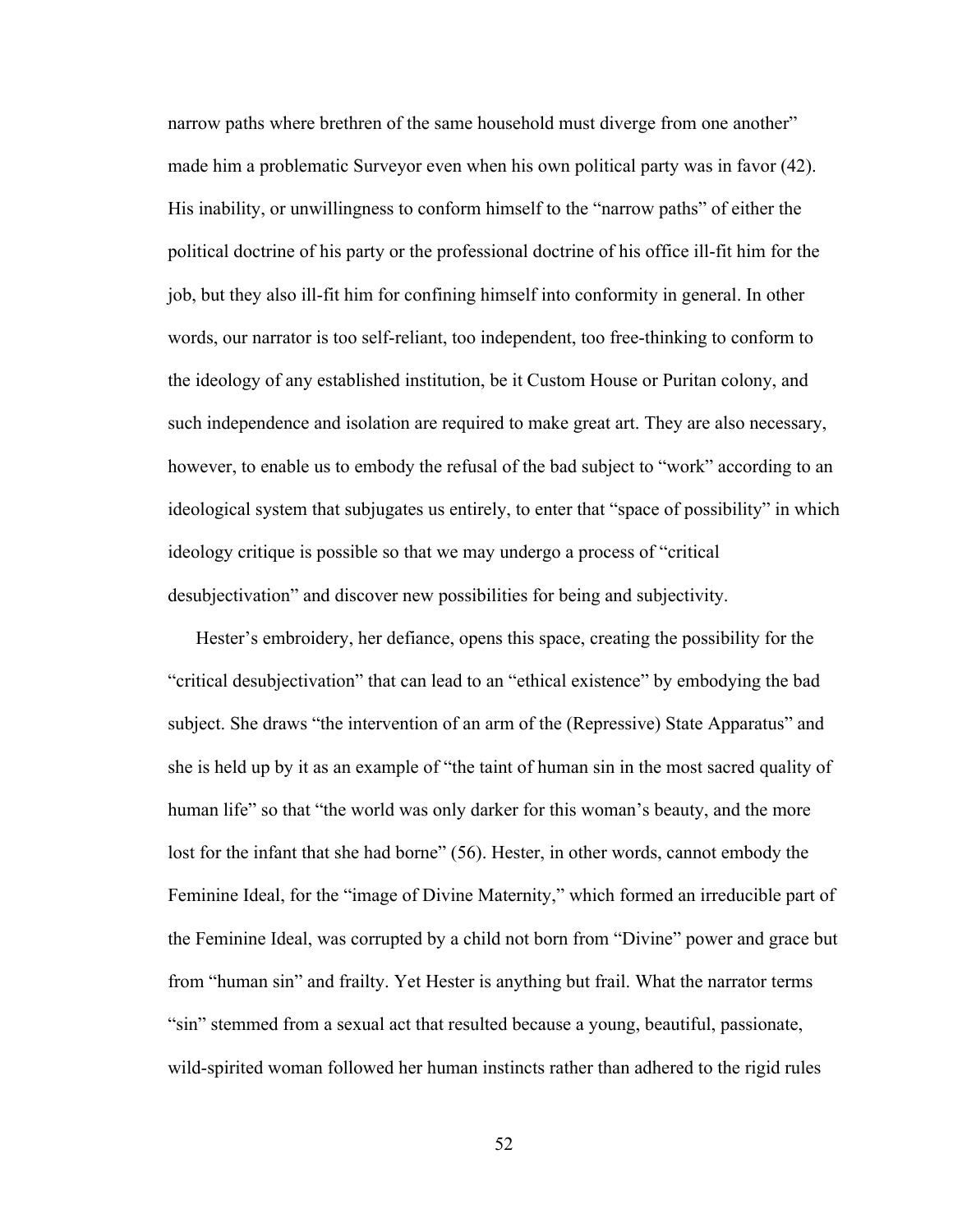narrow paths where brethren of the same household must diverge from one another" made him a problematic Surveyor even when his own political party was in favor (42). His inability, or unwillingness to conform himself to the "narrow paths" of either the political doctrine of his party or the professional doctrine of his office ill-fit him for the job, but they also ill-fit him for confining himself into conformity in general. In other words, our narrator is too self-reliant, too independent, too free-thinking to conform to the ideology of any established institution, be it Custom House or Puritan colony, and such independence and isolation are required to make great art. They are also necessary, however, to enable us to embody the refusal of the bad subject to "work" according to an ideological system that subjugates us entirely, to enter that "space of possibility" in which ideology critique is possible so that we may undergo a process of "critical desubjectivation" and discover new possibilities for being and subjectivity.

Hester's embroidery, her defiance, opens this space, creating the possibility for the "critical desubjectivation" that can lead to an "ethical existence" by embodying the bad subject. She draws "the intervention of an arm of the (Repressive) State Apparatus" and she is held up by it as an example of "the taint of human sin in the most sacred quality of human life" so that "the world was only darker for this woman's beauty, and the more lost for the infant that she had borne" (56). Hester, in other words, cannot embody the Feminine Ideal, for the "image of Divine Maternity," which formed an irreducible part of the Feminine Ideal, was corrupted by a child not born from "Divine" power and grace but from "human sin" and frailty. Yet Hester is anything but frail. What the narrator terms "sin" stemmed from a sexual act that resulted because a young, beautiful, passionate, wild-spirited woman followed her human instincts rather than adhered to the rigid rules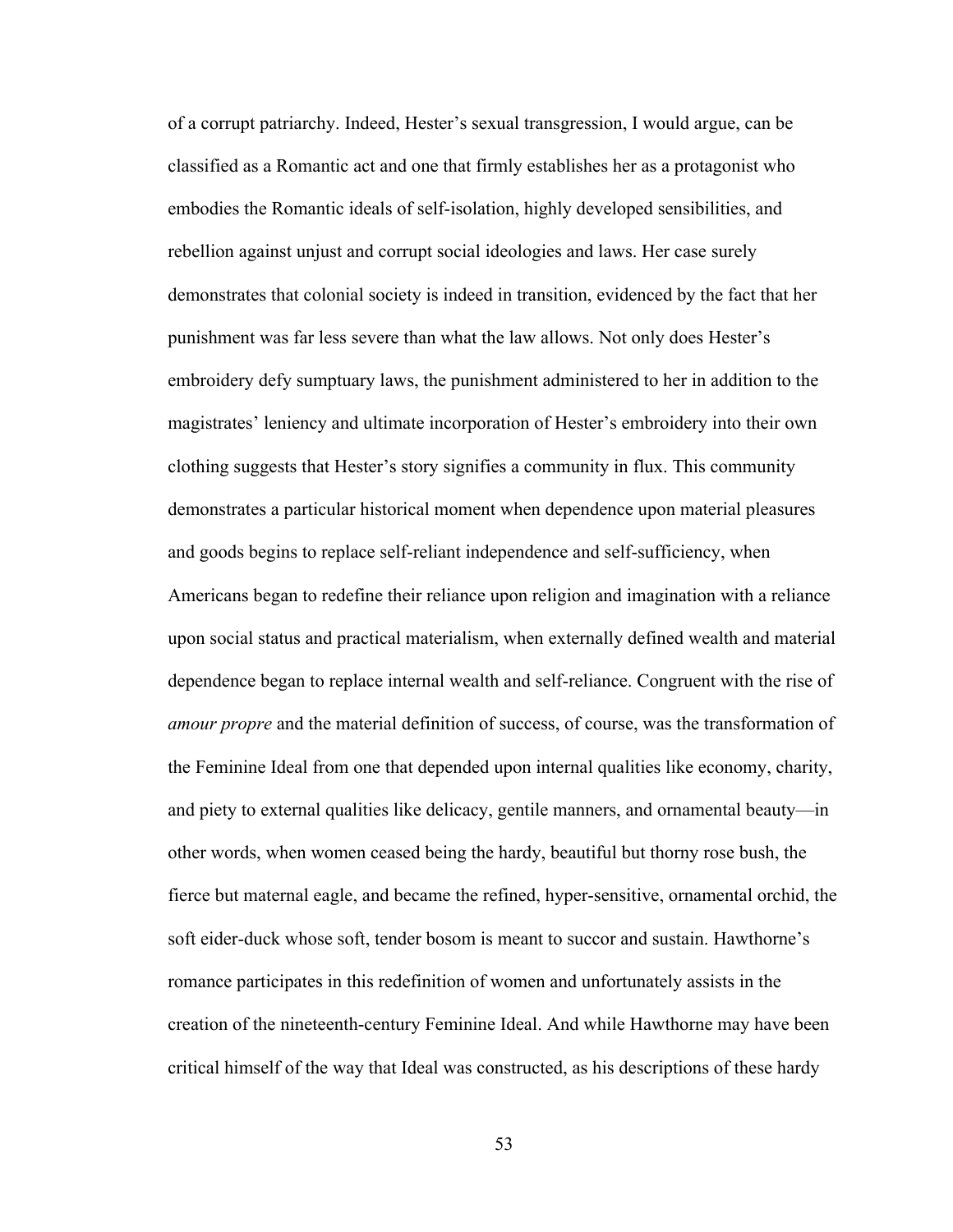of a corrupt patriarchy. Indeed, Hester's sexual transgression, I would argue, can be classified as a Romantic act and one that firmly establishes her as a protagonist who embodies the Romantic ideals of self-isolation, highly developed sensibilities, and rebellion against unjust and corrupt social ideologies and laws. Her case surely demonstrates that colonial society is indeed in transition, evidenced by the fact that her punishment was far less severe than what the law allows. Not only does Hester's embroidery defy sumptuary laws, the punishment administered to her in addition to the magistrates' leniency and ultimate incorporation of Hester's embroidery into their own clothing suggests that Hester's story signifies a community in flux. This community demonstrates a particular historical moment when dependence upon material pleasures and goods begins to replace self-reliant independence and self-sufficiency, when Americans began to redefine their reliance upon religion and imagination with a reliance upon social status and practical materialism, when externally defined wealth and material dependence began to replace internal wealth and self-reliance. Congruent with the rise of *amour propre* and the material definition of success, of course, was the transformation of the Feminine Ideal from one that depended upon internal qualities like economy, charity, and piety to external qualities like delicacy, gentile manners, and ornamental beauty—in other words, when women ceased being the hardy, beautiful but thorny rose bush, the fierce but maternal eagle, and became the refined, hyper-sensitive, ornamental orchid, the soft eider-duck whose soft, tender bosom is meant to succor and sustain. Hawthorne's romance participates in this redefinition of women and unfortunately assists in the creation of the nineteenth-century Feminine Ideal. And while Hawthorne may have been critical himself of the way that Ideal was constructed, as his descriptions of these hardy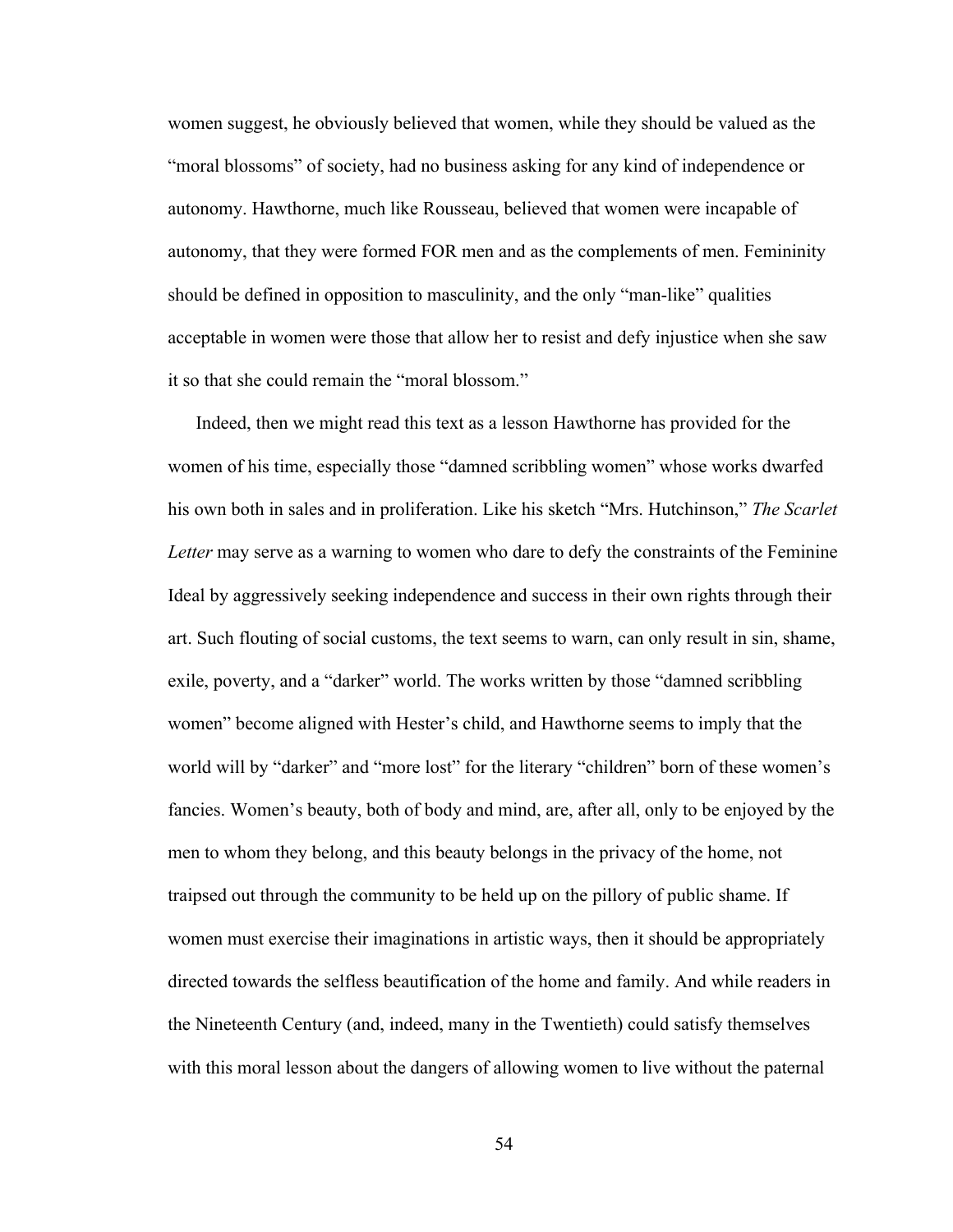women suggest, he obviously believed that women, while they should be valued as the "moral blossoms" of society, had no business asking for any kind of independence or autonomy. Hawthorne, much like Rousseau, believed that women were incapable of autonomy, that they were formed FOR men and as the complements of men. Femininity should be defined in opposition to masculinity, and the only "man-like" qualities acceptable in women were those that allow her to resist and defy injustice when she saw it so that she could remain the "moral blossom."

Indeed, then we might read this text as a lesson Hawthorne has provided for the women of his time, especially those "damned scribbling women" whose works dwarfed his own both in sales and in proliferation. Like his sketch "Mrs. Hutchinson," *The Scarlet Letter* may serve as a warning to women who dare to defy the constraints of the Feminine Ideal by aggressively seeking independence and success in their own rights through their art. Such flouting of social customs, the text seems to warn, can only result in sin, shame, exile, poverty, and a "darker" world. The works written by those "damned scribbling women" become aligned with Hester's child, and Hawthorne seems to imply that the world will by "darker" and "more lost" for the literary "children" born of these women's fancies. Women's beauty, both of body and mind, are, after all, only to be enjoyed by the men to whom they belong, and this beauty belongs in the privacy of the home, not traipsed out through the community to be held up on the pillory of public shame. If women must exercise their imaginations in artistic ways, then it should be appropriately directed towards the selfless beautification of the home and family. And while readers in the Nineteenth Century (and, indeed, many in the Twentieth) could satisfy themselves with this moral lesson about the dangers of allowing women to live without the paternal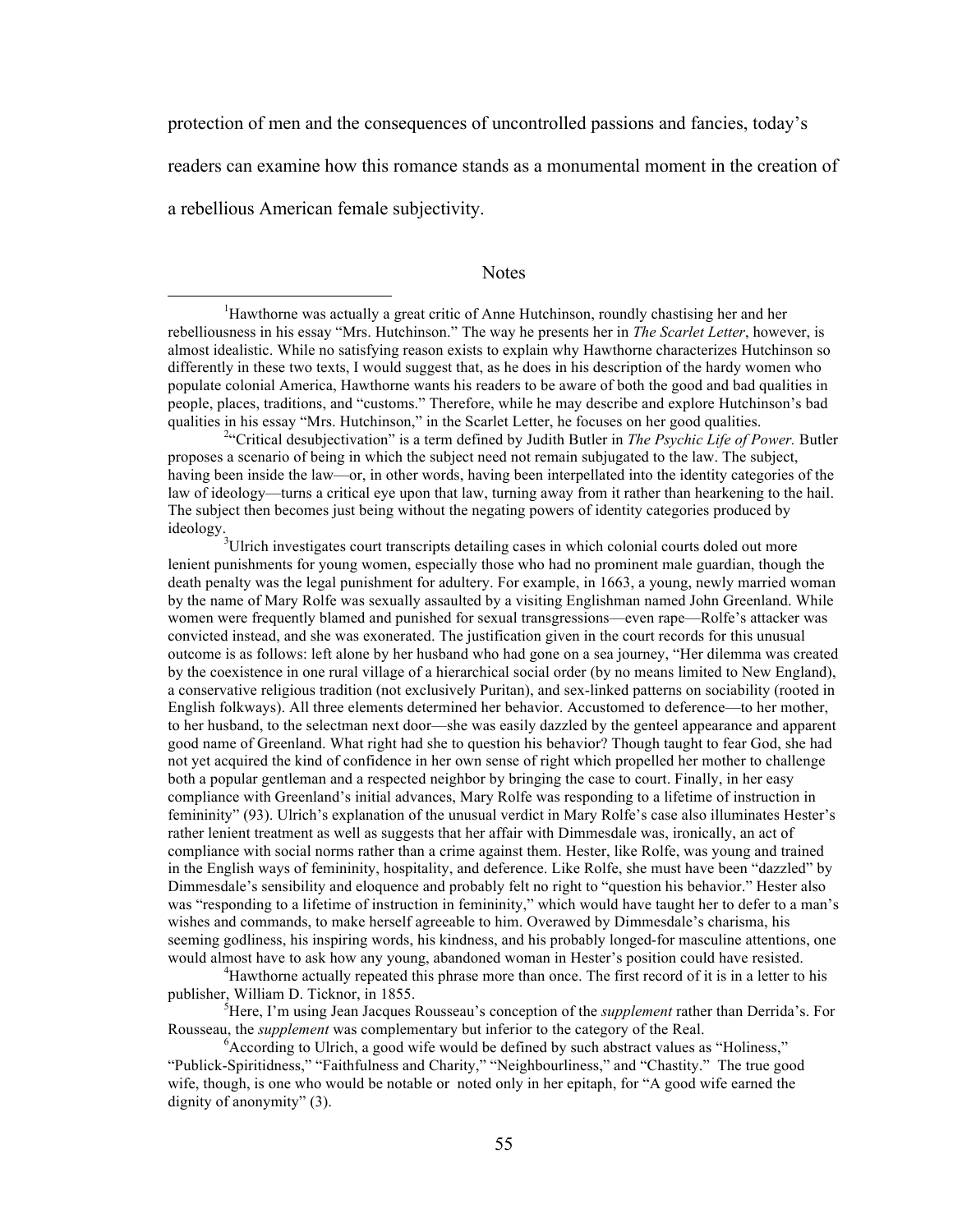protection of men and the consequences of uncontrolled passions and fancies, today's

readers can examine how this romance stands as a monumental moment in the creation of

a rebellious American female subjectivity.

## **Notes**

<sup>2</sup>"Critical desubjectivation" is a term defined by Judith Butler in *The Psychic Life of Power*. Butler proposes a scenario of being in which the subject need not remain subjugated to the law. The subject, having been inside the law—or, in other words, having been interpellated into the identity categories of the law of ideology—turns a critical eye upon that law, turning away from it rather than hearkening to the hail. The subject then becomes just being without the negating powers of identity categories produced by ideology.

 $3$ Ulrich investigates court transcripts detailing cases in which colonial courts doled out more lenient punishments for young women, especially those who had no prominent male guardian, though the death penalty was the legal punishment for adultery. For example, in 1663, a young, newly married woman by the name of Mary Rolfe was sexually assaulted by a visiting Englishman named John Greenland. While women were frequently blamed and punished for sexual transgressions—even rape—Rolfe's attacker was convicted instead, and she was exonerated. The justification given in the court records for this unusual outcome is as follows: left alone by her husband who had gone on a sea journey, "Her dilemma was created by the coexistence in one rural village of a hierarchical social order (by no means limited to New England), a conservative religious tradition (not exclusively Puritan), and sex-linked patterns on sociability (rooted in English folkways). All three elements determined her behavior. Accustomed to deference—to her mother, to her husband, to the selectman next door—she was easily dazzled by the genteel appearance and apparent good name of Greenland. What right had she to question his behavior? Though taught to fear God, she had not yet acquired the kind of confidence in her own sense of right which propelled her mother to challenge both a popular gentleman and a respected neighbor by bringing the case to court. Finally, in her easy compliance with Greenland's initial advances, Mary Rolfe was responding to a lifetime of instruction in femininity" (93). Ulrich's explanation of the unusual verdict in Mary Rolfe's case also illuminates Hester's rather lenient treatment as well as suggests that her affair with Dimmesdale was, ironically, an act of compliance with social norms rather than a crime against them. Hester, like Rolfe, was young and trained in the English ways of femininity, hospitality, and deference. Like Rolfe, she must have been "dazzled" by Dimmesdale's sensibility and eloquence and probably felt no right to "question his behavior." Hester also was "responding to a lifetime of instruction in femininity," which would have taught her to defer to a man's wishes and commands, to make herself agreeable to him. Overawed by Dimmesdale's charisma, his seeming godliness, his inspiring words, his kindness, and his probably longed-for masculine attentions, one would almost have to ask how any young, abandoned woman in Hester's position could have resisted. <sup>4</sup>

<sup>4</sup>Hawthorne actually repeated this phrase more than once. The first record of it is in a letter to his publisher, William D. Ticknor, in 1855.

Here, I'm using Jean Jacques Rousseau's conception of the *supplement* rather than Derrida's. For Rousseau, the *supplement* was complementary but inferior to the category of the Real. <sup>6</sup>

 $6$ According to Ulrich, a good wife would be defined by such abstract values as "Holiness," "Publick-Spiritidness," "Faithfulness and Charity," "Neighbourliness," and "Chastity." The true good wife, though, is one who would be notable or noted only in her epitaph, for "A good wife earned the dignity of anonymity" (3).

 $\frac{1}{1}$ <sup>1</sup>Hawthorne was actually a great critic of Anne Hutchinson, roundly chastising her and her rebelliousness in his essay "Mrs. Hutchinson." The way he presents her in *The Scarlet Letter*, however, is almost idealistic. While no satisfying reason exists to explain why Hawthorne characterizes Hutchinson so differently in these two texts, I would suggest that, as he does in his description of the hardy women who populate colonial America, Hawthorne wants his readers to be aware of both the good and bad qualities in people, places, traditions, and "customs." Therefore, while he may describe and explore Hutchinson's bad qualities in his essay "Mrs. Hutchinson," in the Scarlet Letter, he focuses on her good qualities. <sup>2</sup>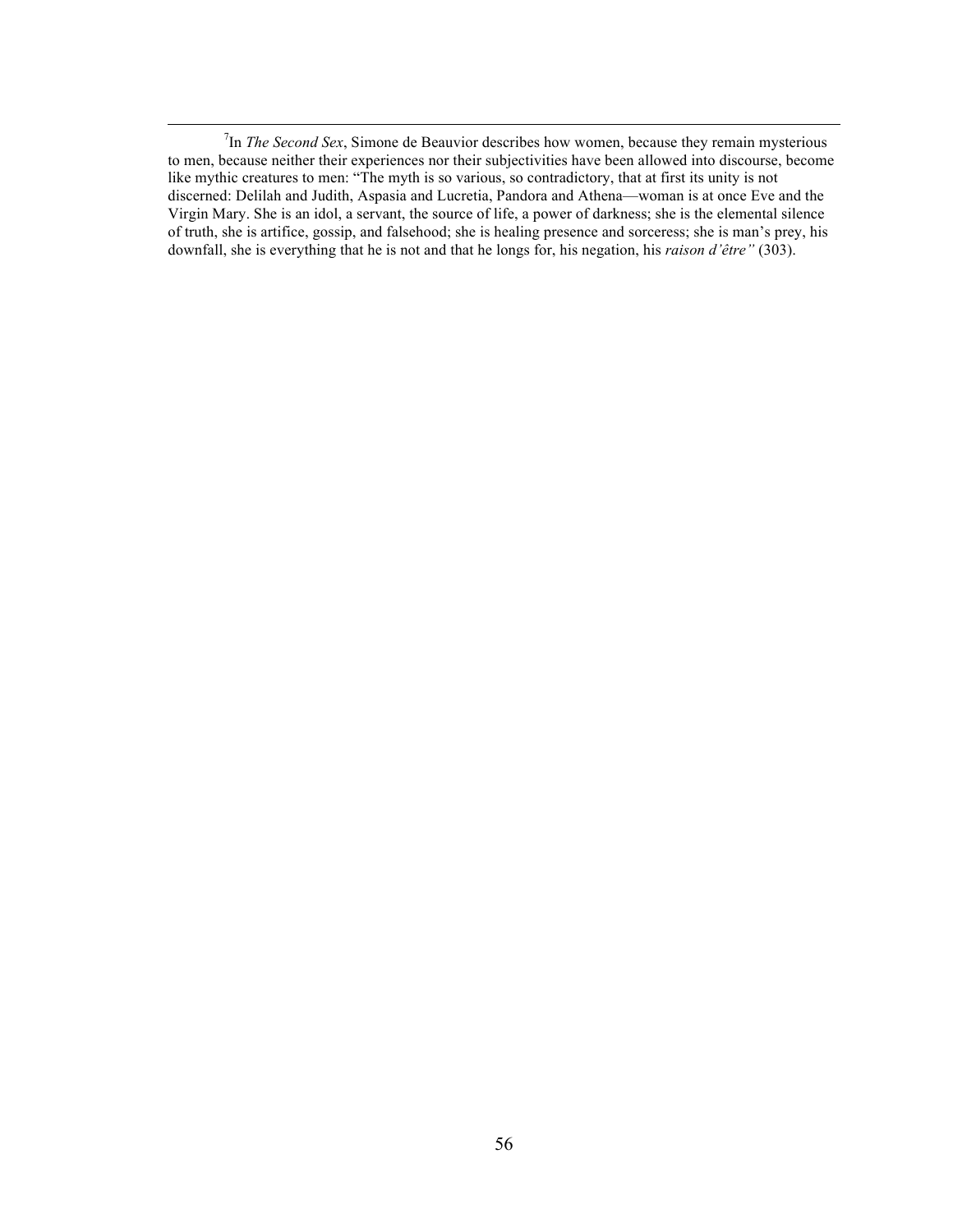$\begin{array}{c|c}\n\hline\n\end{array}$ In *The Second Sex*, Simone de Beauvior describes how women, because they remain mysterious to men, because neither their experiences nor their subjectivities have been allowed into discourse, become like mythic creatures to men: "The myth is so various, so contradictory, that at first its unity is not discerned: Delilah and Judith, Aspasia and Lucretia, Pandora and Athena—woman is at once Eve and the Virgin Mary. She is an idol, a servant, the source of life, a power of darkness; she is the elemental silence of truth, she is artifice, gossip, and falsehood; she is healing presence and sorceress; she is man's prey, his downfall, she is everything that he is not and that he longs for, his negation, his *raison d'être"* (303).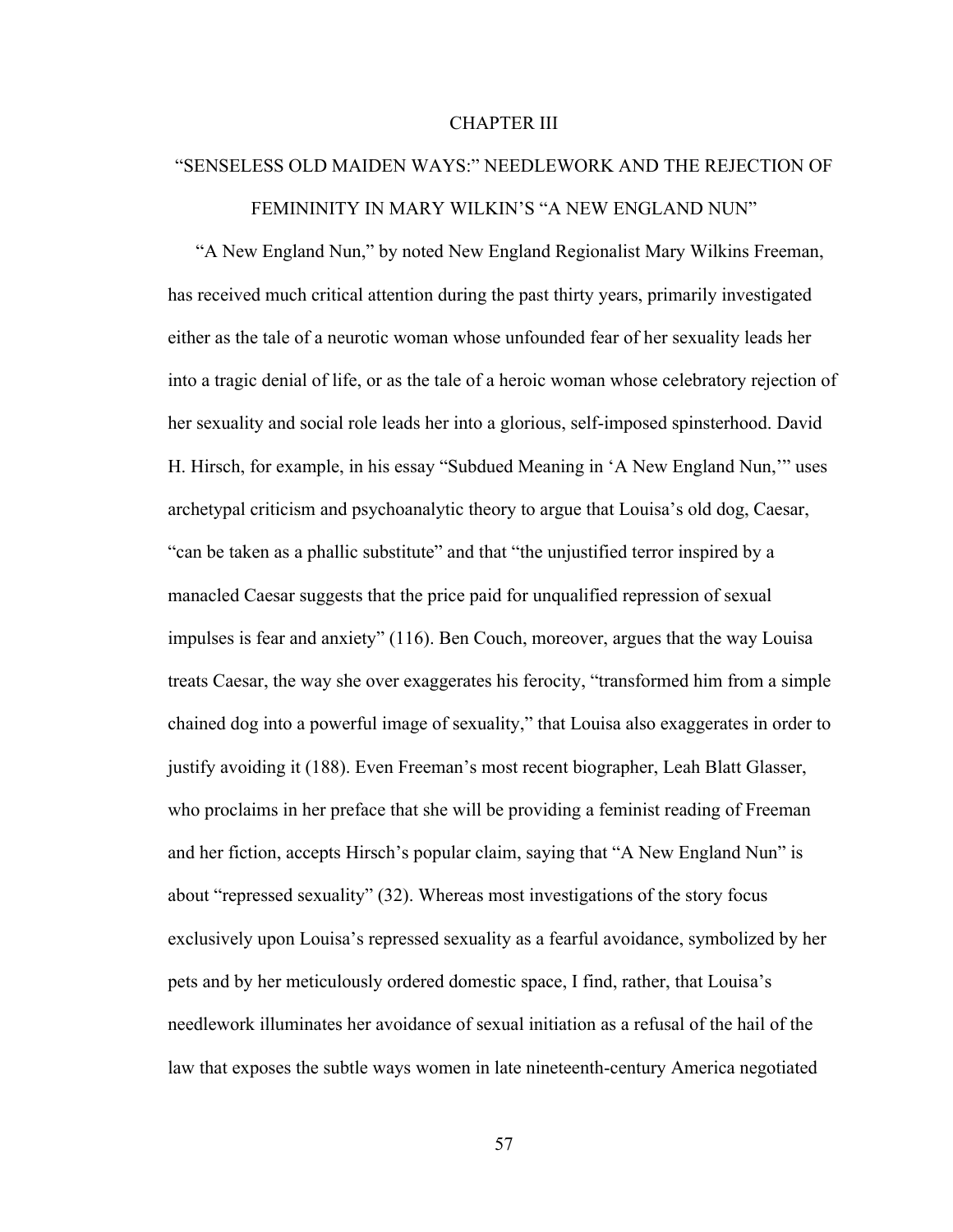## CHAPTER III

## "SENSELESS OLD MAIDEN WAYS:" NEEDLEWORK AND THE REJECTION OF FEMININITY IN MARY WILKIN'S "A NEW ENGLAND NUN"

"A New England Nun," by noted New England Regionalist Mary Wilkins Freeman, has received much critical attention during the past thirty years, primarily investigated either as the tale of a neurotic woman whose unfounded fear of her sexuality leads her into a tragic denial of life, or as the tale of a heroic woman whose celebratory rejection of her sexuality and social role leads her into a glorious, self-imposed spinsterhood. David H. Hirsch, for example, in his essay "Subdued Meaning in 'A New England Nun,'" uses archetypal criticism and psychoanalytic theory to argue that Louisa's old dog, Caesar, "can be taken as a phallic substitute" and that "the unjustified terror inspired by a manacled Caesar suggests that the price paid for unqualified repression of sexual impulses is fear and anxiety" (116). Ben Couch, moreover, argues that the way Louisa treats Caesar, the way she over exaggerates his ferocity, "transformed him from a simple chained dog into a powerful image of sexuality," that Louisa also exaggerates in order to justify avoiding it (188). Even Freeman's most recent biographer, Leah Blatt Glasser, who proclaims in her preface that she will be providing a feminist reading of Freeman and her fiction, accepts Hirsch's popular claim, saying that "A New England Nun" is about "repressed sexuality" (32). Whereas most investigations of the story focus exclusively upon Louisa's repressed sexuality as a fearful avoidance, symbolized by her pets and by her meticulously ordered domestic space, I find, rather, that Louisa's needlework illuminates her avoidance of sexual initiation as a refusal of the hail of the law that exposes the subtle ways women in late nineteenth-century America negotiated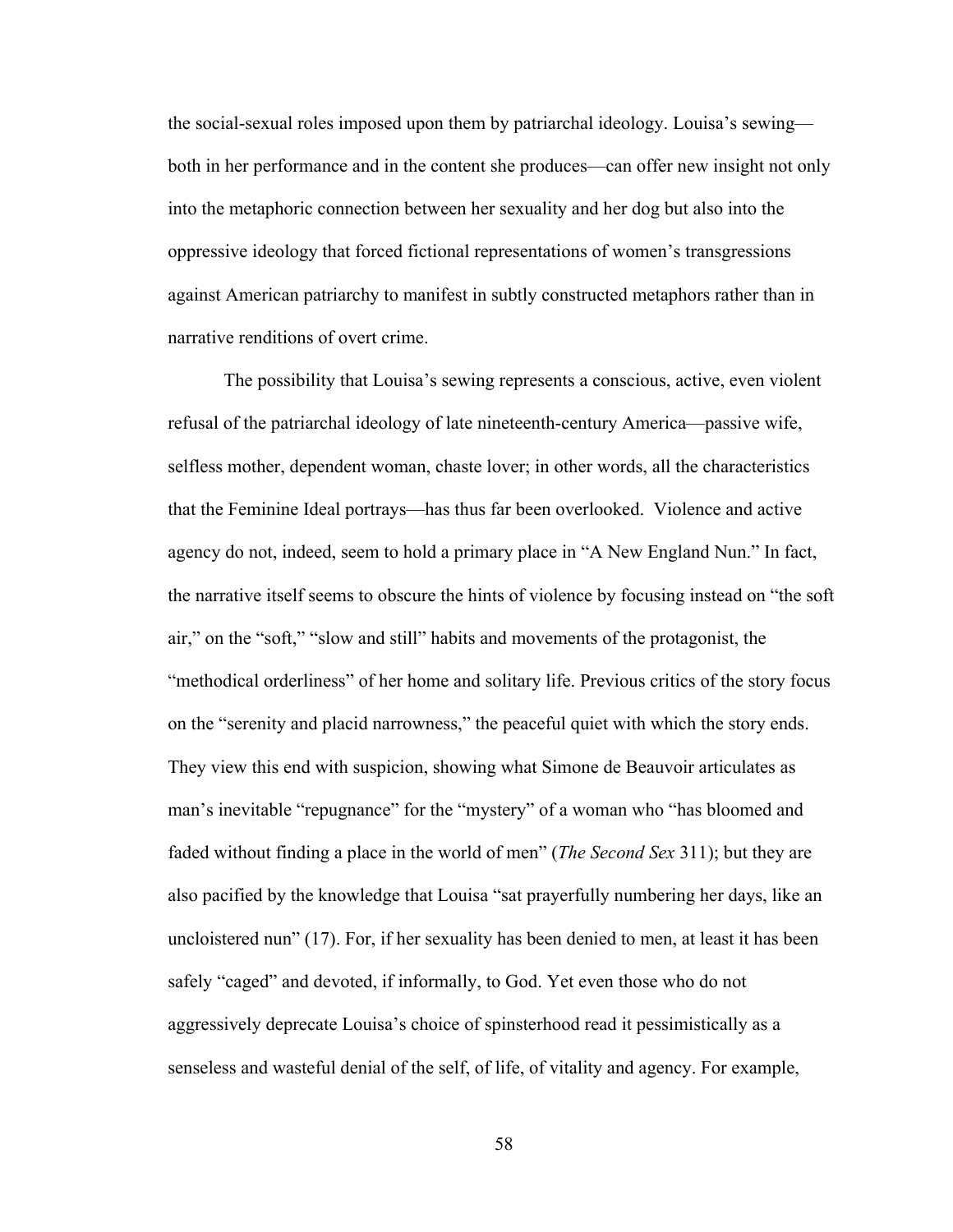the social-sexual roles imposed upon them by patriarchal ideology. Louisa's sewing both in her performance and in the content she produces—can offer new insight not only into the metaphoric connection between her sexuality and her dog but also into the oppressive ideology that forced fictional representations of women's transgressions against American patriarchy to manifest in subtly constructed metaphors rather than in narrative renditions of overt crime.

The possibility that Louisa's sewing represents a conscious, active, even violent refusal of the patriarchal ideology of late nineteenth-century America—passive wife, selfless mother, dependent woman, chaste lover; in other words, all the characteristics that the Feminine Ideal portrays—has thus far been overlooked. Violence and active agency do not, indeed, seem to hold a primary place in "A New England Nun." In fact, the narrative itself seems to obscure the hints of violence by focusing instead on "the soft air," on the "soft," "slow and still" habits and movements of the protagonist, the "methodical orderliness" of her home and solitary life. Previous critics of the story focus on the "serenity and placid narrowness," the peaceful quiet with which the story ends. They view this end with suspicion, showing what Simone de Beauvoir articulates as man's inevitable "repugnance" for the "mystery" of a woman who "has bloomed and faded without finding a place in the world of men" (*The Second Sex* 311); but they are also pacified by the knowledge that Louisa "sat prayerfully numbering her days, like an uncloistered nun" (17). For, if her sexuality has been denied to men, at least it has been safely "caged" and devoted, if informally, to God. Yet even those who do not aggressively deprecate Louisa's choice of spinsterhood read it pessimistically as a senseless and wasteful denial of the self, of life, of vitality and agency. For example,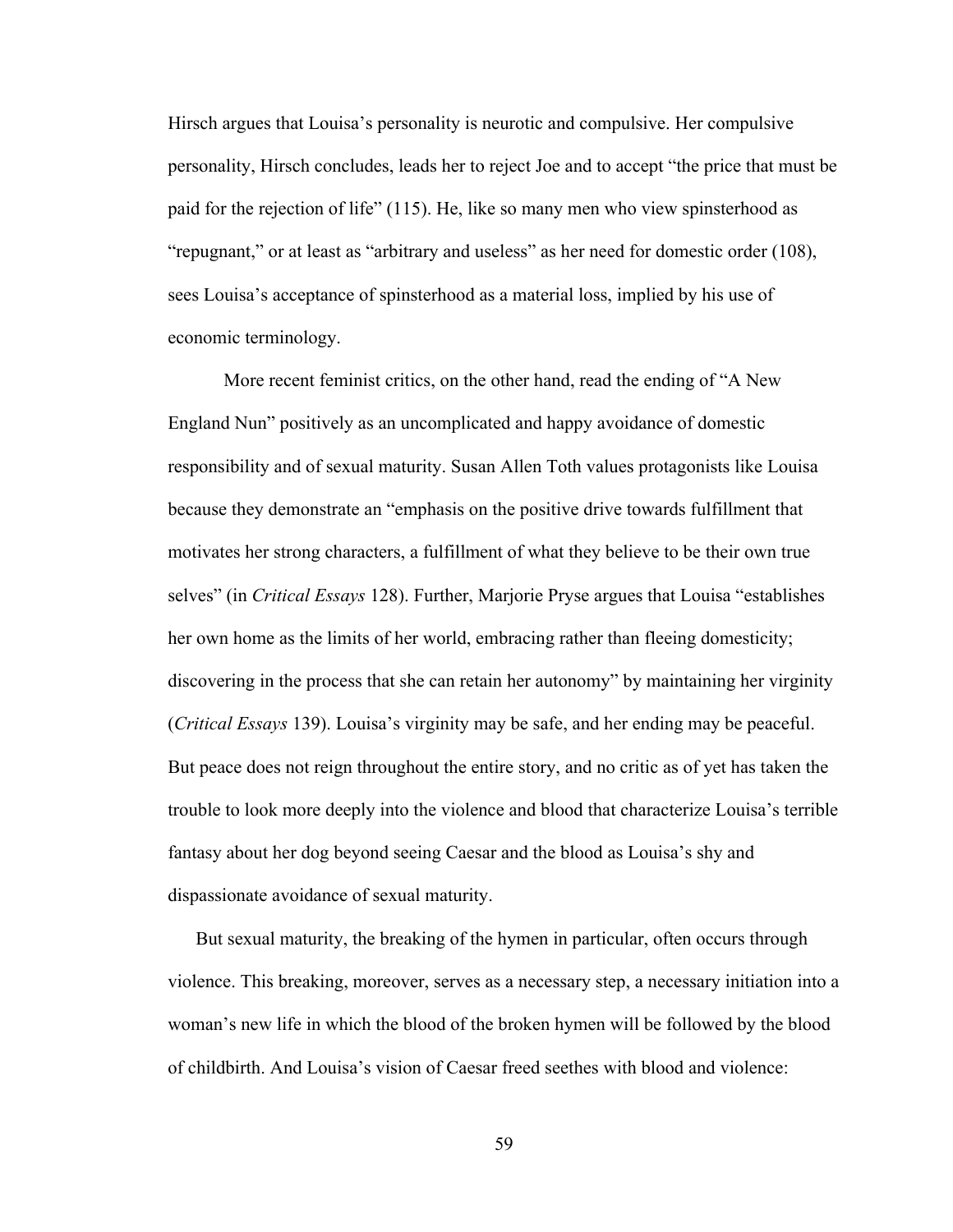Hirsch argues that Louisa's personality is neurotic and compulsive. Her compulsive personality, Hirsch concludes, leads her to reject Joe and to accept "the price that must be paid for the rejection of life" (115). He, like so many men who view spinsterhood as "repugnant," or at least as "arbitrary and useless" as her need for domestic order (108), sees Louisa's acceptance of spinsterhood as a material loss, implied by his use of economic terminology.

More recent feminist critics, on the other hand, read the ending of "A New England Nun" positively as an uncomplicated and happy avoidance of domestic responsibility and of sexual maturity. Susan Allen Toth values protagonists like Louisa because they demonstrate an "emphasis on the positive drive towards fulfillment that motivates her strong characters, a fulfillment of what they believe to be their own true selves" (in *Critical Essays* 128). Further, Marjorie Pryse argues that Louisa "establishes her own home as the limits of her world, embracing rather than fleeing domesticity; discovering in the process that she can retain her autonomy" by maintaining her virginity (*Critical Essays* 139). Louisa's virginity may be safe, and her ending may be peaceful. But peace does not reign throughout the entire story, and no critic as of yet has taken the trouble to look more deeply into the violence and blood that characterize Louisa's terrible fantasy about her dog beyond seeing Caesar and the blood as Louisa's shy and dispassionate avoidance of sexual maturity.

But sexual maturity, the breaking of the hymen in particular, often occurs through violence. This breaking, moreover, serves as a necessary step, a necessary initiation into a woman's new life in which the blood of the broken hymen will be followed by the blood of childbirth. And Louisa's vision of Caesar freed seethes with blood and violence: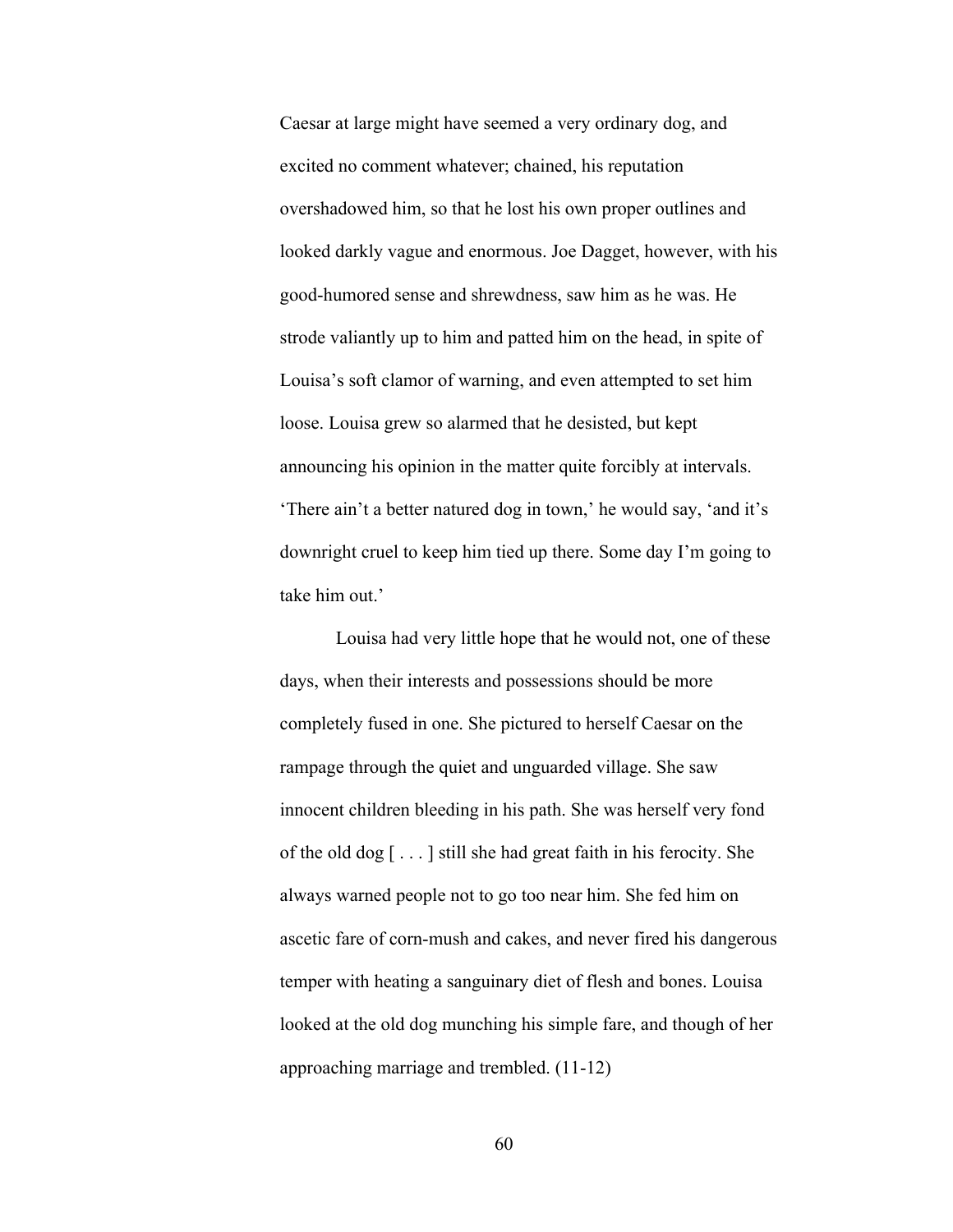Caesar at large might have seemed a very ordinary dog, and excited no comment whatever; chained, his reputation overshadowed him, so that he lost his own proper outlines and looked darkly vague and enormous. Joe Dagget, however, with his good-humored sense and shrewdness, saw him as he was. He strode valiantly up to him and patted him on the head, in spite of Louisa's soft clamor of warning, and even attempted to set him loose. Louisa grew so alarmed that he desisted, but kept announcing his opinion in the matter quite forcibly at intervals. 'There ain't a better natured dog in town,' he would say, 'and it's downright cruel to keep him tied up there. Some day I'm going to take him out.'

Louisa had very little hope that he would not, one of these days, when their interests and possessions should be more completely fused in one. She pictured to herself Caesar on the rampage through the quiet and unguarded village. She saw innocent children bleeding in his path. She was herself very fond of the old dog [ . . . ] still she had great faith in his ferocity. She always warned people not to go too near him. She fed him on ascetic fare of corn-mush and cakes, and never fired his dangerous temper with heating a sanguinary diet of flesh and bones. Louisa looked at the old dog munching his simple fare, and though of her approaching marriage and trembled. (11-12)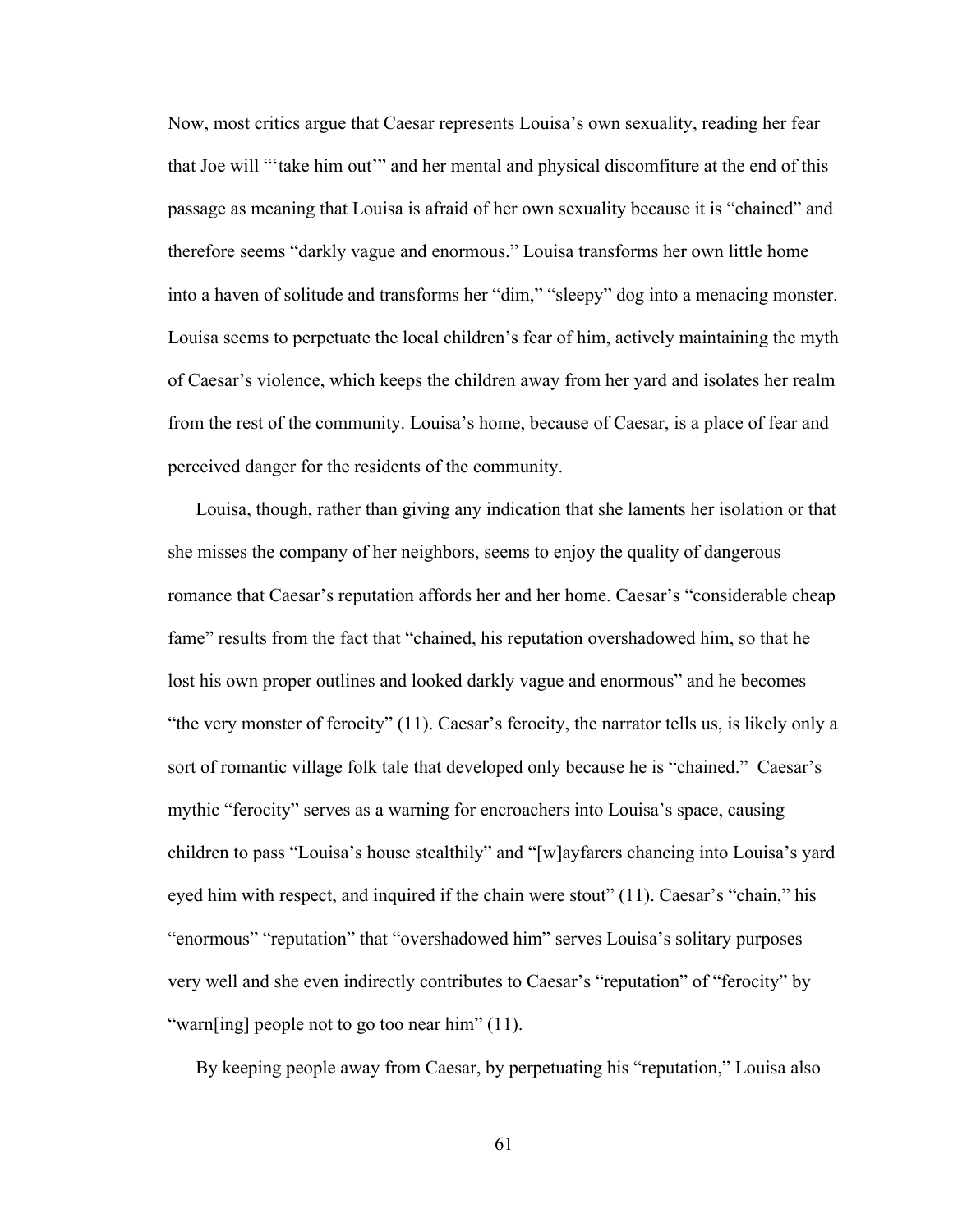Now, most critics argue that Caesar represents Louisa's own sexuality, reading her fear that Joe will "'take him out'" and her mental and physical discomfiture at the end of this passage as meaning that Louisa is afraid of her own sexuality because it is "chained" and therefore seems "darkly vague and enormous." Louisa transforms her own little home into a haven of solitude and transforms her "dim," "sleepy" dog into a menacing monster. Louisa seems to perpetuate the local children's fear of him, actively maintaining the myth of Caesar's violence, which keeps the children away from her yard and isolates her realm from the rest of the community. Louisa's home, because of Caesar, is a place of fear and perceived danger for the residents of the community.

Louisa, though, rather than giving any indication that she laments her isolation or that she misses the company of her neighbors, seems to enjoy the quality of dangerous romance that Caesar's reputation affords her and her home. Caesar's "considerable cheap fame" results from the fact that "chained, his reputation overshadowed him, so that he lost his own proper outlines and looked darkly vague and enormous" and he becomes "the very monster of ferocity" (11). Caesar's ferocity, the narrator tells us, is likely only a sort of romantic village folk tale that developed only because he is "chained." Caesar's mythic "ferocity" serves as a warning for encroachers into Louisa's space, causing children to pass "Louisa's house stealthily" and "[w]ayfarers chancing into Louisa's yard eyed him with respect, and inquired if the chain were stout" (11). Caesar's "chain," his "enormous" "reputation" that "overshadowed him" serves Louisa's solitary purposes very well and she even indirectly contributes to Caesar's "reputation" of "ferocity" by "warn[ing] people not to go too near him" (11).

By keeping people away from Caesar, by perpetuating his "reputation," Louisa also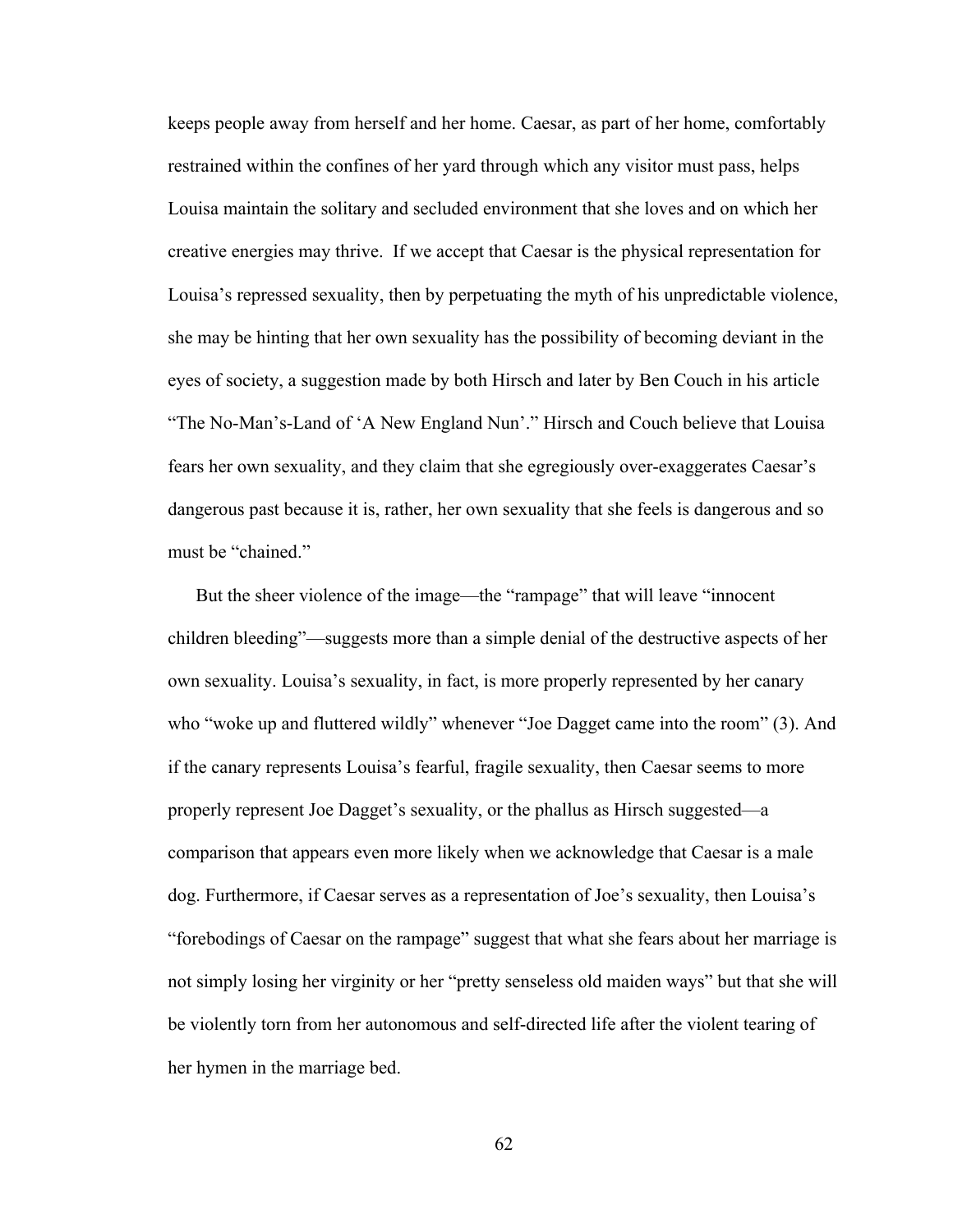keeps people away from herself and her home. Caesar, as part of her home, comfortably restrained within the confines of her yard through which any visitor must pass, helps Louisa maintain the solitary and secluded environment that she loves and on which her creative energies may thrive. If we accept that Caesar is the physical representation for Louisa's repressed sexuality, then by perpetuating the myth of his unpredictable violence, she may be hinting that her own sexuality has the possibility of becoming deviant in the eyes of society, a suggestion made by both Hirsch and later by Ben Couch in his article "The No-Man's-Land of 'A New England Nun'." Hirsch and Couch believe that Louisa fears her own sexuality, and they claim that she egregiously over-exaggerates Caesar's dangerous past because it is, rather, her own sexuality that she feels is dangerous and so must be "chained."

But the sheer violence of the image—the "rampage" that will leave "innocent children bleeding"—suggests more than a simple denial of the destructive aspects of her own sexuality. Louisa's sexuality, in fact, is more properly represented by her canary who "woke up and fluttered wildly" whenever "Joe Dagget came into the room" (3). And if the canary represents Louisa's fearful, fragile sexuality, then Caesar seems to more properly represent Joe Dagget's sexuality, or the phallus as Hirsch suggested—a comparison that appears even more likely when we acknowledge that Caesar is a male dog. Furthermore, if Caesar serves as a representation of Joe's sexuality, then Louisa's "forebodings of Caesar on the rampage" suggest that what she fears about her marriage is not simply losing her virginity or her "pretty senseless old maiden ways" but that she will be violently torn from her autonomous and self-directed life after the violent tearing of her hymen in the marriage bed.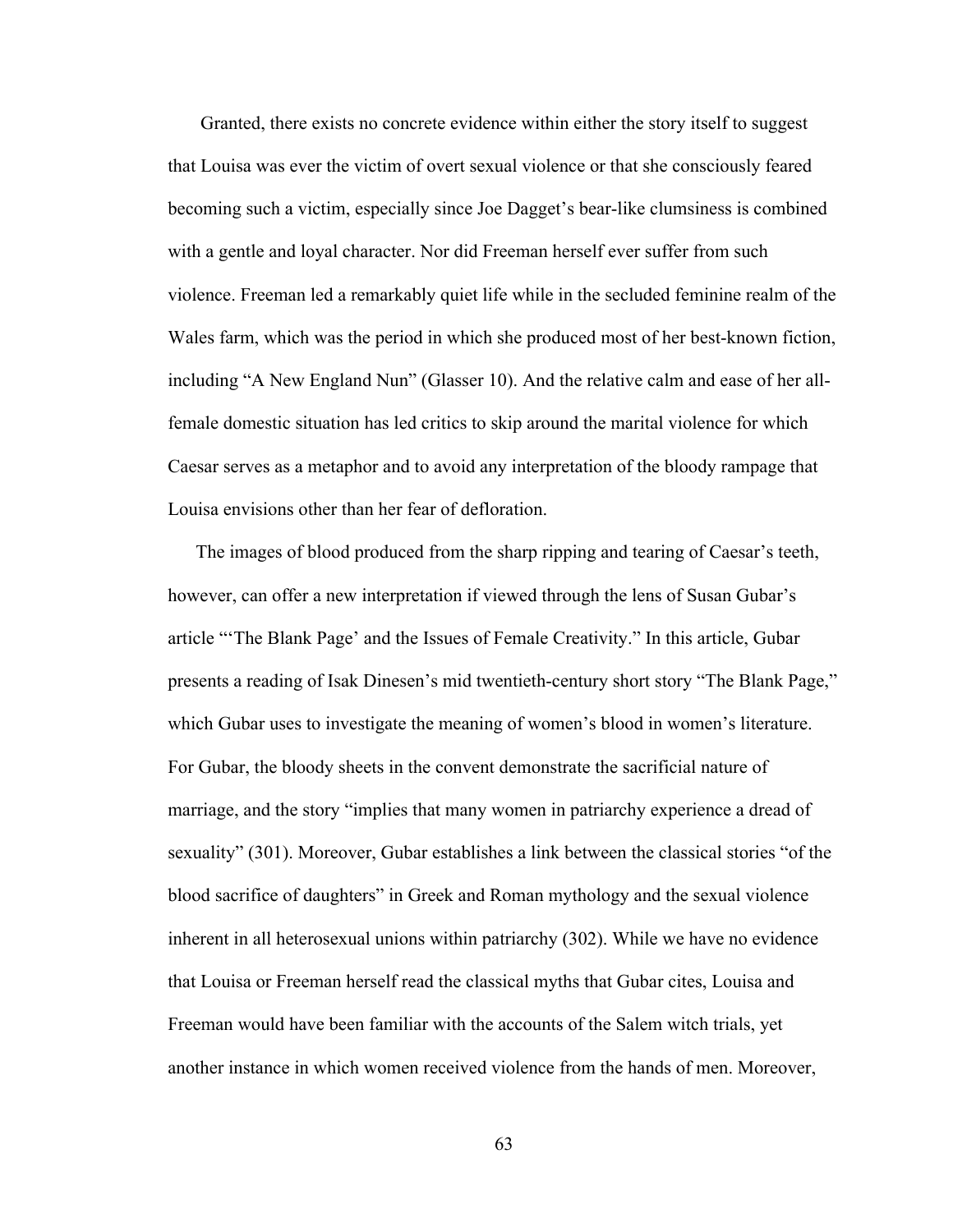Granted, there exists no concrete evidence within either the story itself to suggest that Louisa was ever the victim of overt sexual violence or that she consciously feared becoming such a victim, especially since Joe Dagget's bear-like clumsiness is combined with a gentle and loyal character. Nor did Freeman herself ever suffer from such violence. Freeman led a remarkably quiet life while in the secluded feminine realm of the Wales farm, which was the period in which she produced most of her best-known fiction, including "A New England Nun" (Glasser 10). And the relative calm and ease of her allfemale domestic situation has led critics to skip around the marital violence for which Caesar serves as a metaphor and to avoid any interpretation of the bloody rampage that Louisa envisions other than her fear of defloration.

The images of blood produced from the sharp ripping and tearing of Caesar's teeth, however, can offer a new interpretation if viewed through the lens of Susan Gubar's article "'The Blank Page' and the Issues of Female Creativity." In this article, Gubar presents a reading of Isak Dinesen's mid twentieth-century short story "The Blank Page," which Gubar uses to investigate the meaning of women's blood in women's literature. For Gubar, the bloody sheets in the convent demonstrate the sacrificial nature of marriage, and the story "implies that many women in patriarchy experience a dread of sexuality" (301). Moreover, Gubar establishes a link between the classical stories "of the blood sacrifice of daughters" in Greek and Roman mythology and the sexual violence inherent in all heterosexual unions within patriarchy (302). While we have no evidence that Louisa or Freeman herself read the classical myths that Gubar cites, Louisa and Freeman would have been familiar with the accounts of the Salem witch trials, yet another instance in which women received violence from the hands of men. Moreover,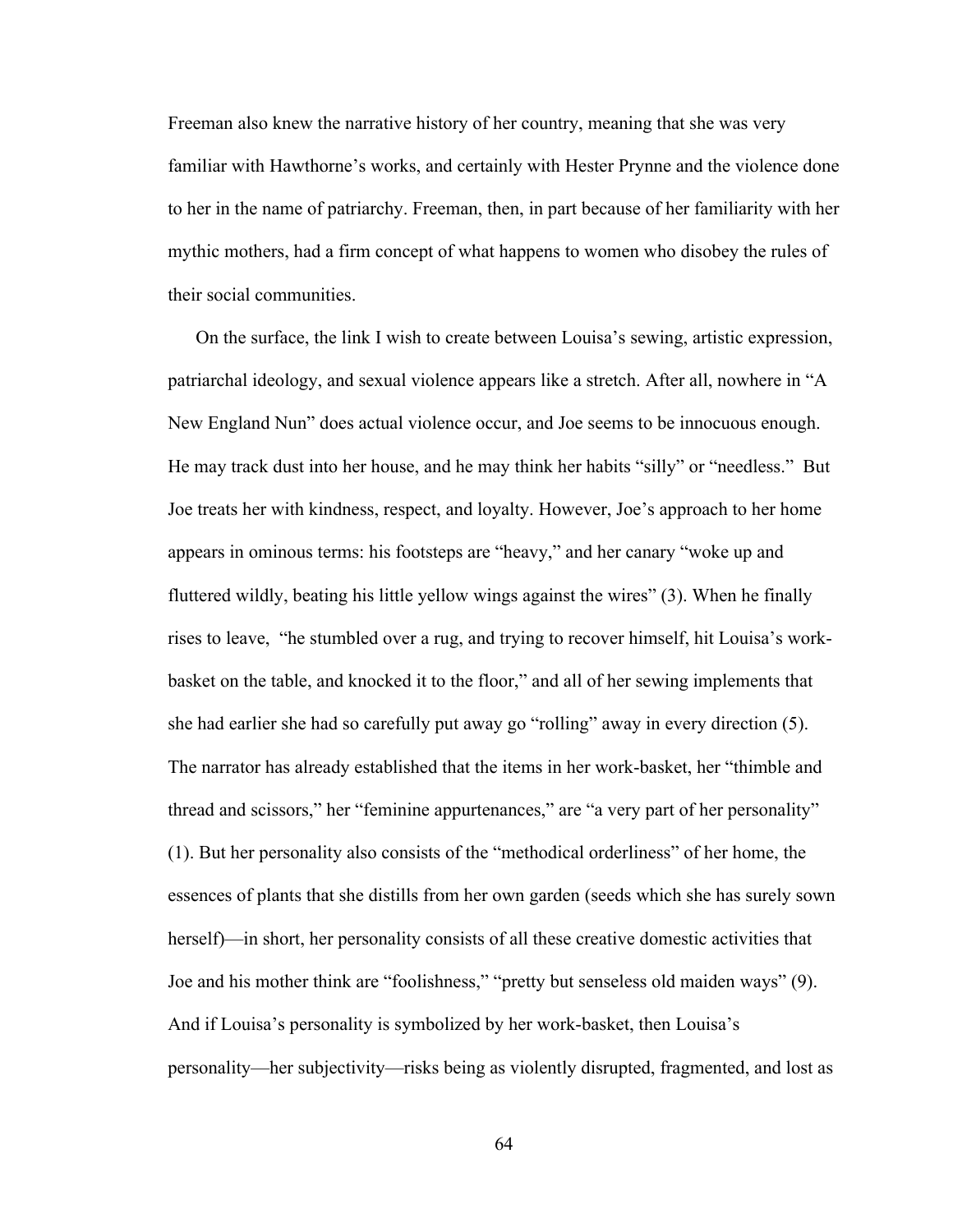Freeman also knew the narrative history of her country, meaning that she was very familiar with Hawthorne's works, and certainly with Hester Prynne and the violence done to her in the name of patriarchy. Freeman, then, in part because of her familiarity with her mythic mothers, had a firm concept of what happens to women who disobey the rules of their social communities.

On the surface, the link I wish to create between Louisa's sewing, artistic expression, patriarchal ideology, and sexual violence appears like a stretch. After all, nowhere in "A New England Nun" does actual violence occur, and Joe seems to be innocuous enough. He may track dust into her house, and he may think her habits "silly" or "needless." But Joe treats her with kindness, respect, and loyalty. However, Joe's approach to her home appears in ominous terms: his footsteps are "heavy," and her canary "woke up and fluttered wildly, beating his little yellow wings against the wires" (3). When he finally rises to leave, "he stumbled over a rug, and trying to recover himself, hit Louisa's workbasket on the table, and knocked it to the floor," and all of her sewing implements that she had earlier she had so carefully put away go "rolling" away in every direction (5). The narrator has already established that the items in her work-basket, her "thimble and thread and scissors," her "feminine appurtenances," are "a very part of her personality" (1). But her personality also consists of the "methodical orderliness" of her home, the essences of plants that she distills from her own garden (seeds which she has surely sown herself)—in short, her personality consists of all these creative domestic activities that Joe and his mother think are "foolishness," "pretty but senseless old maiden ways" (9). And if Louisa's personality is symbolized by her work-basket, then Louisa's personality—her subjectivity—risks being as violently disrupted, fragmented, and lost as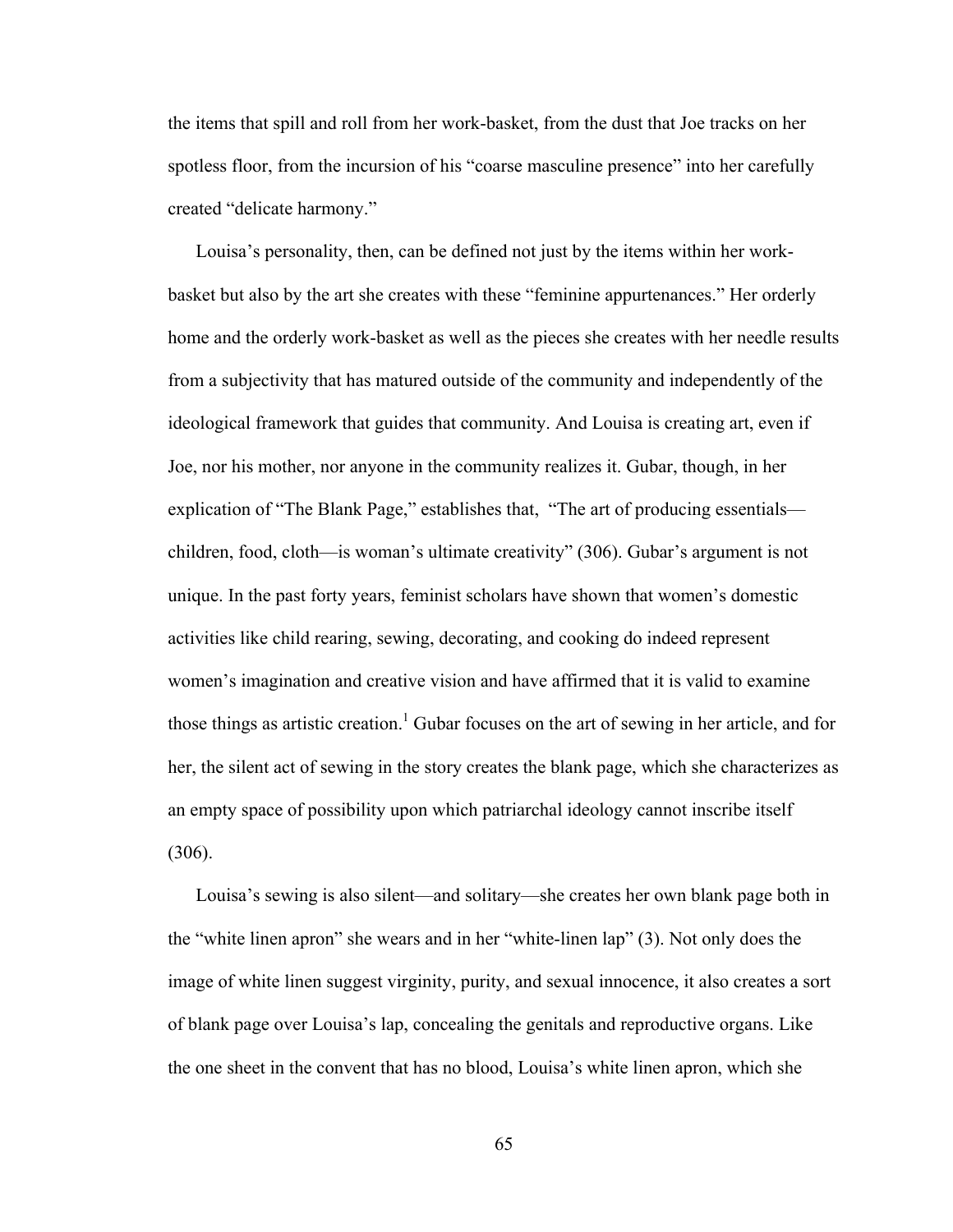the items that spill and roll from her work-basket, from the dust that Joe tracks on her spotless floor, from the incursion of his "coarse masculine presence" into her carefully created "delicate harmony."

Louisa's personality, then, can be defined not just by the items within her workbasket but also by the art she creates with these "feminine appurtenances." Her orderly home and the orderly work-basket as well as the pieces she creates with her needle results from a subjectivity that has matured outside of the community and independently of the ideological framework that guides that community. And Louisa is creating art, even if Joe, nor his mother, nor anyone in the community realizes it. Gubar, though, in her explication of "The Blank Page," establishes that, "The art of producing essentials children, food, cloth—is woman's ultimate creativity" (306). Gubar's argument is not unique. In the past forty years, feminist scholars have shown that women's domestic activities like child rearing, sewing, decorating, and cooking do indeed represent women's imagination and creative vision and have affirmed that it is valid to examine those things as artistic creation. <sup>1</sup> Gubar focuses on the art of sewing in her article, and for her, the silent act of sewing in the story creates the blank page, which she characterizes as an empty space of possibility upon which patriarchal ideology cannot inscribe itself (306).

Louisa's sewing is also silent—and solitary—she creates her own blank page both in the "white linen apron" she wears and in her "white-linen lap" (3). Not only does the image of white linen suggest virginity, purity, and sexual innocence, it also creates a sort of blank page over Louisa's lap, concealing the genitals and reproductive organs. Like the one sheet in the convent that has no blood, Louisa's white linen apron, which she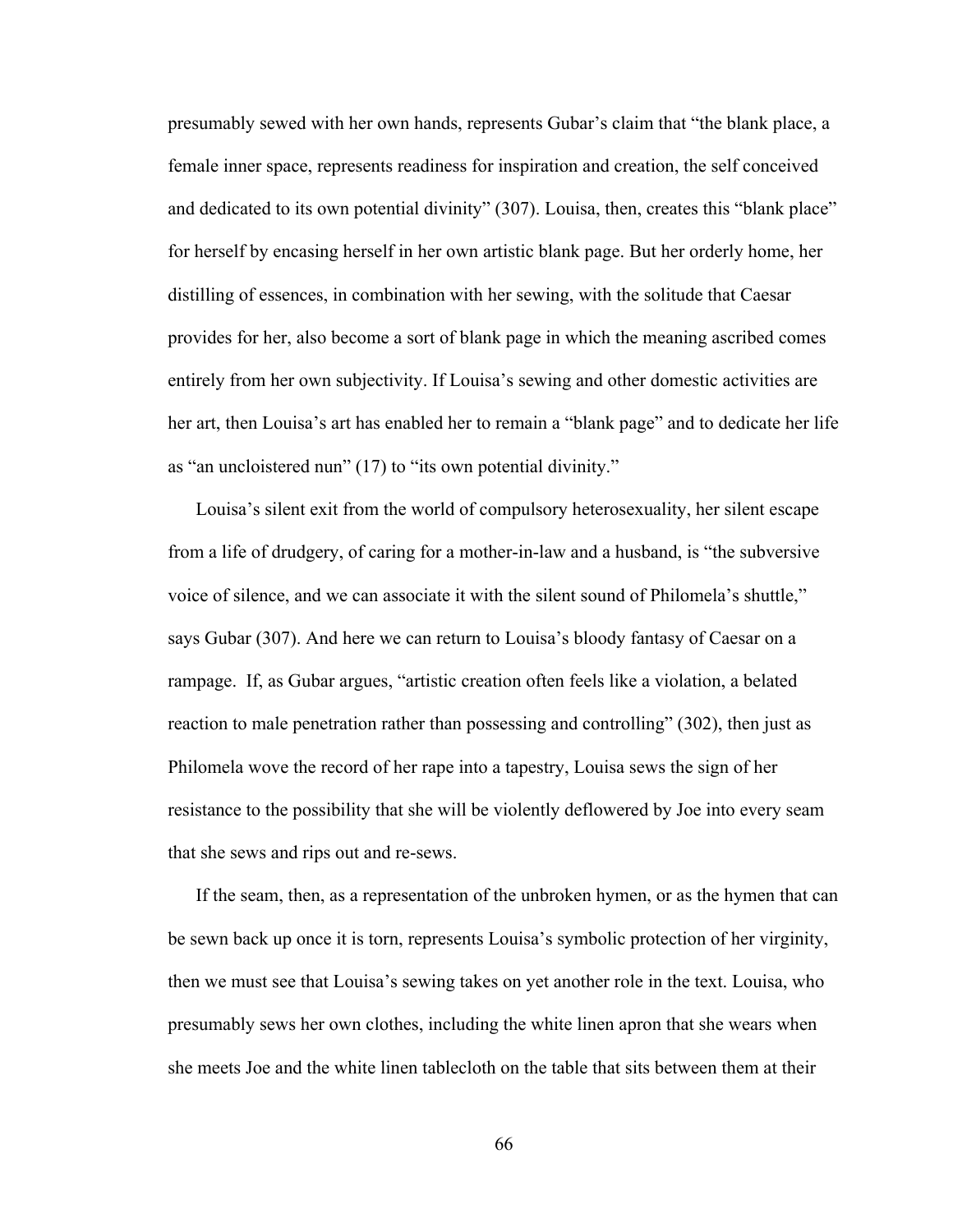presumably sewed with her own hands, represents Gubar's claim that "the blank place, a female inner space, represents readiness for inspiration and creation, the self conceived and dedicated to its own potential divinity" (307). Louisa, then, creates this "blank place" for herself by encasing herself in her own artistic blank page. But her orderly home, her distilling of essences, in combination with her sewing, with the solitude that Caesar provides for her, also become a sort of blank page in which the meaning ascribed comes entirely from her own subjectivity. If Louisa's sewing and other domestic activities are her art, then Louisa's art has enabled her to remain a "blank page" and to dedicate her life as "an uncloistered nun" (17) to "its own potential divinity."

Louisa's silent exit from the world of compulsory heterosexuality, her silent escape from a life of drudgery, of caring for a mother-in-law and a husband, is "the subversive voice of silence, and we can associate it with the silent sound of Philomela's shuttle," says Gubar (307). And here we can return to Louisa's bloody fantasy of Caesar on a rampage. If, as Gubar argues, "artistic creation often feels like a violation, a belated reaction to male penetration rather than possessing and controlling" (302), then just as Philomela wove the record of her rape into a tapestry, Louisa sews the sign of her resistance to the possibility that she will be violently deflowered by Joe into every seam that she sews and rips out and re-sews.

If the seam, then, as a representation of the unbroken hymen, or as the hymen that can be sewn back up once it is torn, represents Louisa's symbolic protection of her virginity, then we must see that Louisa's sewing takes on yet another role in the text. Louisa, who presumably sews her own clothes, including the white linen apron that she wears when she meets Joe and the white linen tablecloth on the table that sits between them at their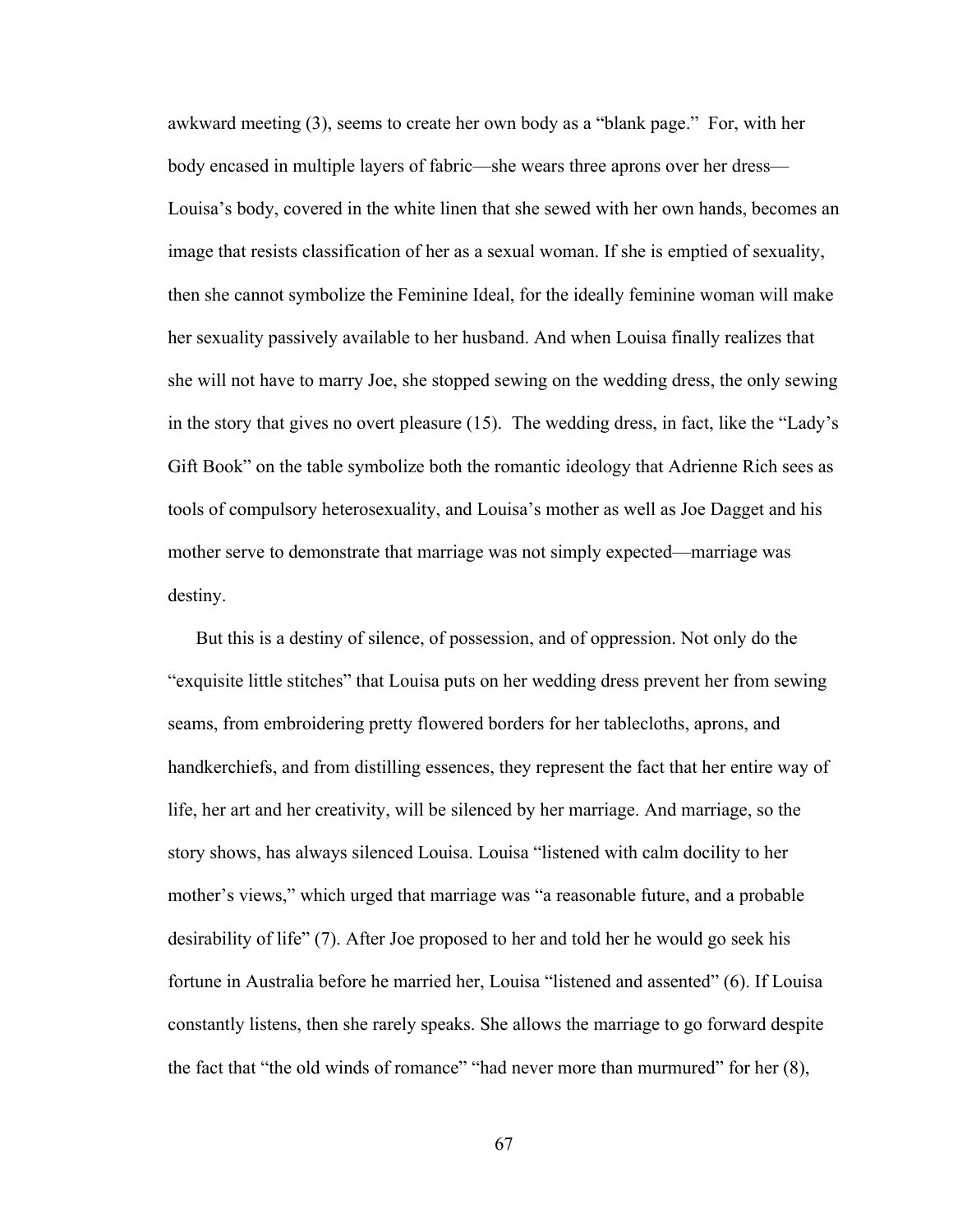awkward meeting (3), seems to create her own body as a "blank page." For, with her body encased in multiple layers of fabric—she wears three aprons over her dress— Louisa's body, covered in the white linen that she sewed with her own hands, becomes an image that resists classification of her as a sexual woman. If she is emptied of sexuality, then she cannot symbolize the Feminine Ideal, for the ideally feminine woman will make her sexuality passively available to her husband. And when Louisa finally realizes that she will not have to marry Joe, she stopped sewing on the wedding dress, the only sewing in the story that gives no overt pleasure (15). The wedding dress, in fact, like the "Lady's Gift Book" on the table symbolize both the romantic ideology that Adrienne Rich sees as tools of compulsory heterosexuality, and Louisa's mother as well as Joe Dagget and his mother serve to demonstrate that marriage was not simply expected—marriage was destiny.

But this is a destiny of silence, of possession, and of oppression. Not only do the "exquisite little stitches" that Louisa puts on her wedding dress prevent her from sewing seams, from embroidering pretty flowered borders for her tablecloths, aprons, and handkerchiefs, and from distilling essences, they represent the fact that her entire way of life, her art and her creativity, will be silenced by her marriage. And marriage, so the story shows, has always silenced Louisa. Louisa "listened with calm docility to her mother's views," which urged that marriage was "a reasonable future, and a probable desirability of life" (7). After Joe proposed to her and told her he would go seek his fortune in Australia before he married her, Louisa "listened and assented" (6). If Louisa constantly listens, then she rarely speaks. She allows the marriage to go forward despite the fact that "the old winds of romance" "had never more than murmured" for her (8),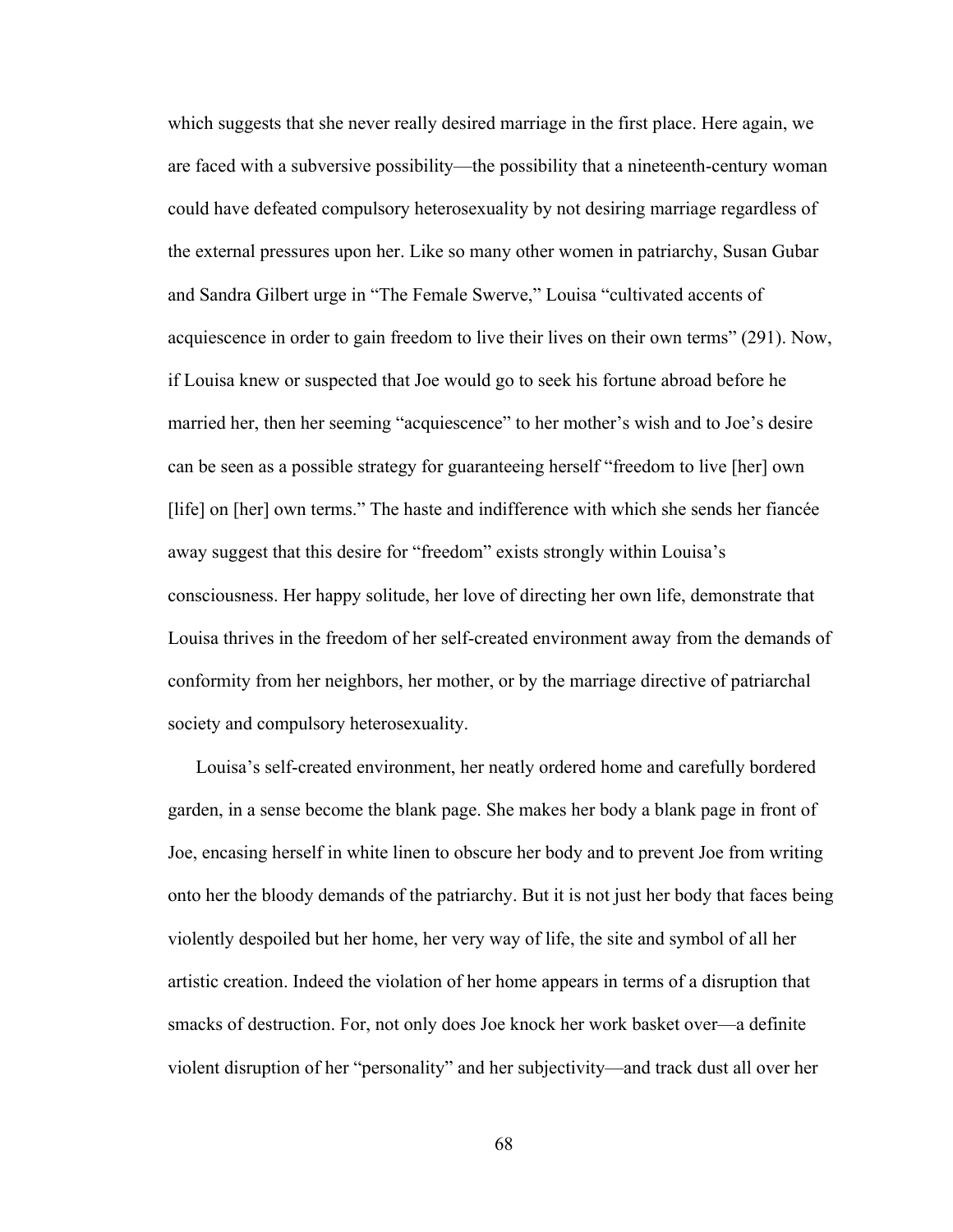which suggests that she never really desired marriage in the first place. Here again, we are faced with a subversive possibility—the possibility that a nineteenth-century woman could have defeated compulsory heterosexuality by not desiring marriage regardless of the external pressures upon her. Like so many other women in patriarchy, Susan Gubar and Sandra Gilbert urge in "The Female Swerve," Louisa "cultivated accents of acquiescence in order to gain freedom to live their lives on their own terms" (291). Now, if Louisa knew or suspected that Joe would go to seek his fortune abroad before he married her, then her seeming "acquiescence" to her mother's wish and to Joe's desire can be seen as a possible strategy for guaranteeing herself "freedom to live [her] own [life] on [her] own terms." The haste and indifference with which she sends her fiancée away suggest that this desire for "freedom" exists strongly within Louisa's consciousness. Her happy solitude, her love of directing her own life, demonstrate that Louisa thrives in the freedom of her self-created environment away from the demands of conformity from her neighbors, her mother, or by the marriage directive of patriarchal society and compulsory heterosexuality.

Louisa's self-created environment, her neatly ordered home and carefully bordered garden, in a sense become the blank page. She makes her body a blank page in front of Joe, encasing herself in white linen to obscure her body and to prevent Joe from writing onto her the bloody demands of the patriarchy. But it is not just her body that faces being violently despoiled but her home, her very way of life, the site and symbol of all her artistic creation. Indeed the violation of her home appears in terms of a disruption that smacks of destruction. For, not only does Joe knock her work basket over—a definite violent disruption of her "personality" and her subjectivity—and track dust all over her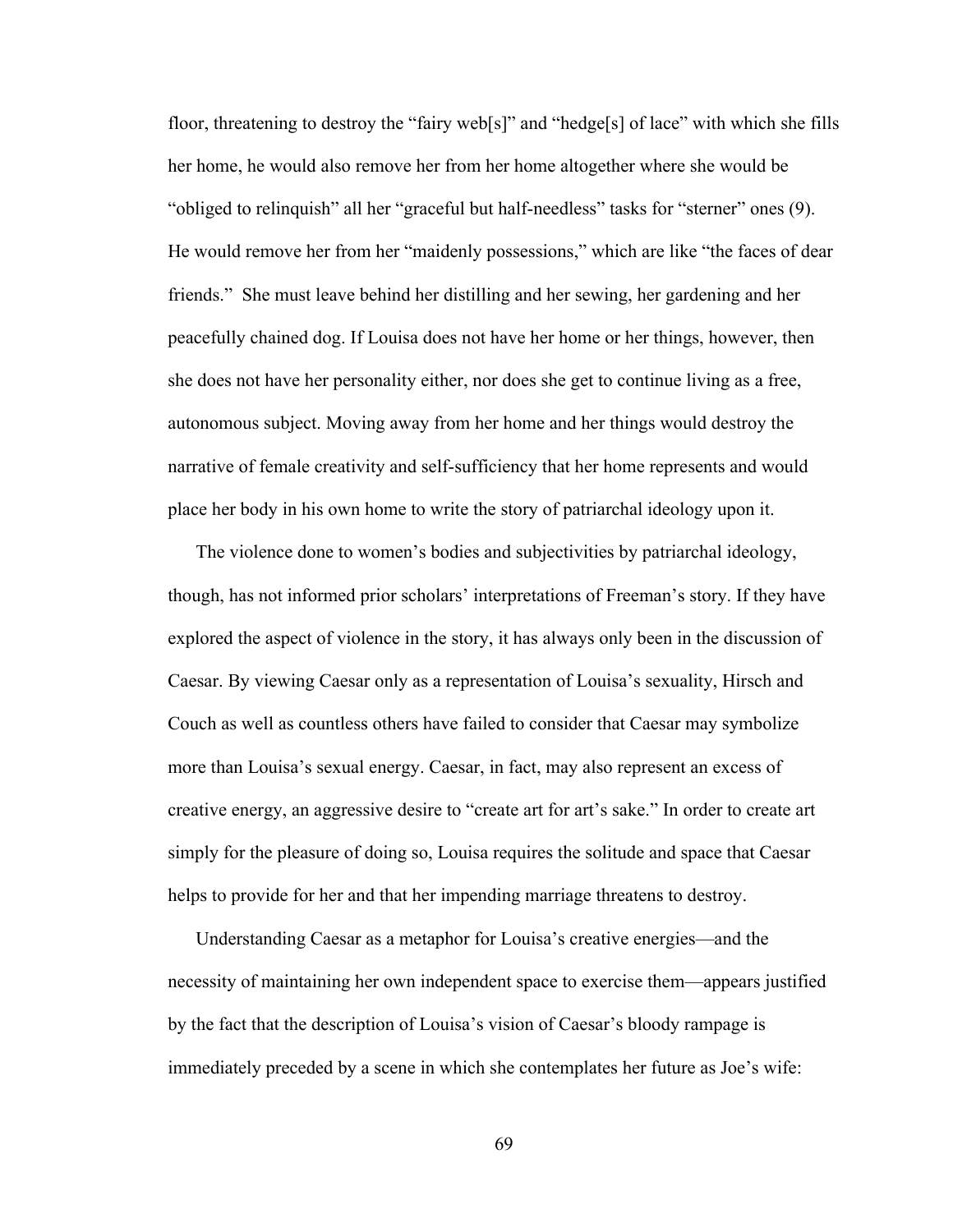floor, threatening to destroy the "fairy web[s]" and "hedge[s] of lace" with which she fills her home, he would also remove her from her home altogether where she would be "obliged to relinquish" all her "graceful but half-needless" tasks for "sterner" ones (9). He would remove her from her "maidenly possessions," which are like "the faces of dear friends." She must leave behind her distilling and her sewing, her gardening and her peacefully chained dog. If Louisa does not have her home or her things, however, then she does not have her personality either, nor does she get to continue living as a free, autonomous subject. Moving away from her home and her things would destroy the narrative of female creativity and self-sufficiency that her home represents and would place her body in his own home to write the story of patriarchal ideology upon it.

The violence done to women's bodies and subjectivities by patriarchal ideology, though, has not informed prior scholars' interpretations of Freeman's story. If they have explored the aspect of violence in the story, it has always only been in the discussion of Caesar. By viewing Caesar only as a representation of Louisa's sexuality, Hirsch and Couch as well as countless others have failed to consider that Caesar may symbolize more than Louisa's sexual energy. Caesar, in fact, may also represent an excess of creative energy, an aggressive desire to "create art for art's sake." In order to create art simply for the pleasure of doing so, Louisa requires the solitude and space that Caesar helps to provide for her and that her impending marriage threatens to destroy.

Understanding Caesar as a metaphor for Louisa's creative energies—and the necessity of maintaining her own independent space to exercise them—appears justified by the fact that the description of Louisa's vision of Caesar's bloody rampage is immediately preceded by a scene in which she contemplates her future as Joe's wife: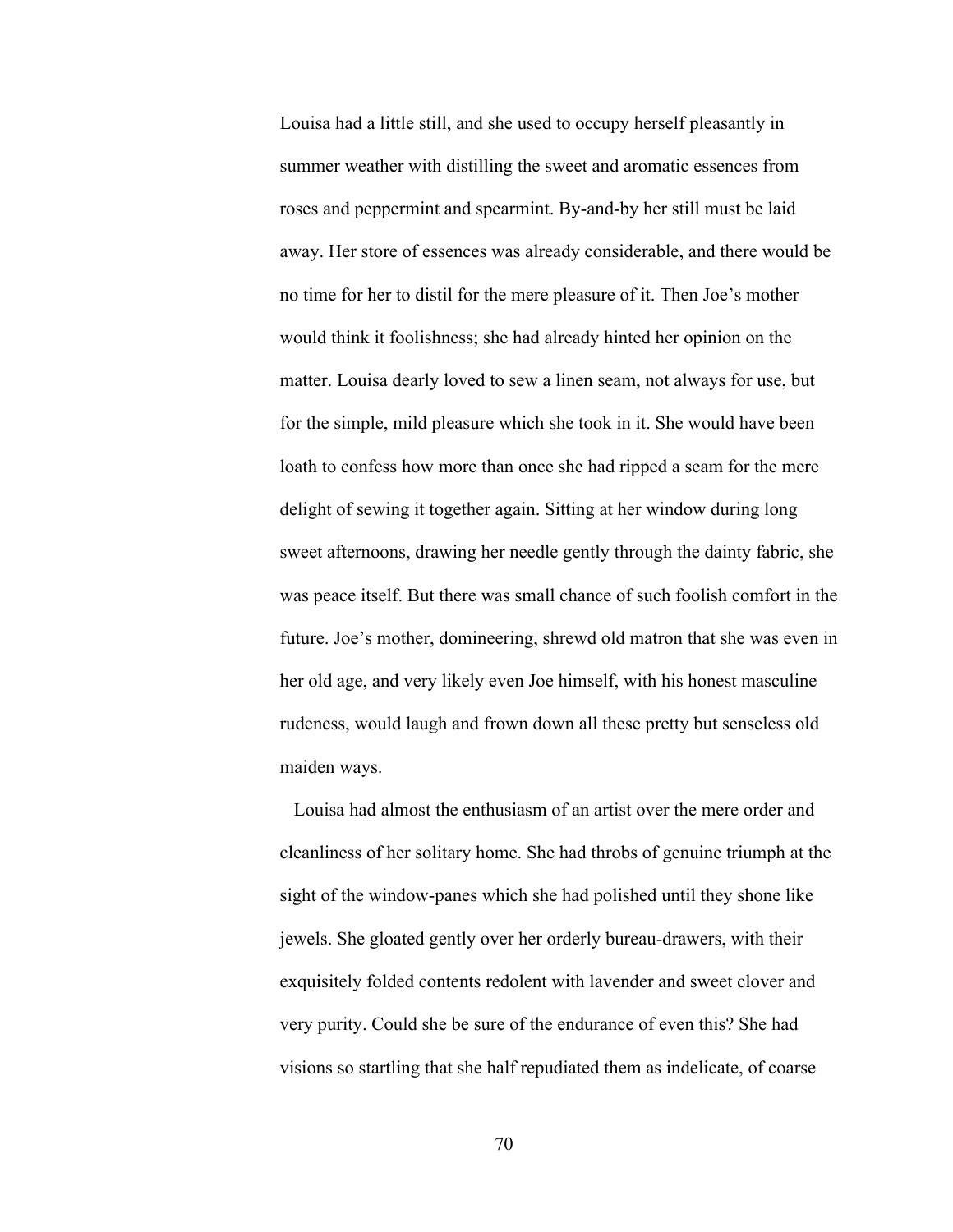Louisa had a little still, and she used to occupy herself pleasantly in summer weather with distilling the sweet and aromatic essences from roses and peppermint and spearmint. By-and-by her still must be laid away. Her store of essences was already considerable, and there would be no time for her to distil for the mere pleasure of it. Then Joe's mother would think it foolishness; she had already hinted her opinion on the matter. Louisa dearly loved to sew a linen seam, not always for use, but for the simple, mild pleasure which she took in it. She would have been loath to confess how more than once she had ripped a seam for the mere delight of sewing it together again. Sitting at her window during long sweet afternoons, drawing her needle gently through the dainty fabric, she was peace itself. But there was small chance of such foolish comfort in the future. Joe's mother, domineering, shrewd old matron that she was even in her old age, and very likely even Joe himself, with his honest masculine rudeness, would laugh and frown down all these pretty but senseless old maiden ways.

Louisa had almost the enthusiasm of an artist over the mere order and cleanliness of her solitary home. She had throbs of genuine triumph at the sight of the window-panes which she had polished until they shone like jewels. She gloated gently over her orderly bureau-drawers, with their exquisitely folded contents redolent with lavender and sweet clover and very purity. Could she be sure of the endurance of even this? She had visions so startling that she half repudiated them as indelicate, of coarse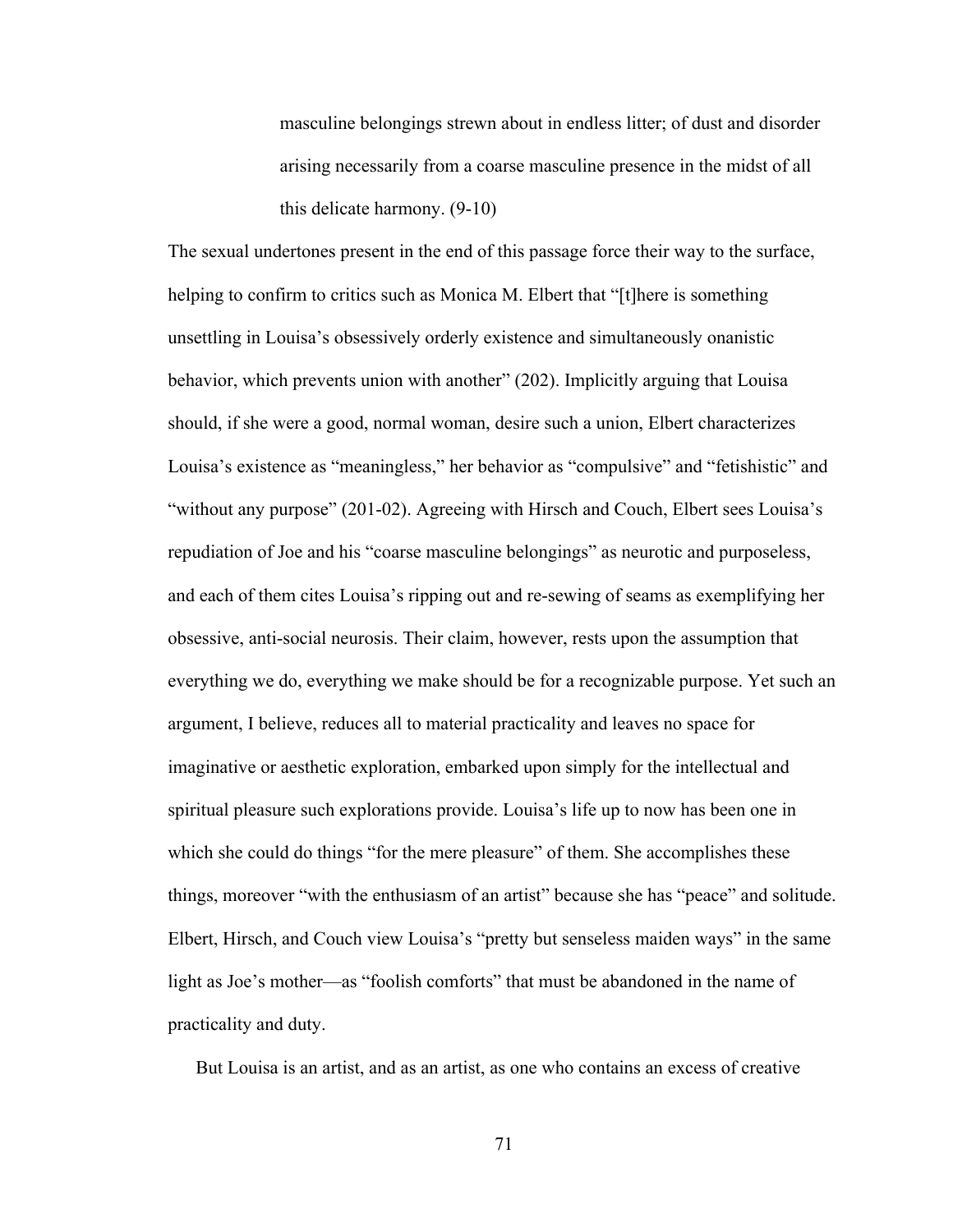masculine belongings strewn about in endless litter; of dust and disorder arising necessarily from a coarse masculine presence in the midst of all this delicate harmony. (9-10)

The sexual undertones present in the end of this passage force their way to the surface, helping to confirm to critics such as Monica M. Elbert that "[t]here is something unsettling in Louisa's obsessively orderly existence and simultaneously onanistic behavior, which prevents union with another" (202). Implicitly arguing that Louisa should, if she were a good, normal woman, desire such a union, Elbert characterizes Louisa's existence as "meaningless," her behavior as "compulsive" and "fetishistic" and "without any purpose" (201-02). Agreeing with Hirsch and Couch, Elbert sees Louisa's repudiation of Joe and his "coarse masculine belongings" as neurotic and purposeless, and each of them cites Louisa's ripping out and re-sewing of seams as exemplifying her obsessive, anti-social neurosis. Their claim, however, rests upon the assumption that everything we do, everything we make should be for a recognizable purpose. Yet such an argument, I believe, reduces all to material practicality and leaves no space for imaginative or aesthetic exploration, embarked upon simply for the intellectual and spiritual pleasure such explorations provide. Louisa's life up to now has been one in which she could do things "for the mere pleasure" of them. She accomplishes these things, moreover "with the enthusiasm of an artist" because she has "peace" and solitude. Elbert, Hirsch, and Couch view Louisa's "pretty but senseless maiden ways" in the same light as Joe's mother—as "foolish comforts" that must be abandoned in the name of practicality and duty.

But Louisa is an artist, and as an artist, as one who contains an excess of creative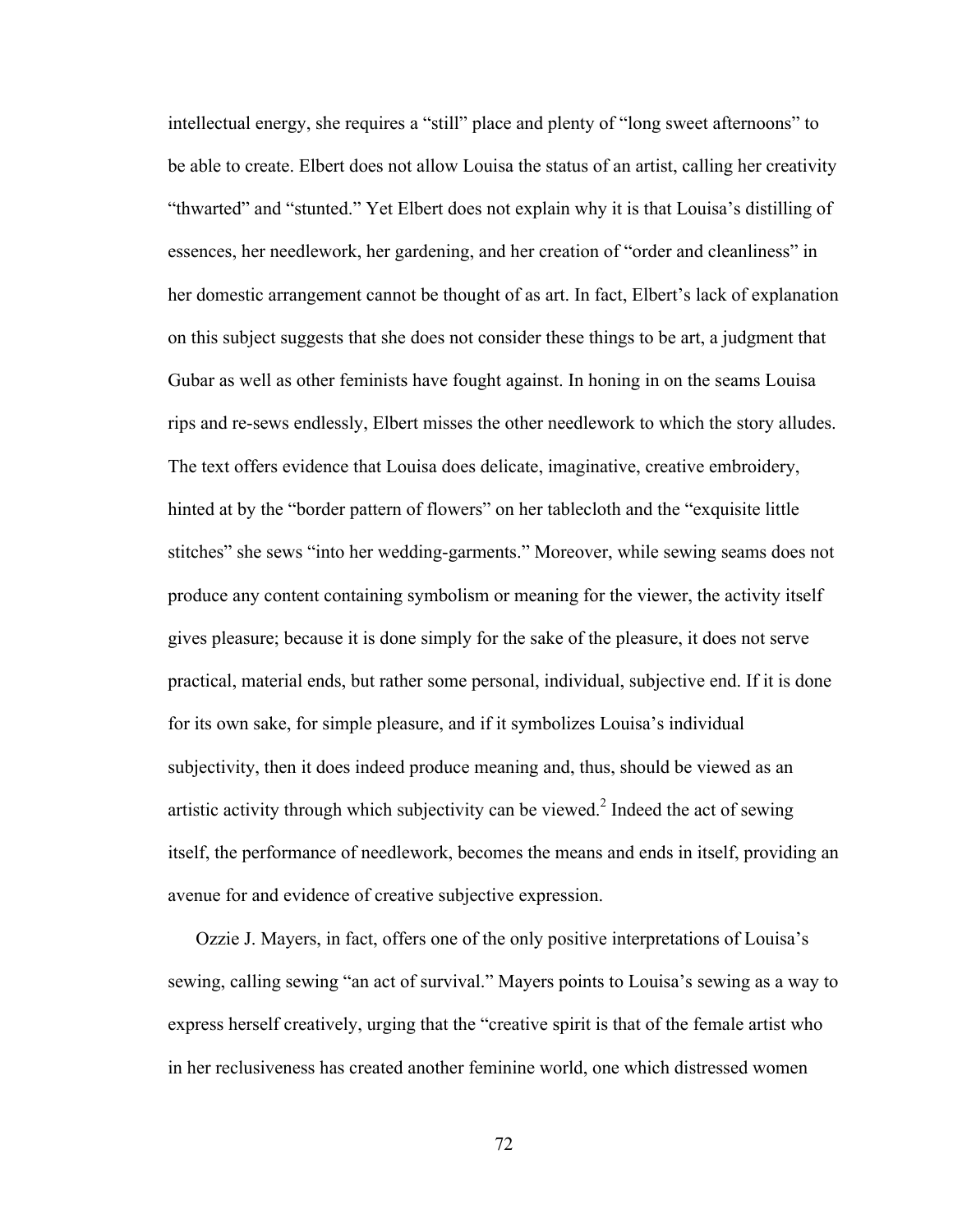intellectual energy, she requires a "still" place and plenty of "long sweet afternoons" to be able to create. Elbert does not allow Louisa the status of an artist, calling her creativity "thwarted" and "stunted." Yet Elbert does not explain why it is that Louisa's distilling of essences, her needlework, her gardening, and her creation of "order and cleanliness" in her domestic arrangement cannot be thought of as art. In fact, Elbert's lack of explanation on this subject suggests that she does not consider these things to be art, a judgment that Gubar as well as other feminists have fought against. In honing in on the seams Louisa rips and re-sews endlessly, Elbert misses the other needlework to which the story alludes. The text offers evidence that Louisa does delicate, imaginative, creative embroidery, hinted at by the "border pattern of flowers" on her tablecloth and the "exquisite little stitches" she sews "into her wedding-garments." Moreover, while sewing seams does not produce any content containing symbolism or meaning for the viewer, the activity itself gives pleasure; because it is done simply for the sake of the pleasure, it does not serve practical, material ends, but rather some personal, individual, subjective end. If it is done for its own sake, for simple pleasure, and if it symbolizes Louisa's individual subjectivity, then it does indeed produce meaning and, thus, should be viewed as an artistic activity through which subjectivity can be viewed.<sup>2</sup> Indeed the act of sewing itself, the performance of needlework, becomes the means and ends in itself, providing an avenue for and evidence of creative subjective expression.

Ozzie J. Mayers, in fact, offers one of the only positive interpretations of Louisa's sewing, calling sewing "an act of survival." Mayers points to Louisa's sewing as a way to express herself creatively, urging that the "creative spirit is that of the female artist who in her reclusiveness has created another feminine world, one which distressed women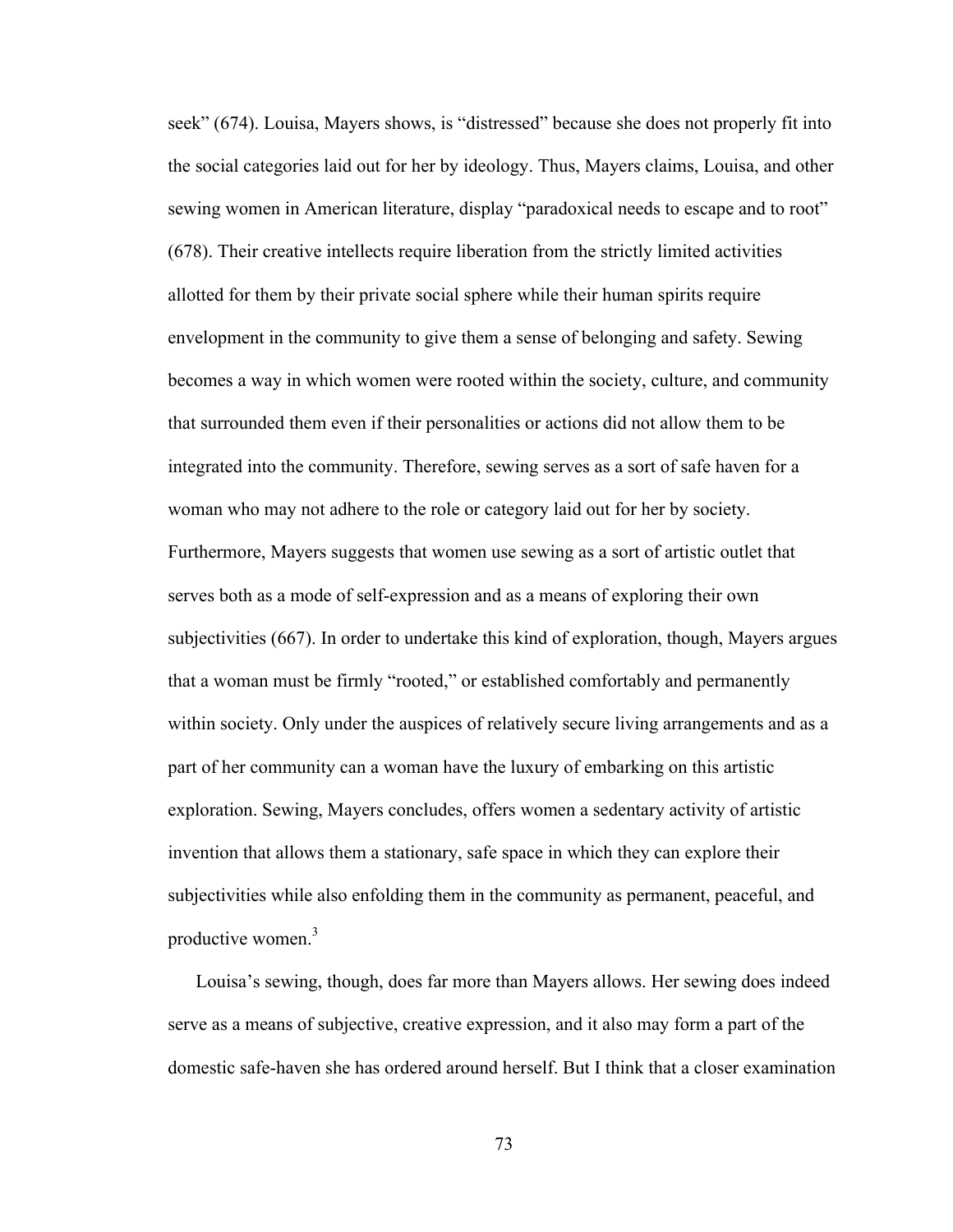seek" (674). Louisa, Mayers shows, is "distressed" because she does not properly fit into the social categories laid out for her by ideology. Thus, Mayers claims, Louisa, and other sewing women in American literature, display "paradoxical needs to escape and to root" (678). Their creative intellects require liberation from the strictly limited activities allotted for them by their private social sphere while their human spirits require envelopment in the community to give them a sense of belonging and safety. Sewing becomes a way in which women were rooted within the society, culture, and community that surrounded them even if their personalities or actions did not allow them to be integrated into the community. Therefore, sewing serves as a sort of safe haven for a woman who may not adhere to the role or category laid out for her by society. Furthermore, Mayers suggests that women use sewing as a sort of artistic outlet that serves both as a mode of self-expression and as a means of exploring their own subjectivities (667). In order to undertake this kind of exploration, though, Mayers argues that a woman must be firmly "rooted," or established comfortably and permanently within society. Only under the auspices of relatively secure living arrangements and as a part of her community can a woman have the luxury of embarking on this artistic exploration. Sewing, Mayers concludes, offers women a sedentary activity of artistic invention that allows them a stationary, safe space in which they can explore their subjectivities while also enfolding them in the community as permanent, peaceful, and productive women. 3

Louisa's sewing, though, does far more than Mayers allows. Her sewing does indeed serve as a means of subjective, creative expression, and it also may form a part of the domestic safe-haven she has ordered around herself. But I think that a closer examination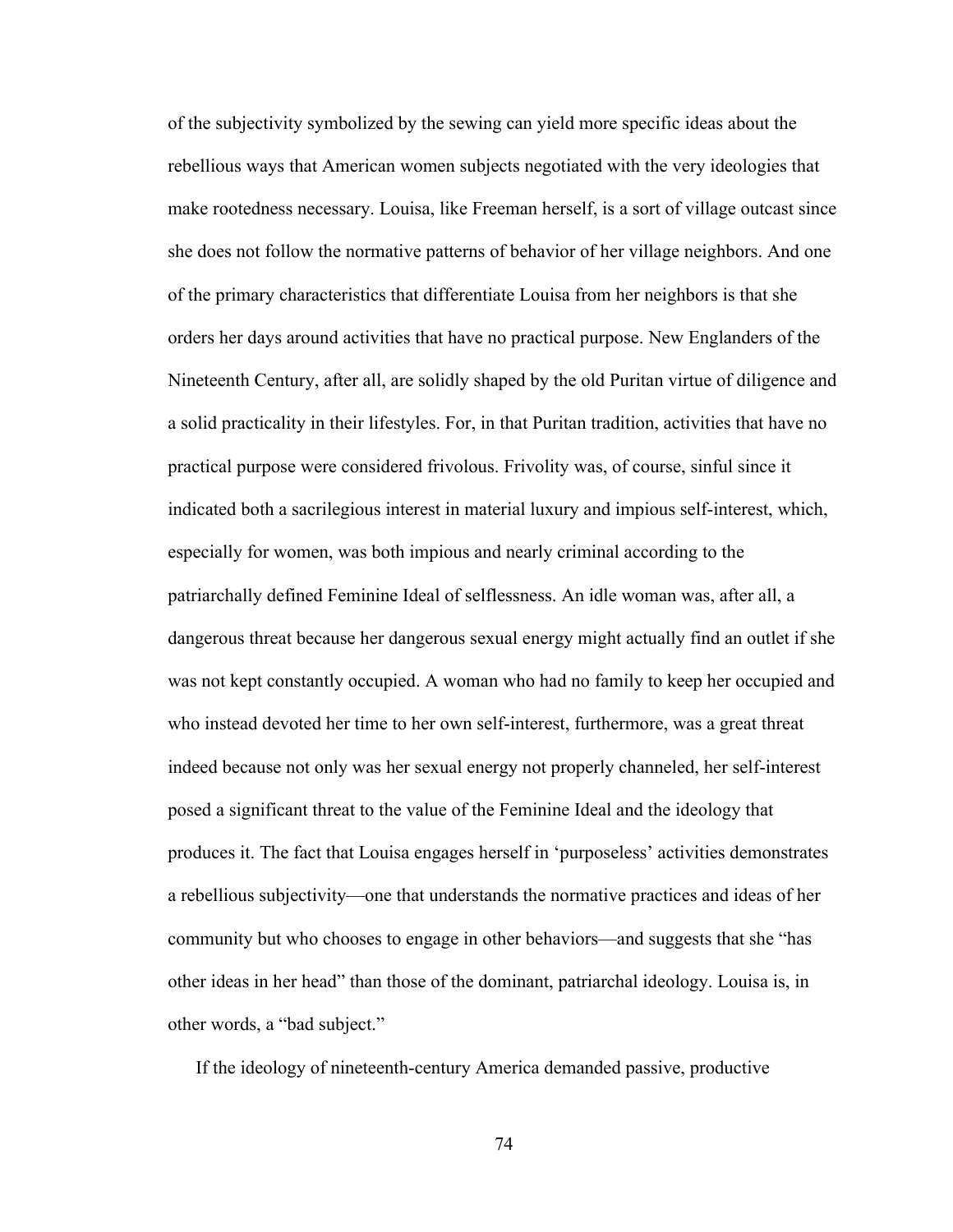of the subjectivity symbolized by the sewing can yield more specific ideas about the rebellious ways that American women subjects negotiated with the very ideologies that make rootedness necessary. Louisa, like Freeman herself, is a sort of village outcast since she does not follow the normative patterns of behavior of her village neighbors. And one of the primary characteristics that differentiate Louisa from her neighbors is that she orders her days around activities that have no practical purpose. New Englanders of the Nineteenth Century, after all, are solidly shaped by the old Puritan virtue of diligence and a solid practicality in their lifestyles. For, in that Puritan tradition, activities that have no practical purpose were considered frivolous. Frivolity was, of course, sinful since it indicated both a sacrilegious interest in material luxury and impious self-interest, which, especially for women, was both impious and nearly criminal according to the patriarchally defined Feminine Ideal of selflessness. An idle woman was, after all, a dangerous threat because her dangerous sexual energy might actually find an outlet if she was not kept constantly occupied. A woman who had no family to keep her occupied and who instead devoted her time to her own self-interest, furthermore, was a great threat indeed because not only was her sexual energy not properly channeled, her self-interest posed a significant threat to the value of the Feminine Ideal and the ideology that produces it. The fact that Louisa engages herself in 'purposeless' activities demonstrates a rebellious subjectivity—one that understands the normative practices and ideas of her community but who chooses to engage in other behaviors—and suggests that she "has other ideas in her head" than those of the dominant, patriarchal ideology. Louisa is, in other words, a "bad subject."

If the ideology of nineteenth-century America demanded passive, productive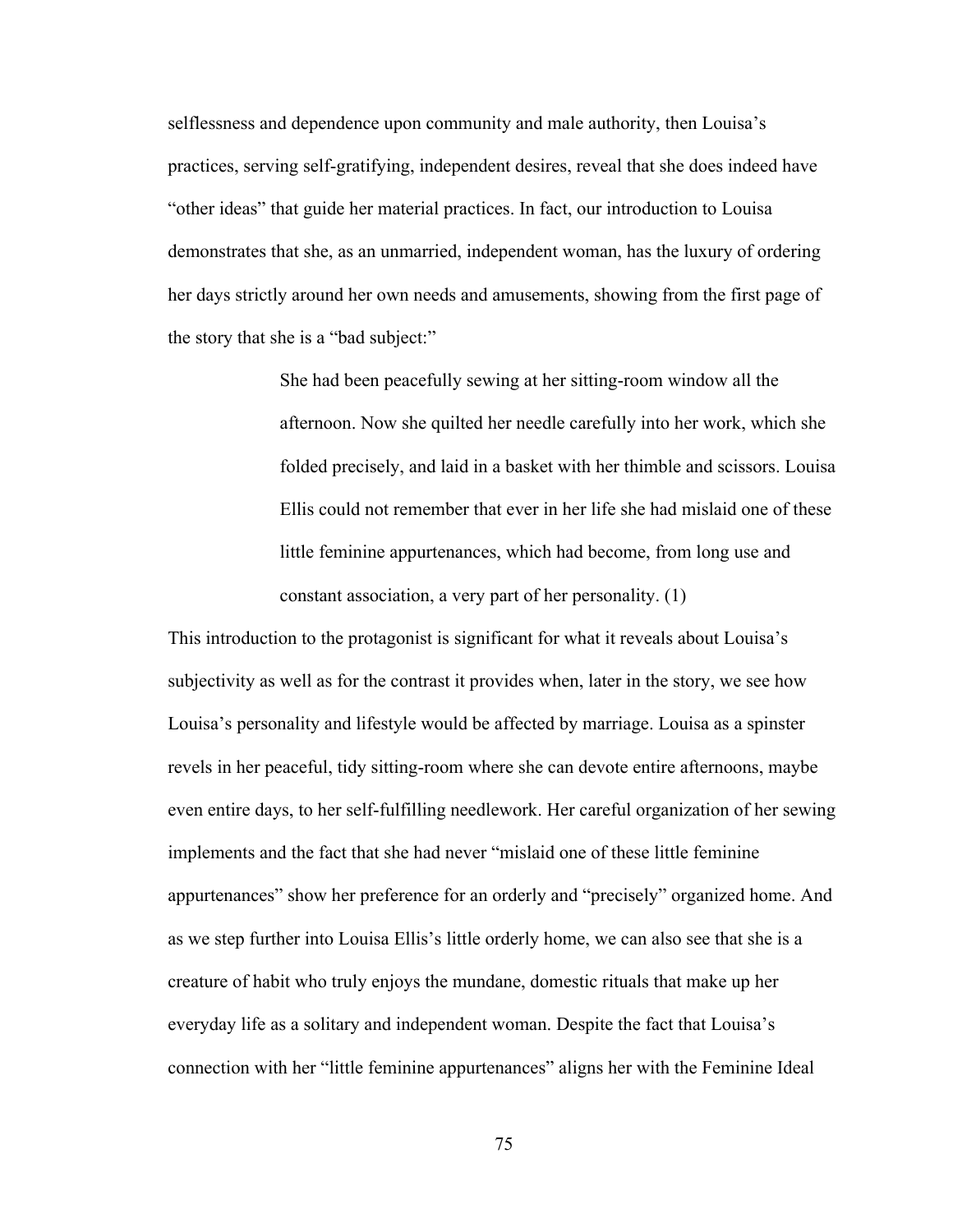selflessness and dependence upon community and male authority, then Louisa's practices, serving self-gratifying, independent desires, reveal that she does indeed have "other ideas" that guide her material practices. In fact, our introduction to Louisa demonstrates that she, as an unmarried, independent woman, has the luxury of ordering her days strictly around her own needs and amusements, showing from the first page of the story that she is a "bad subject:"

> She had been peacefully sewing at her sitting-room window all the afternoon. Now she quilted her needle carefully into her work, which she folded precisely, and laid in a basket with her thimble and scissors. Louisa Ellis could not remember that ever in her life she had mislaid one of these little feminine appurtenances, which had become, from long use and constant association, a very part of her personality. (1)

This introduction to the protagonist is significant for what it reveals about Louisa's subjectivity as well as for the contrast it provides when, later in the story, we see how Louisa's personality and lifestyle would be affected by marriage. Louisa as a spinster revels in her peaceful, tidy sitting-room where she can devote entire afternoons, maybe even entire days, to her self-fulfilling needlework. Her careful organization of her sewing implements and the fact that she had never "mislaid one of these little feminine appurtenances" show her preference for an orderly and "precisely" organized home. And as we step further into Louisa Ellis's little orderly home, we can also see that she is a creature of habit who truly enjoys the mundane, domestic rituals that make up her everyday life as a solitary and independent woman. Despite the fact that Louisa's connection with her "little feminine appurtenances" aligns her with the Feminine Ideal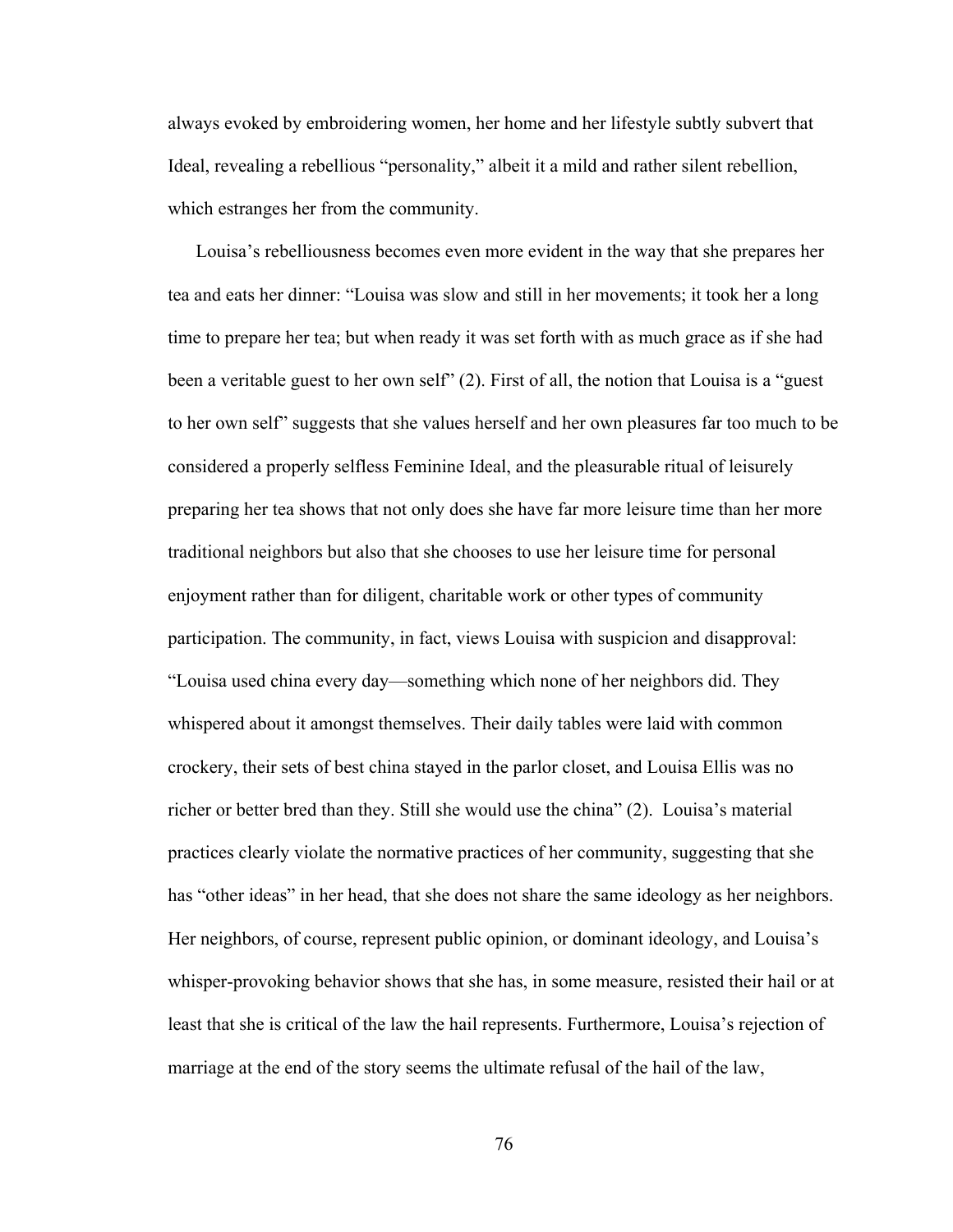always evoked by embroidering women, her home and her lifestyle subtly subvert that Ideal, revealing a rebellious "personality," albeit it a mild and rather silent rebellion, which estranges her from the community.

Louisa's rebelliousness becomes even more evident in the way that she prepares her tea and eats her dinner: "Louisa was slow and still in her movements; it took her a long time to prepare her tea; but when ready it was set forth with as much grace as if she had been a veritable guest to her own self" (2). First of all, the notion that Louisa is a "guest" to her own self" suggests that she values herself and her own pleasures far too much to be considered a properly selfless Feminine Ideal, and the pleasurable ritual of leisurely preparing her tea shows that not only does she have far more leisure time than her more traditional neighbors but also that she chooses to use her leisure time for personal enjoyment rather than for diligent, charitable work or other types of community participation. The community, in fact, views Louisa with suspicion and disapproval: "Louisa used china every day—something which none of her neighbors did. They whispered about it amongst themselves. Their daily tables were laid with common crockery, their sets of best china stayed in the parlor closet, and Louisa Ellis was no richer or better bred than they. Still she would use the china" (2). Louisa's material practices clearly violate the normative practices of her community, suggesting that she has "other ideas" in her head, that she does not share the same ideology as her neighbors. Her neighbors, of course, represent public opinion, or dominant ideology, and Louisa's whisper-provoking behavior shows that she has, in some measure, resisted their hail or at least that she is critical of the law the hail represents. Furthermore, Louisa's rejection of marriage at the end of the story seems the ultimate refusal of the hail of the law,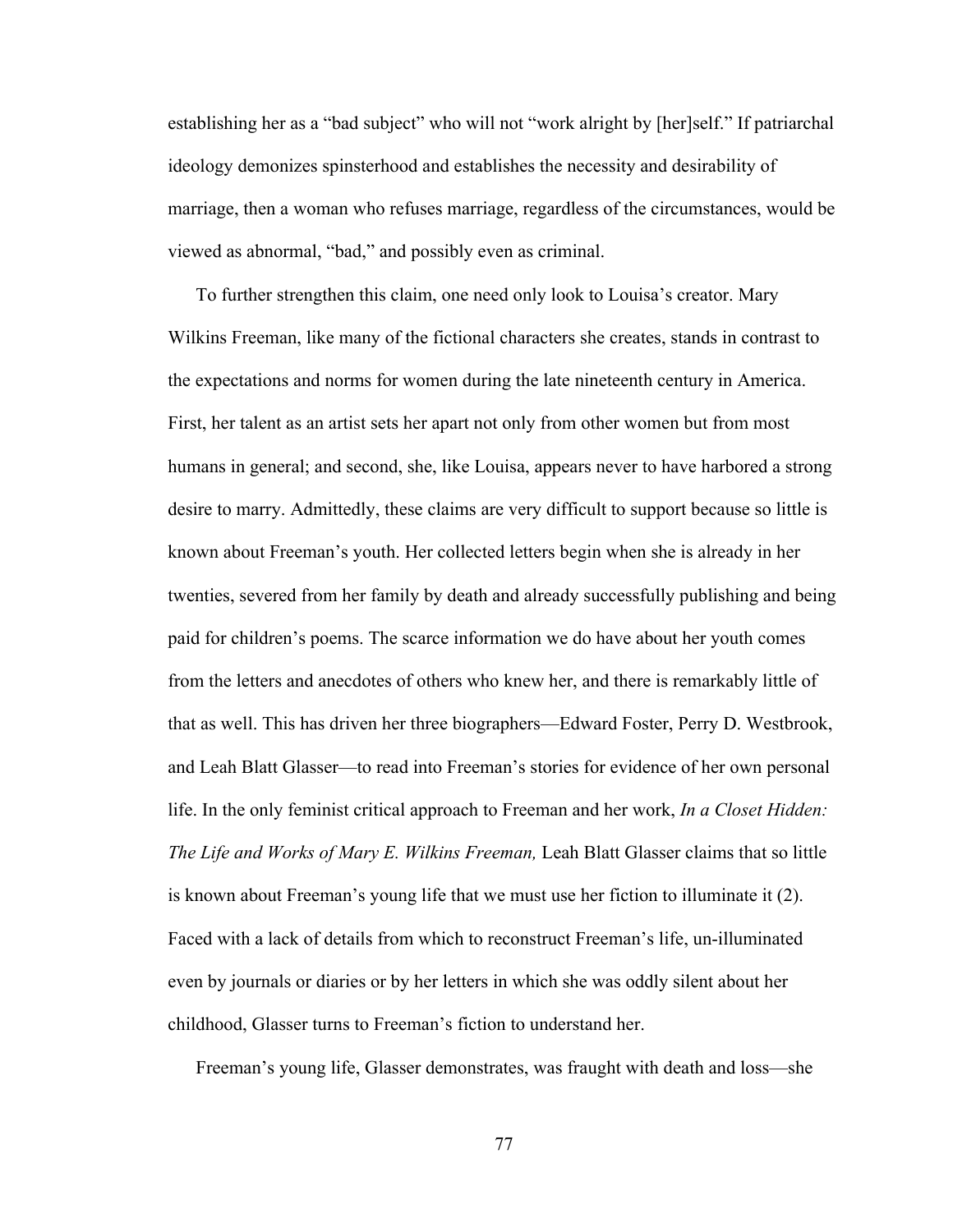establishing her as a "bad subject" who will not "work alright by [her]self." If patriarchal ideology demonizes spinsterhood and establishes the necessity and desirability of marriage, then a woman who refuses marriage, regardless of the circumstances, would be viewed as abnormal, "bad," and possibly even as criminal.

To further strengthen this claim, one need only look to Louisa's creator. Mary Wilkins Freeman, like many of the fictional characters she creates, stands in contrast to the expectations and norms for women during the late nineteenth century in America. First, her talent as an artist sets her apart not only from other women but from most humans in general; and second, she, like Louisa, appears never to have harbored a strong desire to marry. Admittedly, these claims are very difficult to support because so little is known about Freeman's youth. Her collected letters begin when she is already in her twenties, severed from her family by death and already successfully publishing and being paid for children's poems. The scarce information we do have about her youth comes from the letters and anecdotes of others who knew her, and there is remarkably little of that as well. This has driven her three biographers—Edward Foster, Perry D. Westbrook, and Leah Blatt Glasser—to read into Freeman's stories for evidence of her own personal life. In the only feminist critical approach to Freeman and her work, *In a Closet Hidden: The Life and Works of Mary E. Wilkins Freeman,* Leah Blatt Glasser claims that so little is known about Freeman's young life that we must use her fiction to illuminate it (2). Faced with a lack of details from which to reconstruct Freeman's life, un-illuminated even by journals or diaries or by her letters in which she was oddly silent about her childhood, Glasser turns to Freeman's fiction to understand her.

Freeman's young life, Glasser demonstrates, was fraught with death and loss—she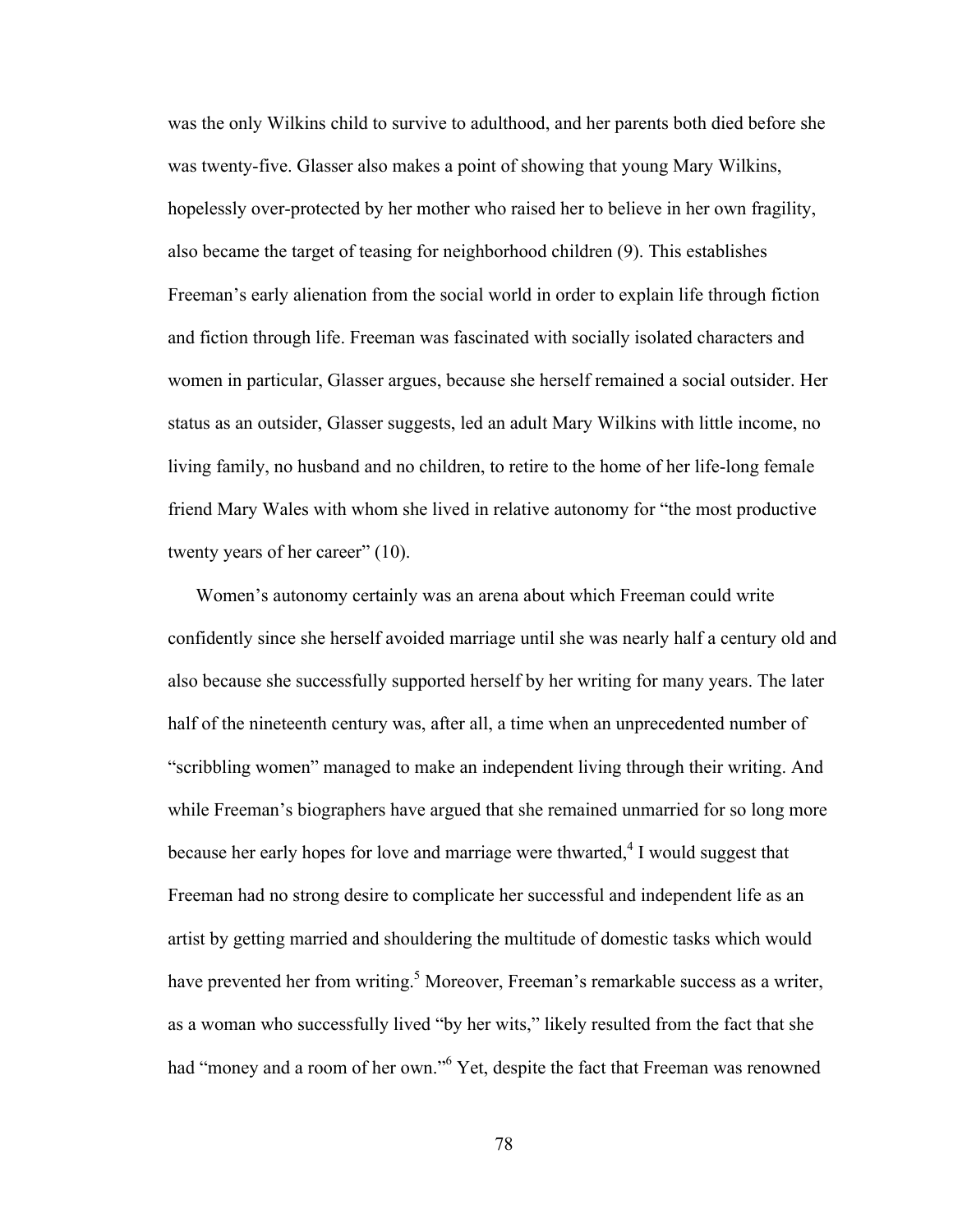was the only Wilkins child to survive to adulthood, and her parents both died before she was twenty-five. Glasser also makes a point of showing that young Mary Wilkins, hopelessly over-protected by her mother who raised her to believe in her own fragility, also became the target of teasing for neighborhood children (9). This establishes Freeman's early alienation from the social world in order to explain life through fiction and fiction through life. Freeman was fascinated with socially isolated characters and women in particular, Glasser argues, because she herself remained a social outsider. Her status as an outsider, Glasser suggests, led an adult Mary Wilkins with little income, no living family, no husband and no children, to retire to the home of her life-long female friend Mary Wales with whom she lived in relative autonomy for "the most productive twenty years of her career" (10).

Women's autonomy certainly was an arena about which Freeman could write confidently since she herself avoided marriage until she was nearly half a century old and also because she successfully supported herself by her writing for many years. The later half of the nineteenth century was, after all, a time when an unprecedented number of "scribbling women" managed to make an independent living through their writing. And while Freeman's biographers have argued that she remained unmarried for so long more because her early hopes for love and marriage were thwarted, <sup>4</sup> I would suggest that Freeman had no strong desire to complicate her successful and independent life as an artist by getting married and shouldering the multitude of domestic tasks which would have prevented her from writing.<sup>5</sup> Moreover, Freeman's remarkable success as a writer, as a woman who successfully lived "by her wits," likely resulted from the fact that she had "money and a room of her own."<sup>6</sup> Yet, despite the fact that Freeman was renowned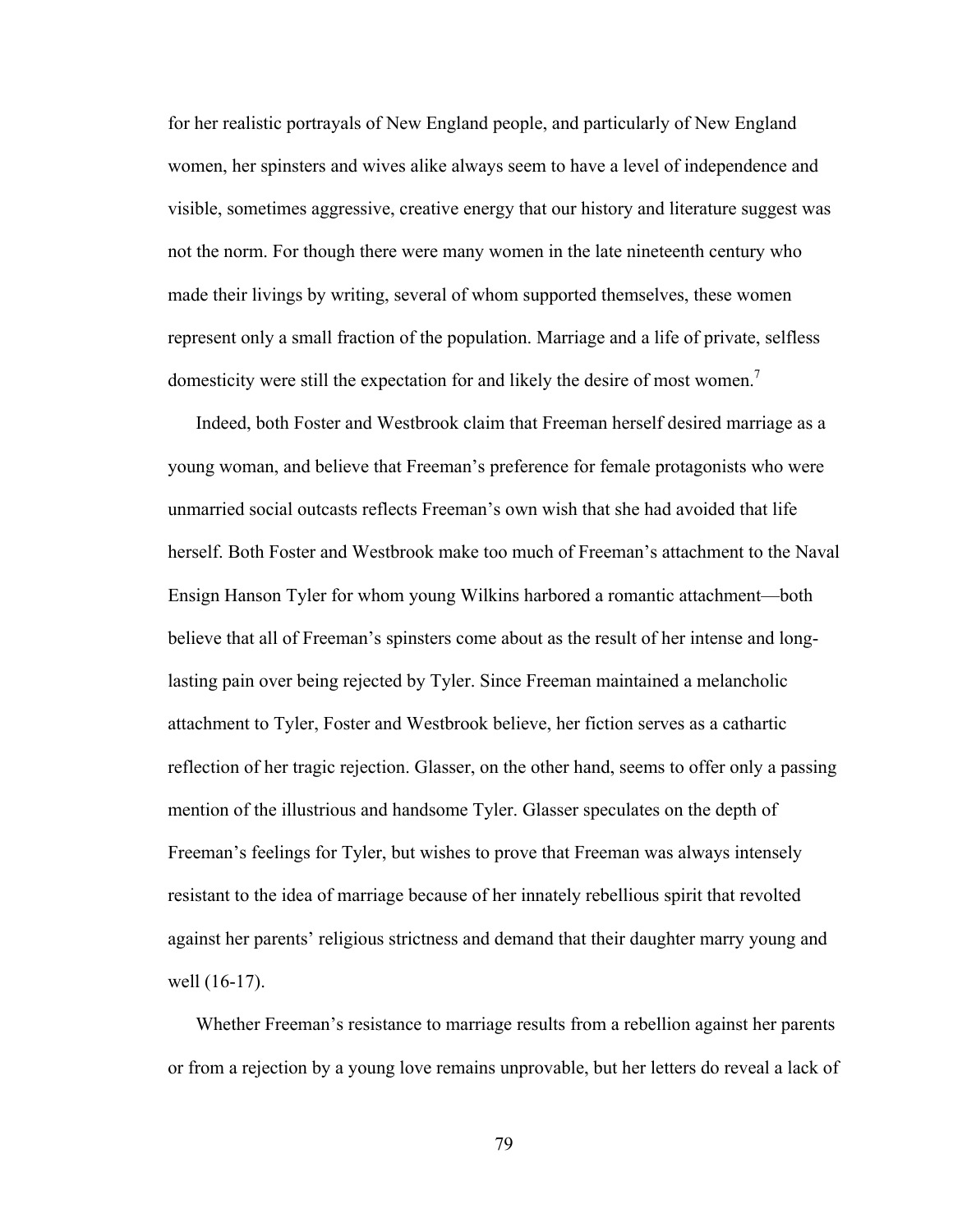for her realistic portrayals of New England people, and particularly of New England women, her spinsters and wives alike always seem to have a level of independence and visible, sometimes aggressive, creative energy that our history and literature suggest was not the norm. For though there were many women in the late nineteenth century who made their livings by writing, several of whom supported themselves, these women represent only a small fraction of the population. Marriage and a life of private, selfless domesticity were still the expectation for and likely the desire of most women.<sup>7</sup>

Indeed, both Foster and Westbrook claim that Freeman herself desired marriage as a young woman, and believe that Freeman's preference for female protagonists who were unmarried social outcasts reflects Freeman's own wish that she had avoided that life herself. Both Foster and Westbrook make too much of Freeman's attachment to the Naval Ensign Hanson Tyler for whom young Wilkins harbored a romantic attachment—both believe that all of Freeman's spinsters come about as the result of her intense and longlasting pain over being rejected by Tyler. Since Freeman maintained a melancholic attachment to Tyler, Foster and Westbrook believe, her fiction serves as a cathartic reflection of her tragic rejection. Glasser, on the other hand, seems to offer only a passing mention of the illustrious and handsome Tyler. Glasser speculates on the depth of Freeman's feelings for Tyler, but wishes to prove that Freeman was always intensely resistant to the idea of marriage because of her innately rebellious spirit that revolted against her parents' religious strictness and demand that their daughter marry young and well (16-17).

Whether Freeman's resistance to marriage results from a rebellion against her parents or from a rejection by a young love remains unprovable, but her letters do reveal a lack of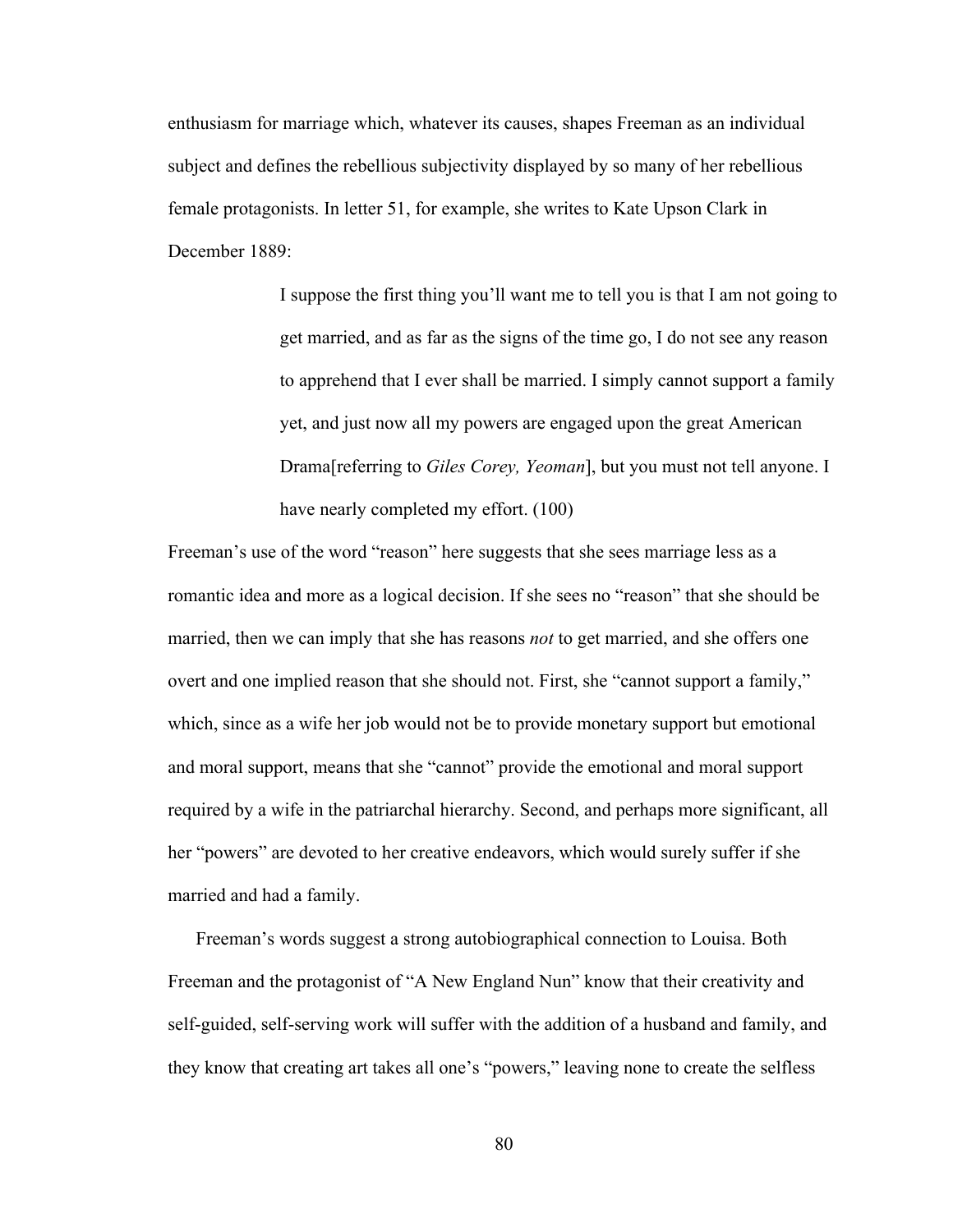enthusiasm for marriage which, whatever its causes, shapes Freeman as an individual subject and defines the rebellious subjectivity displayed by so many of her rebellious female protagonists. In letter 51, for example, she writes to Kate Upson Clark in December 1889:

> I suppose the first thing you'll want me to tell you is that I am not going to get married, and as far as the signs of the time go, I do not see any reason to apprehend that I ever shall be married. I simply cannot support a family yet, and just now all my powers are engaged upon the great American Drama[referring to *Giles Corey, Yeoman*], but you must not tell anyone. I have nearly completed my effort. (100)

Freeman's use of the word "reason" here suggests that she sees marriage less as a romantic idea and more as a logical decision. If she sees no "reason" that she should be married, then we can imply that she has reasons *not* to get married, and she offers one overt and one implied reason that she should not. First, she "cannot support a family," which, since as a wife her job would not be to provide monetary support but emotional and moral support, means that she "cannot" provide the emotional and moral support required by a wife in the patriarchal hierarchy. Second, and perhaps more significant, all her "powers" are devoted to her creative endeavors, which would surely suffer if she married and had a family.

Freeman's words suggest a strong autobiographical connection to Louisa. Both Freeman and the protagonist of "A New England Nun" know that their creativity and self-guided, self-serving work will suffer with the addition of a husband and family, and they know that creating art takes all one's "powers," leaving none to create the selfless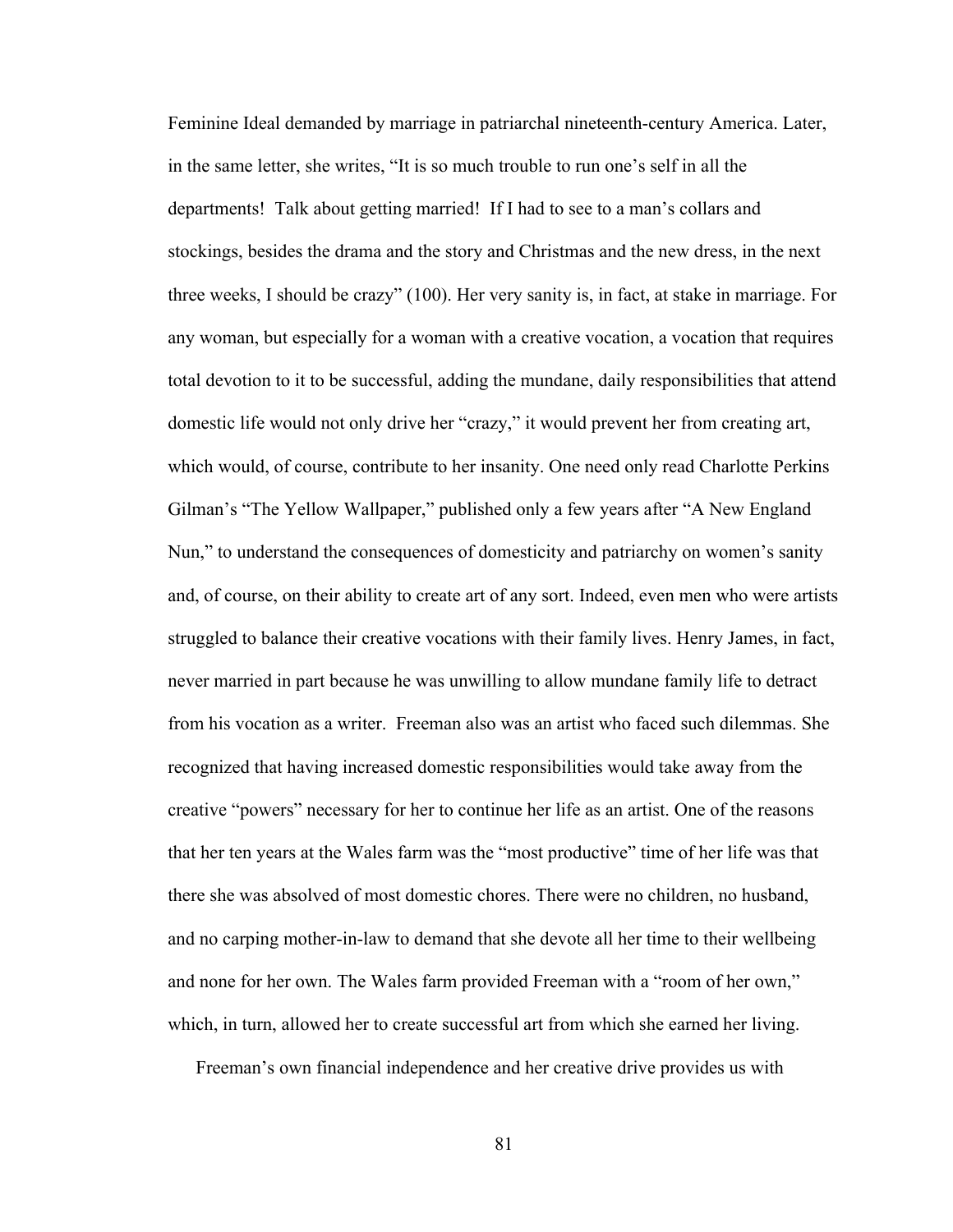Feminine Ideal demanded by marriage in patriarchal nineteenth-century America. Later, in the same letter, she writes, "It is so much trouble to run one's self in all the departments! Talk about getting married! If I had to see to a man's collars and stockings, besides the drama and the story and Christmas and the new dress, in the next three weeks, I should be crazy" (100). Her very sanity is, in fact, at stake in marriage. For any woman, but especially for a woman with a creative vocation, a vocation that requires total devotion to it to be successful, adding the mundane, daily responsibilities that attend domestic life would not only drive her "crazy," it would prevent her from creating art, which would, of course, contribute to her insanity. One need only read Charlotte Perkins Gilman's "The Yellow Wallpaper," published only a few years after "A New England Nun," to understand the consequences of domesticity and patriarchy on women's sanity and, of course, on their ability to create art of any sort. Indeed, even men who were artists struggled to balance their creative vocations with their family lives. Henry James, in fact, never married in part because he was unwilling to allow mundane family life to detract from his vocation as a writer. Freeman also was an artist who faced such dilemmas. She recognized that having increased domestic responsibilities would take away from the creative "powers" necessary for her to continue her life as an artist. One of the reasons that her ten years at the Wales farm was the "most productive" time of her life was that there she was absolved of most domestic chores. There were no children, no husband, and no carping mother-in-law to demand that she devote all her time to their wellbeing and none for her own. The Wales farm provided Freeman with a "room of her own," which, in turn, allowed her to create successful art from which she earned her living.

Freeman's own financial independence and her creative drive provides us with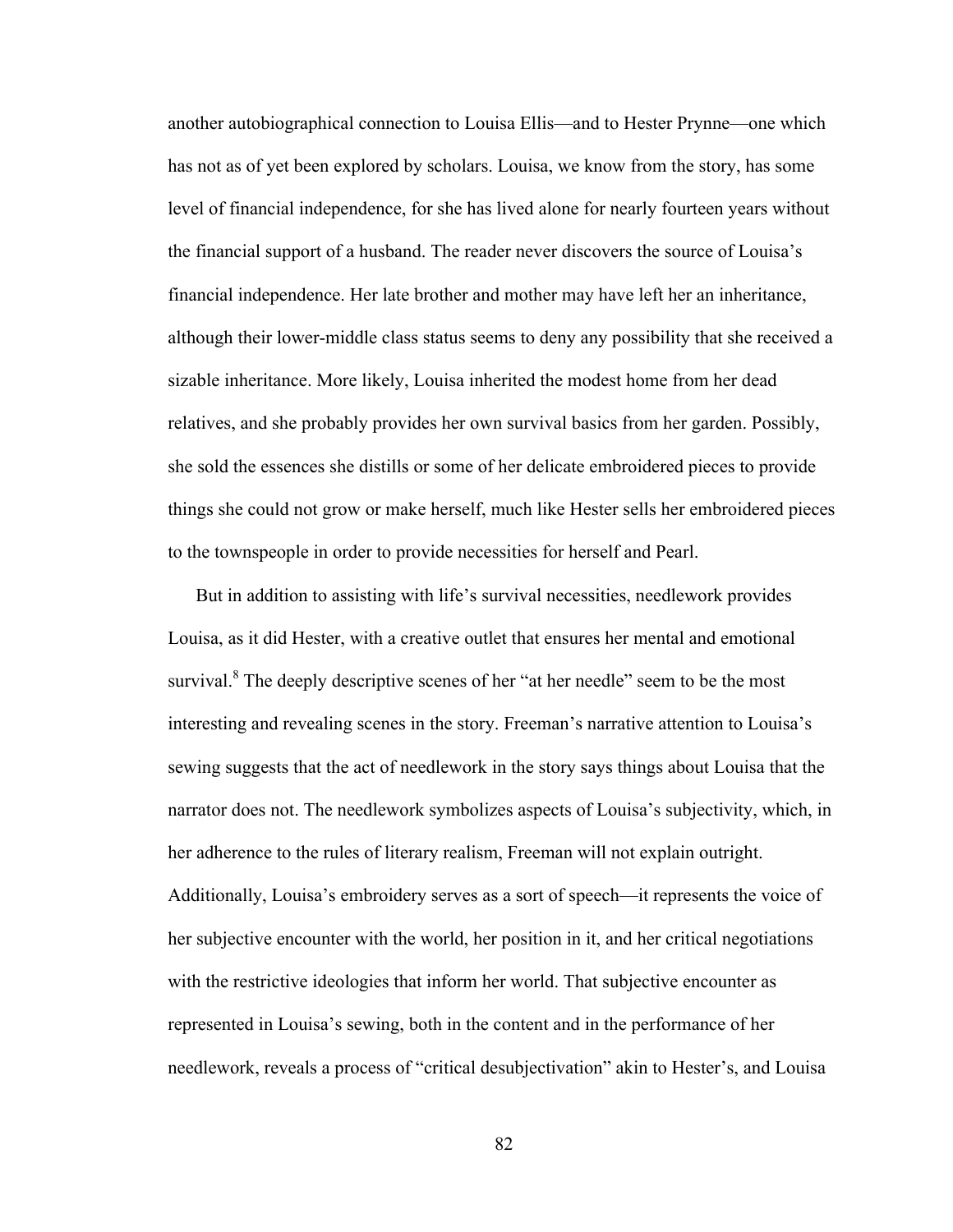another autobiographical connection to Louisa Ellis—and to Hester Prynne—one which has not as of yet been explored by scholars. Louisa, we know from the story, has some level of financial independence, for she has lived alone for nearly fourteen years without the financial support of a husband. The reader never discovers the source of Louisa's financial independence. Her late brother and mother may have left her an inheritance, although their lower-middle class status seems to deny any possibility that she received a sizable inheritance. More likely, Louisa inherited the modest home from her dead relatives, and she probably provides her own survival basics from her garden. Possibly, she sold the essences she distills or some of her delicate embroidered pieces to provide things she could not grow or make herself, much like Hester sells her embroidered pieces to the townspeople in order to provide necessities for herself and Pearl.

But in addition to assisting with life's survival necessities, needlework provides Louisa, as it did Hester, with a creative outlet that ensures her mental and emotional survival. $8$ <sup>8</sup> The deeply descriptive scenes of her "at her needle" seem to be the most interesting and revealing scenes in the story. Freeman's narrative attention to Louisa's sewing suggests that the act of needlework in the story says things about Louisa that the narrator does not. The needlework symbolizes aspects of Louisa's subjectivity, which, in her adherence to the rules of literary realism, Freeman will not explain outright. Additionally, Louisa's embroidery serves as a sort of speech—it represents the voice of her subjective encounter with the world, her position in it, and her critical negotiations with the restrictive ideologies that inform her world. That subjective encounter as represented in Louisa's sewing, both in the content and in the performance of her needlework, reveals a process of "critical desubjectivation" akin to Hester's, and Louisa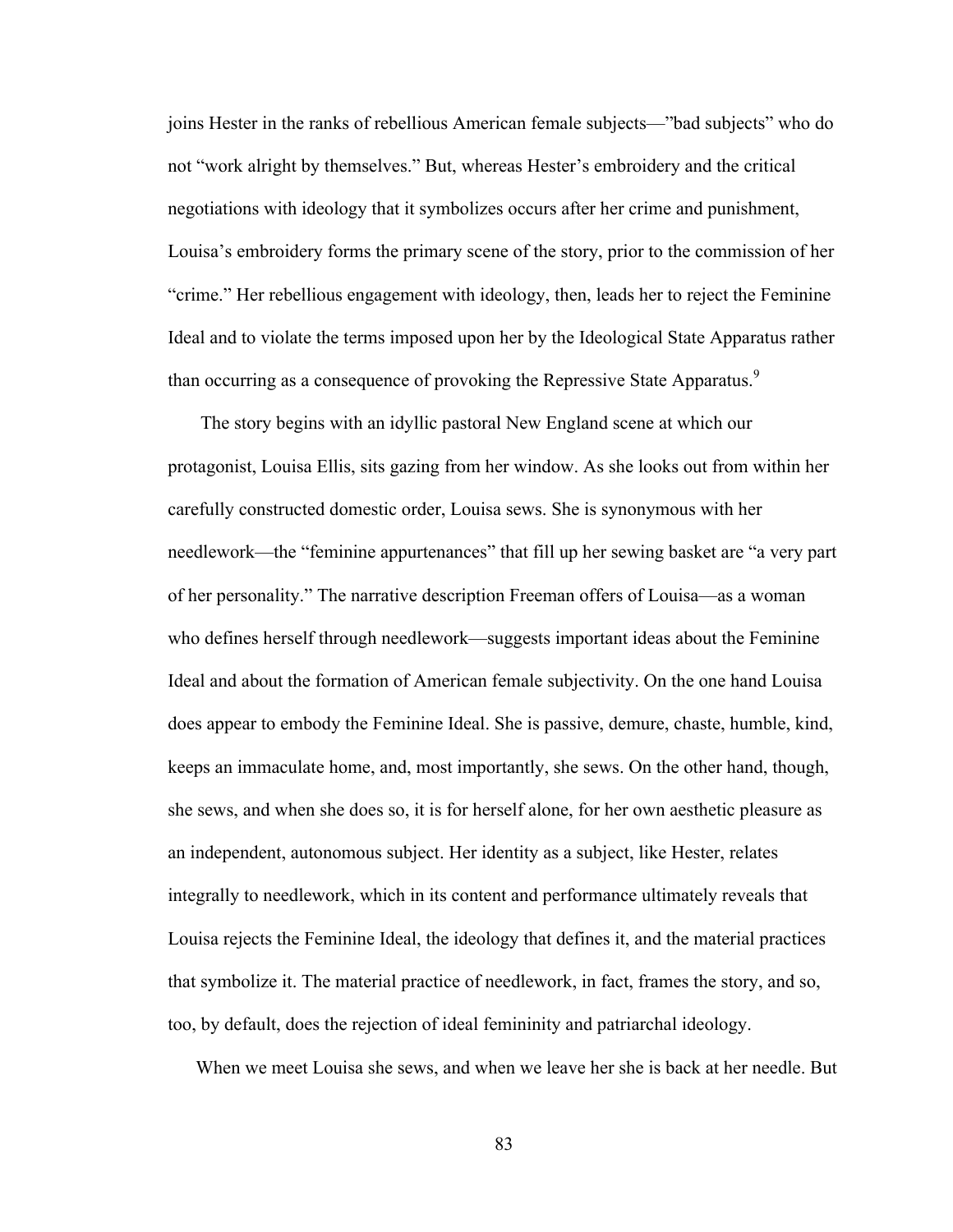joins Hester in the ranks of rebellious American female subjects—"bad subjects" who do not "work alright by themselves." But, whereas Hester's embroidery and the critical negotiations with ideology that it symbolizes occurs after her crime and punishment, Louisa's embroidery forms the primary scene of the story, prior to the commission of her "crime." Her rebellious engagement with ideology, then, leads her to reject the Feminine Ideal and to violate the terms imposed upon her by the Ideological State Apparatus rather than occurring as a consequence of provoking the Repressive State Apparatus.<sup>9</sup>

The story begins with an idyllic pastoral New England scene at which our protagonist, Louisa Ellis, sits gazing from her window. As she looks out from within her carefully constructed domestic order, Louisa sews. She is synonymous with her needlework—the "feminine appurtenances" that fill up her sewing basket are "a very part of her personality." The narrative description Freeman offers of Louisa—as a woman who defines herself through needlework—suggests important ideas about the Feminine Ideal and about the formation of American female subjectivity. On the one hand Louisa does appear to embody the Feminine Ideal. She is passive, demure, chaste, humble, kind, keeps an immaculate home, and, most importantly, she sews. On the other hand, though, she sews, and when she does so, it is for herself alone, for her own aesthetic pleasure as an independent, autonomous subject. Her identity as a subject, like Hester, relates integrally to needlework, which in its content and performance ultimately reveals that Louisa rejects the Feminine Ideal, the ideology that defines it, and the material practices that symbolize it. The material practice of needlework, in fact, frames the story, and so, too, by default, does the rejection of ideal femininity and patriarchal ideology.

When we meet Louisa she sews, and when we leave her she is back at her needle. But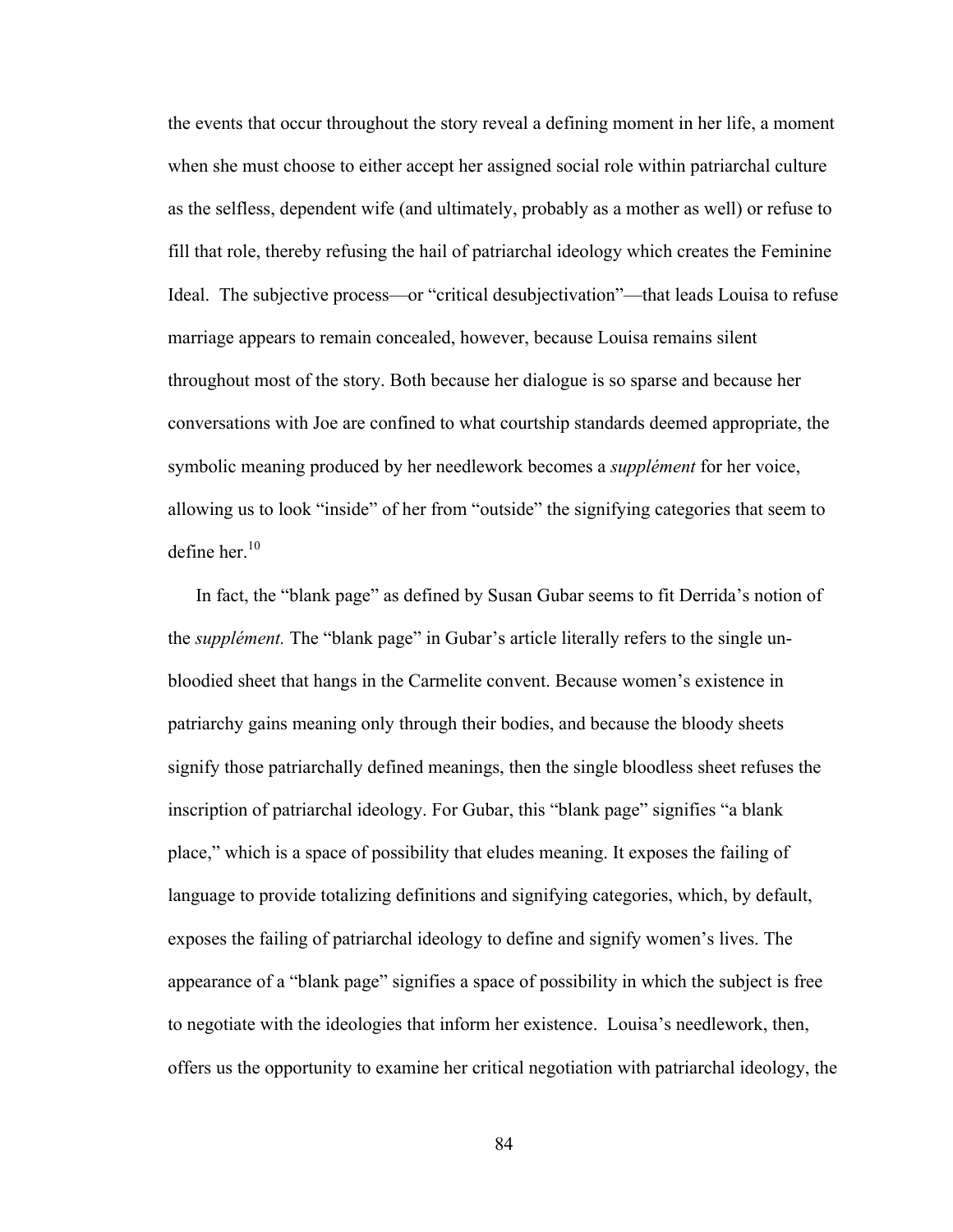the events that occur throughout the story reveal a defining moment in her life, a moment when she must choose to either accept her assigned social role within patriarchal culture as the selfless, dependent wife (and ultimately, probably as a mother as well) or refuse to fill that role, thereby refusing the hail of patriarchal ideology which creates the Feminine Ideal. The subjective process—or "critical desubjectivation"—that leads Louisa to refuse marriage appears to remain concealed, however, because Louisa remains silent throughout most of the story. Both because her dialogue is so sparse and because her conversations with Joe are confined to what courtship standards deemed appropriate, the symbolic meaning produced by her needlework becomes a *supplément* for her voice, allowing us to look "inside" of her from "outside" the signifying categories that seem to define her. 10

In fact, the "blank page" as defined by Susan Gubar seems to fit Derrida's notion of the *supplément.* The "blank page" in Gubar's article literally refers to the single unbloodied sheet that hangs in the Carmelite convent. Because women's existence in patriarchy gains meaning only through their bodies, and because the bloody sheets signify those patriarchally defined meanings, then the single bloodless sheet refuses the inscription of patriarchal ideology. For Gubar, this "blank page" signifies "a blank place," which is a space of possibility that eludes meaning. It exposes the failing of language to provide totalizing definitions and signifying categories, which, by default, exposes the failing of patriarchal ideology to define and signify women's lives. The appearance of a "blank page" signifies a space of possibility in which the subject is free to negotiate with the ideologies that inform her existence. Louisa's needlework, then, offers us the opportunity to examine her critical negotiation with patriarchal ideology, the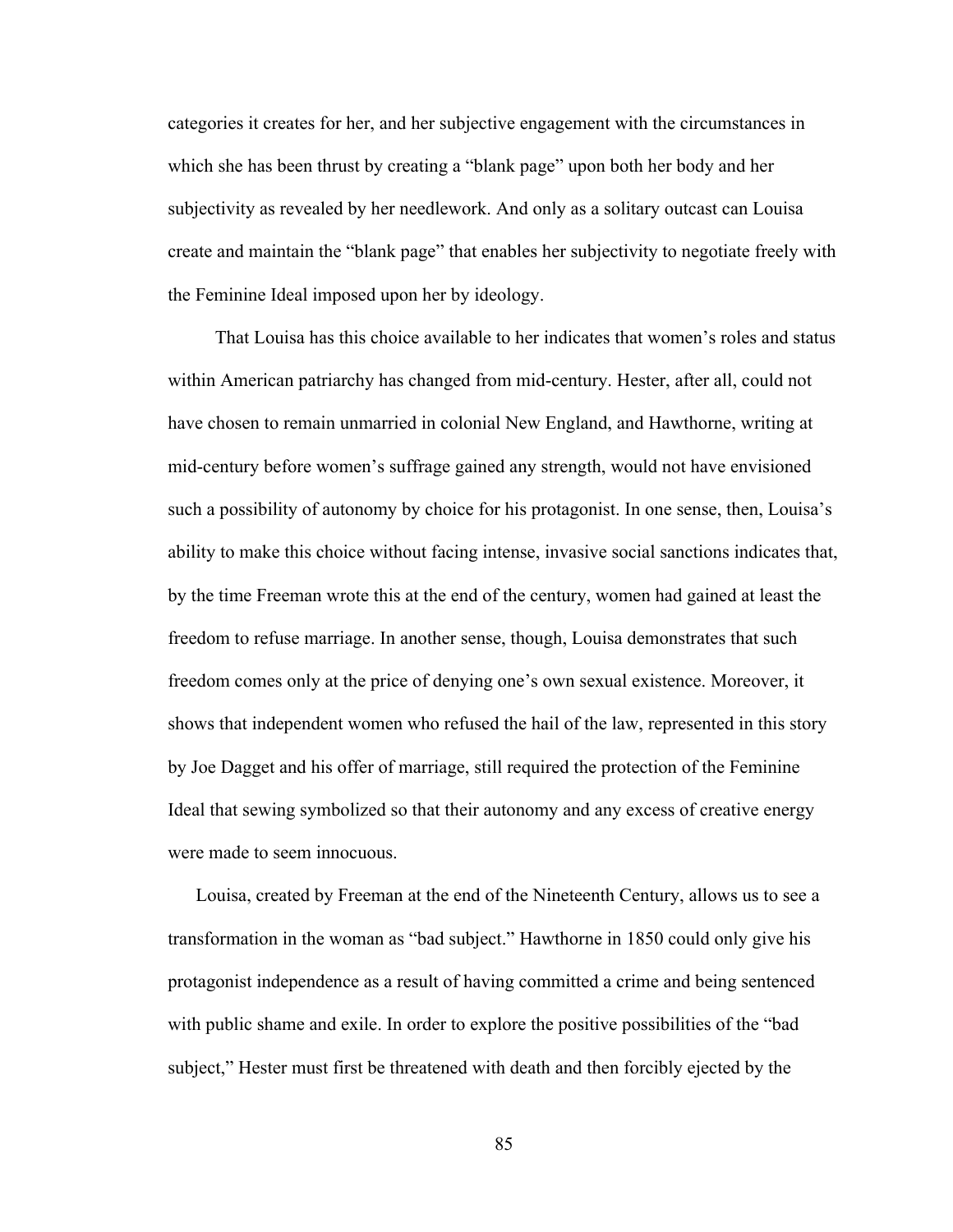categories it creates for her, and her subjective engagement with the circumstances in which she has been thrust by creating a "blank page" upon both her body and her subjectivity as revealed by her needlework. And only as a solitary outcast can Louisa create and maintain the "blank page" that enables her subjectivity to negotiate freely with the Feminine Ideal imposed upon her by ideology.

That Louisa has this choice available to her indicates that women's roles and status within American patriarchy has changed from mid-century. Hester, after all, could not have chosen to remain unmarried in colonial New England, and Hawthorne, writing at mid-century before women's suffrage gained any strength, would not have envisioned such a possibility of autonomy by choice for his protagonist. In one sense, then, Louisa's ability to make this choice without facing intense, invasive social sanctions indicates that, by the time Freeman wrote this at the end of the century, women had gained at least the freedom to refuse marriage. In another sense, though, Louisa demonstrates that such freedom comes only at the price of denying one's own sexual existence. Moreover, it shows that independent women who refused the hail of the law, represented in this story by Joe Dagget and his offer of marriage, still required the protection of the Feminine Ideal that sewing symbolized so that their autonomy and any excess of creative energy were made to seem innocuous.

Louisa, created by Freeman at the end of the Nineteenth Century, allows us to see a transformation in the woman as "bad subject." Hawthorne in 1850 could only give his protagonist independence as a result of having committed a crime and being sentenced with public shame and exile. In order to explore the positive possibilities of the "bad subject," Hester must first be threatened with death and then forcibly ejected by the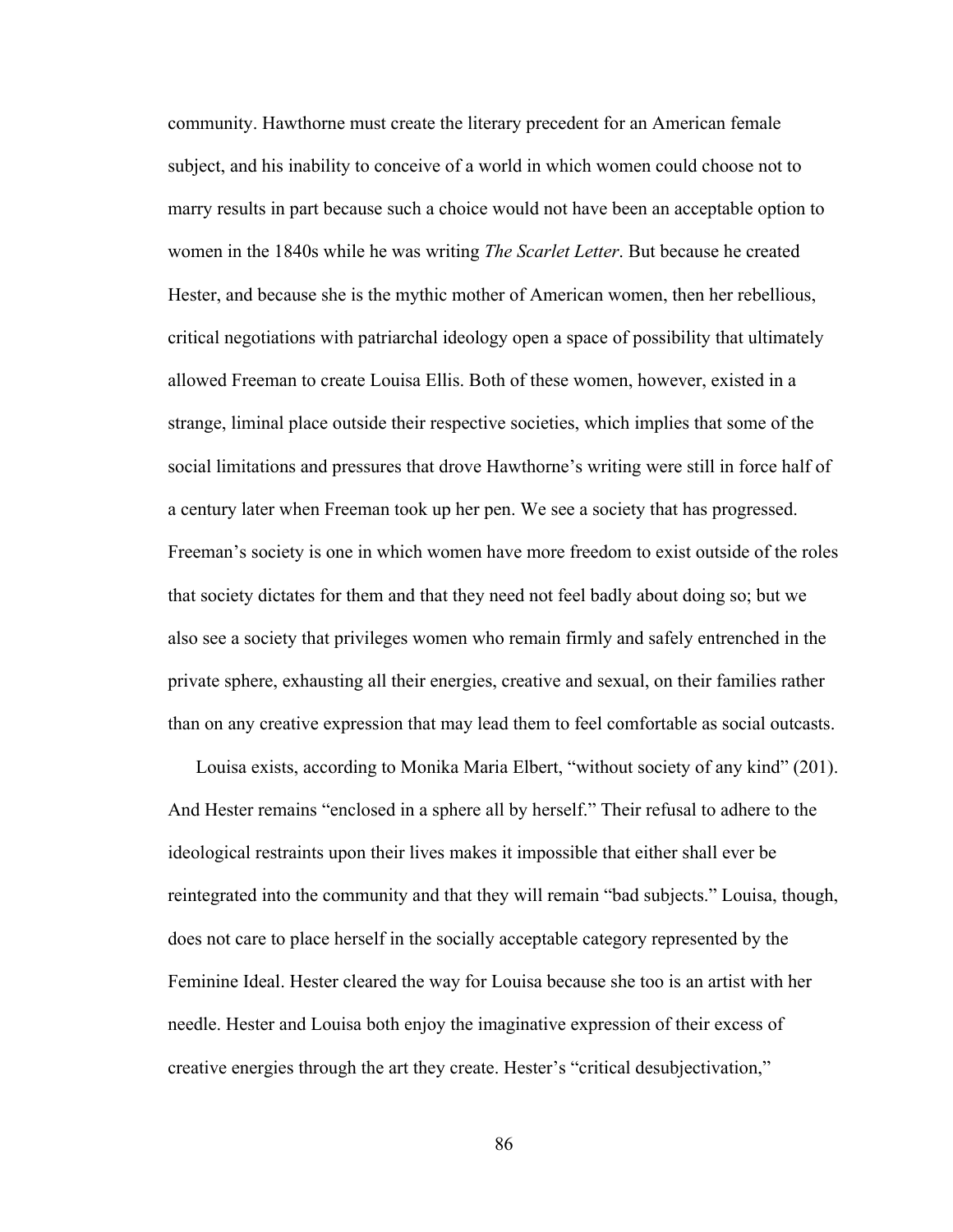community. Hawthorne must create the literary precedent for an American female subject, and his inability to conceive of a world in which women could choose not to marry results in part because such a choice would not have been an acceptable option to women in the 1840s while he was writing *The Scarlet Letter*. But because he created Hester, and because she is the mythic mother of American women, then her rebellious, critical negotiations with patriarchal ideology open a space of possibility that ultimately allowed Freeman to create Louisa Ellis. Both of these women, however, existed in a strange, liminal place outside their respective societies, which implies that some of the social limitations and pressures that drove Hawthorne's writing were still in force half of a century later when Freeman took up her pen. We see a society that has progressed. Freeman's society is one in which women have more freedom to exist outside of the roles that society dictates for them and that they need not feel badly about doing so; but we also see a society that privileges women who remain firmly and safely entrenched in the private sphere, exhausting all their energies, creative and sexual, on their families rather than on any creative expression that may lead them to feel comfortable as social outcasts.

Louisa exists, according to Monika Maria Elbert, "without society of any kind" (201). And Hester remains "enclosed in a sphere all by herself." Their refusal to adhere to the ideological restraints upon their lives makes it impossible that either shall ever be reintegrated into the community and that they will remain "bad subjects." Louisa, though, does not care to place herself in the socially acceptable category represented by the Feminine Ideal. Hester cleared the way for Louisa because she too is an artist with her needle. Hester and Louisa both enjoy the imaginative expression of their excess of creative energies through the art they create. Hester's "critical desubjectivation,"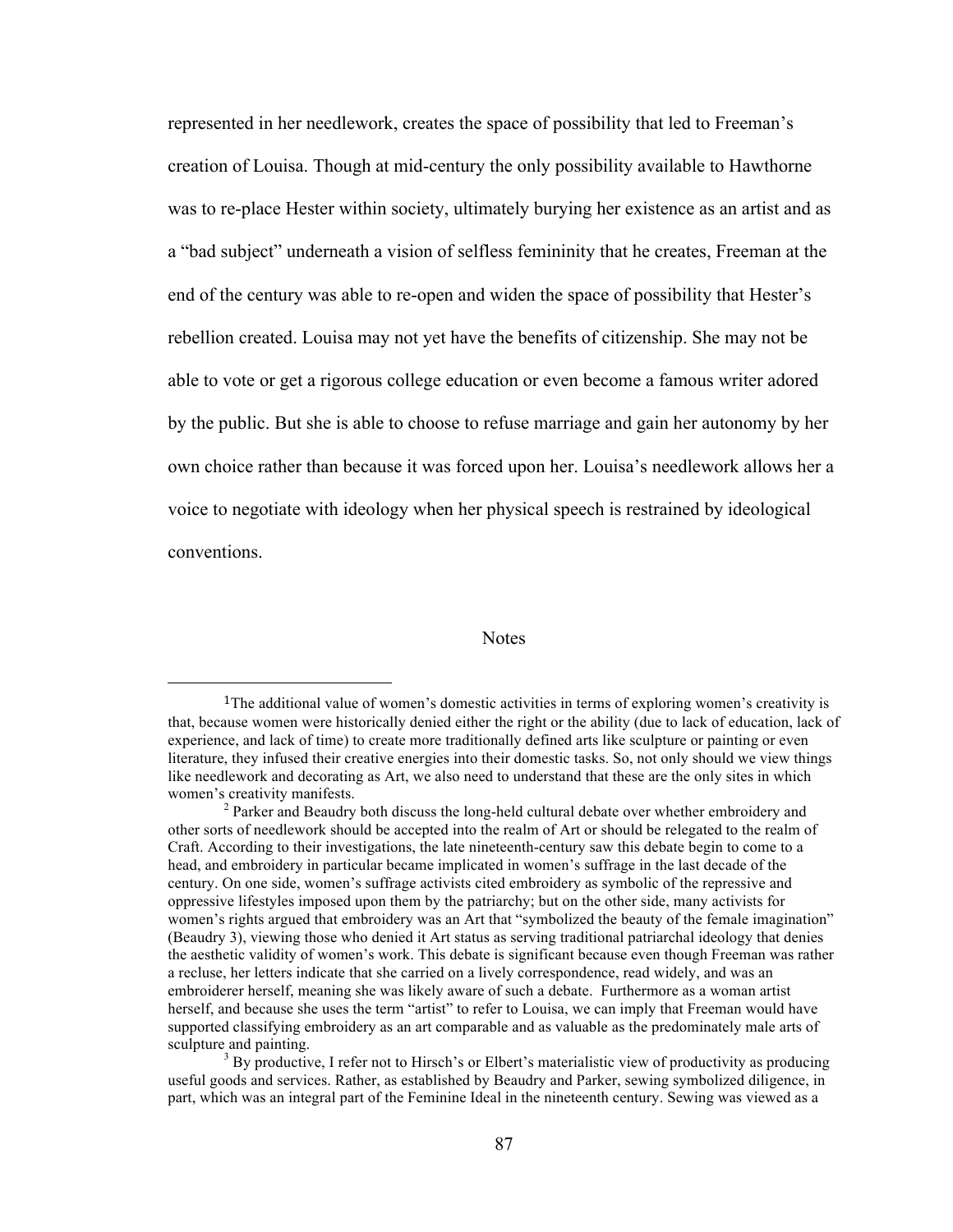represented in her needlework, creates the space of possibility that led to Freeman's creation of Louisa. Though at mid-century the only possibility available to Hawthorne was to re-place Hester within society, ultimately burying her existence as an artist and as a "bad subject" underneath a vision of selfless femininity that he creates, Freeman at the end of the century was able to re-open and widen the space of possibility that Hester's rebellion created. Louisa may not yet have the benefits of citizenship. She may not be able to vote or get a rigorous college education or even become a famous writer adored by the public. But she is able to choose to refuse marriage and gain her autonomy by her own choice rather than because it was forced upon her. Louisa's needlework allows her a voice to negotiate with ideology when her physical speech is restrained by ideological conventions.

## **Notes**

 $\overline{a}$ 

useful goods and services. Rather, as established by Beaudry and Parker, sewing symbolized diligence, in part, which was an integral part of the Feminine Ideal in the nineteenth century. Sewing was viewed as a

<sup>&</sup>lt;sup>1</sup>The additional value of women's domestic activities in terms of exploring women's creativity is that, because women were historically denied either the right or the ability (due to lack of education, lack of experience, and lack of time) to create more traditionally defined arts like sculpture or painting or even literature, they infused their creative energies into their domestic tasks. So, not only should we view things like needlework and decorating as Art, we also need to understand that these are the only sites in which women's creativity manifests.

<sup>&</sup>lt;sup>2</sup> Parker and Beaudry both discuss the long-held cultural debate over whether embroidery and other sorts of needlework should be accepted into the realm of Art or should be relegated to the realm of Craft. According to their investigations, the late nineteenth-century saw this debate begin to come to a head, and embroidery in particular became implicated in women's suffrage in the last decade of the century. On one side, women's suffrage activists cited embroidery as symbolic of the repressive and oppressive lifestyles imposed upon them by the patriarchy; but on the other side, many activists for women's rights argued that embroidery was an Art that "symbolized the beauty of the female imagination" (Beaudry 3), viewing those who denied it Art status as serving traditional patriarchal ideology that denies the aesthetic validity of women's work. This debate is significant because even though Freeman was rather a recluse, her letters indicate that she carried on a lively correspondence, read widely, and was an embroiderer herself, meaning she was likely aware of such a debate. Furthermore as a woman artist herself, and because she uses the term "artist" to refer to Louisa, we can imply that Freeman would have supported classifying embroidery as an art comparable and as valuable as the predominately male arts of sculpture and painting.<br><sup>3</sup> By productive, I refer not to Hirsch's or Elbert's materialistic view of productivity as producing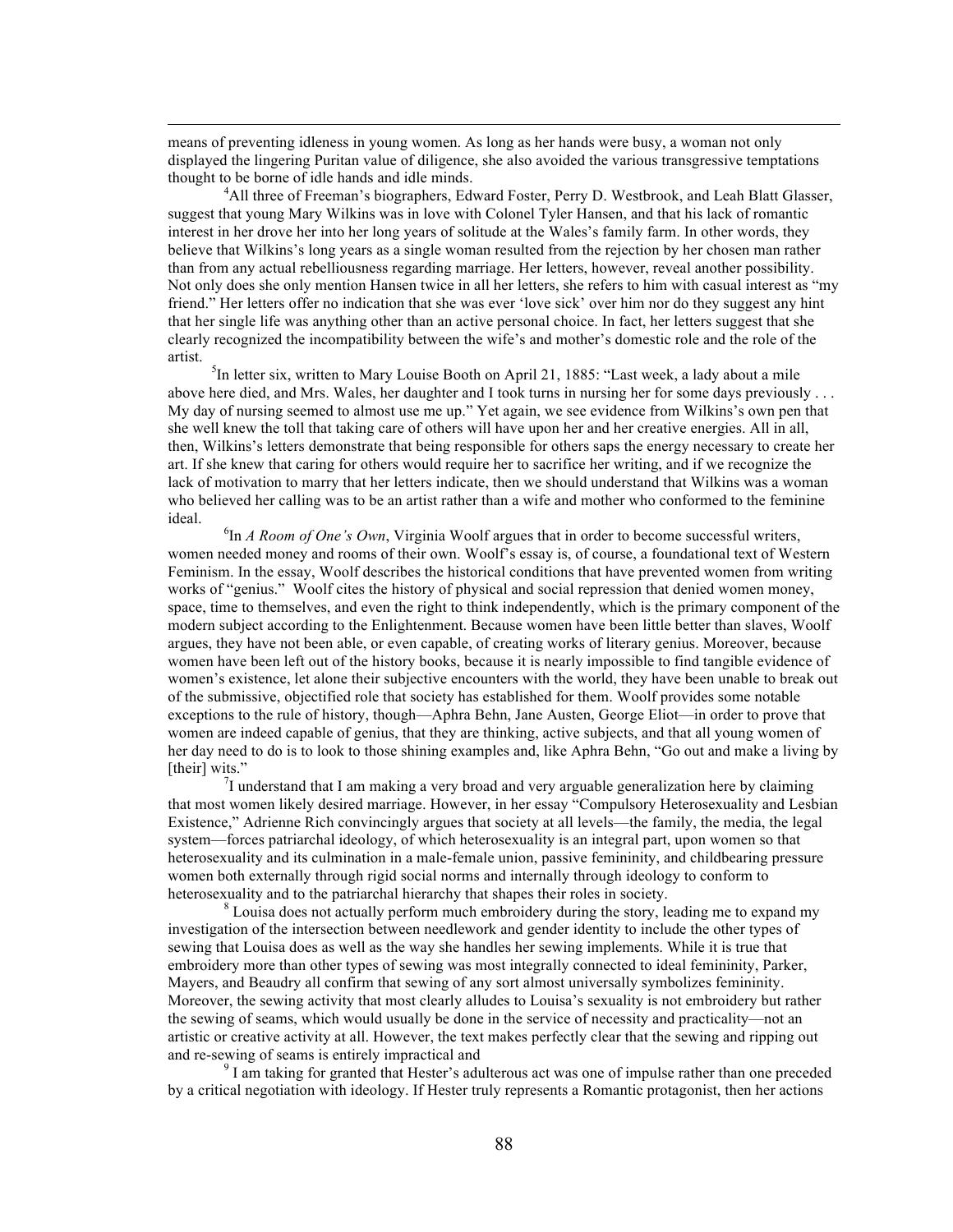means of preventing idleness in young women. As long as her hands were busy, a woman not only displayed the lingering Puritan value of diligence, she also avoided the various transgressive temptations thought to be borne of idle hands and idle minds. 4

<sup>4</sup>All three of Freeman's biographers, Edward Foster, Perry D. Westbrook, and Leah Blatt Glasser, suggest that young Mary Wilkins was in love with Colonel Tyler Hansen, and that his lack of romantic interest in her drove her into her long years of solitude at the Wales's family farm. In other words, they believe that Wilkins's long years as a single woman resulted from the rejection by her chosen man rather than from any actual rebelliousness regarding marriage. Her letters, however, reveal another possibility. Not only does she only mention Hansen twice in all her letters, she refers to him with casual interest as "my friend." Her letters offer no indication that she was ever 'love sick' over him nor do they suggest any hint that her single life was anything other than an active personal choice. In fact, her letters suggest that she clearly recognized the incompatibility between the wife's and mother's domestic role and the role of the artist. 5

<sup>5</sup>In letter six, written to Mary Louise Booth on April 21, 1885: "Last week, a lady about a mile above here died, and Mrs. Wales, her daughter and I took turns in nursing her for some days previously . . . My day of nursing seemed to almost use me up." Yet again, we see evidence from Wilkins's own pen that she well knew the toll that taking care of others will have upon her and her creative energies. All in all, then, Wilkins's letters demonstrate that being responsible for others saps the energy necessary to create her art. If she knew that caring for others would require her to sacrifice her writing, and if we recognize the lack of motivation to marry that her letters indicate, then we should understand that Wilkins was a woman who believed her calling was to be an artist rather than a wife and mother who conformed to the feminine ideal.

<sup>6</sup>In *A Room of One's Own*, Virginia Woolf argues that in order to become successful writers, women needed money and rooms of their own. Woolf's essay is, of course, a foundational text of Western Feminism. In the essay, Woolf describes the historical conditions that have prevented women from writing works of "genius." Woolf cites the history of physical and social repression that denied women money, space, time to themselves, and even the right to think independently, which is the primary component of the modern subject according to the Enlightenment. Because women have been little better than slaves, Woolf argues, they have not been able, or even capable, of creating works of literary genius. Moreover, because women have been left out of the history books, because it is nearly impossible to find tangible evidence of women's existence, let alone their subjective encounters with the world, they have been unable to break out of the submissive, objectified role that society has established for them. Woolf provides some notable exceptions to the rule of history, though—Aphra Behn, Jane Austen, George Eliot—in order to prove that women are indeed capable of genius, that they are thinking, active subjects, and that all young women of her day need to do is to look to those shining examples and, like Aphra Behn, "Go out and make a living by [their] wits."

I understand that I am making a very broad and very arguable generalization here by claiming that most women likely desired marriage. However, in her essay "Compulsory Heterosexuality and Lesbian Existence," Adrienne Rich convincingly argues that society at all levels—the family, the media, the legal system—forces patriarchal ideology, of which heterosexuality is an integral part, upon women so that heterosexuality and its culmination in a male-female union, passive femininity, and childbearing pressure women both externally through rigid social norms and internally through ideology to conform to heterosexuality and to the patriarchal hierarchy that shapes their roles in society.<br><sup>8</sup> Louisa does not actually perform much embroidery during the story, leading me to expand my

investigation of the intersection between needlework and gender identity to include the other types of sewing that Louisa does as well as the way she handles her sewing implements. While it is true that embroidery more than other types of sewing was most integrally connected to ideal femininity, Parker, Mayers, and Beaudry all confirm that sewing of any sort almost universally symbolizes femininity. Moreover, the sewing activity that most clearly alludes to Louisa's sexuality is not embroidery but rather the sewing of seams, which would usually be done in the service of necessity and practicality—not an artistic or creative activity at all. However, the text makes perfectly clear that the sewing and ripping out and re-sewing of seams is entirely impractical and

 $9<sup>1</sup>$  I am taking for granted that Hester's adulterous act was one of impulse rather than one preceded by a critical negotiation with ideology. If Hester truly represents a Romantic protagonist, then her actions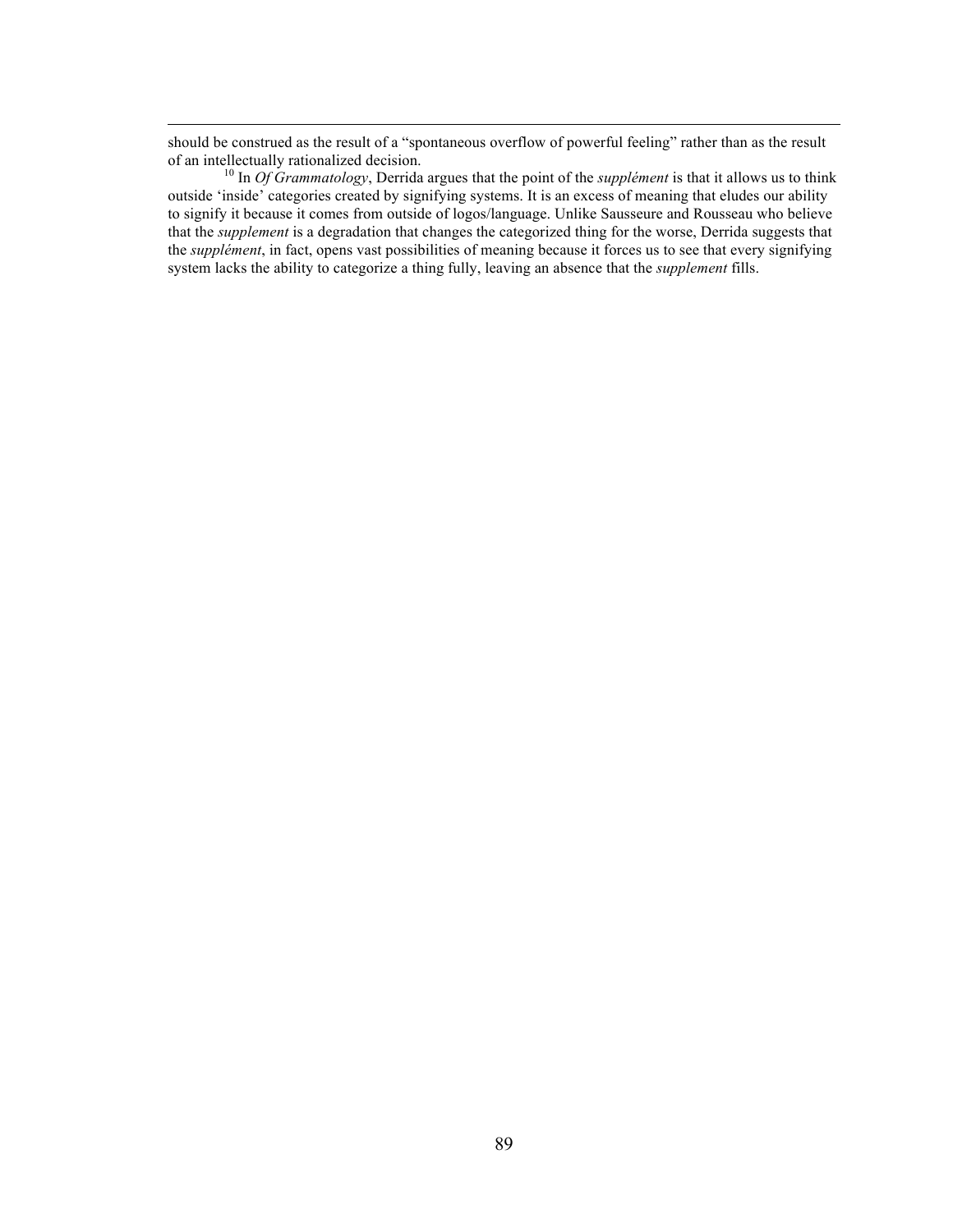should be construed as the result of a "spontaneous overflow of powerful feeling" rather than as the result of an intellectually rationalized decision. <sup>10</sup> In *Of Grammatology*, Derrida argues that the point of the *supplément* is that it allows us to think

outside 'inside' categories created by signifying systems. It is an excess of meaning that eludes our ability to signify it because it comes from outside of logos/language. Unlike Sausseure and Rousseau who believe that the *supplement* is a degradation that changes the categorized thing for the worse, Derrida suggests that the *supplément*, in fact, opens vast possibilities of meaning because it forces us to see that every signifying system lacks the ability to categorize a thing fully, leaving an absence that the *supplement* fills.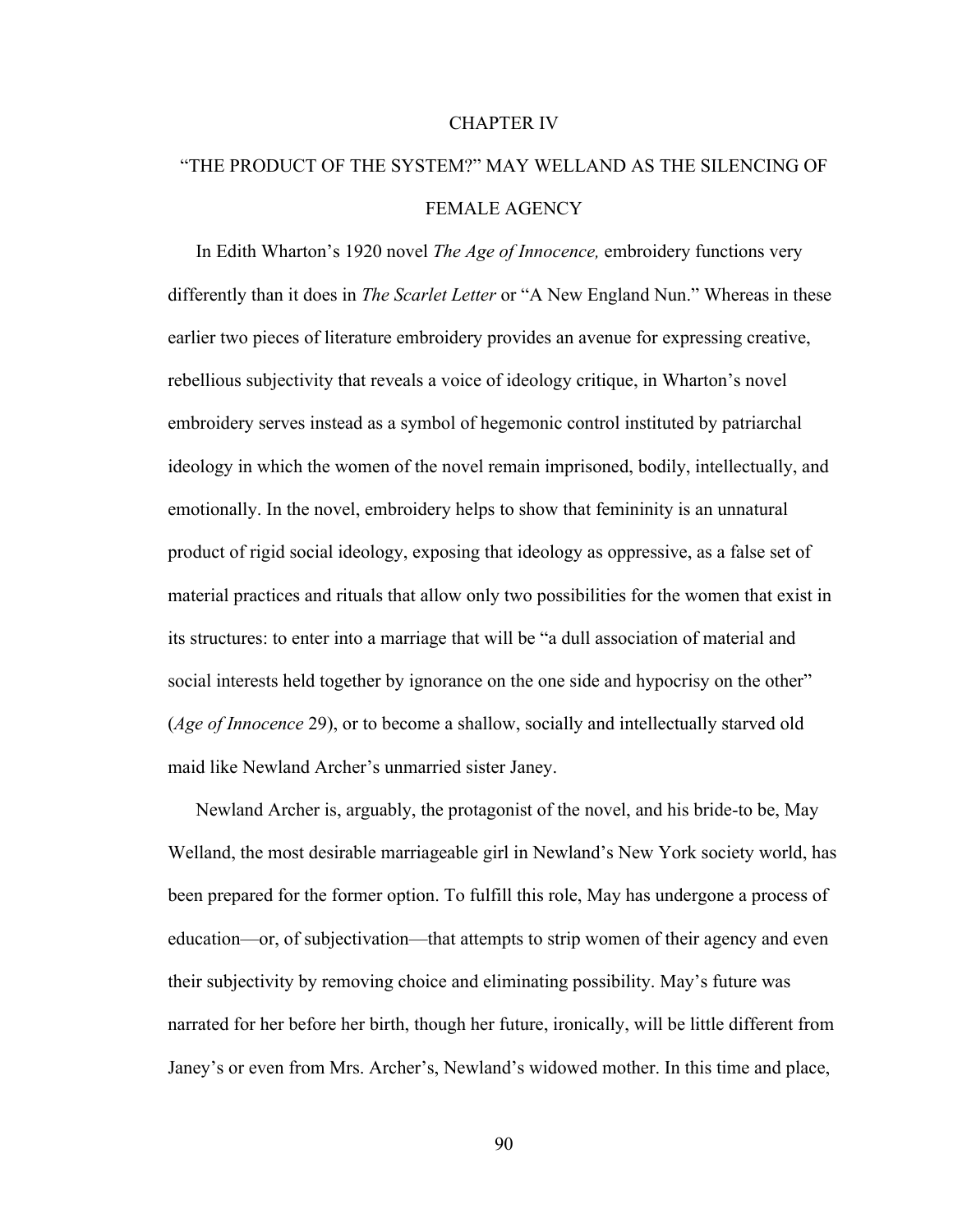## CHAPTER IV

## "THE PRODUCT OF THE SYSTEM?" MAY WELLAND AS THE SILENCING OF FEMALE AGENCY

In Edith Wharton's 1920 novel *The Age of Innocence,* embroidery functions very differently than it does in *The Scarlet Letter* or "A New England Nun." Whereas in these earlier two pieces of literature embroidery provides an avenue for expressing creative, rebellious subjectivity that reveals a voice of ideology critique, in Wharton's novel embroidery serves instead as a symbol of hegemonic control instituted by patriarchal ideology in which the women of the novel remain imprisoned, bodily, intellectually, and emotionally. In the novel, embroidery helps to show that femininity is an unnatural product of rigid social ideology, exposing that ideology as oppressive, as a false set of material practices and rituals that allow only two possibilities for the women that exist in its structures: to enter into a marriage that will be "a dull association of material and social interests held together by ignorance on the one side and hypocrisy on the other" (*Age of Innocence* 29), or to become a shallow, socially and intellectually starved old maid like Newland Archer's unmarried sister Janey.

Newland Archer is, arguably, the protagonist of the novel, and his bride-to be, May Welland, the most desirable marriageable girl in Newland's New York society world, has been prepared for the former option. To fulfill this role, May has undergone a process of education—or, of subjectivation—that attempts to strip women of their agency and even their subjectivity by removing choice and eliminating possibility. May's future was narrated for her before her birth, though her future, ironically, will be little different from Janey's or even from Mrs. Archer's, Newland's widowed mother. In this time and place,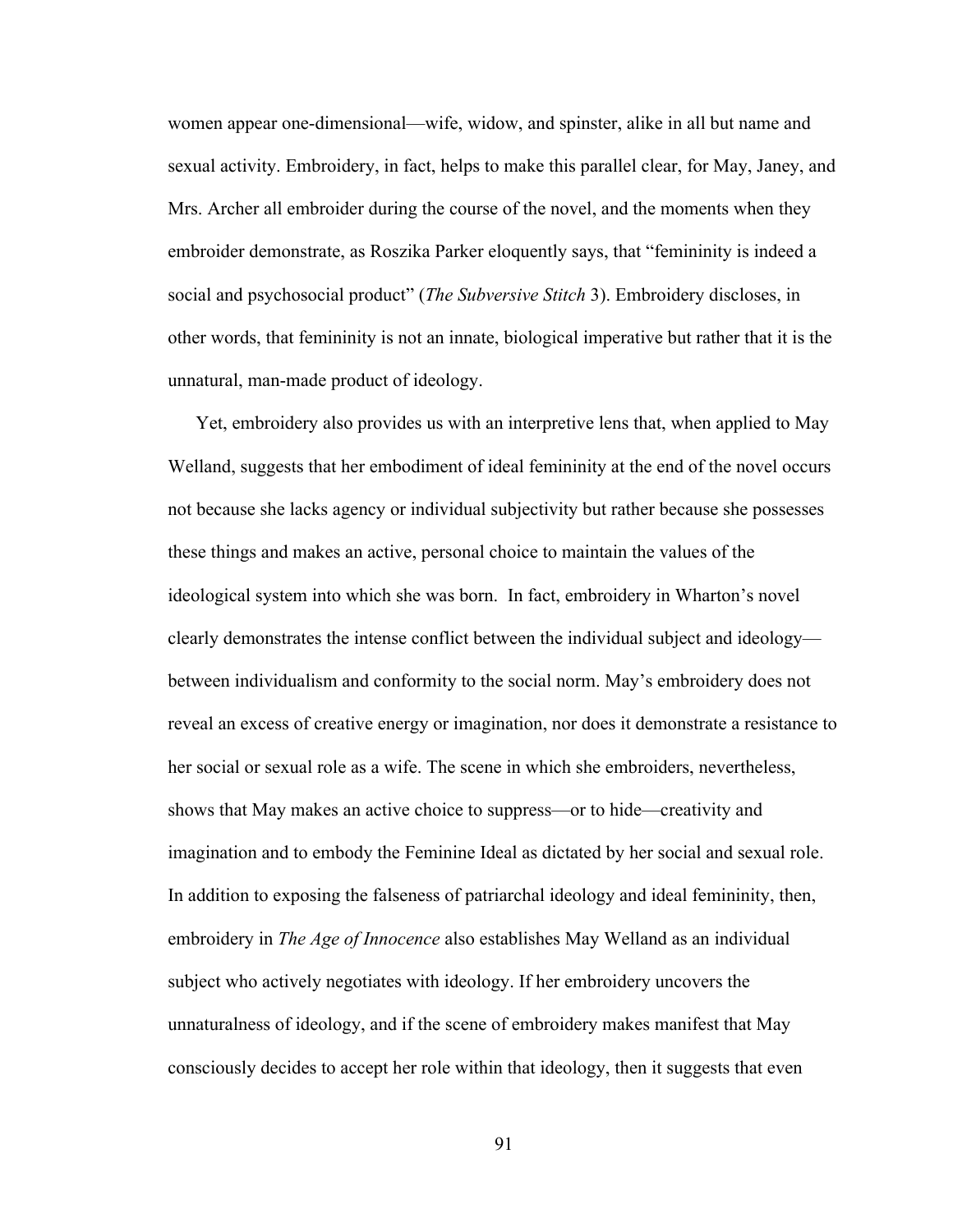women appear one-dimensional—wife, widow, and spinster, alike in all but name and sexual activity. Embroidery, in fact, helps to make this parallel clear, for May, Janey, and Mrs. Archer all embroider during the course of the novel, and the moments when they embroider demonstrate, as Roszika Parker eloquently says, that "femininity is indeed a social and psychosocial product" (*The Subversive Stitch* 3). Embroidery discloses, in other words, that femininity is not an innate, biological imperative but rather that it is the unnatural, man-made product of ideology.

Yet, embroidery also provides us with an interpretive lens that, when applied to May Welland, suggests that her embodiment of ideal femininity at the end of the novel occurs not because she lacks agency or individual subjectivity but rather because she possesses these things and makes an active, personal choice to maintain the values of the ideological system into which she was born. In fact, embroidery in Wharton's novel clearly demonstrates the intense conflict between the individual subject and ideology between individualism and conformity to the social norm. May's embroidery does not reveal an excess of creative energy or imagination, nor does it demonstrate a resistance to her social or sexual role as a wife. The scene in which she embroiders, nevertheless, shows that May makes an active choice to suppress—or to hide—creativity and imagination and to embody the Feminine Ideal as dictated by her social and sexual role. In addition to exposing the falseness of patriarchal ideology and ideal femininity, then, embroidery in *The Age of Innocence* also establishes May Welland as an individual subject who actively negotiates with ideology. If her embroidery uncovers the unnaturalness of ideology, and if the scene of embroidery makes manifest that May consciously decides to accept her role within that ideology, then it suggests that even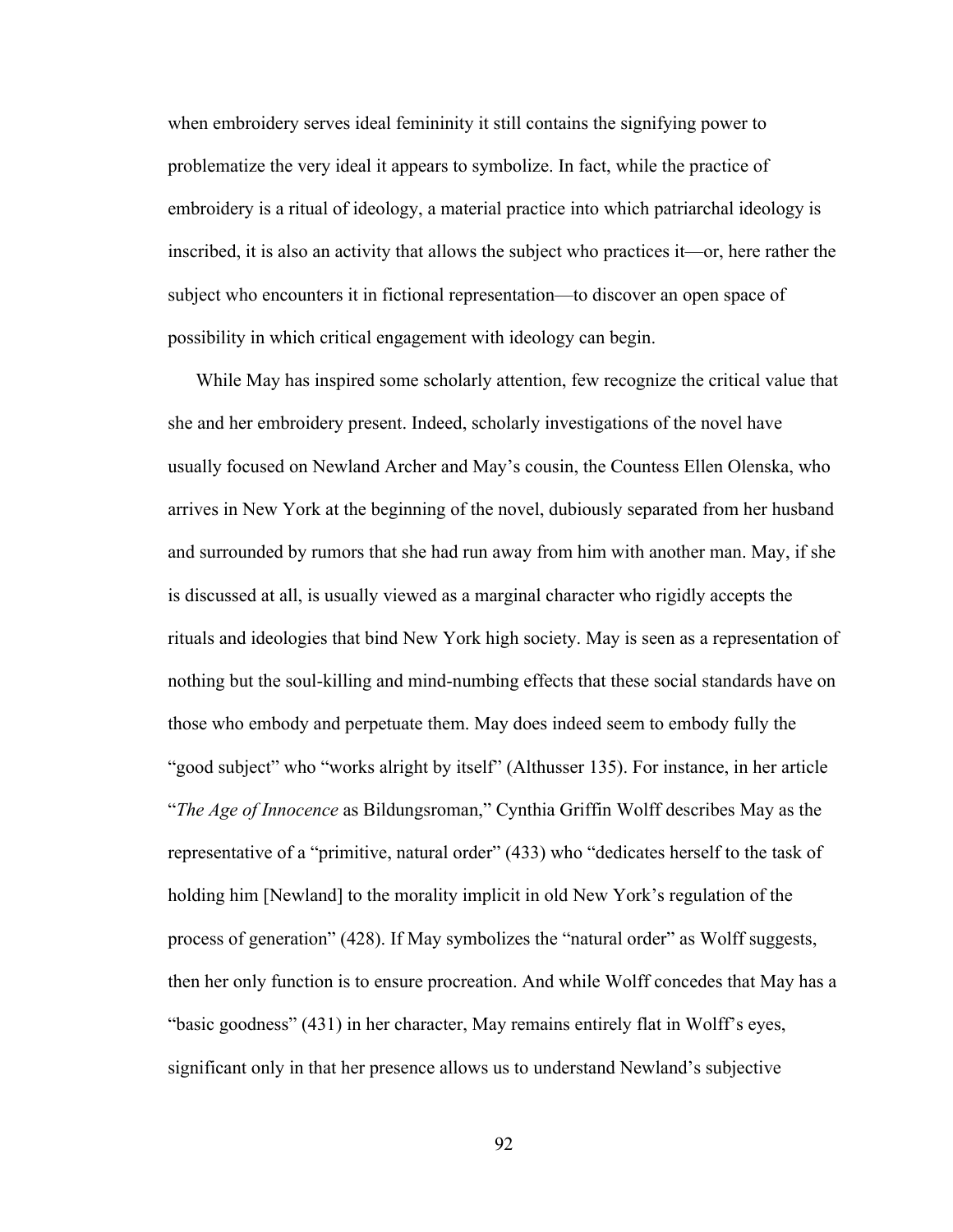when embroidery serves ideal femininity it still contains the signifying power to problematize the very ideal it appears to symbolize. In fact, while the practice of embroidery is a ritual of ideology, a material practice into which patriarchal ideology is inscribed, it is also an activity that allows the subject who practices it—or, here rather the subject who encounters it in fictional representation—to discover an open space of possibility in which critical engagement with ideology can begin.

While May has inspired some scholarly attention, few recognize the critical value that she and her embroidery present. Indeed, scholarly investigations of the novel have usually focused on Newland Archer and May's cousin, the Countess Ellen Olenska, who arrives in New York at the beginning of the novel, dubiously separated from her husband and surrounded by rumors that she had run away from him with another man. May, if she is discussed at all, is usually viewed as a marginal character who rigidly accepts the rituals and ideologies that bind New York high society. May is seen as a representation of nothing but the soul-killing and mind-numbing effects that these social standards have on those who embody and perpetuate them. May does indeed seem to embody fully the "good subject" who "works alright by itself" (Althusser 135). For instance, in her article "*The Age of Innocence* as Bildungsroman," Cynthia Griffin Wolff describes May as the representative of a "primitive, natural order" (433) who "dedicates herself to the task of holding him [Newland] to the morality implicit in old New York's regulation of the process of generation" (428). If May symbolizes the "natural order" as Wolff suggests, then her only function is to ensure procreation. And while Wolff concedes that May has a "basic goodness" (431) in her character, May remains entirely flat in Wolff's eyes, significant only in that her presence allows us to understand Newland's subjective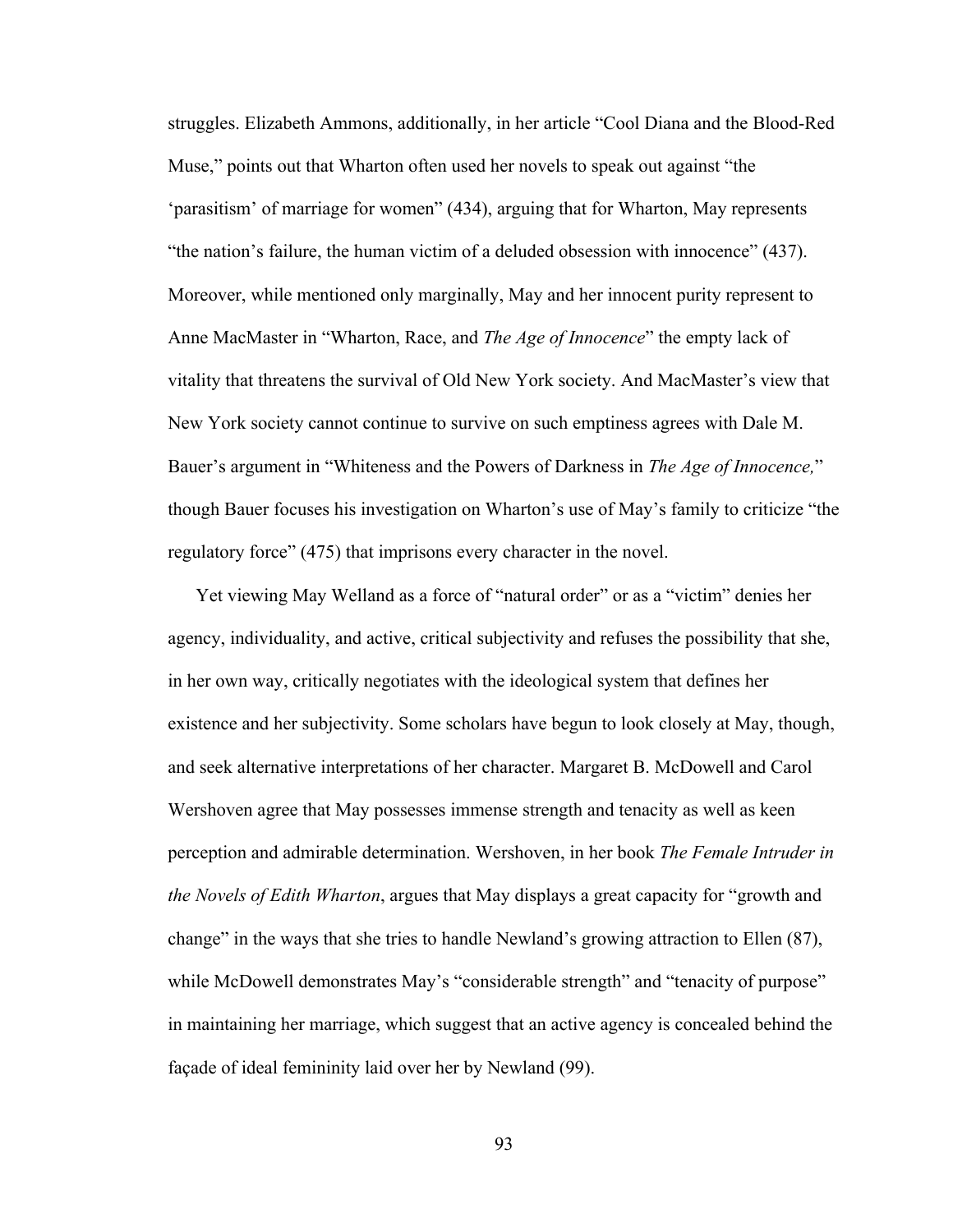struggles. Elizabeth Ammons, additionally, in her article "Cool Diana and the Blood-Red Muse," points out that Wharton often used her novels to speak out against "the 'parasitism' of marriage for women" (434), arguing that for Wharton, May represents "the nation's failure, the human victim of a deluded obsession with innocence" (437). Moreover, while mentioned only marginally, May and her innocent purity represent to Anne MacMaster in "Wharton, Race, and *The Age of Innocence*" the empty lack of vitality that threatens the survival of Old New York society. And MacMaster's view that New York society cannot continue to survive on such emptiness agrees with Dale M. Bauer's argument in "Whiteness and the Powers of Darkness in *The Age of Innocence,*" though Bauer focuses his investigation on Wharton's use of May's family to criticize "the regulatory force" (475) that imprisons every character in the novel.

Yet viewing May Welland as a force of "natural order" or as a "victim" denies her agency, individuality, and active, critical subjectivity and refuses the possibility that she, in her own way, critically negotiates with the ideological system that defines her existence and her subjectivity. Some scholars have begun to look closely at May, though, and seek alternative interpretations of her character. Margaret B. McDowell and Carol Wershoven agree that May possesses immense strength and tenacity as well as keen perception and admirable determination. Wershoven, in her book *The Female Intruder in the Novels of Edith Wharton*, argues that May displays a great capacity for "growth and change" in the ways that she tries to handle Newland's growing attraction to Ellen (87), while McDowell demonstrates May's "considerable strength" and "tenacity of purpose" in maintaining her marriage, which suggest that an active agency is concealed behind the façade of ideal femininity laid over her by Newland (99).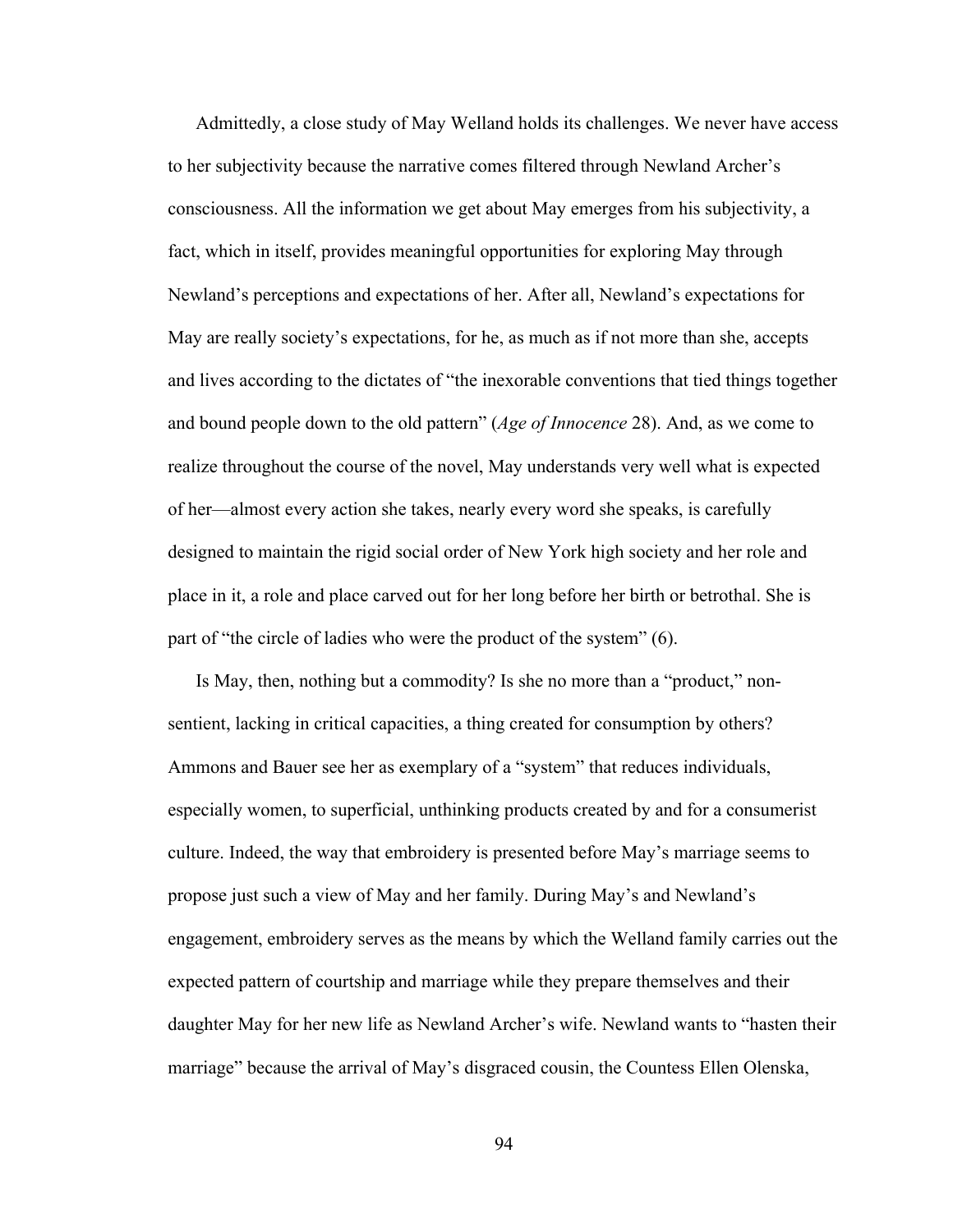Admittedly, a close study of May Welland holds its challenges. We never have access to her subjectivity because the narrative comes filtered through Newland Archer's consciousness. All the information we get about May emerges from his subjectivity, a fact, which in itself, provides meaningful opportunities for exploring May through Newland's perceptions and expectations of her. After all, Newland's expectations for May are really society's expectations, for he, as much as if not more than she, accepts and lives according to the dictates of "the inexorable conventions that tied things together and bound people down to the old pattern" (*Age of Innocence* 28). And, as we come to realize throughout the course of the novel, May understands very well what is expected of her—almost every action she takes, nearly every word she speaks, is carefully designed to maintain the rigid social order of New York high society and her role and place in it, a role and place carved out for her long before her birth or betrothal. She is part of "the circle of ladies who were the product of the system" (6).

Is May, then, nothing but a commodity? Is she no more than a "product," nonsentient, lacking in critical capacities, a thing created for consumption by others? Ammons and Bauer see her as exemplary of a "system" that reduces individuals, especially women, to superficial, unthinking products created by and for a consumerist culture. Indeed, the way that embroidery is presented before May's marriage seems to propose just such a view of May and her family. During May's and Newland's engagement, embroidery serves as the means by which the Welland family carries out the expected pattern of courtship and marriage while they prepare themselves and their daughter May for her new life as Newland Archer's wife. Newland wants to "hasten their marriage" because the arrival of May's disgraced cousin, the Countess Ellen Olenska,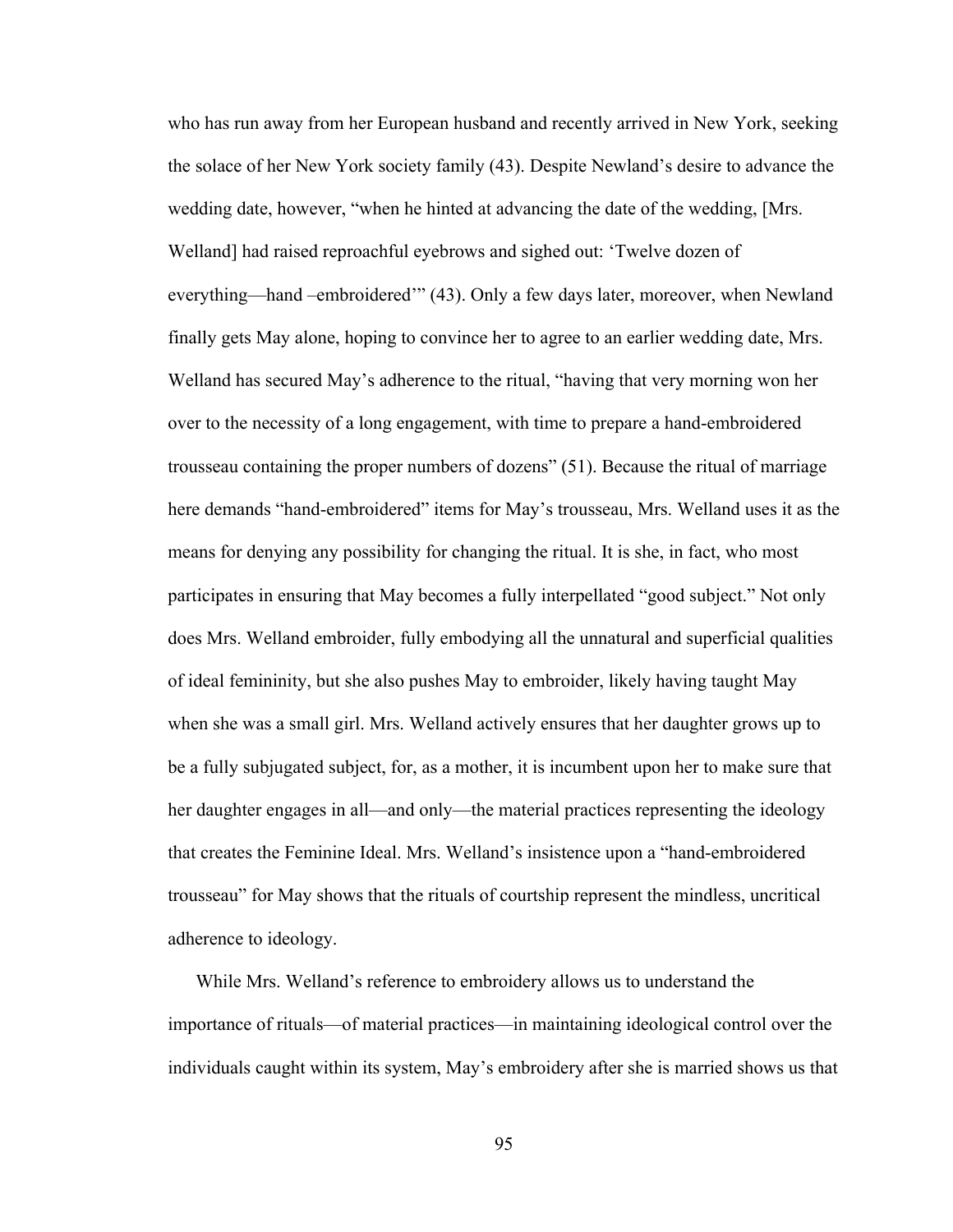who has run away from her European husband and recently arrived in New York, seeking the solace of her New York society family (43). Despite Newland's desire to advance the wedding date, however, "when he hinted at advancing the date of the wedding, [Mrs. Welland] had raised reproachful eyebrows and sighed out: 'Twelve dozen of everything—hand –embroidered'" (43). Only a few days later, moreover, when Newland finally gets May alone, hoping to convince her to agree to an earlier wedding date, Mrs. Welland has secured May's adherence to the ritual, "having that very morning won her over to the necessity of a long engagement, with time to prepare a hand-embroidered trousseau containing the proper numbers of dozens" (51). Because the ritual of marriage here demands "hand-embroidered" items for May's trousseau, Mrs. Welland uses it as the means for denying any possibility for changing the ritual. It is she, in fact, who most participates in ensuring that May becomes a fully interpellated "good subject." Not only does Mrs. Welland embroider, fully embodying all the unnatural and superficial qualities of ideal femininity, but she also pushes May to embroider, likely having taught May when she was a small girl. Mrs. Welland actively ensures that her daughter grows up to be a fully subjugated subject, for, as a mother, it is incumbent upon her to make sure that her daughter engages in all—and only—the material practices representing the ideology that creates the Feminine Ideal. Mrs. Welland's insistence upon a "hand-embroidered trousseau" for May shows that the rituals of courtship represent the mindless, uncritical adherence to ideology.

While Mrs. Welland's reference to embroidery allows us to understand the importance of rituals—of material practices—in maintaining ideological control over the individuals caught within its system, May's embroidery after she is married shows us that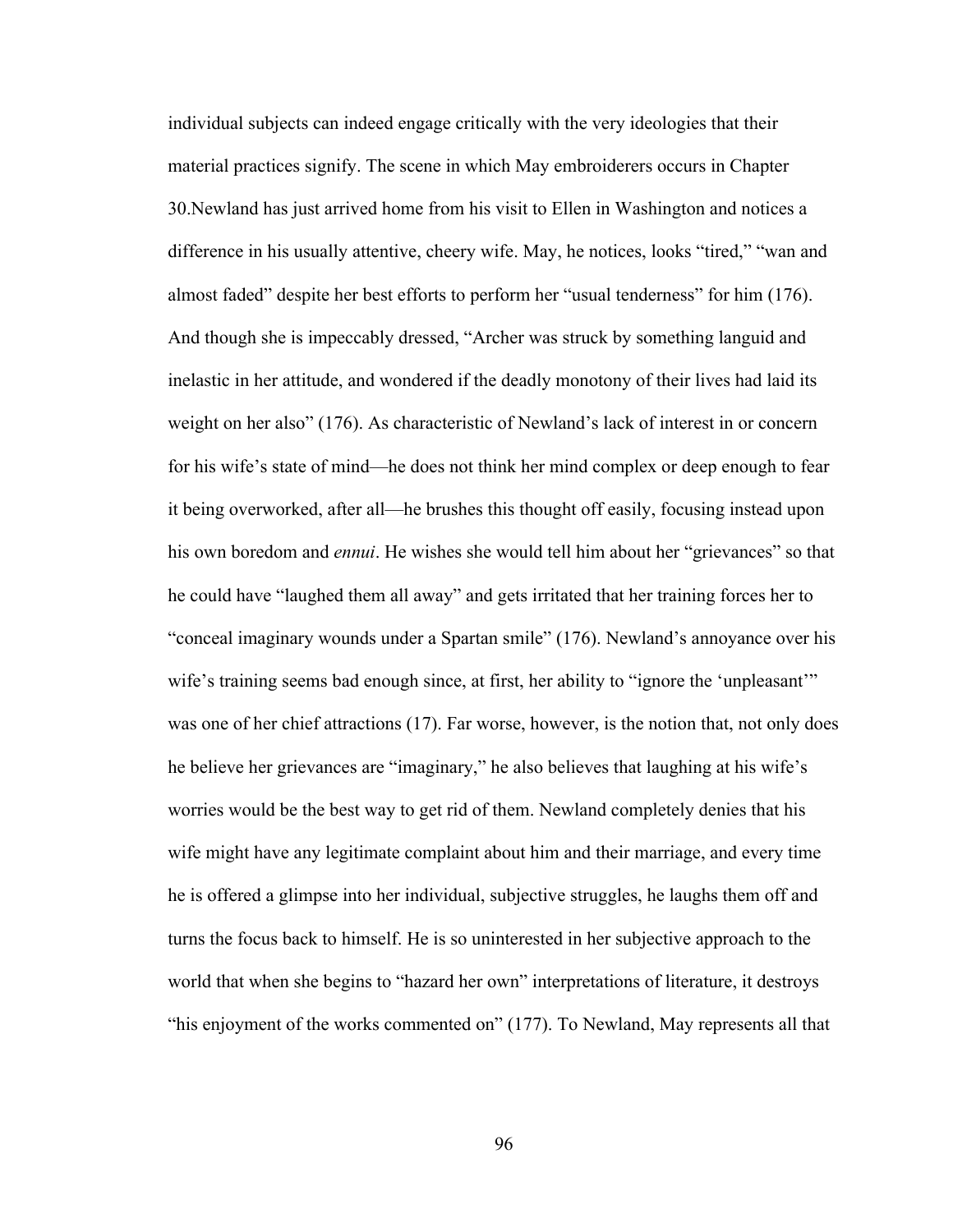individual subjects can indeed engage critically with the very ideologies that their material practices signify. The scene in which May embroiderers occurs in Chapter 30.Newland has just arrived home from his visit to Ellen in Washington and notices a difference in his usually attentive, cheery wife. May, he notices, looks "tired," "wan and almost faded" despite her best efforts to perform her "usual tenderness" for him (176). And though she is impeccably dressed, "Archer was struck by something languid and inelastic in her attitude, and wondered if the deadly monotony of their lives had laid its weight on her also" (176). As characteristic of Newland's lack of interest in or concern for his wife's state of mind—he does not think her mind complex or deep enough to fear it being overworked, after all—he brushes this thought off easily, focusing instead upon his own boredom and *ennui*. He wishes she would tell him about her "grievances" so that he could have "laughed them all away" and gets irritated that her training forces her to "conceal imaginary wounds under a Spartan smile" (176). Newland's annoyance over his wife's training seems bad enough since, at first, her ability to "ignore the 'unpleasant'" was one of her chief attractions (17). Far worse, however, is the notion that, not only does he believe her grievances are "imaginary," he also believes that laughing at his wife's worries would be the best way to get rid of them. Newland completely denies that his wife might have any legitimate complaint about him and their marriage, and every time he is offered a glimpse into her individual, subjective struggles, he laughs them off and turns the focus back to himself. He is so uninterested in her subjective approach to the world that when she begins to "hazard her own" interpretations of literature, it destroys "his enjoyment of the works commented on" (177). To Newland, May represents all that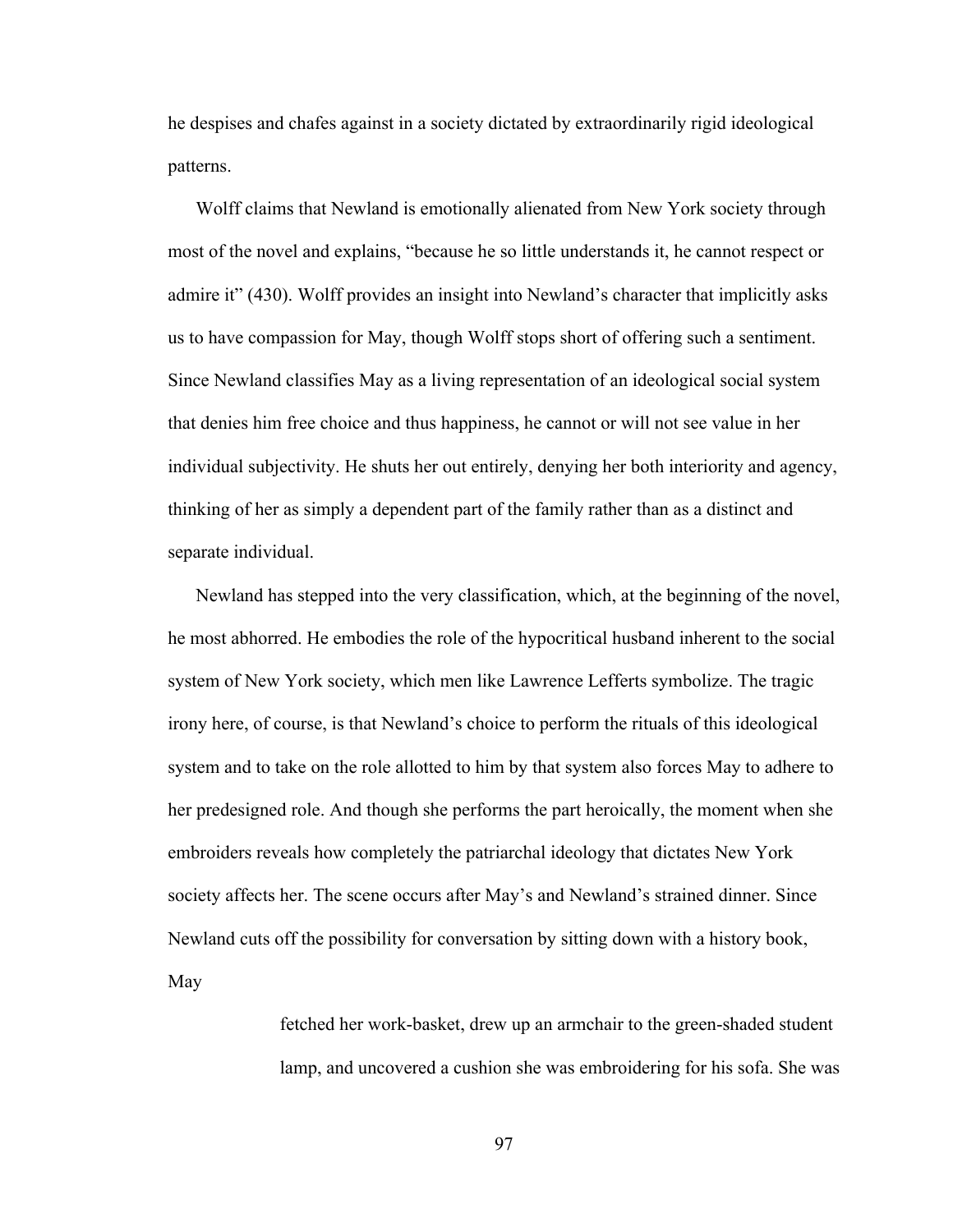he despises and chafes against in a society dictated by extraordinarily rigid ideological patterns.

Wolff claims that Newland is emotionally alienated from New York society through most of the novel and explains, "because he so little understands it, he cannot respect or admire it" (430). Wolff provides an insight into Newland's character that implicitly asks us to have compassion for May, though Wolff stops short of offering such a sentiment. Since Newland classifies May as a living representation of an ideological social system that denies him free choice and thus happiness, he cannot or will not see value in her individual subjectivity. He shuts her out entirely, denying her both interiority and agency, thinking of her as simply a dependent part of the family rather than as a distinct and separate individual.

Newland has stepped into the very classification, which, at the beginning of the novel, he most abhorred. He embodies the role of the hypocritical husband inherent to the social system of New York society, which men like Lawrence Lefferts symbolize. The tragic irony here, of course, is that Newland's choice to perform the rituals of this ideological system and to take on the role allotted to him by that system also forces May to adhere to her predesigned role. And though she performs the part heroically, the moment when she embroiders reveals how completely the patriarchal ideology that dictates New York society affects her. The scene occurs after May's and Newland's strained dinner. Since Newland cuts off the possibility for conversation by sitting down with a history book, May

> fetched her work-basket, drew up an armchair to the green-shaded student lamp, and uncovered a cushion she was embroidering for his sofa. She was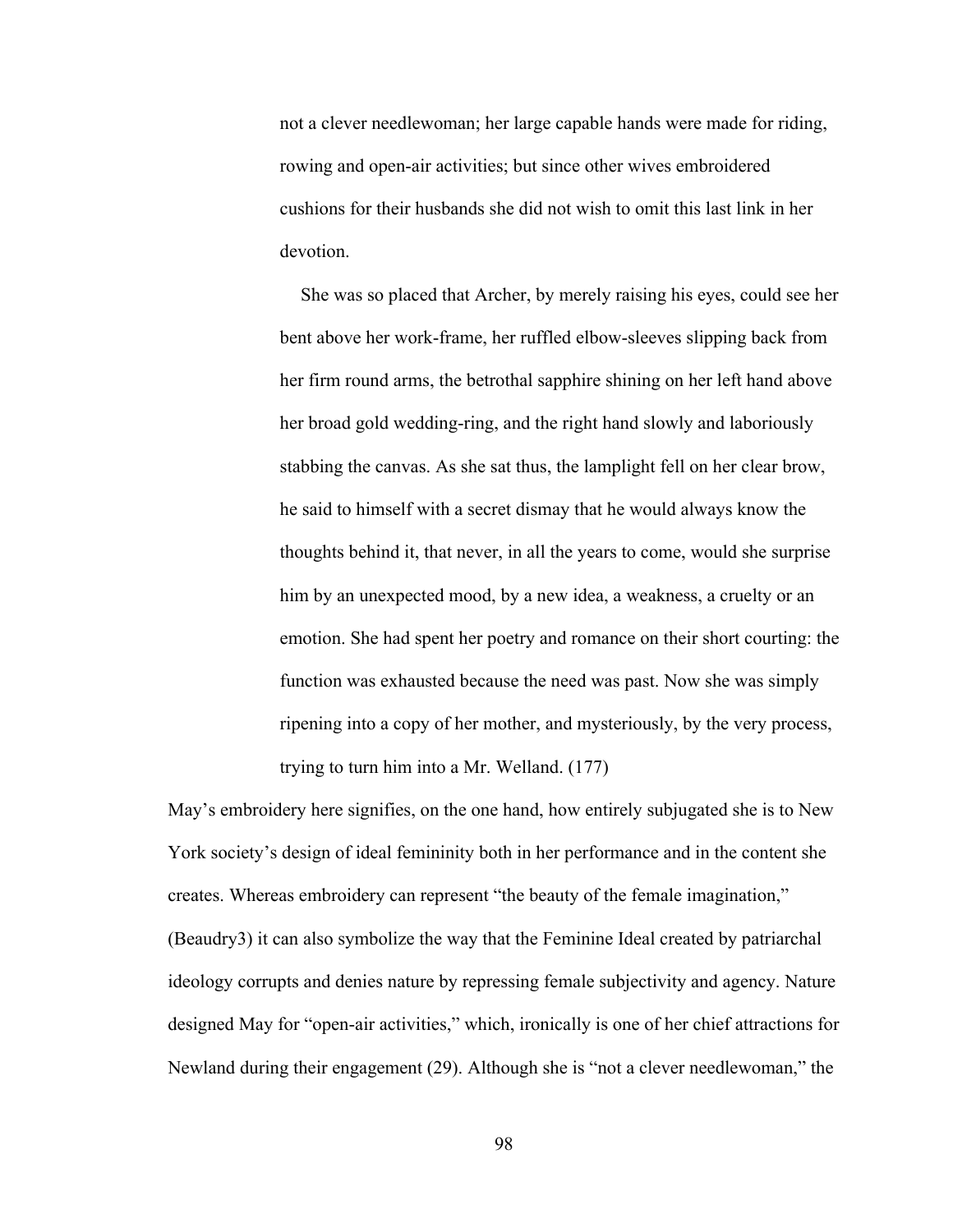not a clever needlewoman; her large capable hands were made for riding, rowing and open-air activities; but since other wives embroidered cushions for their husbands she did not wish to omit this last link in her devotion.

She was so placed that Archer, by merely raising his eyes, could see her bent above her work-frame, her ruffled elbow-sleeves slipping back from her firm round arms, the betrothal sapphire shining on her left hand above her broad gold wedding-ring, and the right hand slowly and laboriously stabbing the canvas. As she sat thus, the lamplight fell on her clear brow, he said to himself with a secret dismay that he would always know the thoughts behind it, that never, in all the years to come, would she surprise him by an unexpected mood, by a new idea, a weakness, a cruelty or an emotion. She had spent her poetry and romance on their short courting: the function was exhausted because the need was past. Now she was simply ripening into a copy of her mother, and mysteriously, by the very process, trying to turn him into a Mr. Welland. (177)

May's embroidery here signifies, on the one hand, how entirely subjugated she is to New York society's design of ideal femininity both in her performance and in the content she creates. Whereas embroidery can represent "the beauty of the female imagination," (Beaudry3) it can also symbolize the way that the Feminine Ideal created by patriarchal ideology corrupts and denies nature by repressing female subjectivity and agency. Nature designed May for "open-air activities," which, ironically is one of her chief attractions for Newland during their engagement (29). Although she is "not a clever needlewoman," the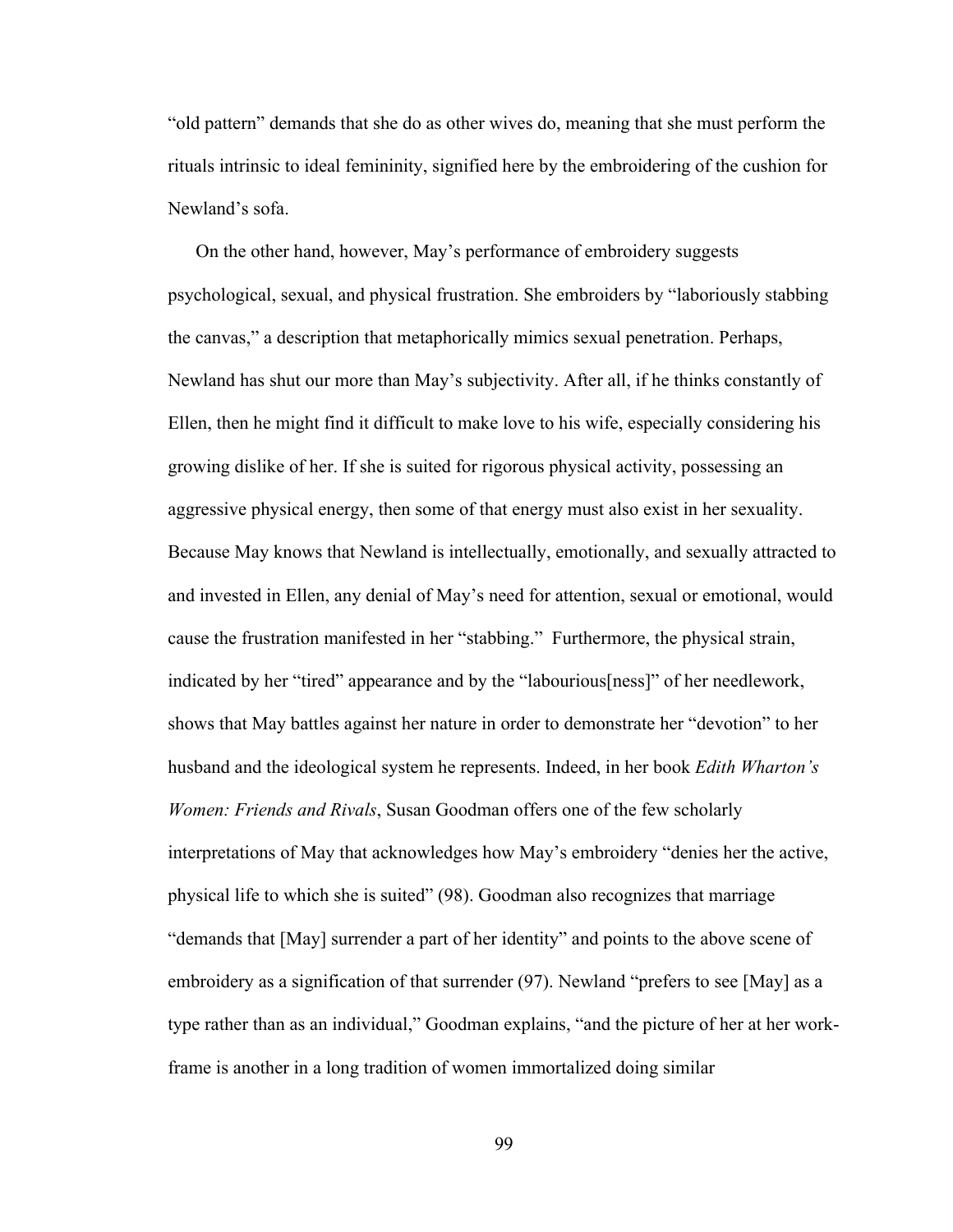"old pattern" demands that she do as other wives do, meaning that she must perform the rituals intrinsic to ideal femininity, signified here by the embroidering of the cushion for Newland's sofa.

On the other hand, however, May's performance of embroidery suggests psychological, sexual, and physical frustration. She embroiders by "laboriously stabbing the canvas," a description that metaphorically mimics sexual penetration. Perhaps, Newland has shut our more than May's subjectivity. After all, if he thinks constantly of Ellen, then he might find it difficult to make love to his wife, especially considering his growing dislike of her. If she is suited for rigorous physical activity, possessing an aggressive physical energy, then some of that energy must also exist in her sexuality. Because May knows that Newland is intellectually, emotionally, and sexually attracted to and invested in Ellen, any denial of May's need for attention, sexual or emotional, would cause the frustration manifested in her "stabbing." Furthermore, the physical strain, indicated by her "tired" appearance and by the "labourious[ness]" of her needlework, shows that May battles against her nature in order to demonstrate her "devotion" to her husband and the ideological system he represents. Indeed, in her book *Edith Wharton's Women: Friends and Rivals*, Susan Goodman offers one of the few scholarly interpretations of May that acknowledges how May's embroidery "denies her the active, physical life to which she is suited" (98). Goodman also recognizes that marriage "demands that [May] surrender a part of her identity" and points to the above scene of embroidery as a signification of that surrender (97). Newland "prefers to see [May] as a type rather than as an individual," Goodman explains, "and the picture of her at her workframe is another in a long tradition of women immortalized doing similar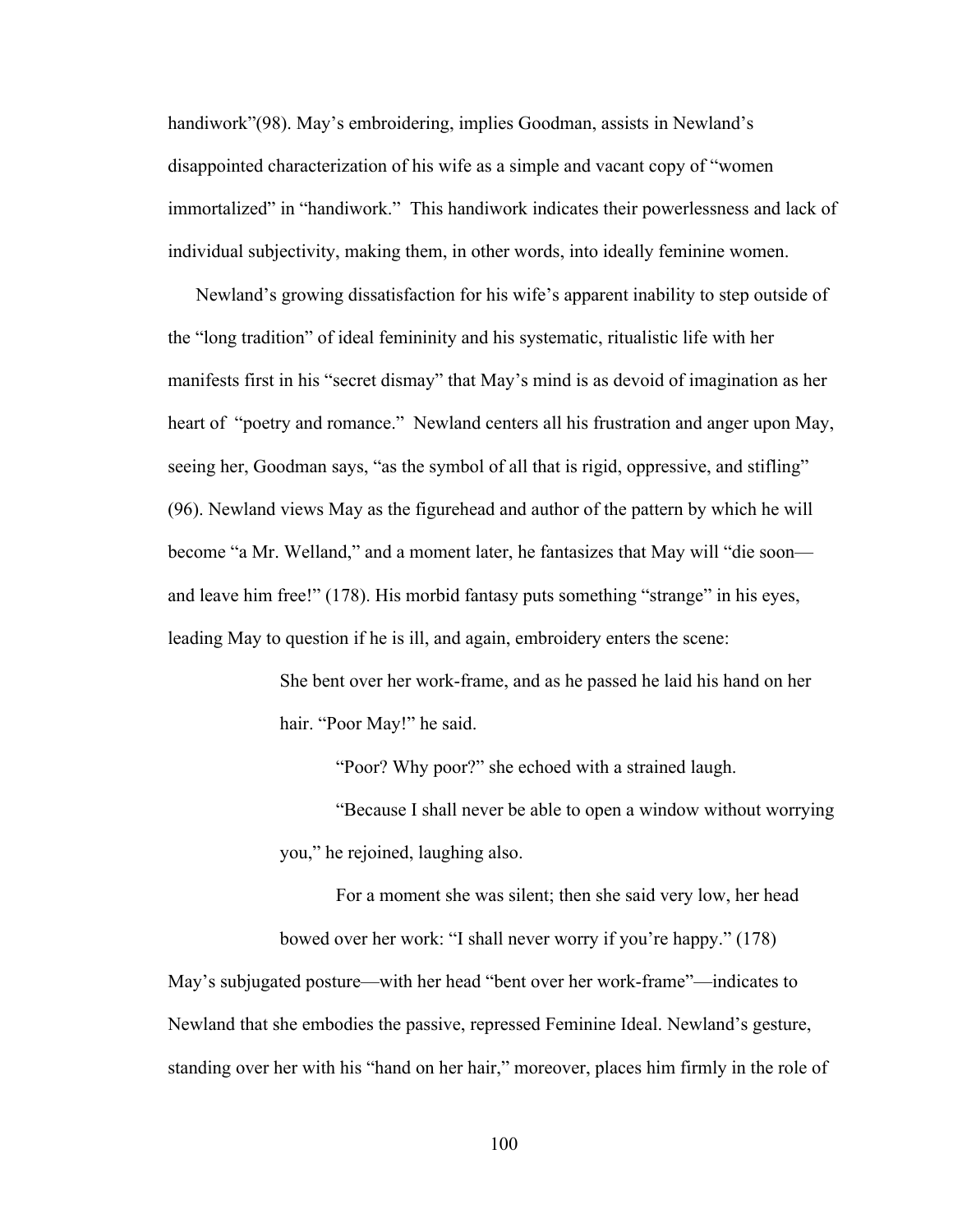handiwork"(98). May's embroidering, implies Goodman, assists in Newland's disappointed characterization of his wife as a simple and vacant copy of "women immortalized" in "handiwork." This handiwork indicates their powerlessness and lack of individual subjectivity, making them, in other words, into ideally feminine women.

Newland's growing dissatisfaction for his wife's apparent inability to step outside of the "long tradition" of ideal femininity and his systematic, ritualistic life with her manifests first in his "secret dismay" that May's mind is as devoid of imagination as her heart of "poetry and romance." Newland centers all his frustration and anger upon May, seeing her, Goodman says, "as the symbol of all that is rigid, oppressive, and stifling" (96). Newland views May as the figurehead and author of the pattern by which he will become "a Mr. Welland," and a moment later, he fantasizes that May will "die soon and leave him free!" (178). His morbid fantasy puts something "strange" in his eyes, leading May to question if he is ill, and again, embroidery enters the scene:

> She bent over her work-frame, and as he passed he laid his hand on her hair. "Poor May!" he said.

> > "Poor? Why poor?" she echoed with a strained laugh.

"Because I shall never be able to open a window without worrying you," he rejoined, laughing also.

For a moment she was silent; then she said very low, her head bowed over her work: "I shall never worry if you're happy." (178) May's subjugated posture—with her head "bent over her work-frame"—indicates to Newland that she embodies the passive, repressed Feminine Ideal. Newland's gesture, standing over her with his "hand on her hair," moreover, places him firmly in the role of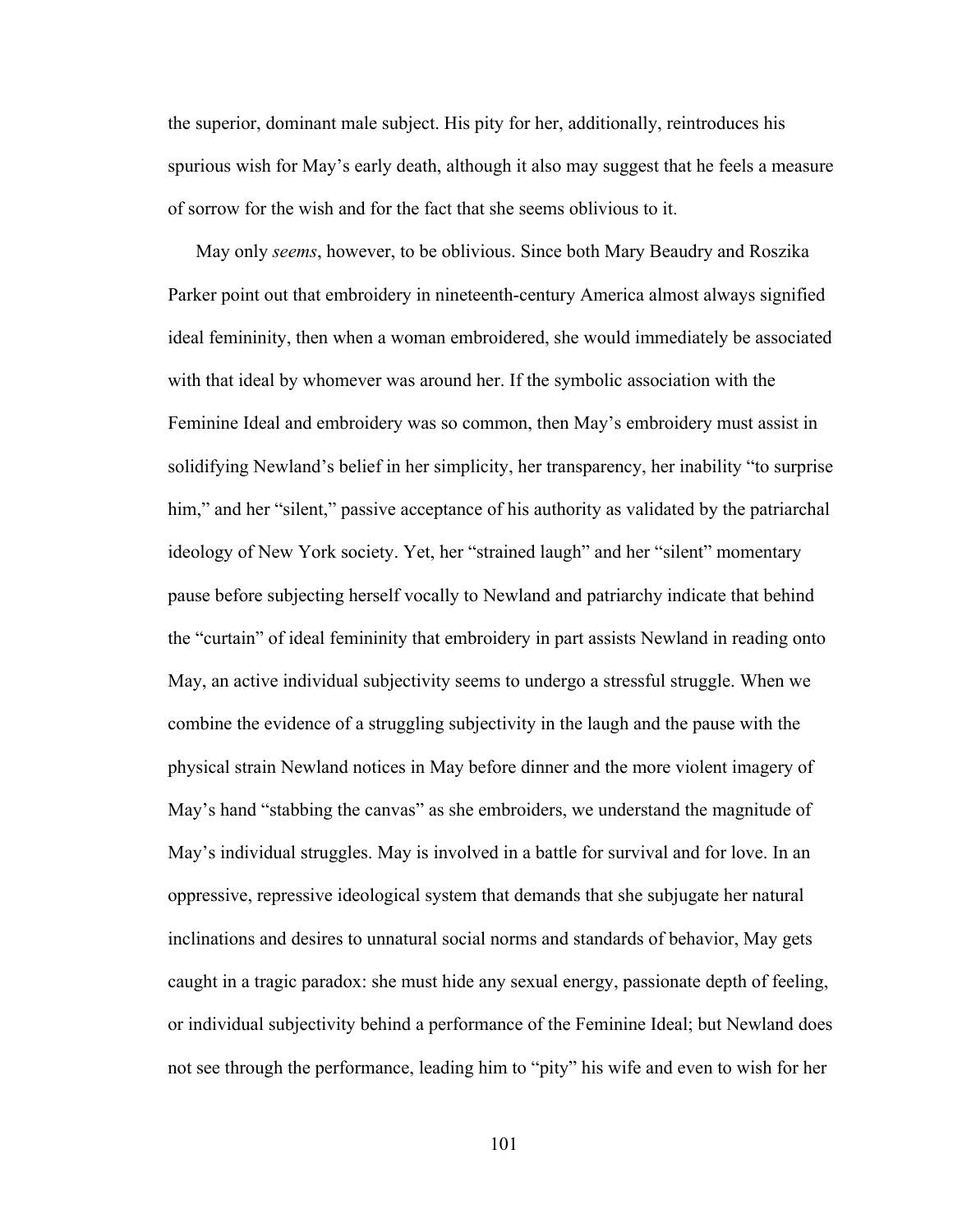the superior, dominant male subject. His pity for her, additionally, reintroduces his spurious wish for May's early death, although it also may suggest that he feels a measure of sorrow for the wish and for the fact that she seems oblivious to it.

May only *seems*, however, to be oblivious. Since both Mary Beaudry and Roszika Parker point out that embroidery in nineteenth-century America almost always signified ideal femininity, then when a woman embroidered, she would immediately be associated with that ideal by whomever was around her. If the symbolic association with the Feminine Ideal and embroidery was so common, then May's embroidery must assist in solidifying Newland's belief in her simplicity, her transparency, her inability "to surprise him," and her "silent," passive acceptance of his authority as validated by the patriarchal ideology of New York society. Yet, her "strained laugh" and her "silent" momentary pause before subjecting herself vocally to Newland and patriarchy indicate that behind the "curtain" of ideal femininity that embroidery in part assists Newland in reading onto May, an active individual subjectivity seems to undergo a stressful struggle. When we combine the evidence of a struggling subjectivity in the laugh and the pause with the physical strain Newland notices in May before dinner and the more violent imagery of May's hand "stabbing the canvas" as she embroiders, we understand the magnitude of May's individual struggles. May is involved in a battle for survival and for love. In an oppressive, repressive ideological system that demands that she subjugate her natural inclinations and desires to unnatural social norms and standards of behavior, May gets caught in a tragic paradox: she must hide any sexual energy, passionate depth of feeling, or individual subjectivity behind a performance of the Feminine Ideal; but Newland does not see through the performance, leading him to "pity" his wife and even to wish for her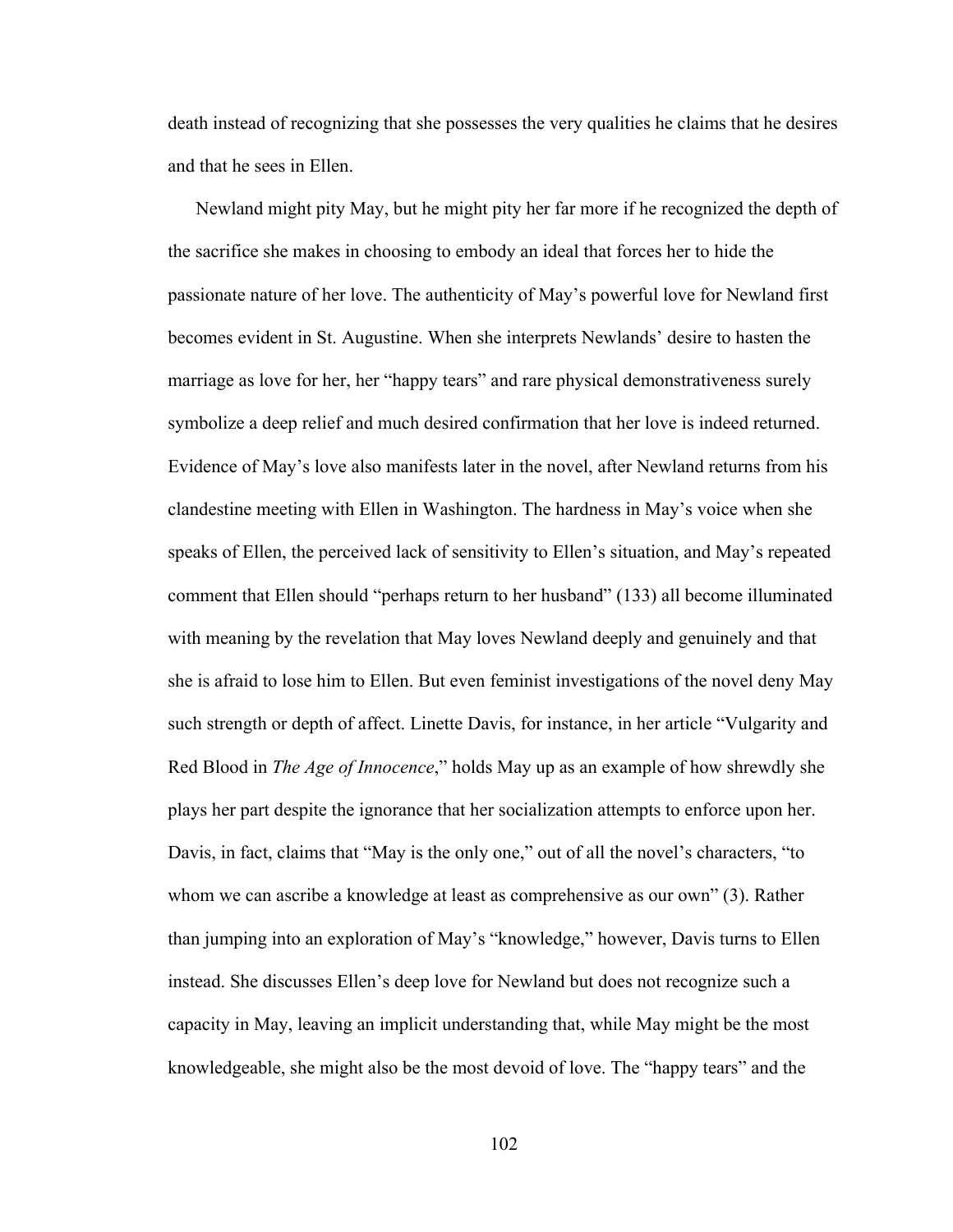death instead of recognizing that she possesses the very qualities he claims that he desires and that he sees in Ellen.

Newland might pity May, but he might pity her far more if he recognized the depth of the sacrifice she makes in choosing to embody an ideal that forces her to hide the passionate nature of her love. The authenticity of May's powerful love for Newland first becomes evident in St. Augustine. When she interprets Newlands' desire to hasten the marriage as love for her, her "happy tears" and rare physical demonstrativeness surely symbolize a deep relief and much desired confirmation that her love is indeed returned. Evidence of May's love also manifests later in the novel, after Newland returns from his clandestine meeting with Ellen in Washington. The hardness in May's voice when she speaks of Ellen, the perceived lack of sensitivity to Ellen's situation, and May's repeated comment that Ellen should "perhaps return to her husband" (133) all become illuminated with meaning by the revelation that May loves Newland deeply and genuinely and that she is afraid to lose him to Ellen. But even feminist investigations of the novel deny May such strength or depth of affect. Linette Davis, for instance, in her article "Vulgarity and Red Blood in *The Age of Innocence*," holds May up as an example of how shrewdly she plays her part despite the ignorance that her socialization attempts to enforce upon her. Davis, in fact, claims that "May is the only one," out of all the novel's characters, "to whom we can ascribe a knowledge at least as comprehensive as our own" (3). Rather than jumping into an exploration of May's "knowledge," however, Davis turns to Ellen instead. She discusses Ellen's deep love for Newland but does not recognize such a capacity in May, leaving an implicit understanding that, while May might be the most knowledgeable, she might also be the most devoid of love. The "happy tears" and the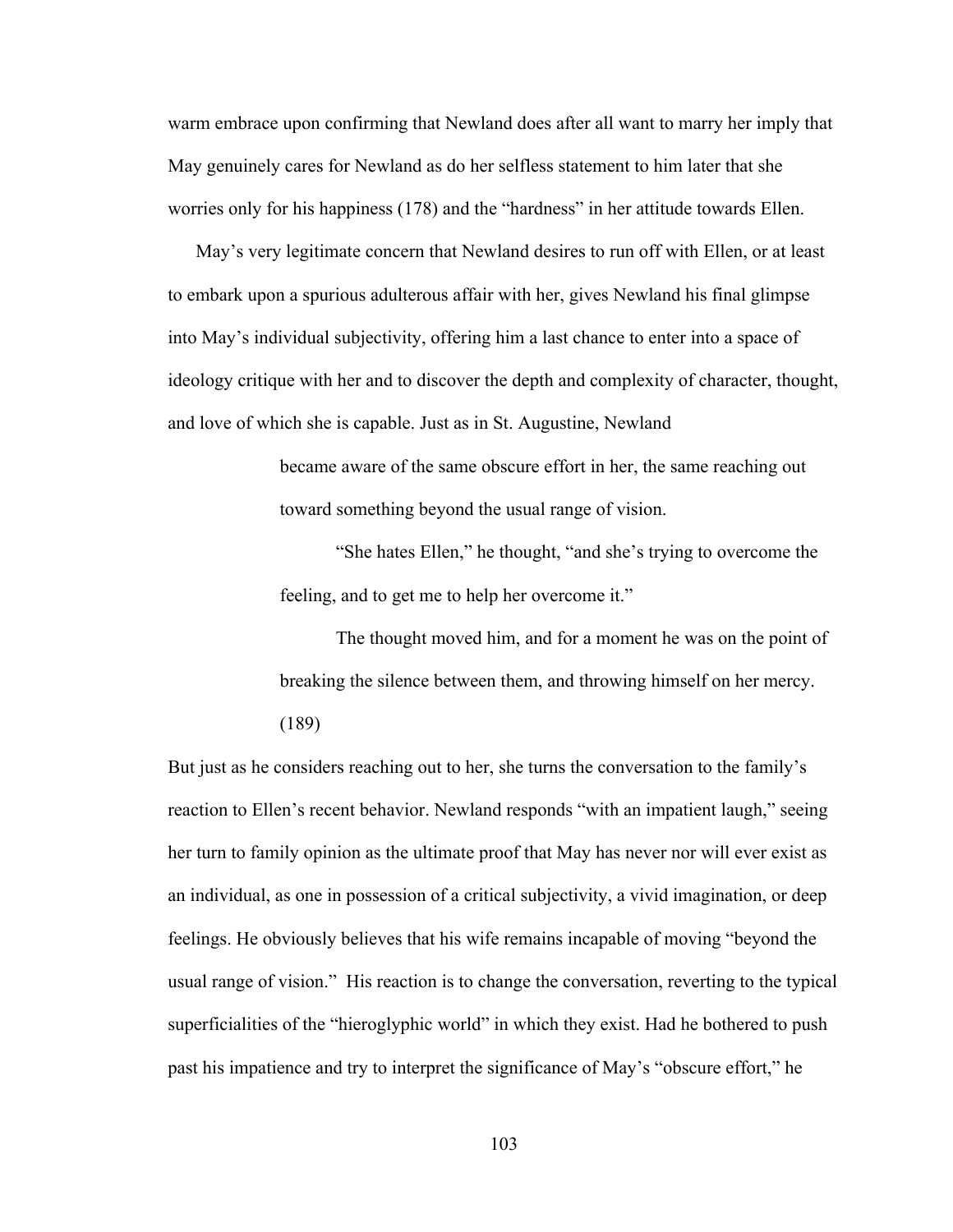warm embrace upon confirming that Newland does after all want to marry her imply that May genuinely cares for Newland as do her selfless statement to him later that she worries only for his happiness (178) and the "hardness" in her attitude towards Ellen.

May's very legitimate concern that Newland desires to run off with Ellen, or at least to embark upon a spurious adulterous affair with her, gives Newland his final glimpse into May's individual subjectivity, offering him a last chance to enter into a space of ideology critique with her and to discover the depth and complexity of character, thought, and love of which she is capable. Just as in St. Augustine, Newland

> became aware of the same obscure effort in her, the same reaching out toward something beyond the usual range of vision.

"She hates Ellen," he thought, "and she's trying to overcome the feeling, and to get me to help her overcome it."

The thought moved him, and for a moment he was on the point of breaking the silence between them, and throwing himself on her mercy.

But just as he considers reaching out to her, she turns the conversation to the family's reaction to Ellen's recent behavior. Newland responds "with an impatient laugh," seeing her turn to family opinion as the ultimate proof that May has never nor will ever exist as an individual, as one in possession of a critical subjectivity, a vivid imagination, or deep feelings. He obviously believes that his wife remains incapable of moving "beyond the usual range of vision." His reaction is to change the conversation, reverting to the typical superficialities of the "hieroglyphic world" in which they exist. Had he bothered to push past his impatience and try to interpret the significance of May's "obscure effort," he

<sup>(189)</sup>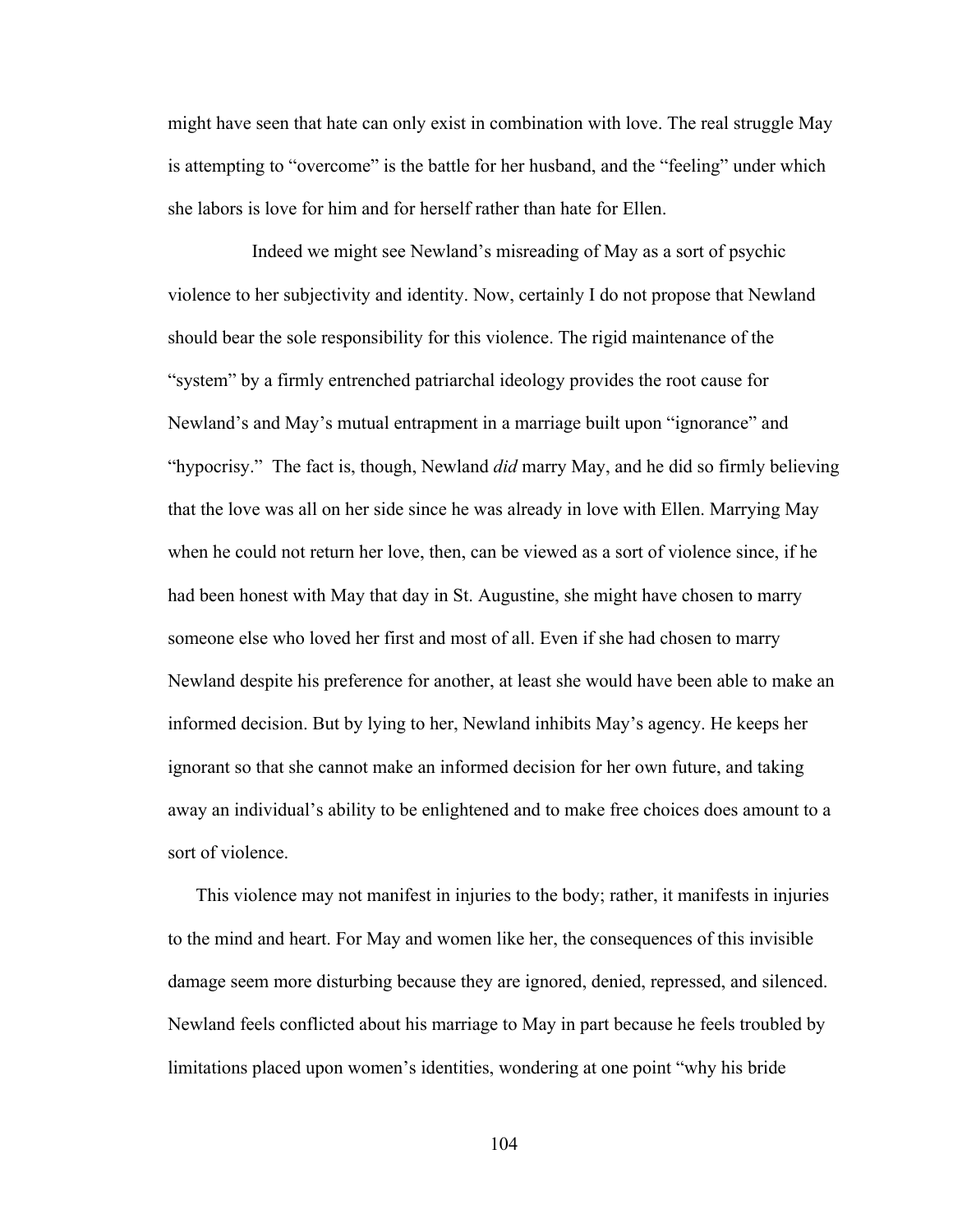might have seen that hate can only exist in combination with love. The real struggle May is attempting to "overcome" is the battle for her husband, and the "feeling" under which she labors is love for him and for herself rather than hate for Ellen.

Indeed we might see Newland's misreading of May as a sort of psychic violence to her subjectivity and identity. Now, certainly I do not propose that Newland should bear the sole responsibility for this violence. The rigid maintenance of the "system" by a firmly entrenched patriarchal ideology provides the root cause for Newland's and May's mutual entrapment in a marriage built upon "ignorance" and "hypocrisy." The fact is, though, Newland *did* marry May, and he did so firmly believing that the love was all on her side since he was already in love with Ellen. Marrying May when he could not return her love, then, can be viewed as a sort of violence since, if he had been honest with May that day in St. Augustine, she might have chosen to marry someone else who loved her first and most of all. Even if she had chosen to marry Newland despite his preference for another, at least she would have been able to make an informed decision. But by lying to her, Newland inhibits May's agency. He keeps her ignorant so that she cannot make an informed decision for her own future, and taking away an individual's ability to be enlightened and to make free choices does amount to a sort of violence.

This violence may not manifest in injuries to the body; rather, it manifests in injuries to the mind and heart. For May and women like her, the consequences of this invisible damage seem more disturbing because they are ignored, denied, repressed, and silenced. Newland feels conflicted about his marriage to May in part because he feels troubled by limitations placed upon women's identities, wondering at one point "why his bride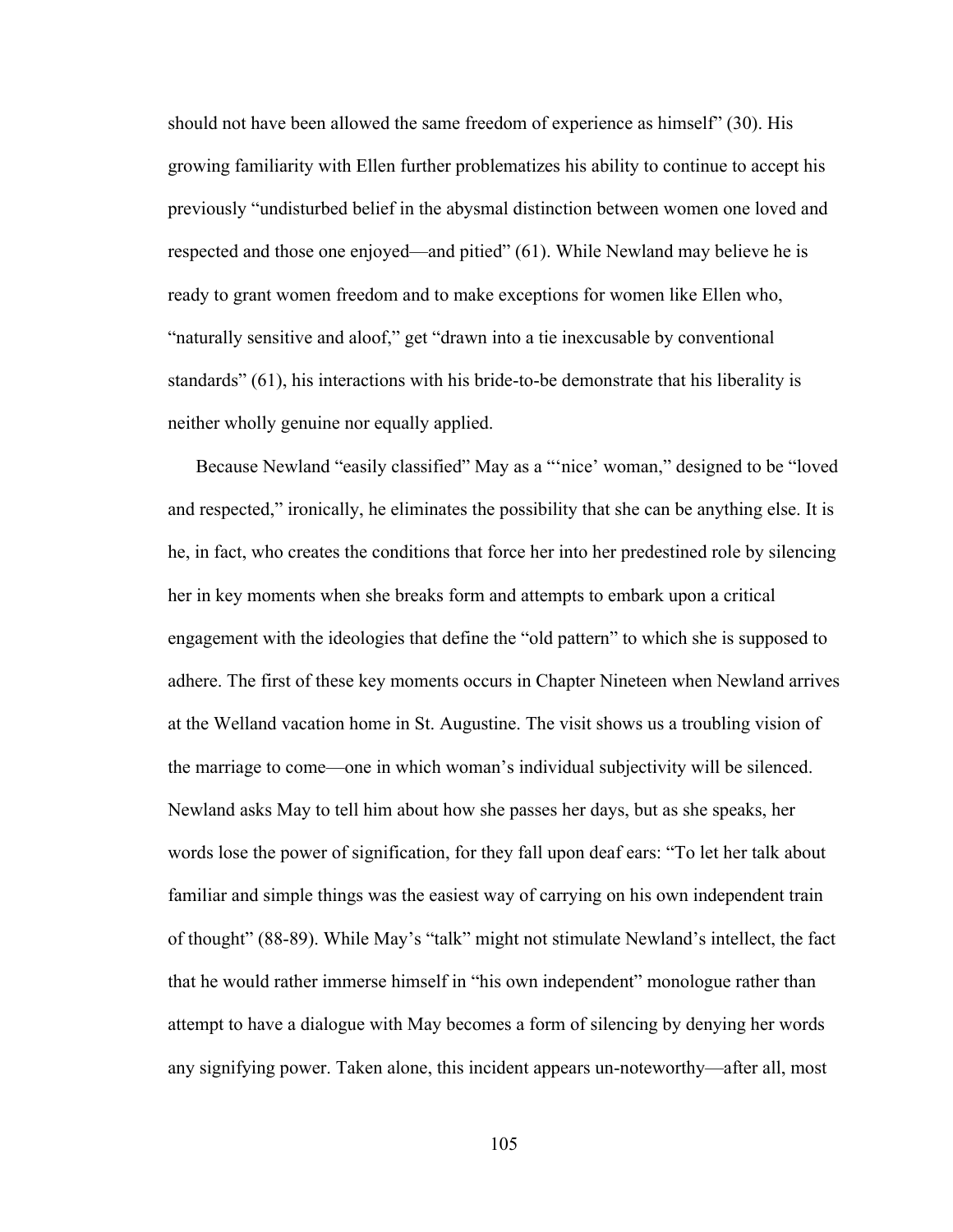should not have been allowed the same freedom of experience as himself" (30). His growing familiarity with Ellen further problematizes his ability to continue to accept his previously "undisturbed belief in the abysmal distinction between women one loved and respected and those one enjoyed—and pitied" (61). While Newland may believe he is ready to grant women freedom and to make exceptions for women like Ellen who, "naturally sensitive and aloof," get "drawn into a tie inexcusable by conventional standards" (61), his interactions with his bride-to-be demonstrate that his liberality is neither wholly genuine nor equally applied.

Because Newland "easily classified" May as a "'nice' woman," designed to be "loved and respected," ironically, he eliminates the possibility that she can be anything else. It is he, in fact, who creates the conditions that force her into her predestined role by silencing her in key moments when she breaks form and attempts to embark upon a critical engagement with the ideologies that define the "old pattern" to which she is supposed to adhere. The first of these key moments occurs in Chapter Nineteen when Newland arrives at the Welland vacation home in St. Augustine. The visit shows us a troubling vision of the marriage to come—one in which woman's individual subjectivity will be silenced. Newland asks May to tell him about how she passes her days, but as she speaks, her words lose the power of signification, for they fall upon deaf ears: "To let her talk about familiar and simple things was the easiest way of carrying on his own independent train of thought" (88-89). While May's "talk" might not stimulate Newland's intellect, the fact that he would rather immerse himself in "his own independent" monologue rather than attempt to have a dialogue with May becomes a form of silencing by denying her words any signifying power. Taken alone, this incident appears un-noteworthy—after all, most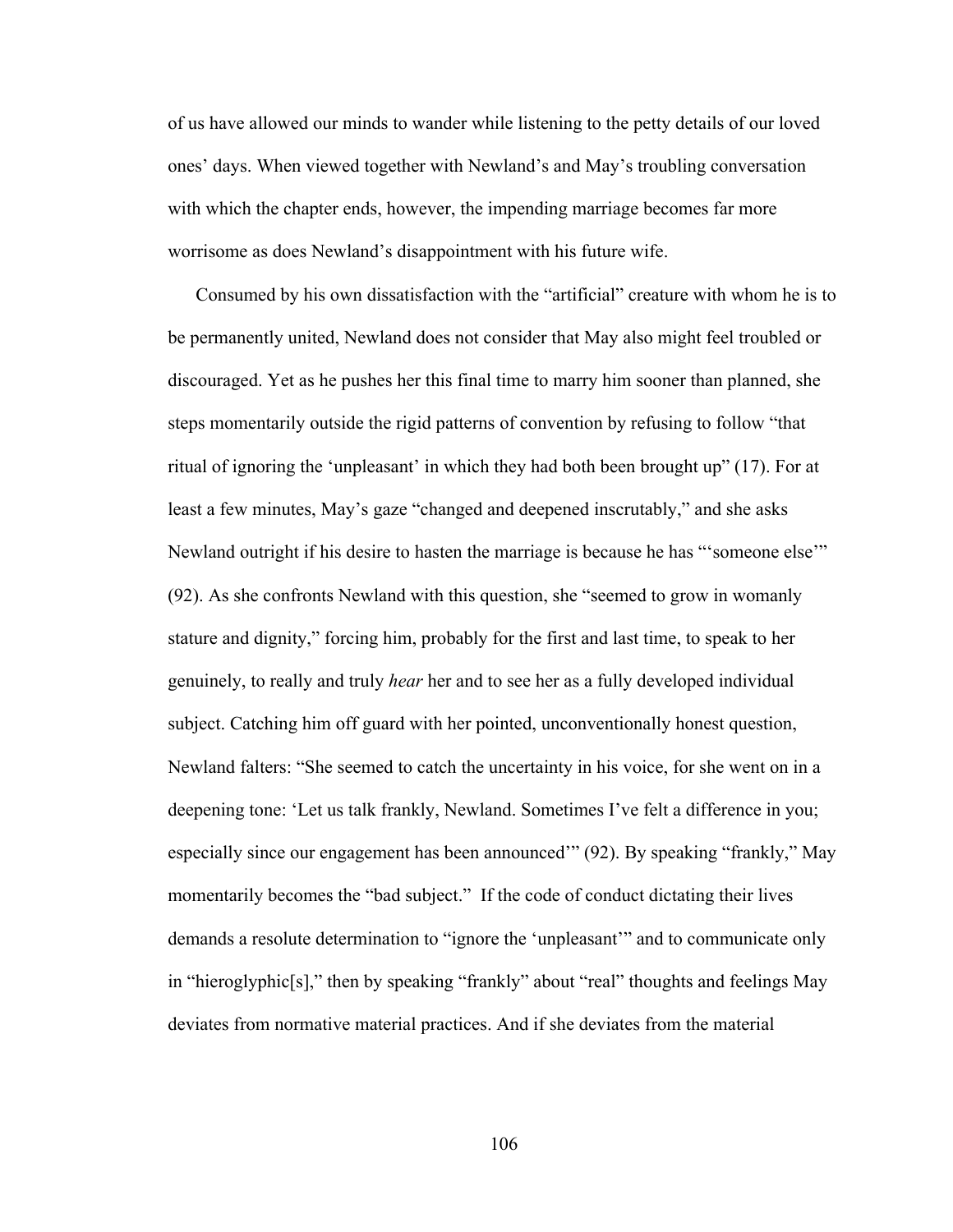of us have allowed our minds to wander while listening to the petty details of our loved ones' days. When viewed together with Newland's and May's troubling conversation with which the chapter ends, however, the impending marriage becomes far more worrisome as does Newland's disappointment with his future wife.

Consumed by his own dissatisfaction with the "artificial" creature with whom he is to be permanently united, Newland does not consider that May also might feel troubled or discouraged. Yet as he pushes her this final time to marry him sooner than planned, she steps momentarily outside the rigid patterns of convention by refusing to follow "that ritual of ignoring the 'unpleasant' in which they had both been brought up" (17). For at least a few minutes, May's gaze "changed and deepened inscrutably," and she asks Newland outright if his desire to hasten the marriage is because he has "'someone else'" (92). As she confronts Newland with this question, she "seemed to grow in womanly stature and dignity," forcing him, probably for the first and last time, to speak to her genuinely, to really and truly *hear* her and to see her as a fully developed individual subject. Catching him off guard with her pointed, unconventionally honest question, Newland falters: "She seemed to catch the uncertainty in his voice, for she went on in a deepening tone: 'Let us talk frankly, Newland. Sometimes I've felt a difference in you; especially since our engagement has been announced'" (92). By speaking "frankly," May momentarily becomes the "bad subject." If the code of conduct dictating their lives demands a resolute determination to "ignore the 'unpleasant'" and to communicate only in "hieroglyphic[s]," then by speaking "frankly" about "real" thoughts and feelings May deviates from normative material practices. And if she deviates from the material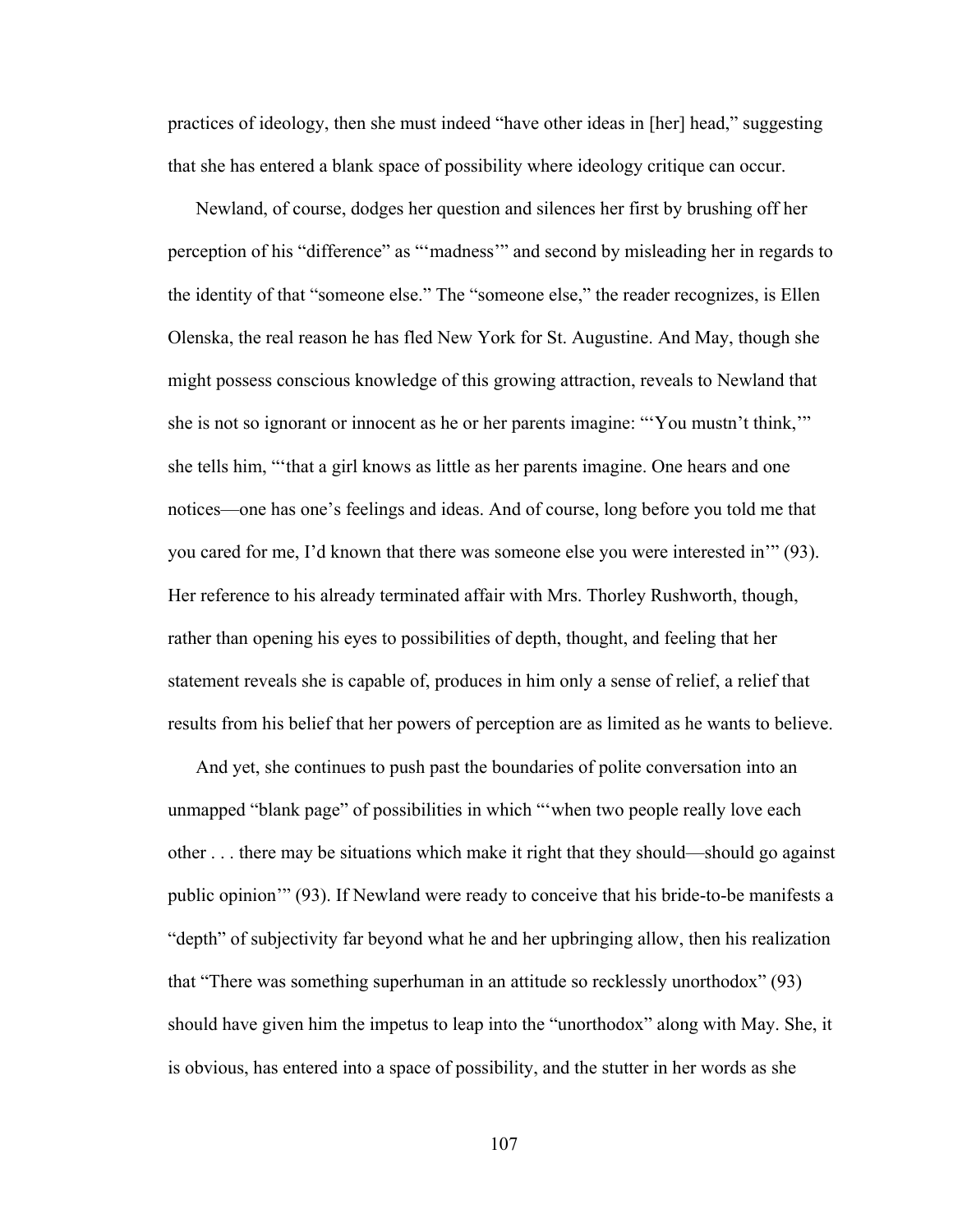practices of ideology, then she must indeed "have other ideas in [her] head," suggesting that she has entered a blank space of possibility where ideology critique can occur.

Newland, of course, dodges her question and silences her first by brushing off her perception of his "difference" as "'madness'" and second by misleading her in regards to the identity of that "someone else." The "someone else," the reader recognizes, is Ellen Olenska, the real reason he has fled New York for St. Augustine. And May, though she might possess conscious knowledge of this growing attraction, reveals to Newland that she is not so ignorant or innocent as he or her parents imagine: "'You mustn't think,'" she tells him, "'that a girl knows as little as her parents imagine. One hears and one notices—one has one's feelings and ideas. And of course, long before you told me that you cared for me, I'd known that there was someone else you were interested in'" (93). Her reference to his already terminated affair with Mrs. Thorley Rushworth, though, rather than opening his eyes to possibilities of depth, thought, and feeling that her statement reveals she is capable of, produces in him only a sense of relief, a relief that results from his belief that her powers of perception are as limited as he wants to believe.

And yet, she continues to push past the boundaries of polite conversation into an unmapped "blank page" of possibilities in which "'when two people really love each other . . . there may be situations which make it right that they should—should go against public opinion'" (93). If Newland were ready to conceive that his bride-to-be manifests a "depth" of subjectivity far beyond what he and her upbringing allow, then his realization that "There was something superhuman in an attitude so recklessly unorthodox" (93) should have given him the impetus to leap into the "unorthodox" along with May. She, it is obvious, has entered into a space of possibility, and the stutter in her words as she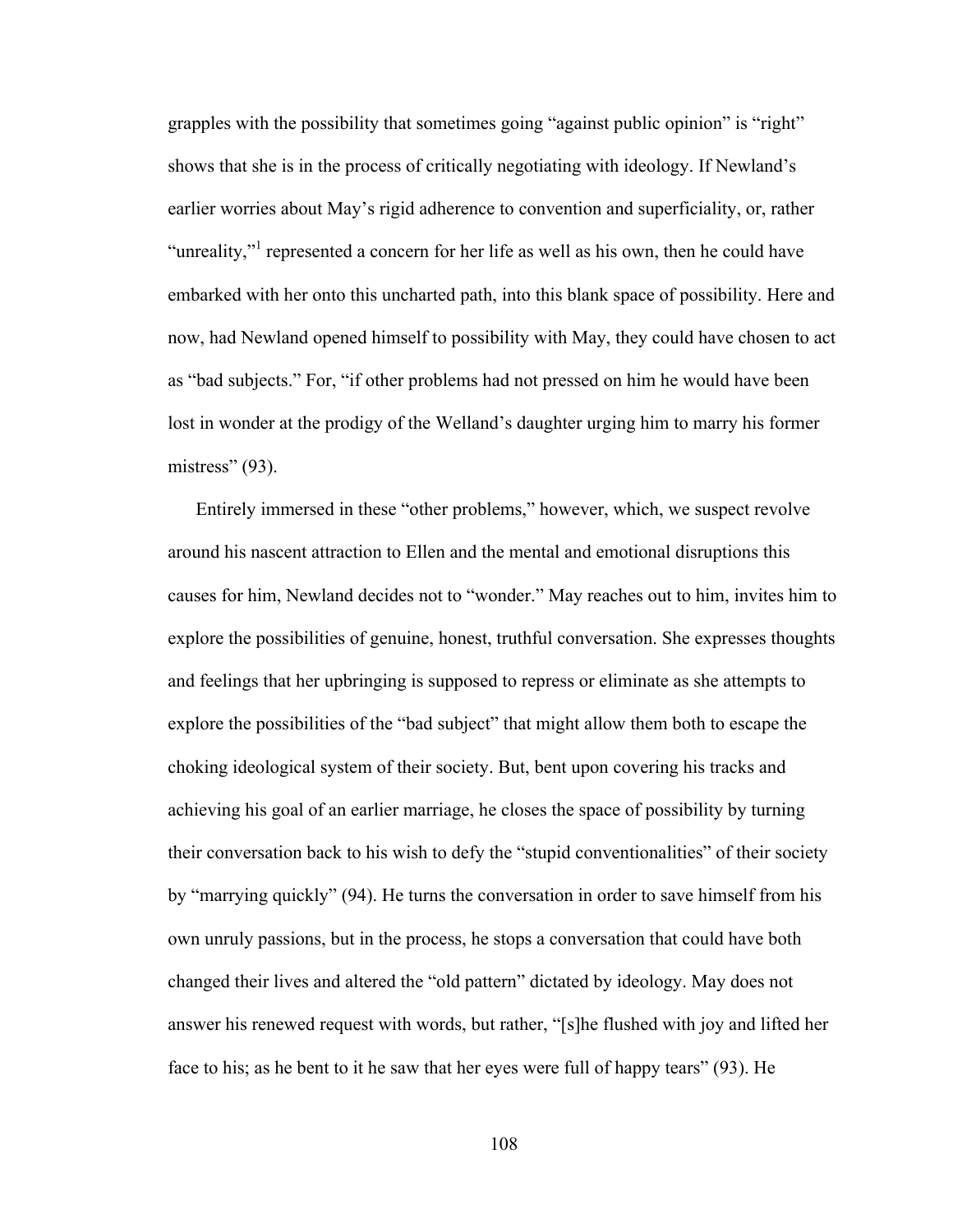grapples with the possibility that sometimes going "against public opinion" is "right" shows that she is in the process of critically negotiating with ideology. If Newland's earlier worries about May's rigid adherence to convention and superficiality, or, rather "unreality,"<sup>1</sup> represented a concern for her life as well as his own, then he could have embarked with her onto this uncharted path, into this blank space of possibility. Here and now, had Newland opened himself to possibility with May, they could have chosen to act as "bad subjects." For, "if other problems had not pressed on him he would have been lost in wonder at the prodigy of the Welland's daughter urging him to marry his former mistress" (93).

Entirely immersed in these "other problems," however, which, we suspect revolve around his nascent attraction to Ellen and the mental and emotional disruptions this causes for him, Newland decides not to "wonder." May reaches out to him, invites him to explore the possibilities of genuine, honest, truthful conversation. She expresses thoughts and feelings that her upbringing is supposed to repress or eliminate as she attempts to explore the possibilities of the "bad subject" that might allow them both to escape the choking ideological system of their society. But, bent upon covering his tracks and achieving his goal of an earlier marriage, he closes the space of possibility by turning their conversation back to his wish to defy the "stupid conventionalities" of their society by "marrying quickly" (94). He turns the conversation in order to save himself from his own unruly passions, but in the process, he stops a conversation that could have both changed their lives and altered the "old pattern" dictated by ideology. May does not answer his renewed request with words, but rather, "[s]he flushed with joy and lifted her face to his; as he bent to it he saw that her eyes were full of happy tears" (93). He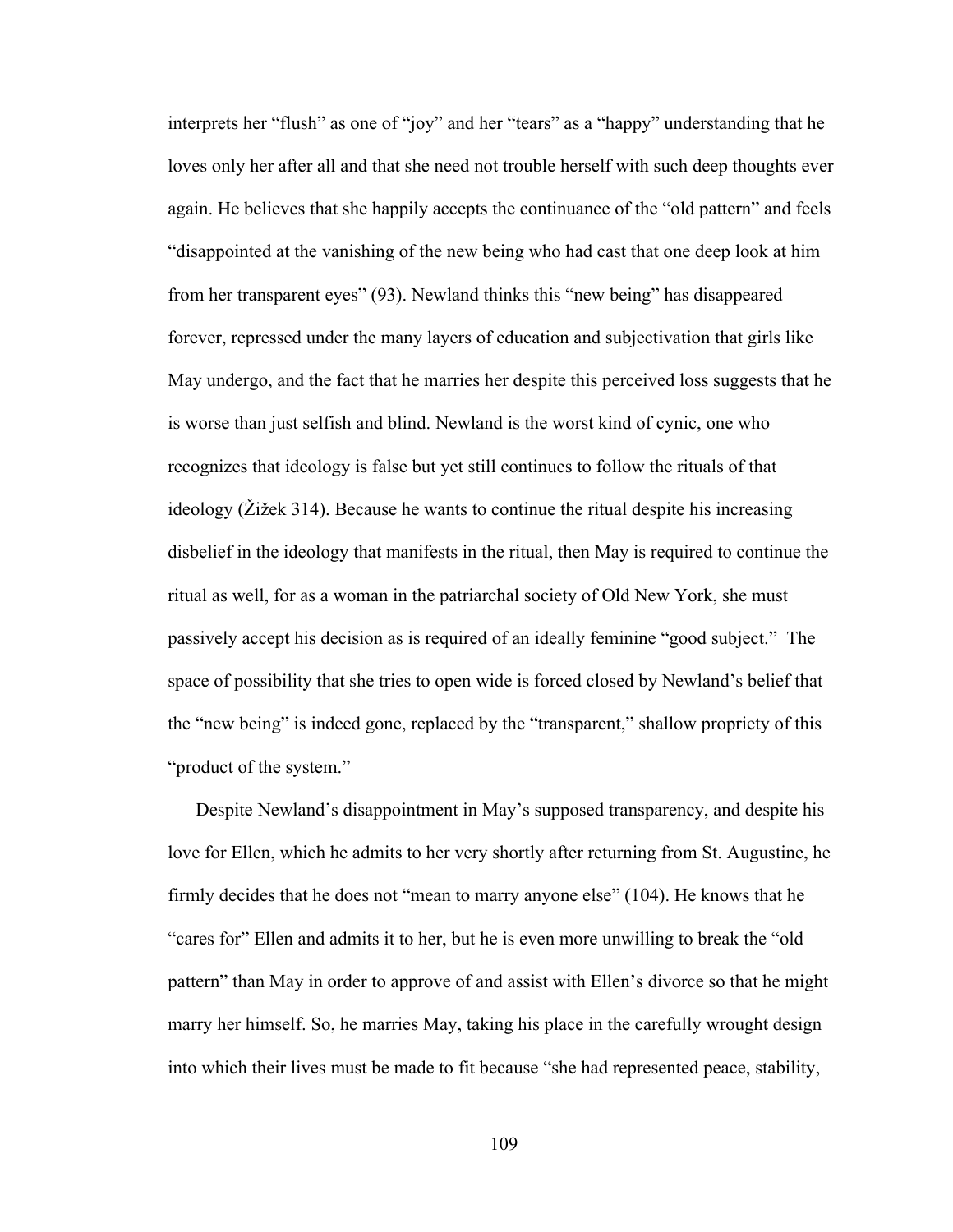interprets her "flush" as one of "joy" and her "tears" as a "happy" understanding that he loves only her after all and that she need not trouble herself with such deep thoughts ever again. He believes that she happily accepts the continuance of the "old pattern" and feels "disappointed at the vanishing of the new being who had cast that one deep look at him from her transparent eyes" (93). Newland thinks this "new being" has disappeared forever, repressed under the many layers of education and subjectivation that girls like May undergo, and the fact that he marries her despite this perceived loss suggests that he is worse than just selfish and blind. Newland is the worst kind of cynic, one who recognizes that ideology is false but yet still continues to follow the rituals of that ideology (Žižek 314). Because he wants to continue the ritual despite his increasing disbelief in the ideology that manifests in the ritual, then May is required to continue the ritual as well, for as a woman in the patriarchal society of Old New York, she must passively accept his decision as is required of an ideally feminine "good subject." The space of possibility that she tries to open wide is forced closed by Newland's belief that the "new being" is indeed gone, replaced by the "transparent," shallow propriety of this "product of the system."

Despite Newland's disappointment in May's supposed transparency, and despite his love for Ellen, which he admits to her very shortly after returning from St. Augustine, he firmly decides that he does not "mean to marry anyone else" (104). He knows that he "cares for" Ellen and admits it to her, but he is even more unwilling to break the "old pattern" than May in order to approve of and assist with Ellen's divorce so that he might marry her himself. So, he marries May, taking his place in the carefully wrought design into which their lives must be made to fit because "she had represented peace, stability,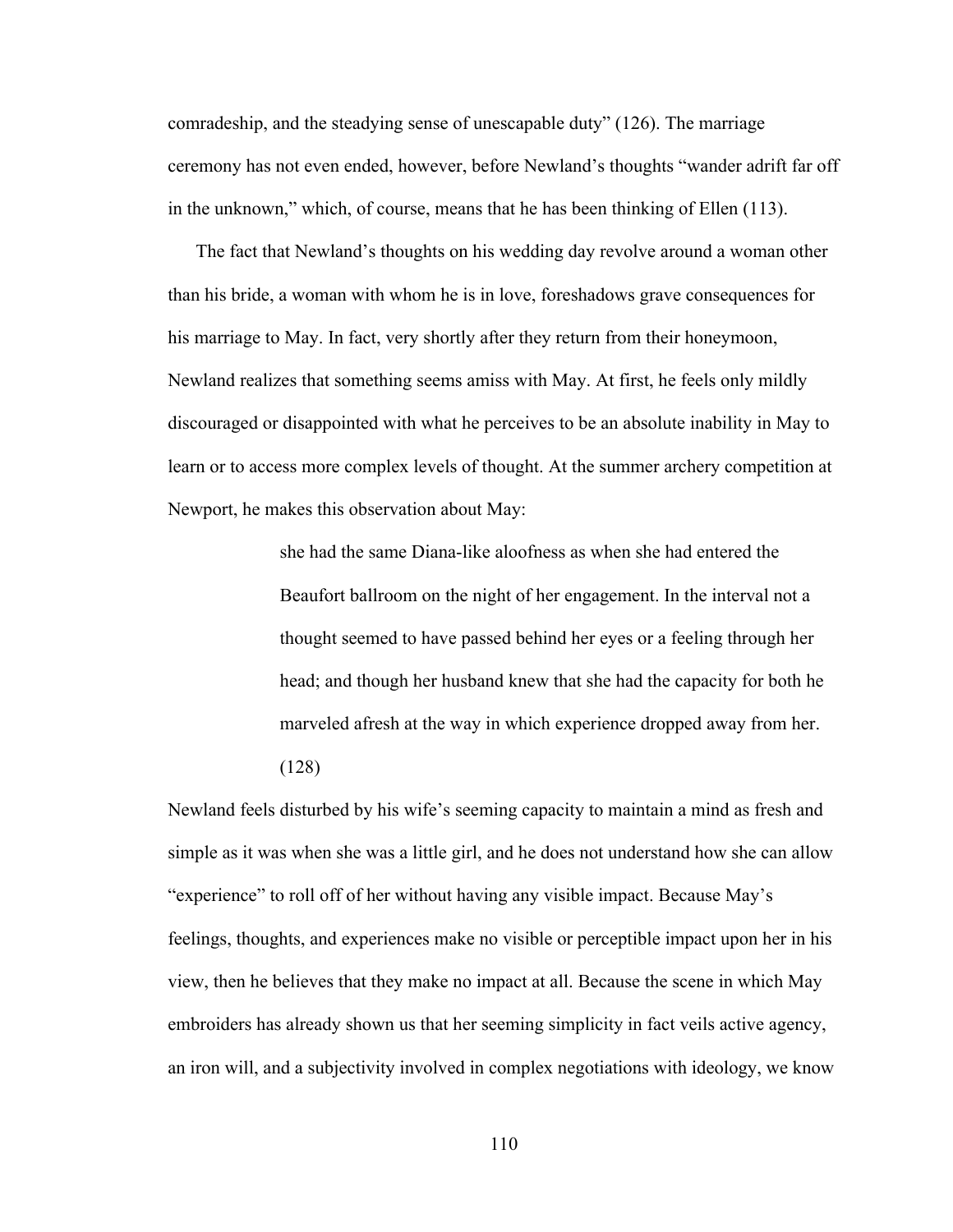comradeship, and the steadying sense of unescapable duty" (126). The marriage ceremony has not even ended, however, before Newland's thoughts "wander adrift far off in the unknown," which, of course, means that he has been thinking of Ellen (113).

The fact that Newland's thoughts on his wedding day revolve around a woman other than his bride, a woman with whom he is in love, foreshadows grave consequences for his marriage to May. In fact, very shortly after they return from their honeymoon, Newland realizes that something seems amiss with May. At first, he feels only mildly discouraged or disappointed with what he perceives to be an absolute inability in May to learn or to access more complex levels of thought. At the summer archery competition at Newport, he makes this observation about May:

> she had the same Diana-like aloofness as when she had entered the Beaufort ballroom on the night of her engagement. In the interval not a thought seemed to have passed behind her eyes or a feeling through her head; and though her husband knew that she had the capacity for both he marveled afresh at the way in which experience dropped away from her.

(128)

Newland feels disturbed by his wife's seeming capacity to maintain a mind as fresh and simple as it was when she was a little girl, and he does not understand how she can allow "experience" to roll off of her without having any visible impact. Because May's feelings, thoughts, and experiences make no visible or perceptible impact upon her in his view, then he believes that they make no impact at all. Because the scene in which May embroiders has already shown us that her seeming simplicity in fact veils active agency, an iron will, and a subjectivity involved in complex negotiations with ideology, we know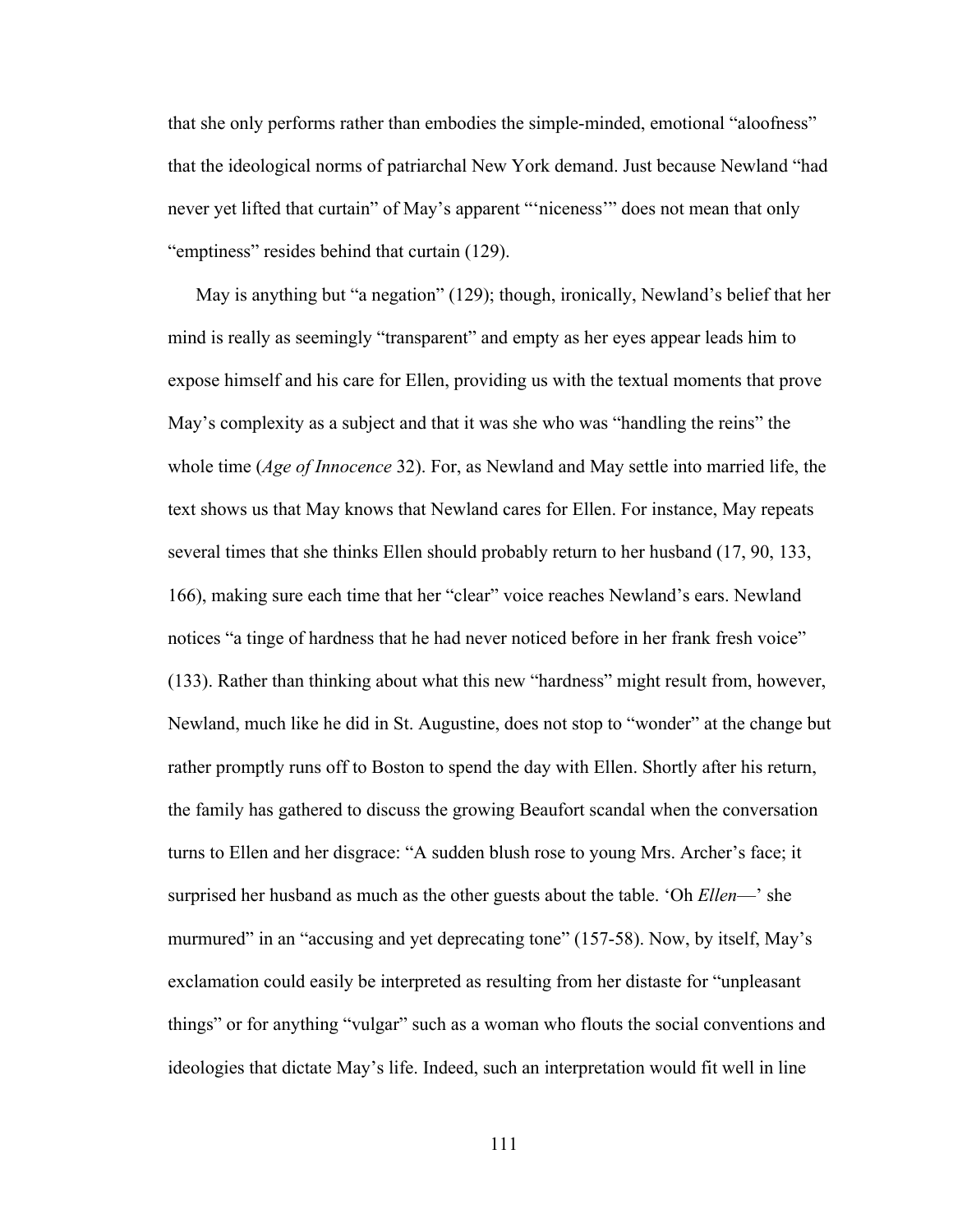that she only performs rather than embodies the simple-minded, emotional "aloofness" that the ideological norms of patriarchal New York demand. Just because Newland "had never yet lifted that curtain" of May's apparent "'niceness'" does not mean that only "emptiness" resides behind that curtain (129).

May is anything but "a negation" (129); though, ironically, Newland's belief that her mind is really as seemingly "transparent" and empty as her eyes appear leads him to expose himself and his care for Ellen, providing us with the textual moments that prove May's complexity as a subject and that it was she who was "handling the reins" the whole time (*Age of Innocence* 32). For, as Newland and May settle into married life, the text shows us that May knows that Newland cares for Ellen. For instance, May repeats several times that she thinks Ellen should probably return to her husband (17, 90, 133, 166), making sure each time that her "clear" voice reaches Newland's ears. Newland notices "a tinge of hardness that he had never noticed before in her frank fresh voice" (133). Rather than thinking about what this new "hardness" might result from, however, Newland, much like he did in St. Augustine, does not stop to "wonder" at the change but rather promptly runs off to Boston to spend the day with Ellen. Shortly after his return, the family has gathered to discuss the growing Beaufort scandal when the conversation turns to Ellen and her disgrace: "A sudden blush rose to young Mrs. Archer's face; it surprised her husband as much as the other guests about the table. 'Oh *Ellen*—' she murmured" in an "accusing and yet deprecating tone" (157-58). Now, by itself, May's exclamation could easily be interpreted as resulting from her distaste for "unpleasant things" or for anything "vulgar" such as a woman who flouts the social conventions and ideologies that dictate May's life. Indeed, such an interpretation would fit well in line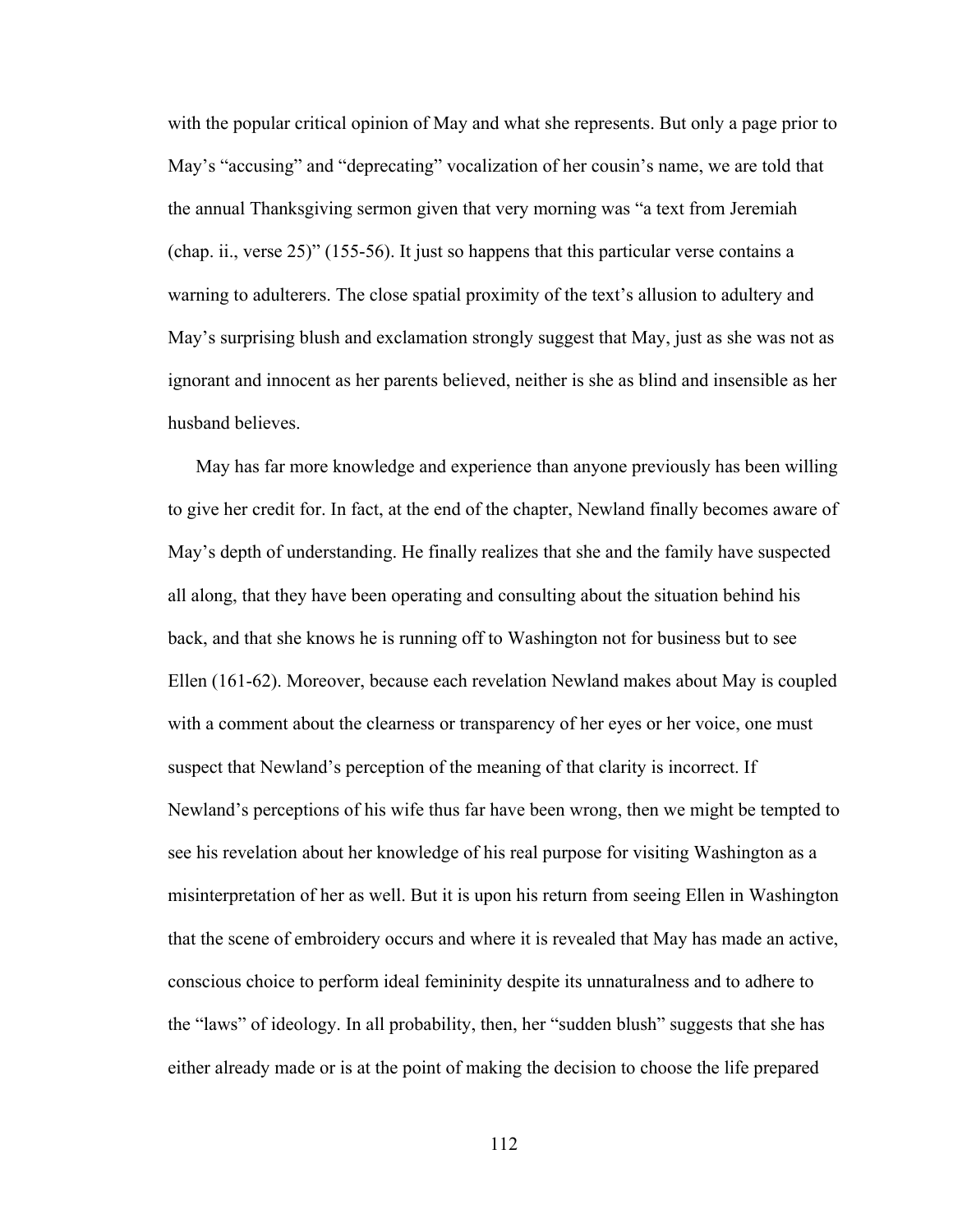with the popular critical opinion of May and what she represents. But only a page prior to May's "accusing" and "deprecating" vocalization of her cousin's name, we are told that the annual Thanksgiving sermon given that very morning was "a text from Jeremiah (chap. ii., verse 25)" (155-56). It just so happens that this particular verse contains a warning to adulterers. The close spatial proximity of the text's allusion to adultery and May's surprising blush and exclamation strongly suggest that May, just as she was not as ignorant and innocent as her parents believed, neither is she as blind and insensible as her husband believes.

May has far more knowledge and experience than anyone previously has been willing to give her credit for. In fact, at the end of the chapter, Newland finally becomes aware of May's depth of understanding. He finally realizes that she and the family have suspected all along, that they have been operating and consulting about the situation behind his back, and that she knows he is running off to Washington not for business but to see Ellen (161-62). Moreover, because each revelation Newland makes about May is coupled with a comment about the clearness or transparency of her eyes or her voice, one must suspect that Newland's perception of the meaning of that clarity is incorrect. If Newland's perceptions of his wife thus far have been wrong, then we might be tempted to see his revelation about her knowledge of his real purpose for visiting Washington as a misinterpretation of her as well. But it is upon his return from seeing Ellen in Washington that the scene of embroidery occurs and where it is revealed that May has made an active, conscious choice to perform ideal femininity despite its unnaturalness and to adhere to the "laws" of ideology. In all probability, then, her "sudden blush" suggests that she has either already made or is at the point of making the decision to choose the life prepared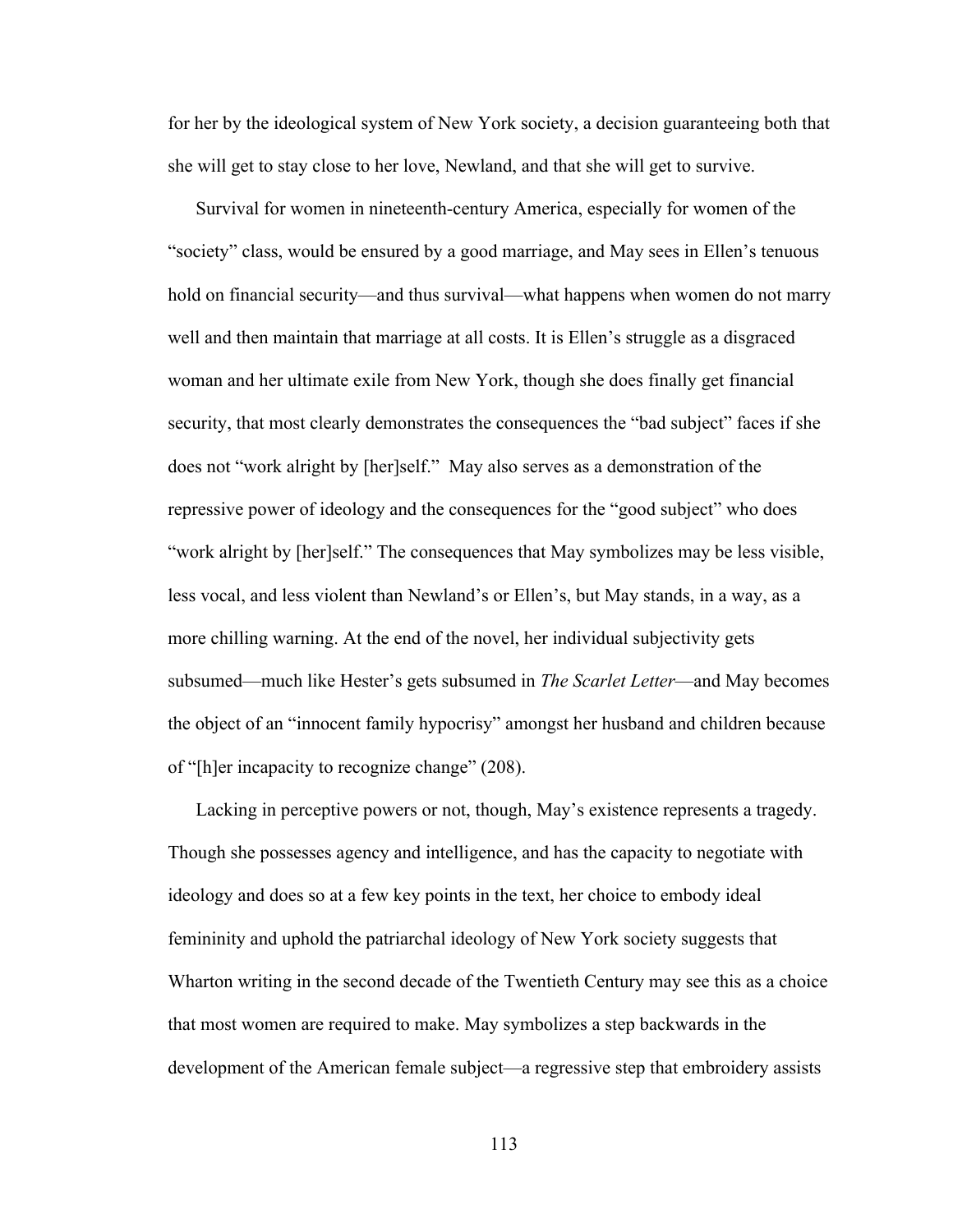for her by the ideological system of New York society, a decision guaranteeing both that she will get to stay close to her love, Newland, and that she will get to survive.

Survival for women in nineteenth-century America, especially for women of the "society" class, would be ensured by a good marriage, and May sees in Ellen's tenuous hold on financial security—and thus survival—what happens when women do not marry well and then maintain that marriage at all costs. It is Ellen's struggle as a disgraced woman and her ultimate exile from New York, though she does finally get financial security, that most clearly demonstrates the consequences the "bad subject" faces if she does not "work alright by [her]self." May also serves as a demonstration of the repressive power of ideology and the consequences for the "good subject" who does "work alright by [her]self." The consequences that May symbolizes may be less visible, less vocal, and less violent than Newland's or Ellen's, but May stands, in a way, as a more chilling warning. At the end of the novel, her individual subjectivity gets subsumed—much like Hester's gets subsumed in *The Scarlet Letter*—and May becomes the object of an "innocent family hypocrisy" amongst her husband and children because of "[h]er incapacity to recognize change" (208).

Lacking in perceptive powers or not, though, May's existence represents a tragedy. Though she possesses agency and intelligence, and has the capacity to negotiate with ideology and does so at a few key points in the text, her choice to embody ideal femininity and uphold the patriarchal ideology of New York society suggests that Wharton writing in the second decade of the Twentieth Century may see this as a choice that most women are required to make. May symbolizes a step backwards in the development of the American female subject—a regressive step that embroidery assists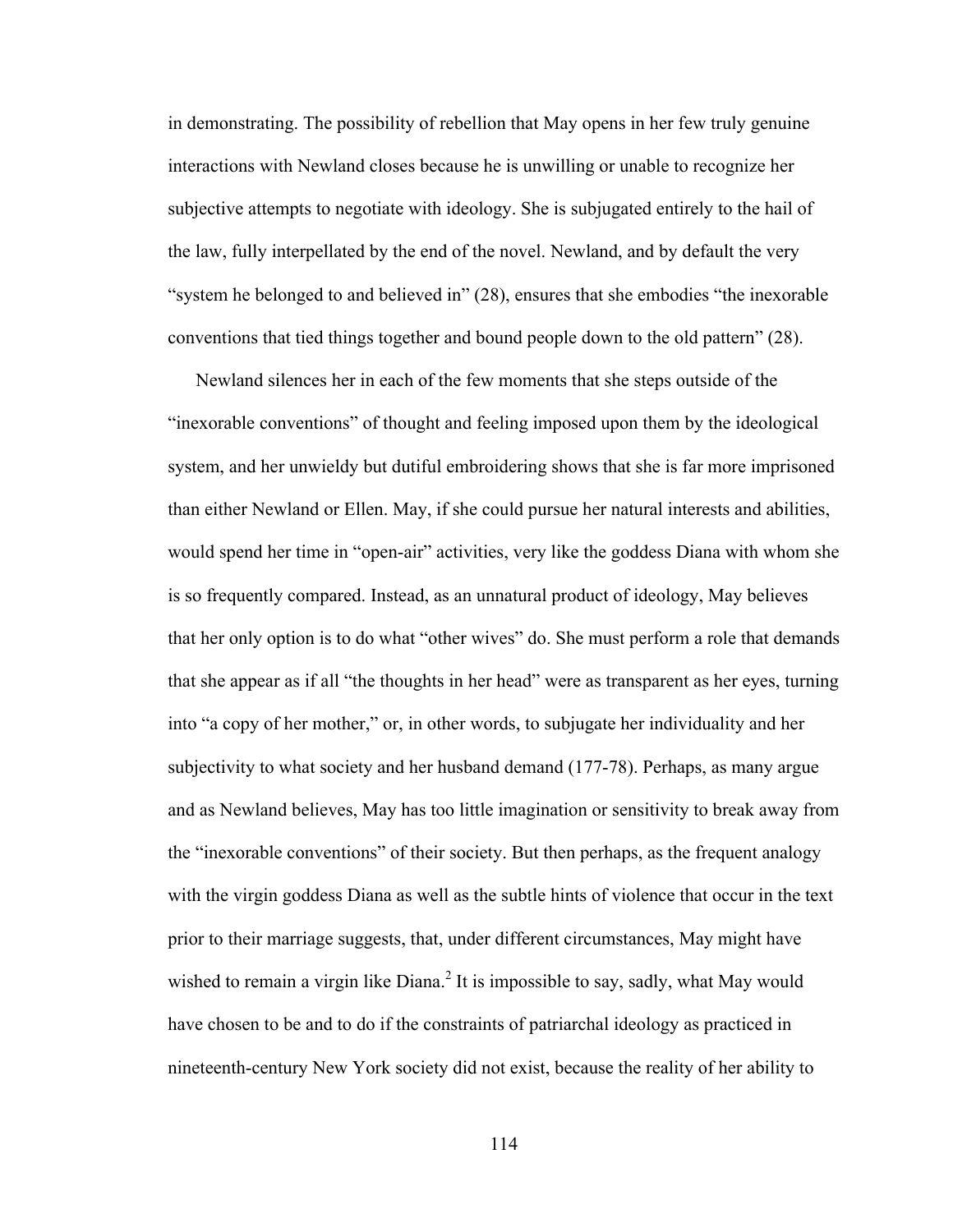in demonstrating. The possibility of rebellion that May opens in her few truly genuine interactions with Newland closes because he is unwilling or unable to recognize her subjective attempts to negotiate with ideology. She is subjugated entirely to the hail of the law, fully interpellated by the end of the novel. Newland, and by default the very "system he belonged to and believed in" (28), ensures that she embodies "the inexorable conventions that tied things together and bound people down to the old pattern" (28).

Newland silences her in each of the few moments that she steps outside of the "inexorable conventions" of thought and feeling imposed upon them by the ideological system, and her unwieldy but dutiful embroidering shows that she is far more imprisoned than either Newland or Ellen. May, if she could pursue her natural interests and abilities, would spend her time in "open-air" activities, very like the goddess Diana with whom she is so frequently compared. Instead, as an unnatural product of ideology, May believes that her only option is to do what "other wives" do. She must perform a role that demands that she appear as if all "the thoughts in her head" were as transparent as her eyes, turning into "a copy of her mother," or, in other words, to subjugate her individuality and her subjectivity to what society and her husband demand (177-78). Perhaps, as many argue and as Newland believes, May has too little imagination or sensitivity to break away from the "inexorable conventions" of their society. But then perhaps, as the frequent analogy with the virgin goddess Diana as well as the subtle hints of violence that occur in the text prior to their marriage suggests, that, under different circumstances, May might have wished to remain a virgin like Diana.<sup>2</sup> It is impossible to say, sadly, what May would have chosen to be and to do if the constraints of patriarchal ideology as practiced in nineteenth-century New York society did not exist, because the reality of her ability to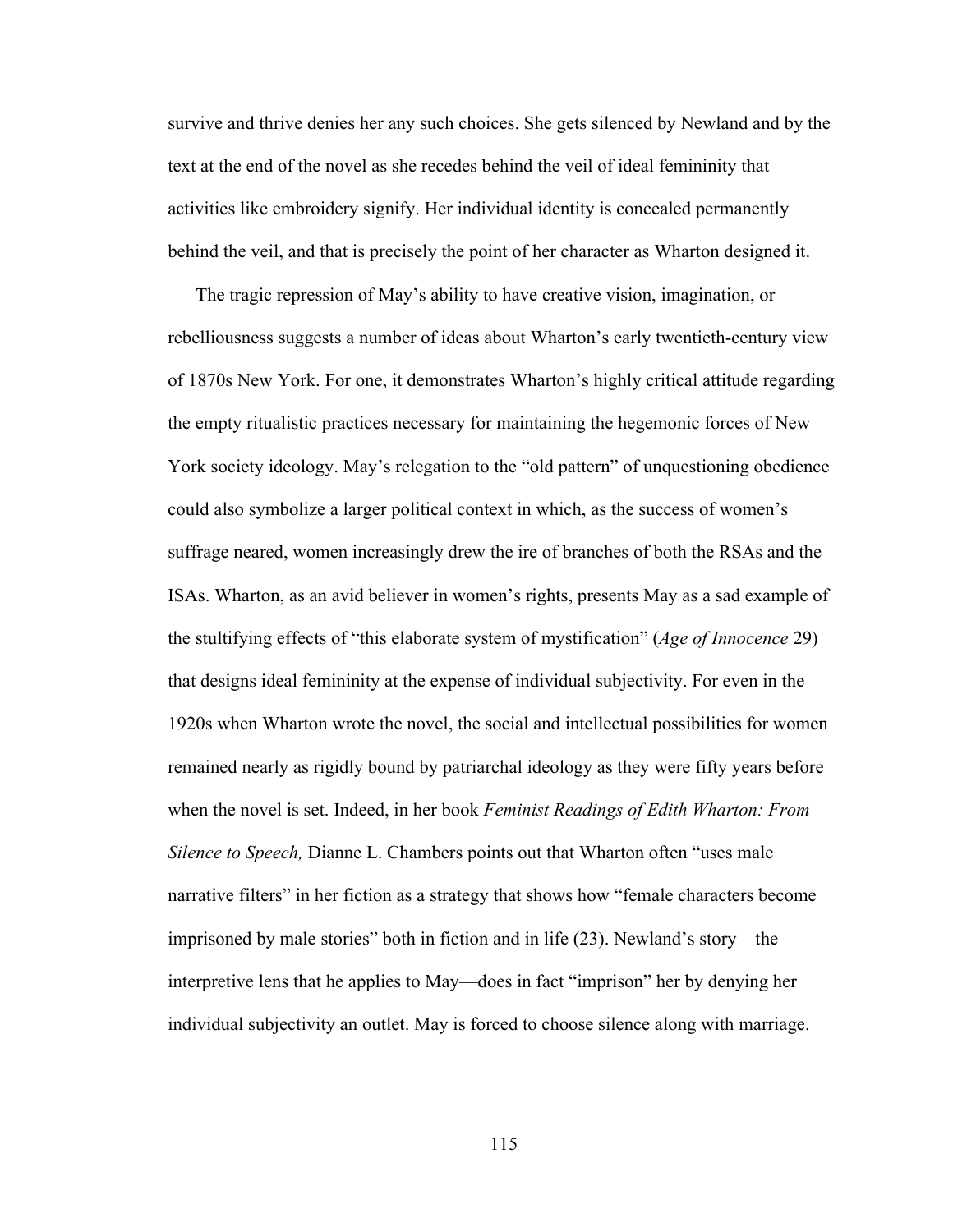survive and thrive denies her any such choices. She gets silenced by Newland and by the text at the end of the novel as she recedes behind the veil of ideal femininity that activities like embroidery signify. Her individual identity is concealed permanently behind the veil, and that is precisely the point of her character as Wharton designed it.

The tragic repression of May's ability to have creative vision, imagination, or rebelliousness suggests a number of ideas about Wharton's early twentieth-century view of 1870s New York. For one, it demonstrates Wharton's highly critical attitude regarding the empty ritualistic practices necessary for maintaining the hegemonic forces of New York society ideology. May's relegation to the "old pattern" of unquestioning obedience could also symbolize a larger political context in which, as the success of women's suffrage neared, women increasingly drew the ire of branches of both the RSAs and the ISAs. Wharton, as an avid believer in women's rights, presents May as a sad example of the stultifying effects of "this elaborate system of mystification" (*Age of Innocence* 29) that designs ideal femininity at the expense of individual subjectivity. For even in the 1920s when Wharton wrote the novel, the social and intellectual possibilities for women remained nearly as rigidly bound by patriarchal ideology as they were fifty years before when the novel is set. Indeed, in her book *Feminist Readings of Edith Wharton: From Silence to Speech,* Dianne L. Chambers points out that Wharton often "uses male narrative filters" in her fiction as a strategy that shows how "female characters become imprisoned by male stories" both in fiction and in life (23). Newland's story—the interpretive lens that he applies to May—does in fact "imprison" her by denying her individual subjectivity an outlet. May is forced to choose silence along with marriage.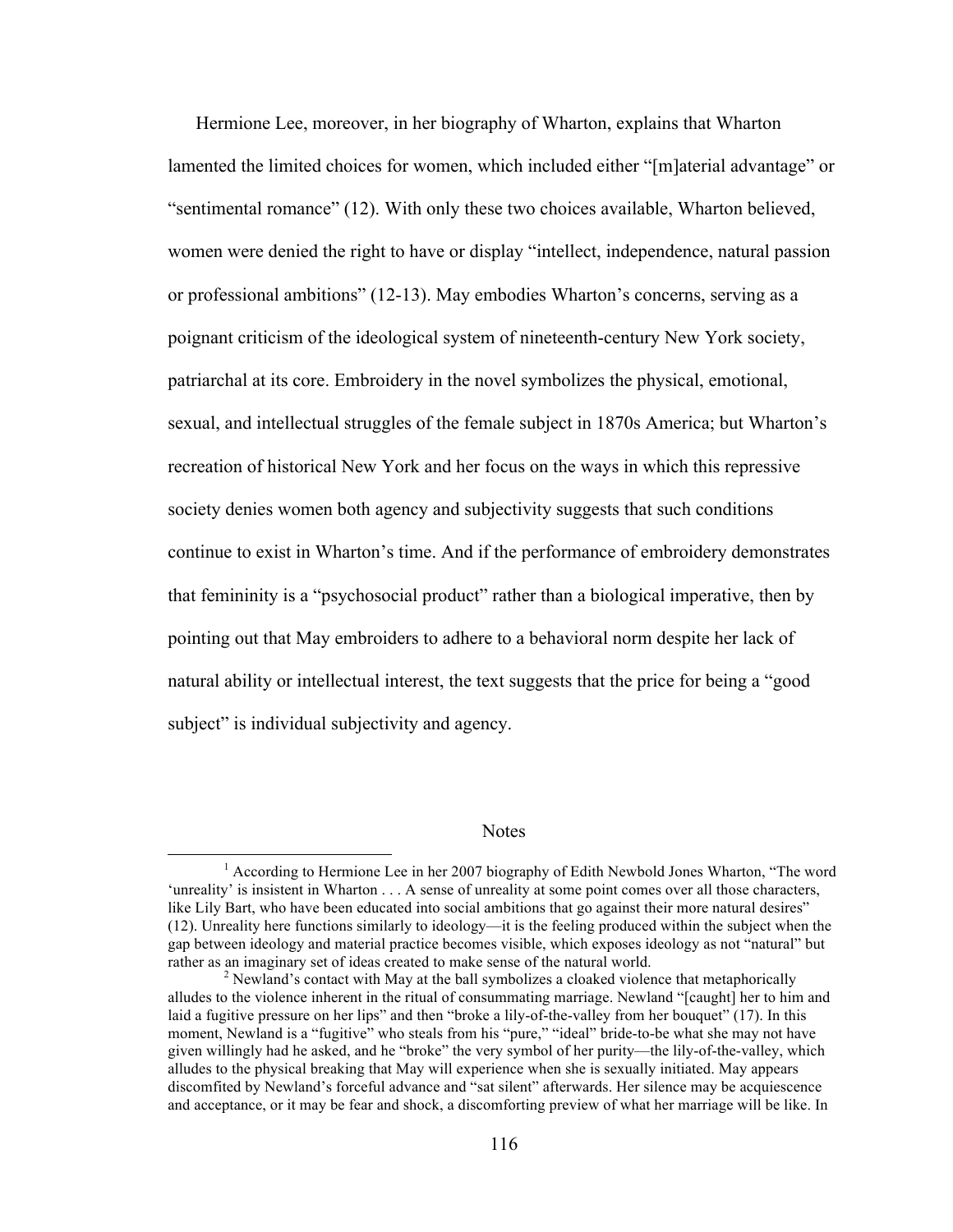Hermione Lee, moreover, in her biography of Wharton, explains that Wharton lamented the limited choices for women, which included either "[m]aterial advantage" or "sentimental romance" (12). With only these two choices available, Wharton believed, women were denied the right to have or display "intellect, independence, natural passion or professional ambitions" (12-13). May embodies Wharton's concerns, serving as a poignant criticism of the ideological system of nineteenth-century New York society, patriarchal at its core. Embroidery in the novel symbolizes the physical, emotional, sexual, and intellectual struggles of the female subject in 1870s America; but Wharton's recreation of historical New York and her focus on the ways in which this repressive society denies women both agency and subjectivity suggests that such conditions continue to exist in Wharton's time. And if the performance of embroidery demonstrates that femininity is a "psychosocial product" rather than a biological imperative, then by pointing out that May embroiders to adhere to a behavioral norm despite her lack of natural ability or intellectual interest, the text suggests that the price for being a "good subject" is individual subjectivity and agency.

#### Notes

<sup>&</sup>lt;sup>1</sup> According to Hermione Lee in her 2007 biography of Edith Newbold Jones Wharton, "The word 'unreality' is insistent in Wharton . . . A sense of unreality at some point comes over all those characters, like Lily Bart, who have been educated into social ambitions that go against their more natural desires" (12). Unreality here functions similarly to ideology—it is the feeling produced within the subject when the gap between ideology and material practice becomes visible, which exposes ideology as not "natural" but rather as an imaginary set of ideas created to make sense of the natural world.<br><sup>2</sup> Newland's contact with May at the ball symbolizes a cloaked violence that metaphorically

alludes to the violence inherent in the ritual of consummating marriage. Newland "[caught] her to him and laid a fugitive pressure on her lips" and then "broke a lily-of-the-valley from her bouquet" (17). In this moment, Newland is a "fugitive" who steals from his "pure," "ideal" bride-to-be what she may not have given willingly had he asked, and he "broke" the very symbol of her purity—the lily-of-the-valley, which alludes to the physical breaking that May will experience when she is sexually initiated. May appears discomfited by Newland's forceful advance and "sat silent" afterwards. Her silence may be acquiescence and acceptance, or it may be fear and shock, a discomforting preview of what her marriage will be like. In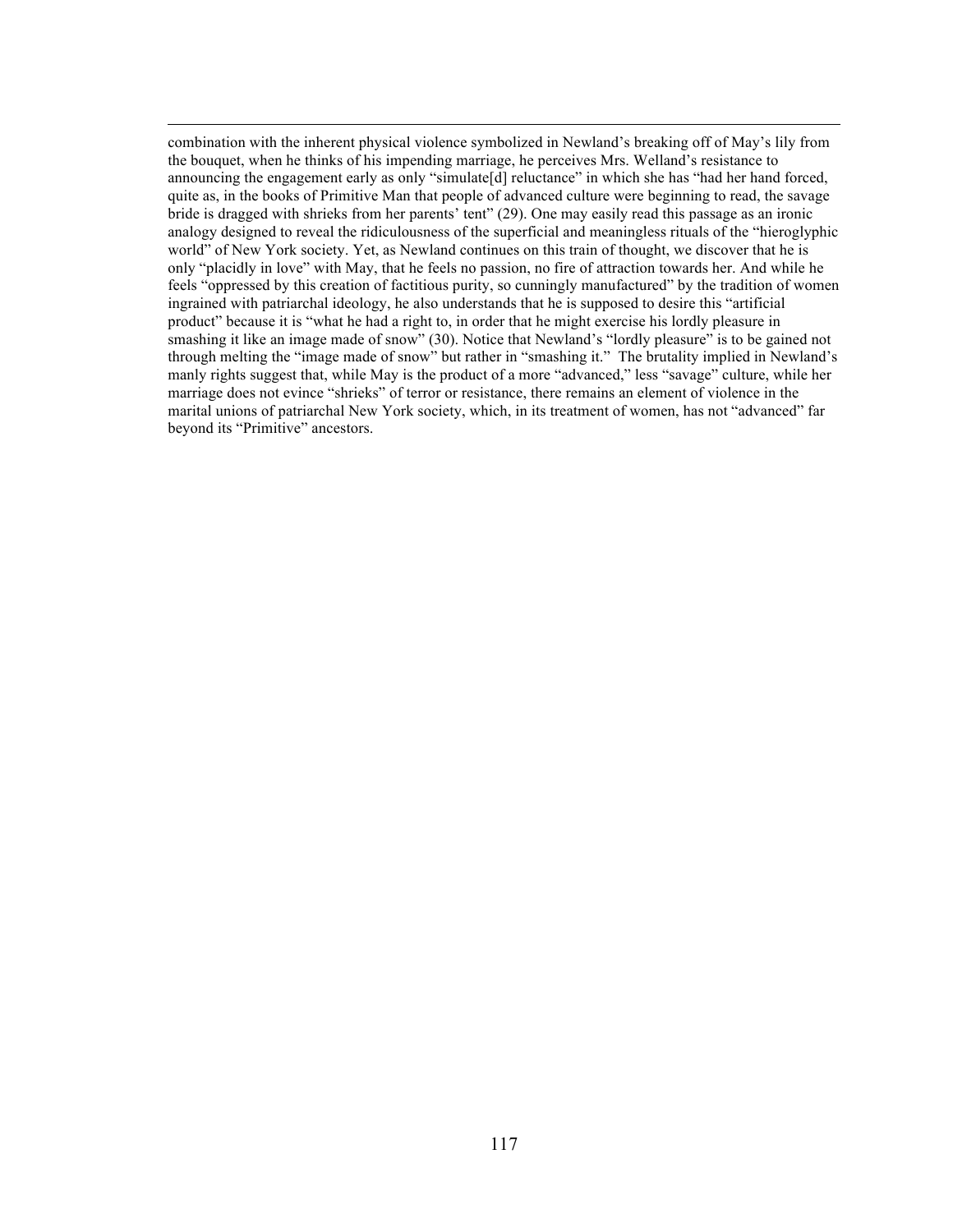combination with the inherent physical violence symbolized in Newland's breaking off of May's lily from the bouquet, when he thinks of his impending marriage, he perceives Mrs. Welland's resistance to announcing the engagement early as only "simulate[d] reluctance" in which she has "had her hand forced, quite as, in the books of Primitive Man that people of advanced culture were beginning to read, the savage bride is dragged with shrieks from her parents' tent" (29). One may easily read this passage as an ironic analogy designed to reveal the ridiculousness of the superficial and meaningless rituals of the "hieroglyphic world" of New York society. Yet, as Newland continues on this train of thought, we discover that he is only "placidly in love" with May, that he feels no passion, no fire of attraction towards her. And while he feels "oppressed by this creation of factitious purity, so cunningly manufactured" by the tradition of women ingrained with patriarchal ideology, he also understands that he is supposed to desire this "artificial product" because it is "what he had a right to, in order that he might exercise his lordly pleasure in smashing it like an image made of snow" (30). Notice that Newland's "lordly pleasure" is to be gained not through melting the "image made of snow" but rather in "smashing it." The brutality implied in Newland's manly rights suggest that, while May is the product of a more "advanced," less "savage" culture, while her marriage does not evince "shrieks" of terror or resistance, there remains an element of violence in the marital unions of patriarchal New York society, which, in its treatment of women, has not "advanced" far beyond its "Primitive" ancestors.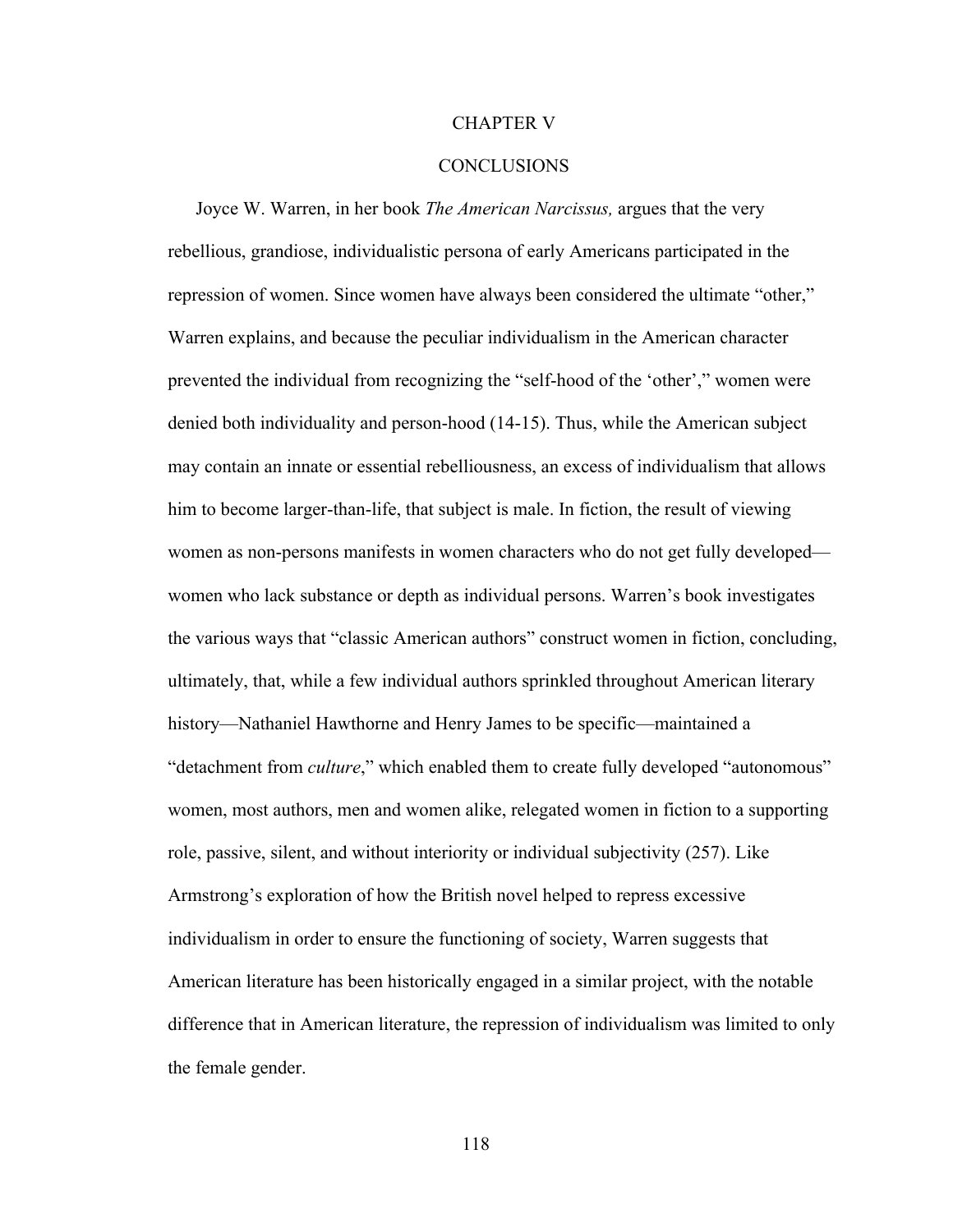#### CHAPTER V

## CONCLUSIONS

Joyce W. Warren, in her book *The American Narcissus,* argues that the very rebellious, grandiose, individualistic persona of early Americans participated in the repression of women. Since women have always been considered the ultimate "other," Warren explains, and because the peculiar individualism in the American character prevented the individual from recognizing the "self-hood of the 'other'," women were denied both individuality and person-hood (14-15). Thus, while the American subject may contain an innate or essential rebelliousness, an excess of individualism that allows him to become larger-than-life, that subject is male. In fiction, the result of viewing women as non-persons manifests in women characters who do not get fully developed women who lack substance or depth as individual persons. Warren's book investigates the various ways that "classic American authors" construct women in fiction, concluding, ultimately, that, while a few individual authors sprinkled throughout American literary history—Nathaniel Hawthorne and Henry James to be specific—maintained a "detachment from *culture*," which enabled them to create fully developed "autonomous" women, most authors, men and women alike, relegated women in fiction to a supporting role, passive, silent, and without interiority or individual subjectivity (257). Like Armstrong's exploration of how the British novel helped to repress excessive individualism in order to ensure the functioning of society, Warren suggests that American literature has been historically engaged in a similar project, with the notable difference that in American literature, the repression of individualism was limited to only the female gender.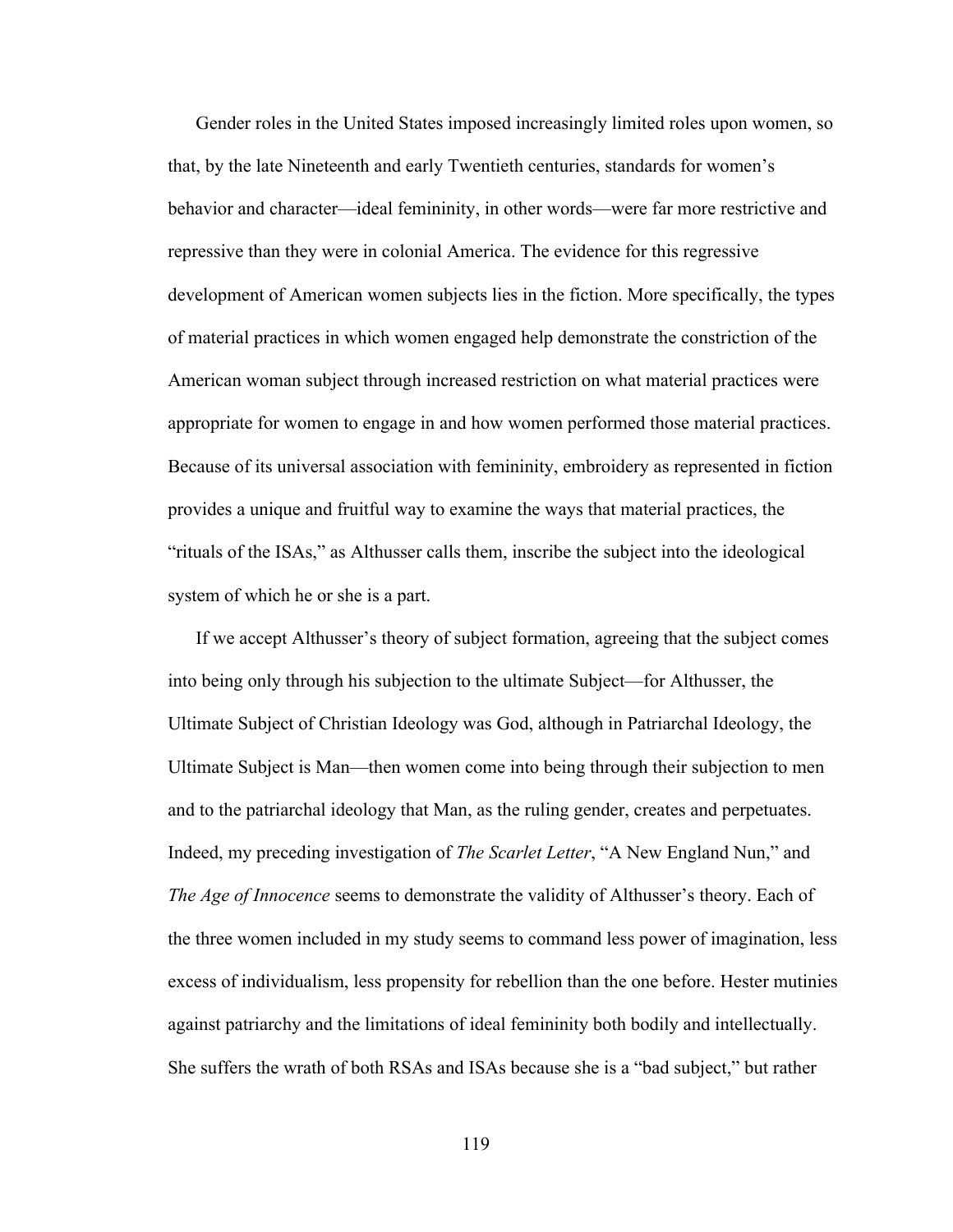Gender roles in the United States imposed increasingly limited roles upon women, so that, by the late Nineteenth and early Twentieth centuries, standards for women's behavior and character—ideal femininity, in other words—were far more restrictive and repressive than they were in colonial America. The evidence for this regressive development of American women subjects lies in the fiction. More specifically, the types of material practices in which women engaged help demonstrate the constriction of the American woman subject through increased restriction on what material practices were appropriate for women to engage in and how women performed those material practices. Because of its universal association with femininity, embroidery as represented in fiction provides a unique and fruitful way to examine the ways that material practices, the "rituals of the ISAs," as Althusser calls them, inscribe the subject into the ideological system of which he or she is a part.

If we accept Althusser's theory of subject formation, agreeing that the subject comes into being only through his subjection to the ultimate Subject—for Althusser, the Ultimate Subject of Christian Ideology was God, although in Patriarchal Ideology, the Ultimate Subject is Man—then women come into being through their subjection to men and to the patriarchal ideology that Man, as the ruling gender, creates and perpetuates. Indeed, my preceding investigation of *The Scarlet Letter*, "A New England Nun," and *The Age of Innocence* seems to demonstrate the validity of Althusser's theory. Each of the three women included in my study seems to command less power of imagination, less excess of individualism, less propensity for rebellion than the one before. Hester mutinies against patriarchy and the limitations of ideal femininity both bodily and intellectually. She suffers the wrath of both RSAs and ISAs because she is a "bad subject," but rather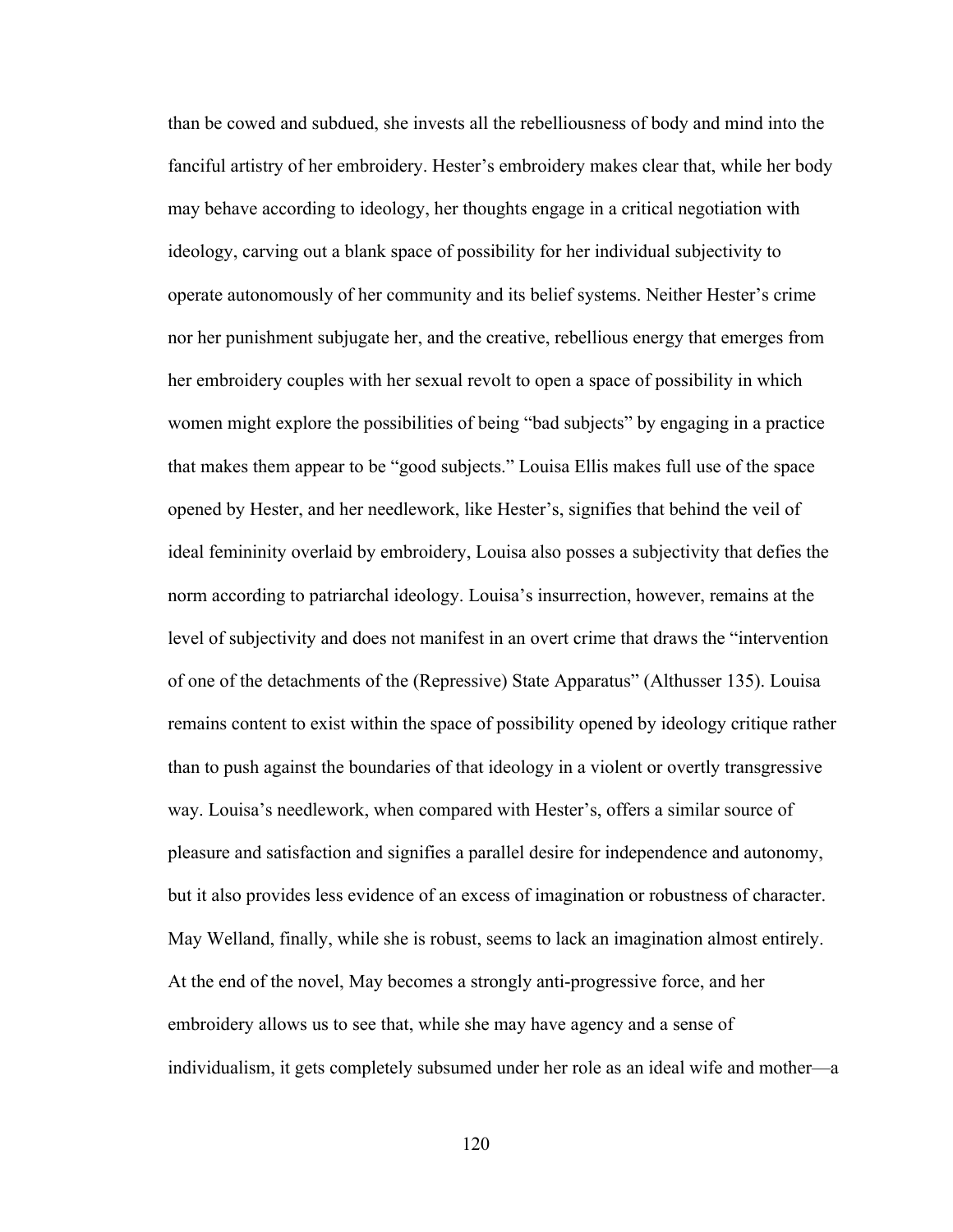than be cowed and subdued, she invests all the rebelliousness of body and mind into the fanciful artistry of her embroidery. Hester's embroidery makes clear that, while her body may behave according to ideology, her thoughts engage in a critical negotiation with ideology, carving out a blank space of possibility for her individual subjectivity to operate autonomously of her community and its belief systems. Neither Hester's crime nor her punishment subjugate her, and the creative, rebellious energy that emerges from her embroidery couples with her sexual revolt to open a space of possibility in which women might explore the possibilities of being "bad subjects" by engaging in a practice that makes them appear to be "good subjects." Louisa Ellis makes full use of the space opened by Hester, and her needlework, like Hester's, signifies that behind the veil of ideal femininity overlaid by embroidery, Louisa also posses a subjectivity that defies the norm according to patriarchal ideology. Louisa's insurrection, however, remains at the level of subjectivity and does not manifest in an overt crime that draws the "intervention of one of the detachments of the (Repressive) State Apparatus" (Althusser 135). Louisa remains content to exist within the space of possibility opened by ideology critique rather than to push against the boundaries of that ideology in a violent or overtly transgressive way. Louisa's needlework, when compared with Hester's, offers a similar source of pleasure and satisfaction and signifies a parallel desire for independence and autonomy, but it also provides less evidence of an excess of imagination or robustness of character. May Welland, finally, while she is robust, seems to lack an imagination almost entirely. At the end of the novel, May becomes a strongly anti-progressive force, and her embroidery allows us to see that, while she may have agency and a sense of individualism, it gets completely subsumed under her role as an ideal wife and mother—a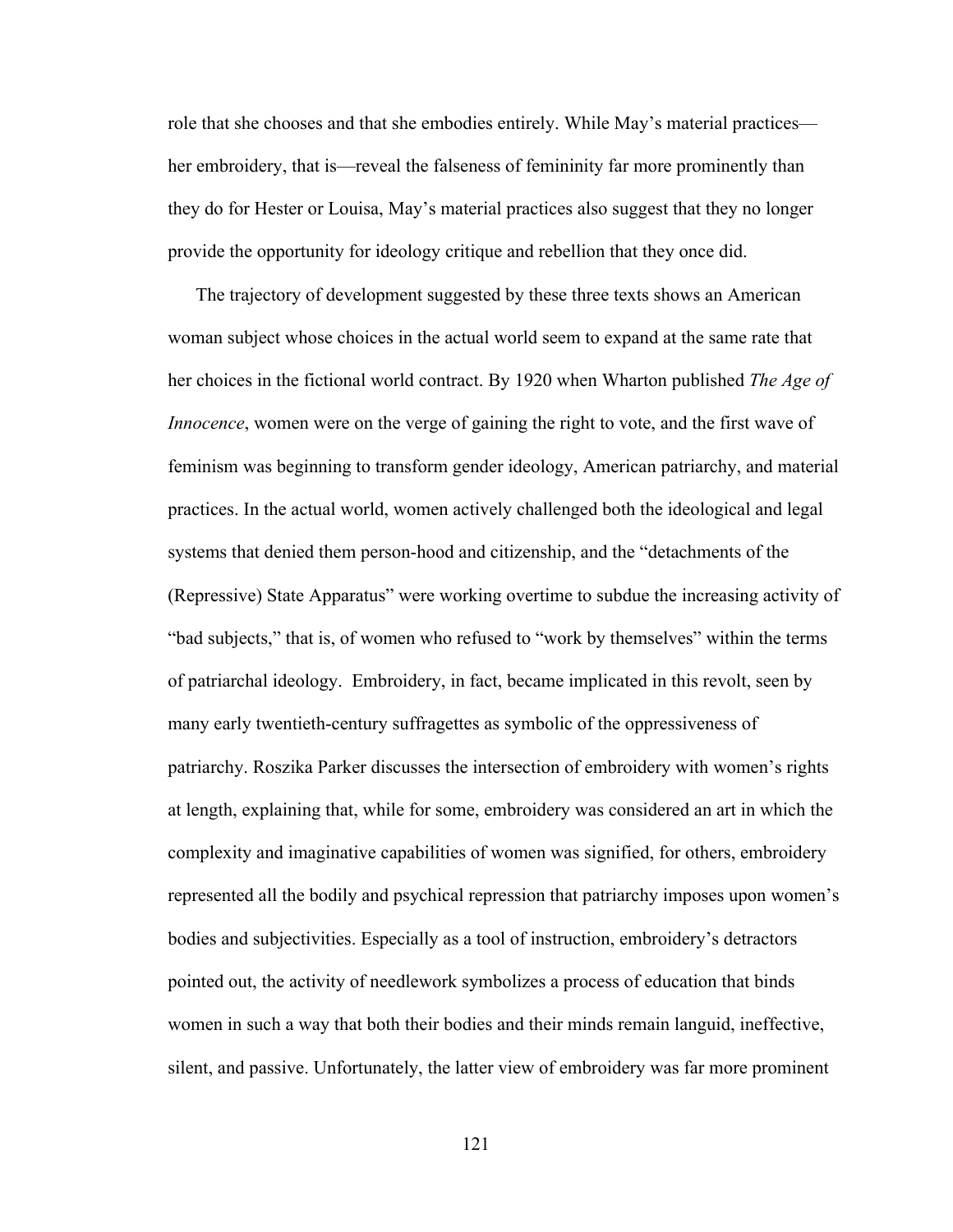role that she chooses and that she embodies entirely. While May's material practices her embroidery, that is—reveal the falseness of femininity far more prominently than they do for Hester or Louisa, May's material practices also suggest that they no longer provide the opportunity for ideology critique and rebellion that they once did.

The trajectory of development suggested by these three texts shows an American woman subject whose choices in the actual world seem to expand at the same rate that her choices in the fictional world contract. By 1920 when Wharton published *The Age of Innocence*, women were on the verge of gaining the right to vote, and the first wave of feminism was beginning to transform gender ideology, American patriarchy, and material practices. In the actual world, women actively challenged both the ideological and legal systems that denied them person-hood and citizenship, and the "detachments of the (Repressive) State Apparatus" were working overtime to subdue the increasing activity of "bad subjects," that is, of women who refused to "work by themselves" within the terms of patriarchal ideology. Embroidery, in fact, became implicated in this revolt, seen by many early twentieth-century suffragettes as symbolic of the oppressiveness of patriarchy. Roszika Parker discusses the intersection of embroidery with women's rights at length, explaining that, while for some, embroidery was considered an art in which the complexity and imaginative capabilities of women was signified, for others, embroidery represented all the bodily and psychical repression that patriarchy imposes upon women's bodies and subjectivities. Especially as a tool of instruction, embroidery's detractors pointed out, the activity of needlework symbolizes a process of education that binds women in such a way that both their bodies and their minds remain languid, ineffective, silent, and passive. Unfortunately, the latter view of embroidery was far more prominent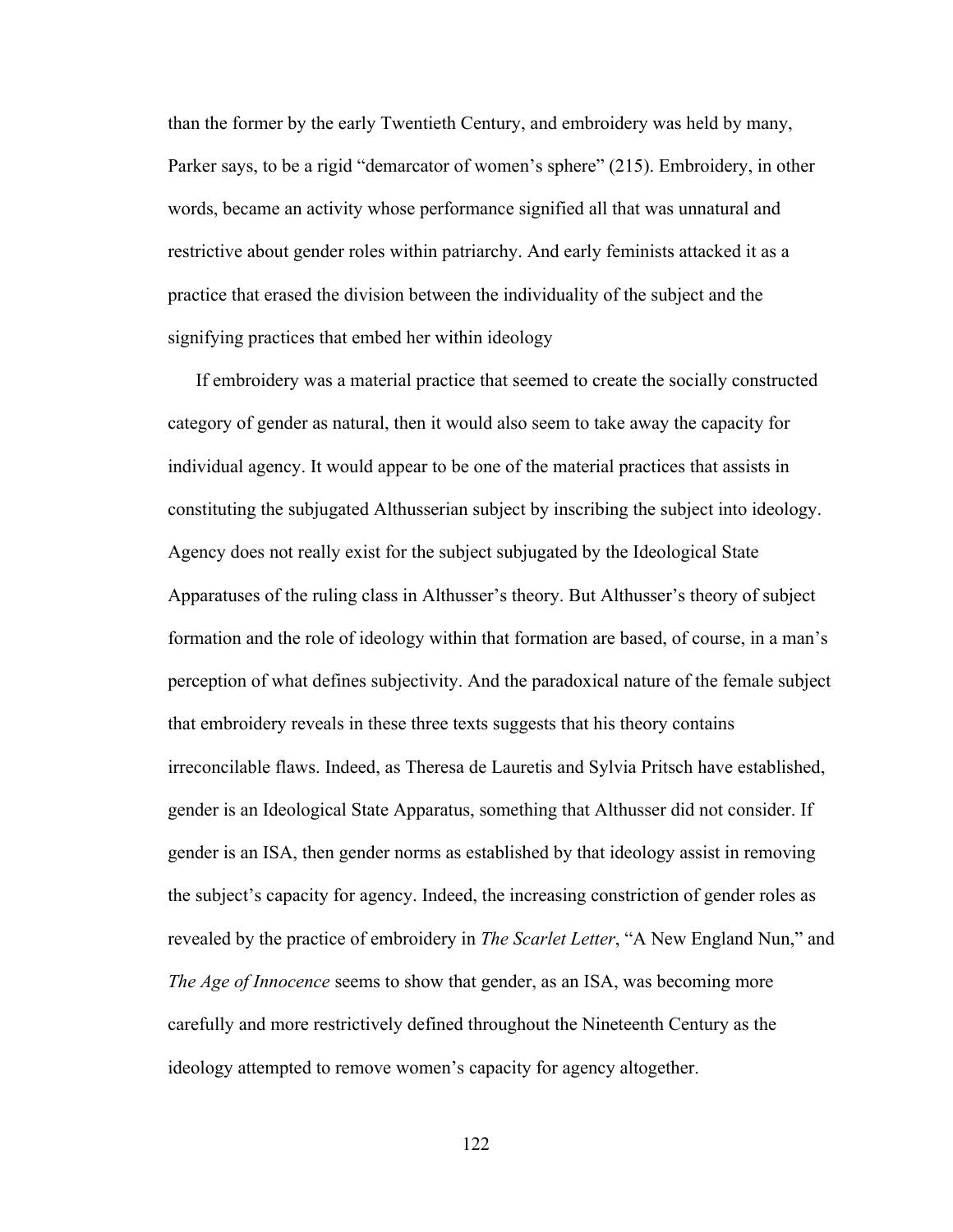than the former by the early Twentieth Century, and embroidery was held by many, Parker says, to be a rigid "demarcator of women's sphere" (215). Embroidery, in other words, became an activity whose performance signified all that was unnatural and restrictive about gender roles within patriarchy. And early feminists attacked it as a practice that erased the division between the individuality of the subject and the signifying practices that embed her within ideology

If embroidery was a material practice that seemed to create the socially constructed category of gender as natural, then it would also seem to take away the capacity for individual agency. It would appear to be one of the material practices that assists in constituting the subjugated Althusserian subject by inscribing the subject into ideology. Agency does not really exist for the subject subjugated by the Ideological State Apparatuses of the ruling class in Althusser's theory. But Althusser's theory of subject formation and the role of ideology within that formation are based, of course, in a man's perception of what defines subjectivity. And the paradoxical nature of the female subject that embroidery reveals in these three texts suggests that his theory contains irreconcilable flaws. Indeed, as Theresa de Lauretis and Sylvia Pritsch have established, gender is an Ideological State Apparatus, something that Althusser did not consider. If gender is an ISA, then gender norms as established by that ideology assist in removing the subject's capacity for agency. Indeed, the increasing constriction of gender roles as revealed by the practice of embroidery in *The Scarlet Letter*, "A New England Nun," and *The Age of Innocence* seems to show that gender, as an ISA, was becoming more carefully and more restrictively defined throughout the Nineteenth Century as the ideology attempted to remove women's capacity for agency altogether.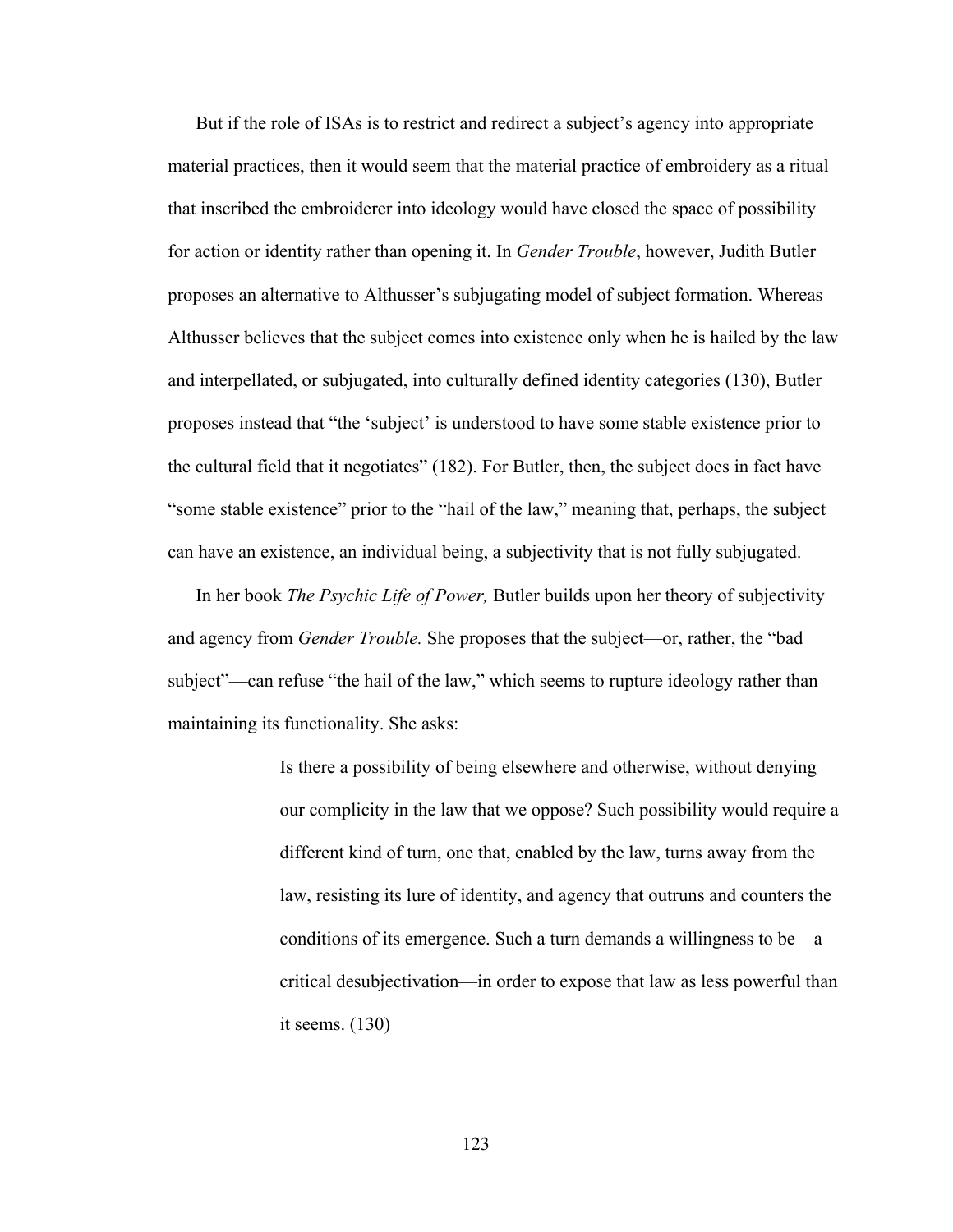But if the role of ISAs is to restrict and redirect a subject's agency into appropriate material practices, then it would seem that the material practice of embroidery as a ritual that inscribed the embroiderer into ideology would have closed the space of possibility for action or identity rather than opening it. In *Gender Trouble*, however, Judith Butler proposes an alternative to Althusser's subjugating model of subject formation. Whereas Althusser believes that the subject comes into existence only when he is hailed by the law and interpellated, or subjugated, into culturally defined identity categories (130), Butler proposes instead that "the 'subject' is understood to have some stable existence prior to the cultural field that it negotiates" (182). For Butler, then, the subject does in fact have "some stable existence" prior to the "hail of the law," meaning that, perhaps, the subject can have an existence, an individual being, a subjectivity that is not fully subjugated.

In her book *The Psychic Life of Power,* Butler builds upon her theory of subjectivity and agency from *Gender Trouble.* She proposes that the subject—or, rather, the "bad subject"—can refuse "the hail of the law," which seems to rupture ideology rather than maintaining its functionality. She asks:

> Is there a possibility of being elsewhere and otherwise, without denying our complicity in the law that we oppose? Such possibility would require a different kind of turn, one that, enabled by the law, turns away from the law, resisting its lure of identity, and agency that outruns and counters the conditions of its emergence. Such a turn demands a willingness to be—a critical desubjectivation—in order to expose that law as less powerful than it seems. (130)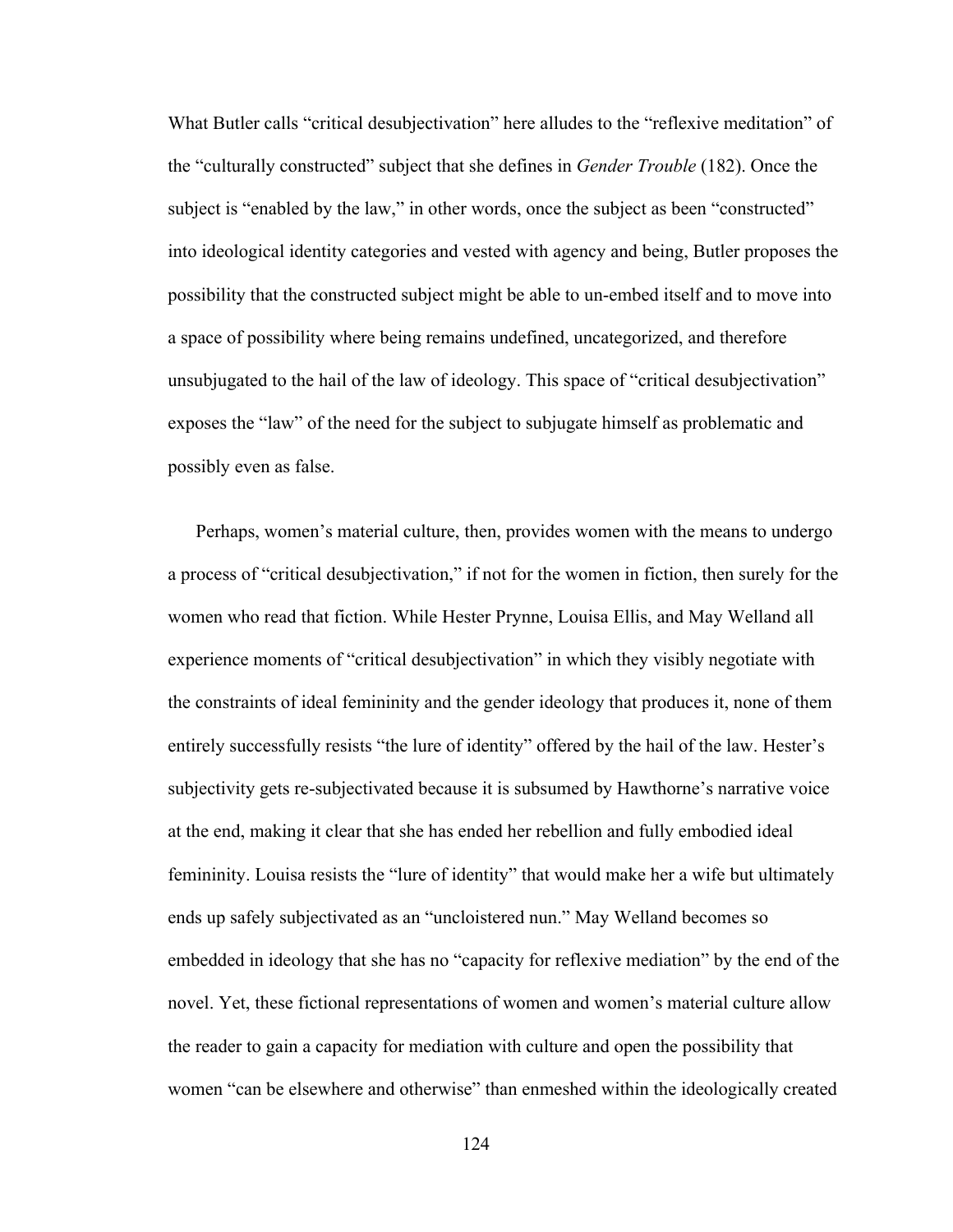What Butler calls "critical desubjectivation" here alludes to the "reflexive meditation" of the "culturally constructed" subject that she defines in *Gender Trouble* (182). Once the subject is "enabled by the law," in other words, once the subject as been "constructed" into ideological identity categories and vested with agency and being, Butler proposes the possibility that the constructed subject might be able to un-embed itself and to move into a space of possibility where being remains undefined, uncategorized, and therefore unsubjugated to the hail of the law of ideology. This space of "critical desubjectivation" exposes the "law" of the need for the subject to subjugate himself as problematic and possibly even as false.

Perhaps, women's material culture, then, provides women with the means to undergo a process of "critical desubjectivation," if not for the women in fiction, then surely for the women who read that fiction. While Hester Prynne, Louisa Ellis, and May Welland all experience moments of "critical desubjectivation" in which they visibly negotiate with the constraints of ideal femininity and the gender ideology that produces it, none of them entirely successfully resists "the lure of identity" offered by the hail of the law. Hester's subjectivity gets re-subjectivated because it is subsumed by Hawthorne's narrative voice at the end, making it clear that she has ended her rebellion and fully embodied ideal femininity. Louisa resists the "lure of identity" that would make her a wife but ultimately ends up safely subjectivated as an "uncloistered nun." May Welland becomes so embedded in ideology that she has no "capacity for reflexive mediation" by the end of the novel. Yet, these fictional representations of women and women's material culture allow the reader to gain a capacity for mediation with culture and open the possibility that women "can be elsewhere and otherwise" than enmeshed within the ideologically created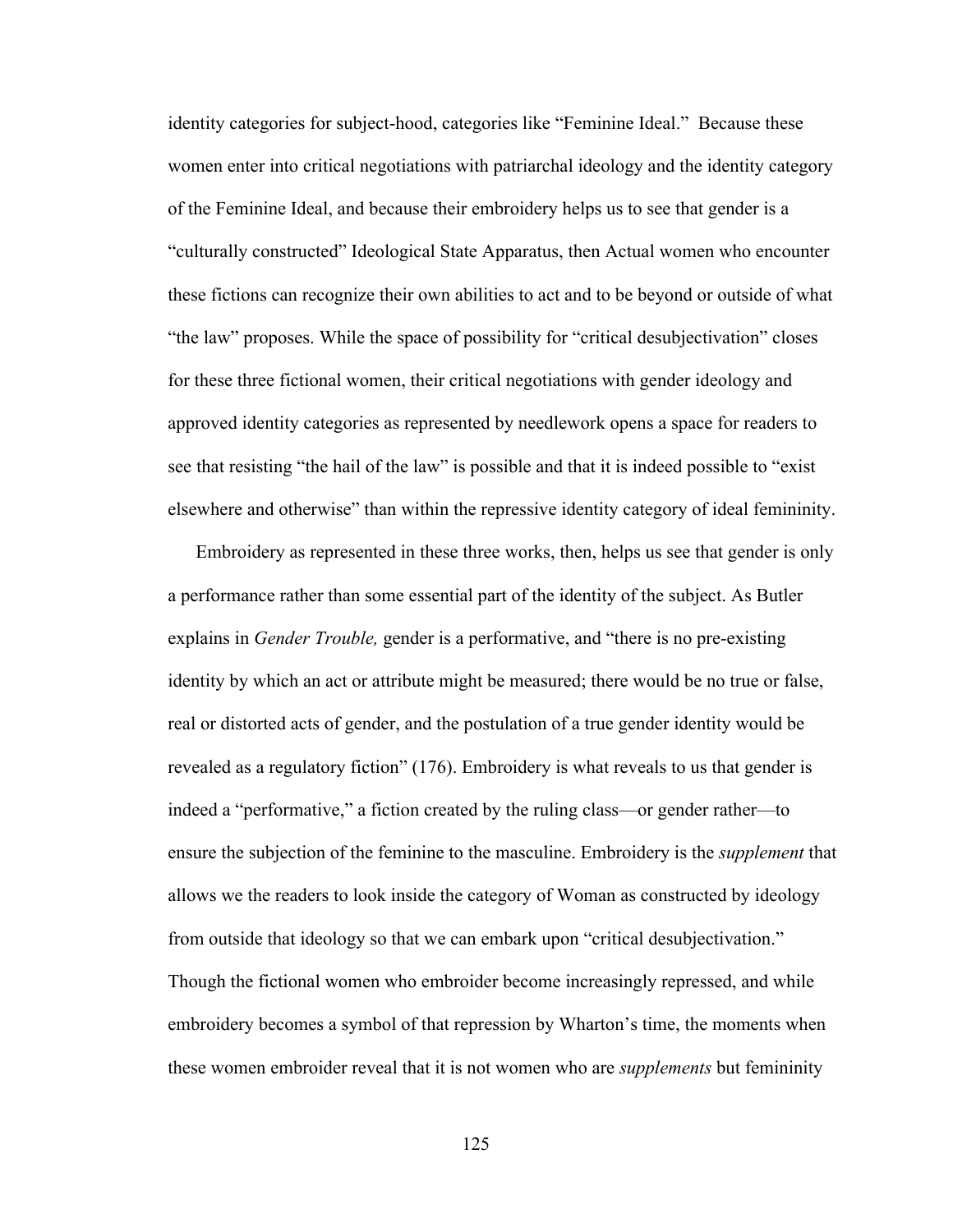identity categories for subject-hood, categories like "Feminine Ideal." Because these women enter into critical negotiations with patriarchal ideology and the identity category of the Feminine Ideal, and because their embroidery helps us to see that gender is a "culturally constructed" Ideological State Apparatus, then Actual women who encounter these fictions can recognize their own abilities to act and to be beyond or outside of what "the law" proposes. While the space of possibility for "critical desubjectivation" closes for these three fictional women, their critical negotiations with gender ideology and approved identity categories as represented by needlework opens a space for readers to see that resisting "the hail of the law" is possible and that it is indeed possible to "exist elsewhere and otherwise" than within the repressive identity category of ideal femininity.

Embroidery as represented in these three works, then, helps us see that gender is only a performance rather than some essential part of the identity of the subject. As Butler explains in *Gender Trouble,* gender is a performative, and "there is no pre-existing identity by which an act or attribute might be measured; there would be no true or false, real or distorted acts of gender, and the postulation of a true gender identity would be revealed as a regulatory fiction" (176). Embroidery is what reveals to us that gender is indeed a "performative," a fiction created by the ruling class—or gender rather—to ensure the subjection of the feminine to the masculine. Embroidery is the *supplement* that allows we the readers to look inside the category of Woman as constructed by ideology from outside that ideology so that we can embark upon "critical desubjectivation." Though the fictional women who embroider become increasingly repressed, and while embroidery becomes a symbol of that repression by Wharton's time, the moments when these women embroider reveal that it is not women who are *supplements* but femininity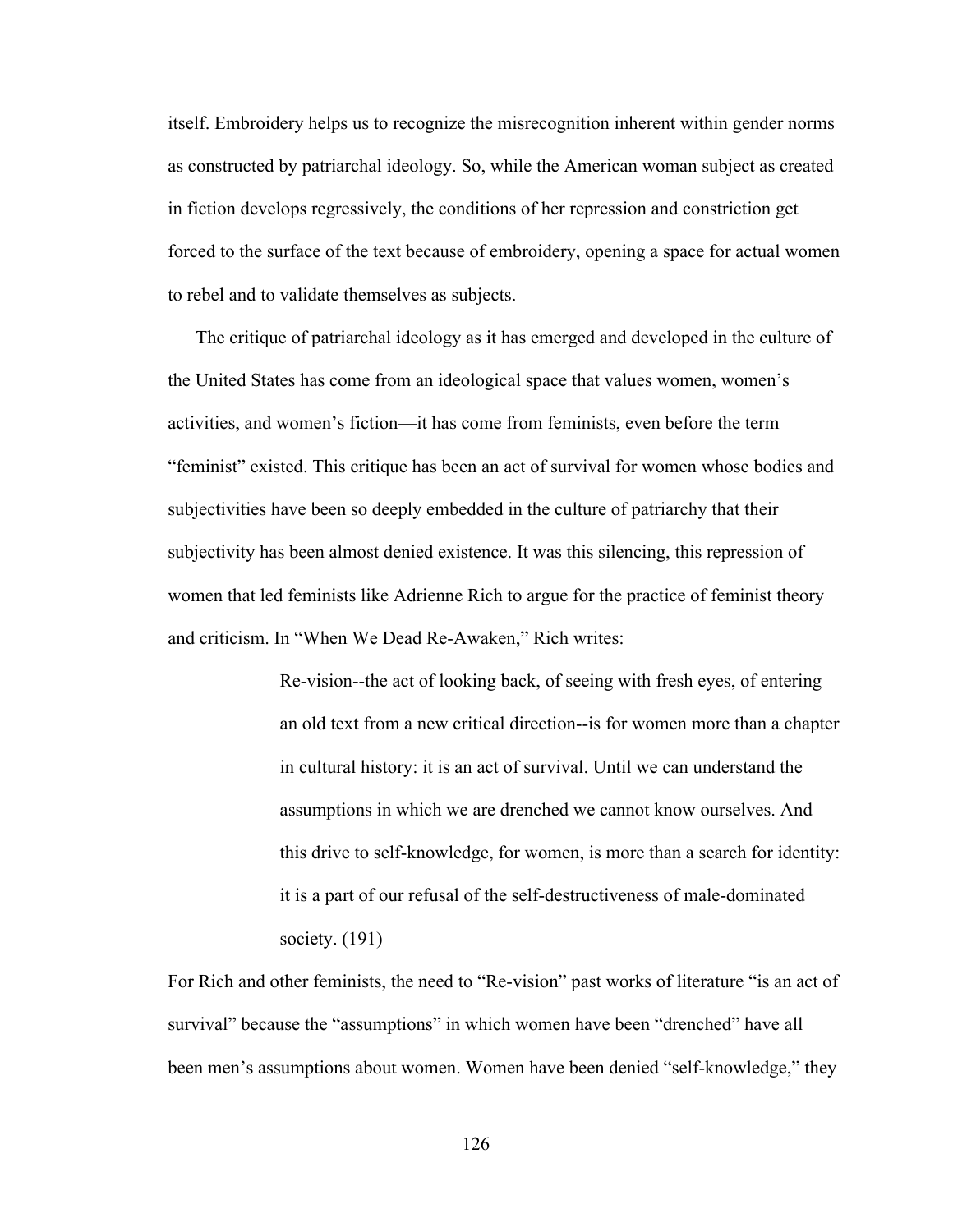itself. Embroidery helps us to recognize the misrecognition inherent within gender norms as constructed by patriarchal ideology. So, while the American woman subject as created in fiction develops regressively, the conditions of her repression and constriction get forced to the surface of the text because of embroidery, opening a space for actual women to rebel and to validate themselves as subjects.

The critique of patriarchal ideology as it has emerged and developed in the culture of the United States has come from an ideological space that values women, women's activities, and women's fiction—it has come from feminists, even before the term "feminist" existed. This critique has been an act of survival for women whose bodies and subjectivities have been so deeply embedded in the culture of patriarchy that their subjectivity has been almost denied existence. It was this silencing, this repression of women that led feminists like Adrienne Rich to argue for the practice of feminist theory and criticism. In "When We Dead Re-Awaken," Rich writes:

> Re-vision--the act of looking back, of seeing with fresh eyes, of entering an old text from a new critical direction--is for women more than a chapter in cultural history: it is an act of survival. Until we can understand the assumptions in which we are drenched we cannot know ourselves. And this drive to self-knowledge, for women, is more than a search for identity: it is a part of our refusal of the self-destructiveness of male-dominated society.  $(191)$

For Rich and other feminists, the need to "Re-vision" past works of literature "is an act of survival" because the "assumptions" in which women have been "drenched" have all been men's assumptions about women. Women have been denied "self-knowledge," they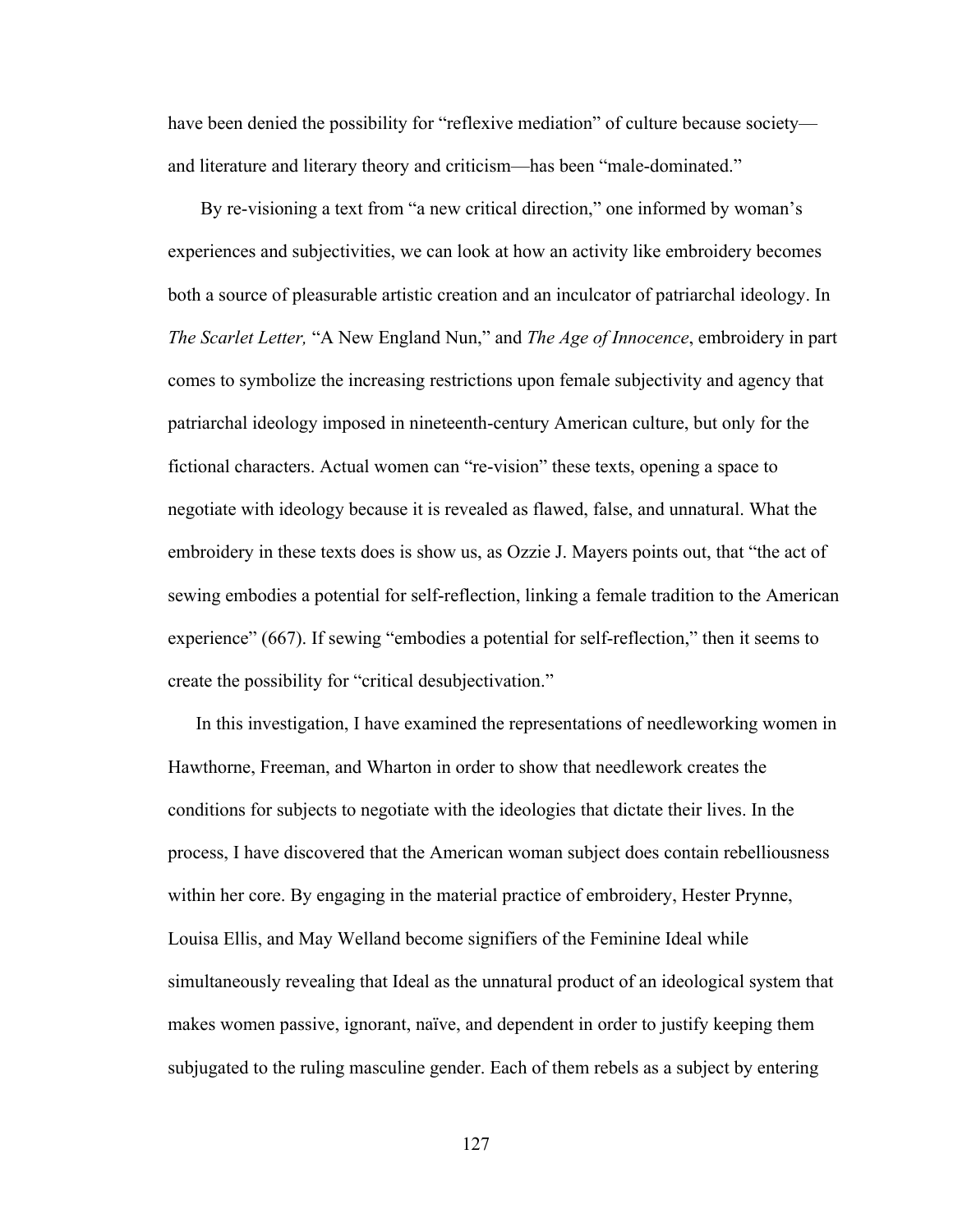have been denied the possibility for "reflexive mediation" of culture because society and literature and literary theory and criticism—has been "male-dominated."

By re-visioning a text from "a new critical direction," one informed by woman's experiences and subjectivities, we can look at how an activity like embroidery becomes both a source of pleasurable artistic creation and an inculcator of patriarchal ideology. In *The Scarlet Letter,* "A New England Nun," and *The Age of Innocence*, embroidery in part comes to symbolize the increasing restrictions upon female subjectivity and agency that patriarchal ideology imposed in nineteenth-century American culture, but only for the fictional characters. Actual women can "re-vision" these texts, opening a space to negotiate with ideology because it is revealed as flawed, false, and unnatural. What the embroidery in these texts does is show us, as Ozzie J. Mayers points out, that "the act of sewing embodies a potential for self-reflection, linking a female tradition to the American experience" (667). If sewing "embodies a potential for self-reflection," then it seems to create the possibility for "critical desubjectivation."

In this investigation, I have examined the representations of needleworking women in Hawthorne, Freeman, and Wharton in order to show that needlework creates the conditions for subjects to negotiate with the ideologies that dictate their lives. In the process, I have discovered that the American woman subject does contain rebelliousness within her core. By engaging in the material practice of embroidery, Hester Prynne, Louisa Ellis, and May Welland become signifiers of the Feminine Ideal while simultaneously revealing that Ideal as the unnatural product of an ideological system that makes women passive, ignorant, naïve, and dependent in order to justify keeping them subjugated to the ruling masculine gender. Each of them rebels as a subject by entering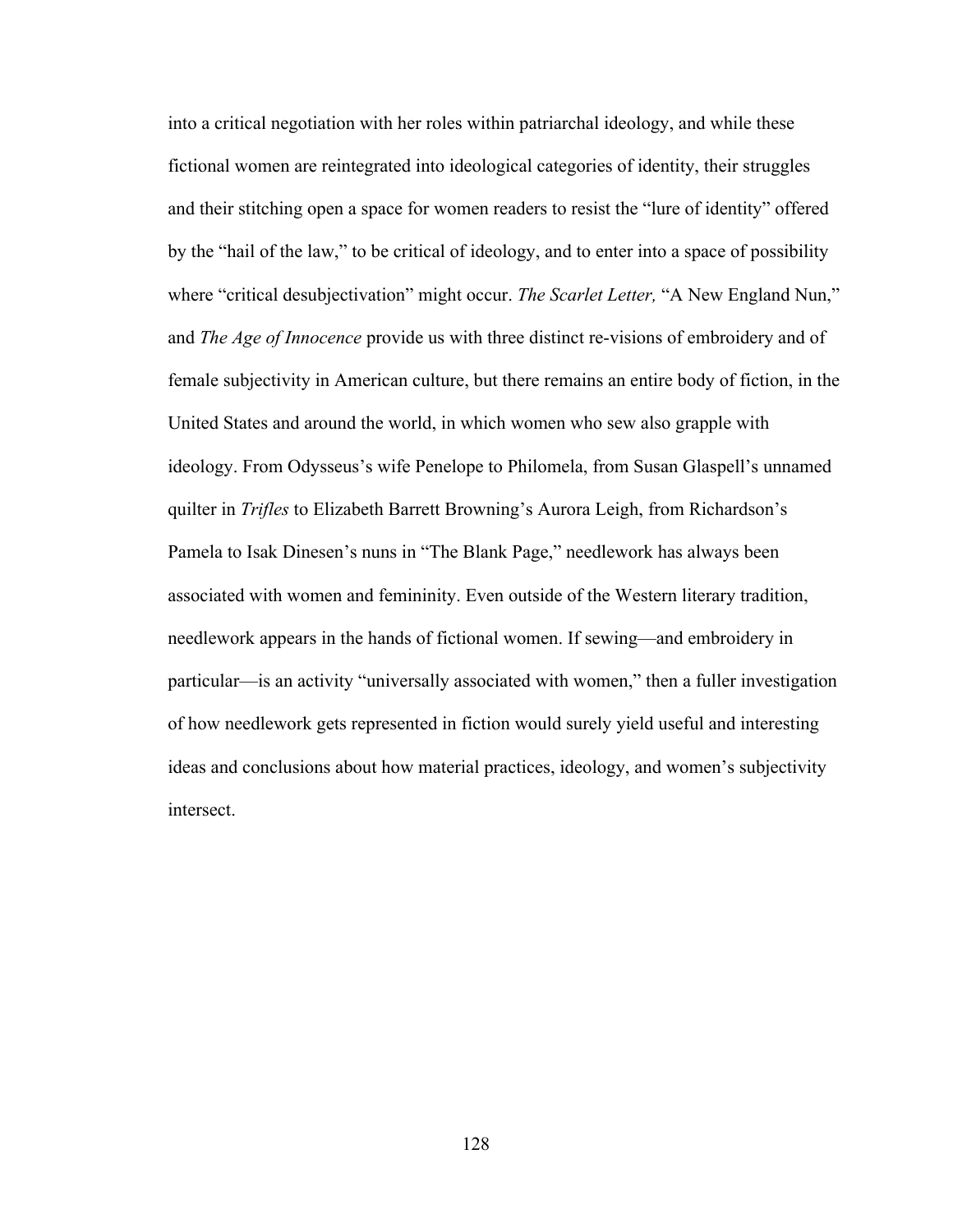into a critical negotiation with her roles within patriarchal ideology, and while these fictional women are reintegrated into ideological categories of identity, their struggles and their stitching open a space for women readers to resist the "lure of identity" offered by the "hail of the law," to be critical of ideology, and to enter into a space of possibility where "critical desubjectivation" might occur. *The Scarlet Letter*, "A New England Nun," and *The Age of Innocence* provide us with three distinct re-visions of embroidery and of female subjectivity in American culture, but there remains an entire body of fiction, in the United States and around the world, in which women who sew also grapple with ideology. From Odysseus's wife Penelope to Philomela, from Susan Glaspell's unnamed quilter in *Trifles* to Elizabeth Barrett Browning's Aurora Leigh, from Richardson's Pamela to Isak Dinesen's nuns in "The Blank Page," needlework has always been associated with women and femininity. Even outside of the Western literary tradition, needlework appears in the hands of fictional women. If sewing—and embroidery in particular—is an activity "universally associated with women," then a fuller investigation of how needlework gets represented in fiction would surely yield useful and interesting ideas and conclusions about how material practices, ideology, and women's subjectivity intersect.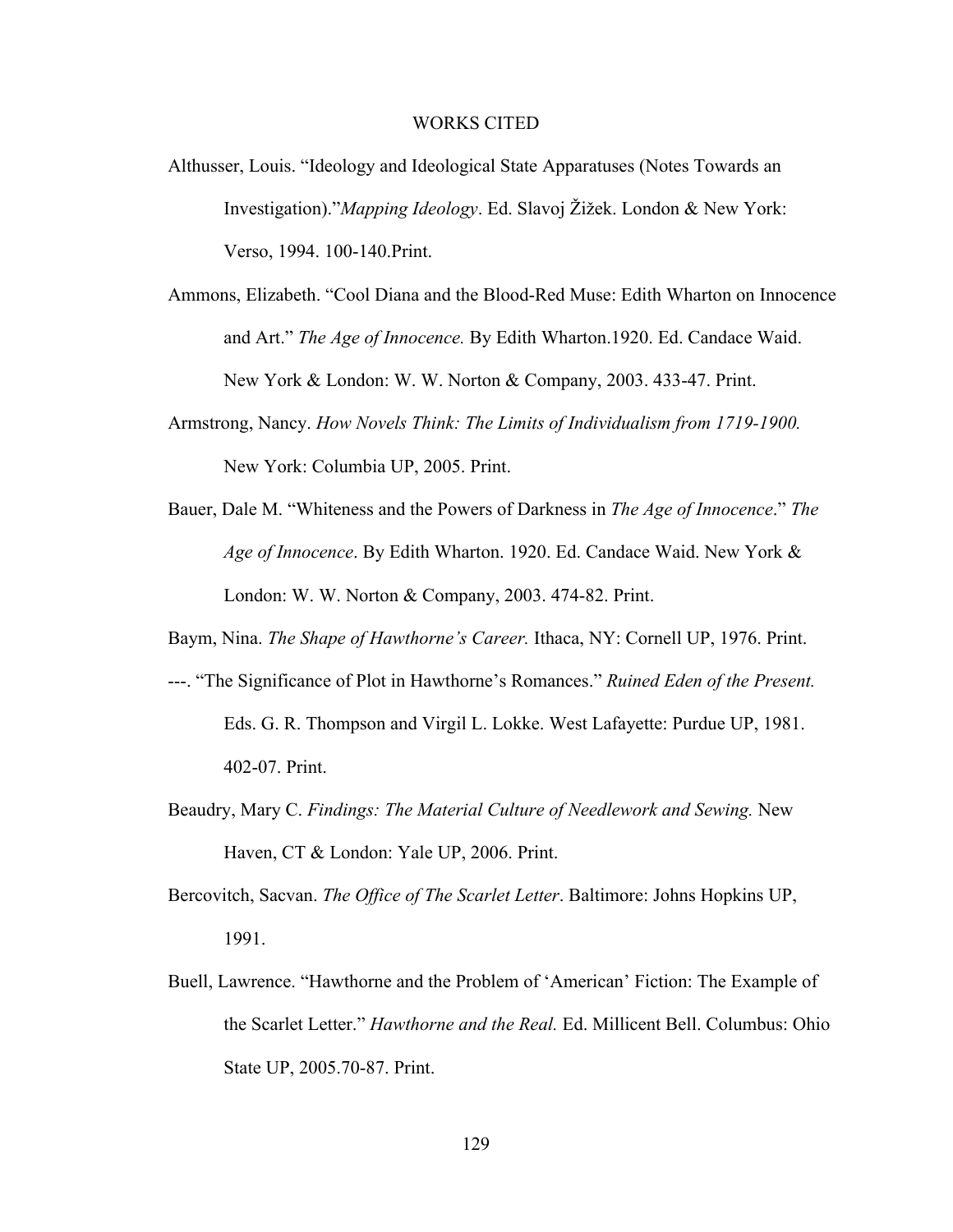### WORKS CITED

- Althusser, Louis. "Ideology and Ideological State Apparatuses (Notes Towards an Investigation)."*Mapping Ideology*. Ed. Slavoj Žižek. London & New York: Verso, 1994. 100-140.Print.
- Ammons, Elizabeth. "Cool Diana and the Blood-Red Muse: Edith Wharton on Innocence and Art." *The Age of Innocence.* By Edith Wharton.1920. Ed. Candace Waid. New York & London: W. W. Norton & Company, 2003. 433-47. Print.
- Armstrong, Nancy. *How Novels Think: The Limits of Individualism from 1719-1900.*  New York: Columbia UP, 2005. Print.
- Bauer, Dale M. "Whiteness and the Powers of Darkness in *The Age of Innocence*." *The Age of Innocence*. By Edith Wharton. 1920. Ed. Candace Waid. New York & London: W. W. Norton & Company, 2003. 474-82. Print.

Baym, Nina. *The Shape of Hawthorne's Career.* Ithaca, NY: Cornell UP, 1976. Print.

- ---. "The Significance of Plot in Hawthorne's Romances." *Ruined Eden of the Present.*  Eds. G. R. Thompson and Virgil L. Lokke. West Lafayette: Purdue UP, 1981. 402-07. Print.
- Beaudry, Mary C. *Findings: The Material Culture of Needlework and Sewing.* New Haven, CT & London: Yale UP, 2006. Print.
- Bercovitch, Sacvan. *The Office of The Scarlet Letter*. Baltimore: Johns Hopkins UP, 1991.
- Buell, Lawrence. "Hawthorne and the Problem of 'American' Fiction: The Example of the Scarlet Letter." *Hawthorne and the Real.* Ed. Millicent Bell. Columbus: Ohio State UP, 2005.70-87. Print.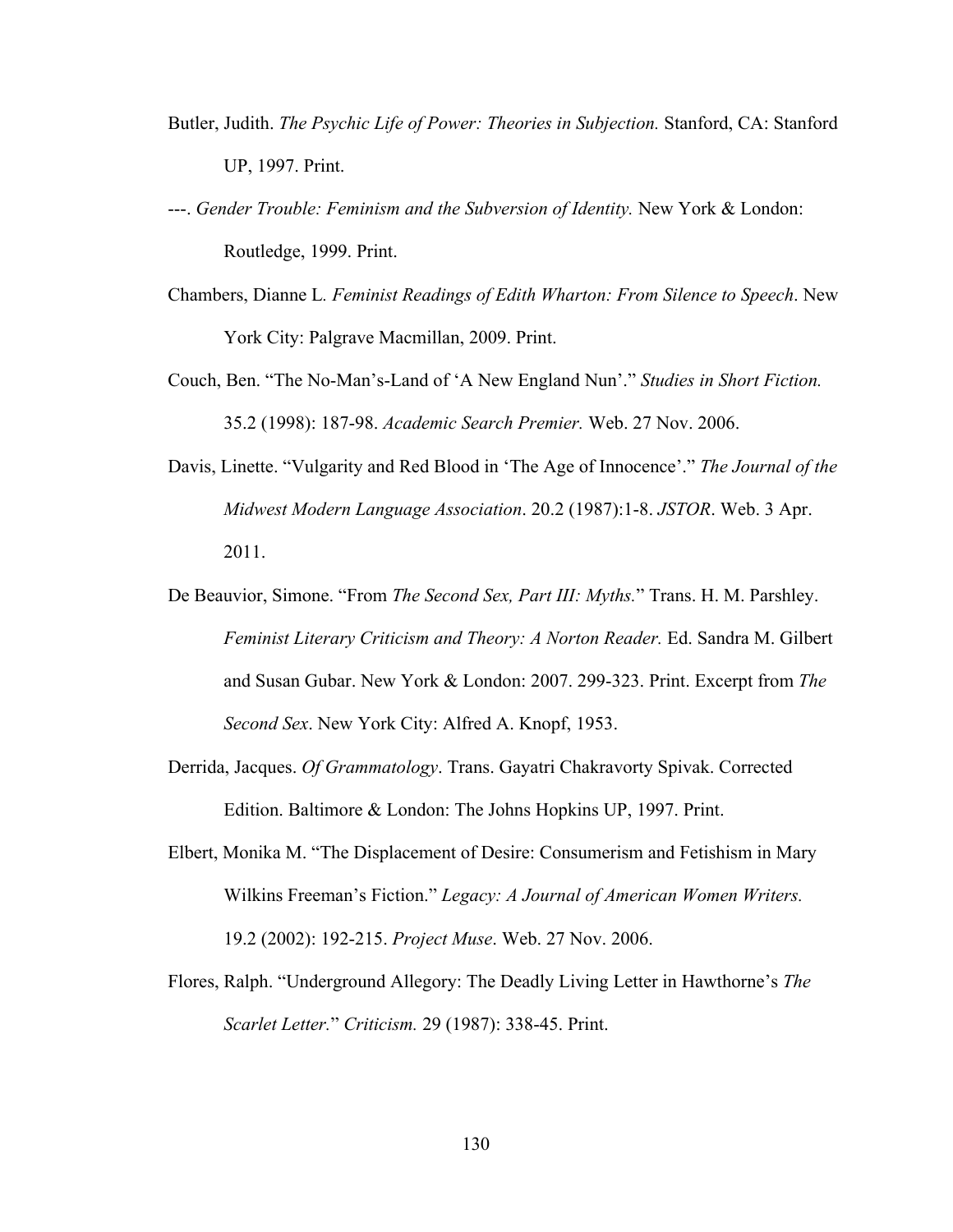- Butler, Judith. *The Psychic Life of Power: Theories in Subjection.* Stanford, CA: Stanford UP, 1997. Print.
- ---. *Gender Trouble: Feminism and the Subversion of Identity.* New York & London: Routledge, 1999. Print.
- Chambers, Dianne L*. Feminist Readings of Edith Wharton: From Silence to Speech*. New York City: Palgrave Macmillan, 2009. Print.
- Couch, Ben. "The No-Man's-Land of 'A New England Nun'." *Studies in Short Fiction.*  35.2 (1998): 187-98. *Academic Search Premier.* Web. 27 Nov. 2006.
- Davis, Linette. "Vulgarity and Red Blood in 'The Age of Innocence'." *The Journal of the Midwest Modern Language Association*. 20.2 (1987):1-8. *JSTOR*. Web. 3 Apr. 2011.
- De Beauvior, Simone. "From *The Second Sex, Part III: Myths.*" Trans. H. M. Parshley. *Feminist Literary Criticism and Theory: A Norton Reader.* Ed. Sandra M. Gilbert and Susan Gubar. New York & London: 2007. 299-323. Print. Excerpt from *The Second Sex*. New York City: Alfred A. Knopf, 1953.
- Derrida, Jacques. *Of Grammatology*. Trans. Gayatri Chakravorty Spivak. Corrected Edition. Baltimore & London: The Johns Hopkins UP, 1997. Print.
- Elbert, Monika M. "The Displacement of Desire: Consumerism and Fetishism in Mary Wilkins Freeman's Fiction." *Legacy: A Journal of American Women Writers.*  19.2 (2002): 192-215. *Project Muse*. Web. 27 Nov. 2006.
- Flores, Ralph. "Underground Allegory: The Deadly Living Letter in Hawthorne's *The Scarlet Letter.*" *Criticism.* 29 (1987): 338-45. Print.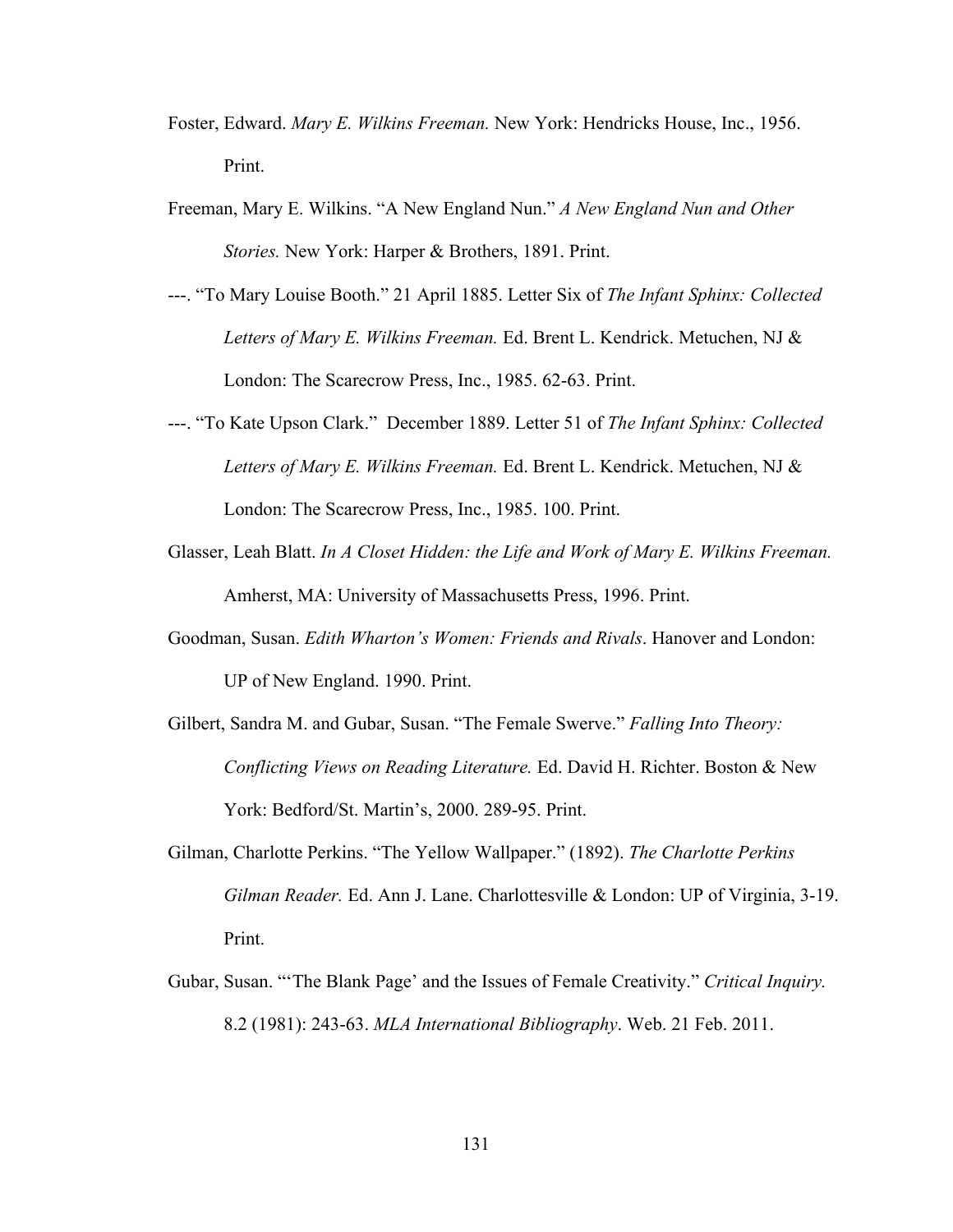- Foster, Edward. *Mary E. Wilkins Freeman.* New York: Hendricks House, Inc., 1956. Print.
- Freeman, Mary E. Wilkins. "A New England Nun." *A New England Nun and Other Stories.* New York: Harper & Brothers, 1891. Print.
- ---. "To Mary Louise Booth." 21 April 1885. Letter Six of *The Infant Sphinx: Collected Letters of Mary E. Wilkins Freeman.* Ed. Brent L. Kendrick. Metuchen, NJ & London: The Scarecrow Press, Inc., 1985. 62-63. Print.
- ---. "To Kate Upson Clark." December 1889. Letter 51 of *The Infant Sphinx: Collected Letters of Mary E. Wilkins Freeman.* Ed. Brent L. Kendrick. Metuchen, NJ & London: The Scarecrow Press, Inc., 1985. 100. Print.
- Glasser, Leah Blatt. *In A Closet Hidden: the Life and Work of Mary E. Wilkins Freeman.*  Amherst, MA: University of Massachusetts Press, 1996. Print.
- Goodman, Susan. *Edith Wharton's Women: Friends and Rivals*. Hanover and London: UP of New England. 1990. Print.
- Gilbert, Sandra M. and Gubar, Susan. "The Female Swerve." *Falling Into Theory: Conflicting Views on Reading Literature.* Ed. David H. Richter. Boston & New York: Bedford/St. Martin's, 2000. 289-95. Print.
- Gilman, Charlotte Perkins. "The Yellow Wallpaper." (1892). *The Charlotte Perkins Gilman Reader.* Ed. Ann J. Lane. Charlottesville & London: UP of Virginia, 3-19. Print.
- Gubar, Susan. "'The Blank Page' and the Issues of Female Creativity." *Critical Inquiry.*  8.2 (1981): 243-63. *MLA International Bibliography*. Web. 21 Feb. 2011.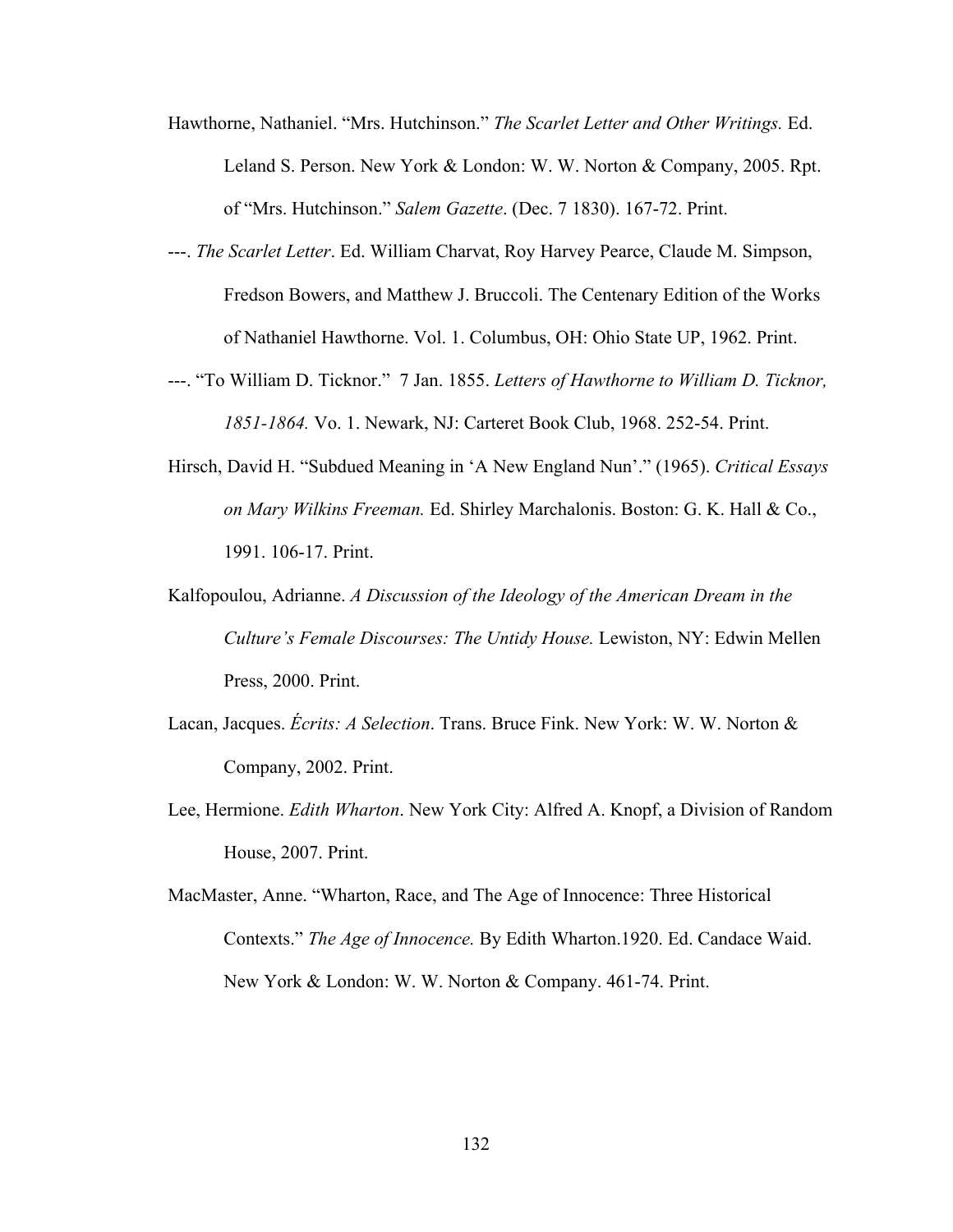- Hawthorne, Nathaniel. "Mrs. Hutchinson." *The Scarlet Letter and Other Writings.* Ed. Leland S. Person. New York & London: W. W. Norton & Company, 2005. Rpt. of "Mrs. Hutchinson." *Salem Gazette*. (Dec. 7 1830). 167-72. Print.
- ---. *The Scarlet Letter*. Ed. William Charvat, Roy Harvey Pearce, Claude M. Simpson, Fredson Bowers, and Matthew J. Bruccoli. The Centenary Edition of the Works of Nathaniel Hawthorne. Vol. 1. Columbus, OH: Ohio State UP, 1962. Print.
- ---. "To William D. Ticknor." 7 Jan. 1855. *Letters of Hawthorne to William D. Ticknor, 1851-1864.* Vo. 1. Newark, NJ: Carteret Book Club, 1968. 252-54. Print.
- Hirsch, David H. "Subdued Meaning in 'A New England Nun'." (1965). *Critical Essays on Mary Wilkins Freeman.* Ed. Shirley Marchalonis. Boston: G. K. Hall & Co., 1991. 106-17. Print.
- Kalfopoulou, Adrianne. *A Discussion of the Ideology of the American Dream in the Culture's Female Discourses: The Untidy House.* Lewiston, NY: Edwin Mellen Press, 2000. Print.
- Lacan, Jacques. *Écrits: A Selection*. Trans. Bruce Fink. New York: W. W. Norton & Company, 2002. Print.
- Lee, Hermione. *Edith Wharton*. New York City: Alfred A. Knopf, a Division of Random House, 2007. Print.
- MacMaster, Anne. "Wharton, Race, and The Age of Innocence: Three Historical Contexts." *The Age of Innocence.* By Edith Wharton.1920. Ed. Candace Waid. New York & London: W. W. Norton & Company. 461-74. Print.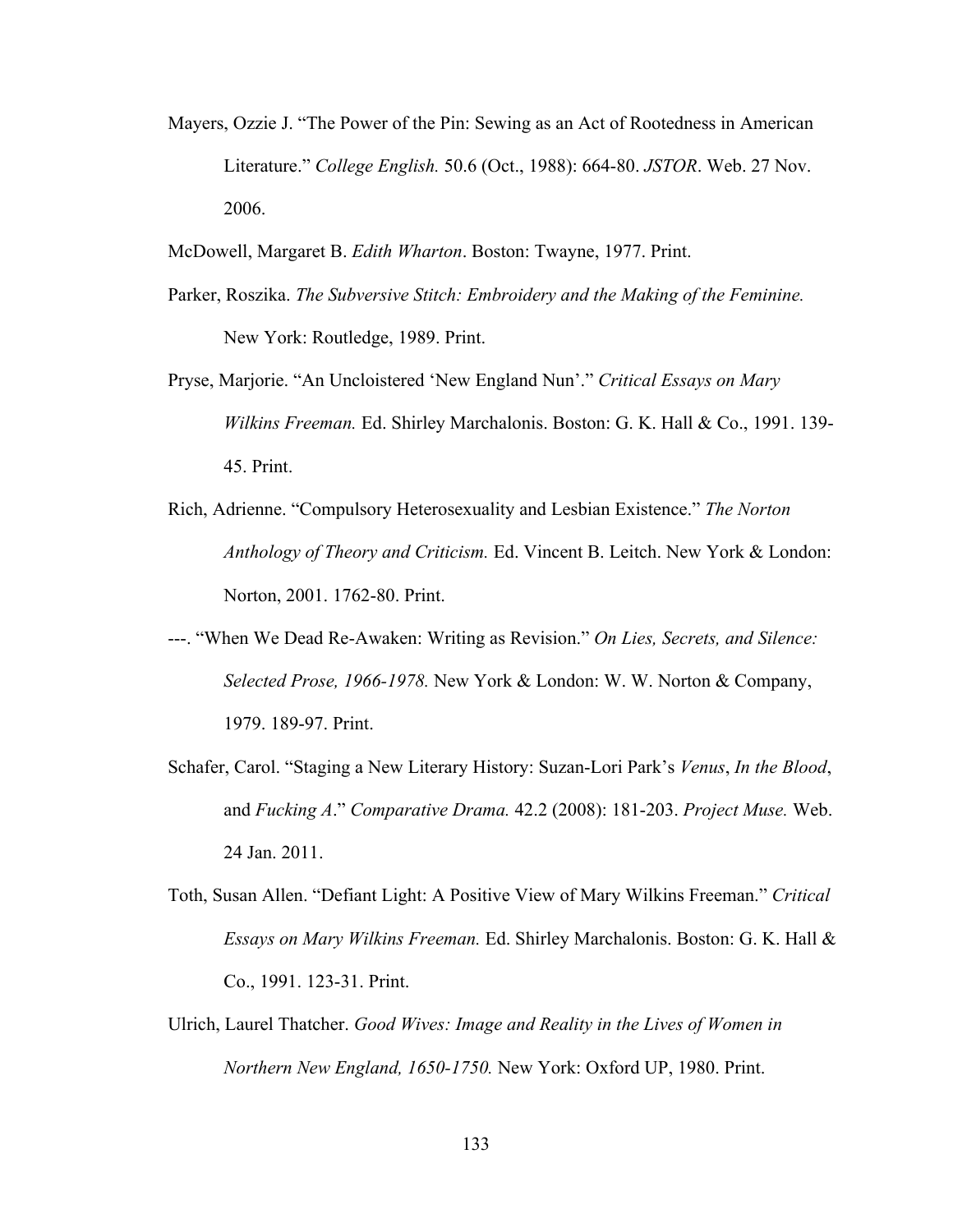- Mayers, Ozzie J. "The Power of the Pin: Sewing as an Act of Rootedness in American Literature." *College English.* 50.6 (Oct., 1988): 664-80. *JSTOR*. Web. 27 Nov. 2006.
- McDowell, Margaret B. *Edith Wharton*. Boston: Twayne, 1977. Print.
- Parker, Roszika. *The Subversive Stitch: Embroidery and the Making of the Feminine.*  New York: Routledge, 1989. Print.
- Pryse, Marjorie. "An Uncloistered 'New England Nun'." *Critical Essays on Mary Wilkins Freeman.* Ed. Shirley Marchalonis. Boston: G. K. Hall & Co., 1991. 139- 45. Print.
- Rich, Adrienne. "Compulsory Heterosexuality and Lesbian Existence." *The Norton Anthology of Theory and Criticism.* Ed. Vincent B. Leitch. New York & London: Norton, 2001. 1762-80. Print.
- ---. "When We Dead Re-Awaken: Writing as Revision." *On Lies, Secrets, and Silence: Selected Prose, 1966-1978.* New York & London: W. W. Norton & Company, 1979. 189-97. Print.
- Schafer, Carol. "Staging a New Literary History: Suzan-Lori Park's *Venus*, *In the Blood*, and *Fucking A*." *Comparative Drama.* 42.2 (2008): 181-203. *Project Muse.* Web. 24 Jan. 2011.
- Toth, Susan Allen. "Defiant Light: A Positive View of Mary Wilkins Freeman." *Critical Essays on Mary Wilkins Freeman.* Ed. Shirley Marchalonis. Boston: G. K. Hall & Co., 1991. 123-31. Print.
- Ulrich, Laurel Thatcher. *Good Wives: Image and Reality in the Lives of Women in Northern New England, 1650-1750.* New York: Oxford UP, 1980. Print.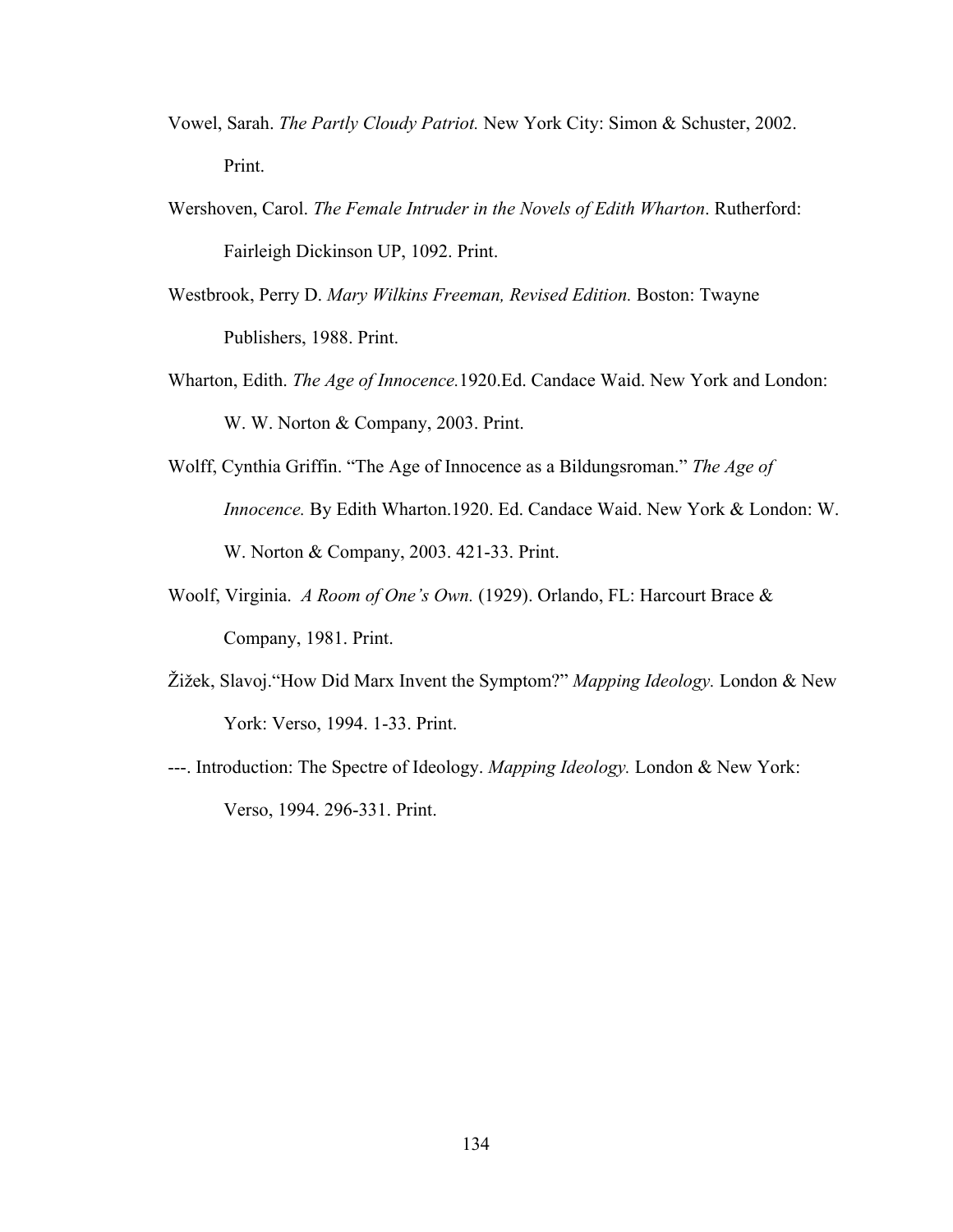- Vowel, Sarah. *The Partly Cloudy Patriot.* New York City: Simon & Schuster, 2002. Print.
- Wershoven, Carol. *The Female Intruder in the Novels of Edith Wharton*. Rutherford: Fairleigh Dickinson UP, 1092. Print.
- Westbrook, Perry D. *Mary Wilkins Freeman, Revised Edition.* Boston: Twayne Publishers, 1988. Print.
- Wharton, Edith. *The Age of Innocence.*1920.Ed. Candace Waid. New York and London: W. W. Norton & Company, 2003. Print.
- Wolff, Cynthia Griffin. "The Age of Innocence as a Bildungsroman." *The Age of Innocence.* By Edith Wharton.1920. Ed. Candace Waid. New York & London: W. W. Norton & Company, 2003. 421-33. Print.
- Woolf, Virginia. *A Room of One's Own.* (1929). Orlando, FL: Harcourt Brace & Company, 1981. Print.
- Žižek, Slavoj."How Did Marx Invent the Symptom?" *Mapping Ideology.* London & New York: Verso, 1994. 1-33. Print.
- ---. Introduction: The Spectre of Ideology. *Mapping Ideology.* London & New York: Verso, 1994. 296-331. Print.